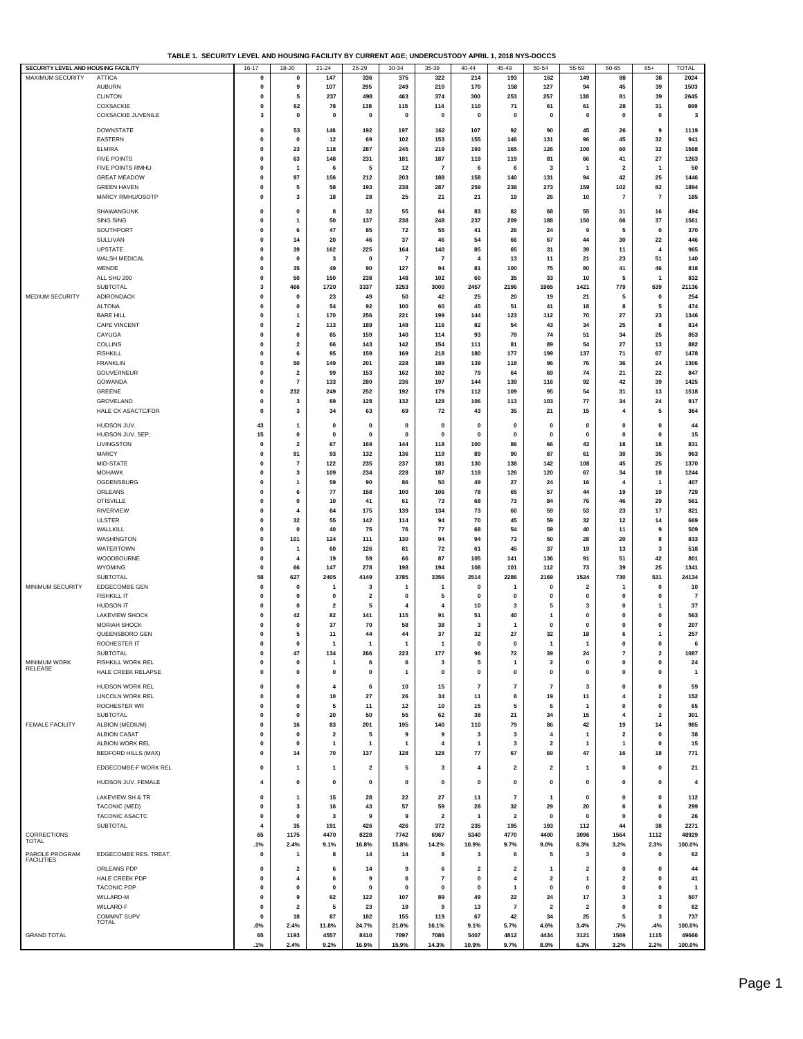**TABLE 1. SECURITY LEVEL AND HOUSING FACILITY BY CURRENT AGE; UNDERCUSTODY APRIL 1, 2018 NYS-DOCCS**

| SECURITY LEVEL AND HOUSING FACILITY |                                        | $16 - 17$                    | $18 - 20$               | $21 - 24$               | $25 - 29$               | $30 - 34$             | 35-39                         | $40 - 44$                   | $45 - 49$               | $50 - 54$               | $55 - 59$               | 60-65                                   | $65+$                     | <b>TOTAL</b>   |
|-------------------------------------|----------------------------------------|------------------------------|-------------------------|-------------------------|-------------------------|-----------------------|-------------------------------|-----------------------------|-------------------------|-------------------------|-------------------------|-----------------------------------------|---------------------------|----------------|
| <b>MAXIMUM SECURITY</b>             | <b>ATTICA</b>                          | $\pmb{0}$                    | 0                       | 147                     | 336                     | 375                   | 322                           | 214                         | 193                     | 162                     | 149                     | 88                                      | 38                        | 2024           |
|                                     | <b>AUBURN</b>                          | $\pmb{0}$                    | 9                       | 107                     | 295                     | 249                   | 210                           | 170                         | 158                     | 127                     | 94                      | 45                                      | 39                        | 1503           |
|                                     | <b>CLINTON</b>                         | 0                            | 5                       | 237                     | 498                     | 463                   | 374                           | 300                         | 253                     | 257                     | 138                     | 81                                      | 39                        | 2645           |
|                                     | COXSACKIE                              | 0                            | 62                      | 78                      | 138                     | 115                   | 114                           | 110                         | 71                      | 61                      | 61                      | 28                                      | 31                        | 869            |
|                                     | COXSACKIE JUVENILE                     | 3                            | 0                       | 0                       | 0                       | $\mathbf{0}$          | $\mathbf 0$                   | 0                           | 0                       | $\mathbf 0$             | $\mathbf{0}$            | $\mathbf 0$                             | $\mathbf 0$               | $\mathbf{3}$   |
|                                     | <b>DOWNSTATE</b>                       | 0                            | 53                      | 146                     | 192                     | 197                   | 162                           | 107                         | 92                      | 90                      | 45                      | 26                                      | 9                         | 1119           |
|                                     | <b>EASTERN</b>                         | 0                            | 0                       | 12                      | 69                      | 102                   | 153                           | 155                         | 146                     | 131                     | 96                      | 45                                      | 32                        | 941            |
|                                     | <b>ELMIRA</b>                          | 0                            | 23                      | 118                     | 287                     | 245                   | 219                           | 193                         | 165                     | 126                     | 100                     | 60                                      | 32                        | 1568           |
|                                     | <b>FIVE POINTS</b>                     | $\mathbf{0}$                 | 63                      | 148                     | 231                     | 181                   | 187                           | 119                         | 119                     | 81                      | 66                      | 41                                      | 27                        | 1263           |
|                                     | FIVE POINTS RMHU                       | $\pmb{0}$                    | 1                       | 6                       | 5                       | 12                    | $\overline{7}$                | 6                           | 6                       | 3                       | $\mathbf{1}$            | $\overline{2}$                          | $\mathbf{1}$              | 50             |
|                                     | <b>GREAT MEADOW</b>                    | $\pmb{0}$                    | 97                      | 156                     | 212                     | 203                   | 188                           | 158                         | 140                     | 131                     | 94                      | 42                                      | 25                        | 1446           |
|                                     | <b>GREEN HAVEN</b><br>MARCY RMHU/OSOTP | $\mathbf{0}$                 | 5                       | 58                      | 193                     | 238                   | 287                           | 259                         | 238                     | 273                     | 159                     | 102                                     | 82                        | 1894           |
|                                     |                                        | 0                            | 3                       | 18                      | 28                      | 25                    | 21                            | 21                          | 19                      | 26                      | 10                      | $\overline{\phantom{a}}$                | 7                         | 185            |
|                                     | SHAWANGUNK                             | $\mathbf{0}$                 | $\mathbf 0$             | 8                       | 32                      | 55                    | 64                            | 83                          | 82                      | 68                      | 55                      | 31                                      | 16                        | 494            |
|                                     | <b>SING SING</b>                       | $\mathbf{0}$                 | 1                       | 50                      | 137                     | 238                   | 248                           | 237                         | 209                     | 188                     | 150                     | 66                                      | 37                        | 1561           |
|                                     | SOUTHPORT                              | 0                            | 6                       | 47                      | 85                      | 72                    | 55                            | 41                          | 26                      | 24                      | 9                       | 5                                       | $\mathbf{0}$              | 370            |
|                                     | SULLIVAN                               | 0                            | 14                      | 20                      | 46                      | 37                    | 46                            | 54                          | 66                      | 67                      | 44                      | 30                                      | 22                        | 446            |
|                                     | UPSTATE<br>WALSH MEDICAL               | $\mathbf{0}$<br>$\mathbf{0}$ | 39<br>0                 | 162<br>3                | 225<br>$\pmb{0}$        | 164<br>$\overline{7}$ | 140<br>7                      | 85<br>$\overline{4}$        | 65<br>13                | 31<br>11                | 39<br>21                | 11<br>23                                | 4<br>51                   | 965<br>140     |
|                                     | WENDE                                  | $\mathbf{0}$                 | 35                      | 49                      | 90                      | 127                   | 94                            | 81                          | 100                     | 75                      | 80                      | 41                                      | 46                        | 818            |
|                                     | ALL SHU 200                            | 0                            | 50                      | 150                     | 238                     | 148                   | 102                           | 60                          | 35                      | 33                      | 10                      | 5                                       | $\mathbf{1}$              | 832            |
|                                     | <b>SUBTOTAL</b>                        | 3                            | 466                     | 1720                    | 3337                    | 3253                  | 3000                          | 2457                        | 2196                    | 1965                    | 1421                    | 779                                     | 539                       | 21136          |
| MEDIUM SECURITY                     | ADIRONDACK                             | 0                            | 0                       | 23                      | 49                      | 50                    | 42                            | 25                          | 20                      | 19                      | 21                      | 5                                       | 0                         | 254            |
|                                     | <b>ALTONA</b>                          | $\mathbf{0}$                 | 0                       | 54                      | 92                      | 100                   | 60                            | 45                          | 51                      | 41                      | 18                      | 8                                       | 5                         | 474            |
|                                     | <b>BARE HILL</b>                       | $\pmb{0}$                    | $\mathbf{1}$            | 170                     | 256                     | 221                   | 199                           | 144                         | 123                     | 112                     | 70                      | 27                                      | 23                        | 1346           |
|                                     | <b>CAPE VINCENT</b>                    | $\pmb{0}$                    | $\mathbf{2}$            | 113                     | 189                     | 148                   | 116                           | 82                          | 54                      | 43                      | 34                      | 25                                      | 8                         | 814            |
|                                     | CAYUGA                                 | $\mathbf{0}$                 | 0                       | 85                      | 159                     | 140                   | 114                           | 93                          | 78                      | 74                      | 51                      | 34                                      | 25                        | 853            |
|                                     | COLLINS                                | 0                            | 2                       | 66                      | 143                     | 142                   | 154                           | 111                         | 81                      | 89                      | 54                      | 27                                      | 13                        | 882            |
|                                     | <b>FISHKILL</b><br><b>FRANKLIN</b>     | $\mathbf{0}$<br>$\mathbf{0}$ | 6                       | 95<br>149               | 159<br>201              | 169<br>228            | 218<br>189                    | 180<br>139                  | 177<br>118              | 199<br>96               | 137<br>76               | 71<br>36                                | 67                        | 1478<br>1306   |
|                                     | GOUVERNEUR                             | $\pmb{0}$                    | 50<br>$\mathbf{2}$      | 99                      | 153                     | 162                   | 102                           | 79                          | 64                      | 69                      | 74                      | 21                                      | 24<br>22                  | 847            |
|                                     | GOWANDA                                | 0                            | 7                       | 133                     | 280                     | 236                   | 197                           | 144                         | 139                     | 116                     | 92                      | 42                                      | 39                        | 1425           |
|                                     | GREENE                                 | 0                            | 232                     | 249                     | 252                     | 192                   | 179                           | 112                         | 109                     | 95                      | 54                      | 31                                      | 13                        | 1518           |
|                                     | GROVELAND                              | 0                            | 3                       | 69                      | 128                     | 132                   | 128                           | 106                         | 113                     | 103                     | 77                      | 34                                      | 24                        | 917            |
|                                     | HALE CK ASACTC/FDR                     | $\mathbf{0}$                 | 3                       | 34                      | 63                      | 69                    | 72                            | 43                          | 35                      | 21                      | 15                      | $\overline{4}$                          | 5                         | 364            |
|                                     | HUDSON JUV.                            | 43                           | 1                       | $\mathbf 0$             | $\mathbf{0}$            | $\mathbf 0$           | 0                             | 0                           | $\mathbf 0$             | 0                       | 0                       | $\mathbf{0}$                            | $\mathbf{0}$              | 44             |
|                                     | HUDSON JUV. SEP.                       | 15                           | 0                       | 0                       | $\mathbf{0}$            | $\mathbf 0$           | 0                             | $\mathbf 0$                 | $\mathbf 0$             | 0                       | 0                       | $\mathbf{0}$                            | $\mathbf{0}$              | 15             |
|                                     | LIVINGSTON                             | 0                            | 2                       | 67                      | 169                     | 144                   | 118                           | 100                         | 86                      | 66                      | 43                      | 18                                      | 18                        | 831            |
|                                     | <b>MARCY</b>                           | $\mathbf 0$                  | 91                      | 93                      | 132                     | 136                   | 119                           | 89                          | 90                      | 87                      | 61                      | 30                                      | 35                        | 963            |
|                                     | MID-STATE                              | $\mathbf{0}$                 | 7                       | 122                     | 235                     | 237                   | 181                           | 130                         | 138                     | 142                     | 108                     | 45                                      | 25                        | 1370           |
|                                     | <b>MOHAWK</b>                          | $\mathbf{0}$                 | 3                       | 109                     | 234                     | 228                   | 187                           | 118                         | 126                     | 120                     | 67                      | 34                                      | 18                        | 1244           |
|                                     | OGDENSBURG                             | 0                            | 1                       | 59                      | 90                      | 86                    | 50                            | 49                          | 27                      | 24                      | 16                      | $\overline{4}$                          | $\mathbf{1}$              | 407            |
|                                     | ORLEANS                                | 0                            | 6                       | 77                      | 158                     | 100                   | 106                           | 78                          | 65                      | 57                      | 44                      | 19                                      | 19                        | 729            |
|                                     | <b>OTISVILLE</b>                       | $\mathbf{0}$                 | 0                       | 10                      | 41                      | 61                    | 73                            | 68                          | 73                      | 84                      | 76                      | 46                                      | 29                        | 561            |
|                                     | <b>RIVERVIEW</b>                       | $\mathbf 0$                  | 4                       | 84                      | 175                     | 139                   | 134                           | 73                          | 60                      | 59                      | 53                      | 23                                      | 17                        | 821            |
|                                     | <b>ULSTER</b><br>WALLKILL              | $\pmb{0}$<br>0               | 32<br>$\mathbf 0$       | 55<br>40                | 142<br>75               | 114<br>76             | 94<br>77                      | 70<br>68                    | 45<br>54                | 59<br>59                | 32<br>40                | 12<br>11                                | 14<br>9                   | 669<br>509     |
|                                     | WASHINGTON                             | 0                            | 101                     | 124                     | 111                     | 130                   | 94                            | 94                          | 73                      | 50                      | 28                      | 20                                      | 8                         | 833            |
|                                     | WATERTOWN                              | 0                            | 1                       | 60                      | 126                     | 81                    | 72                            | 61                          | 45                      | 37                      | 19                      | 13                                      | 3                         | 518            |
|                                     | WOODBOURNE                             | $\mathbf 0$                  | 4                       | 19                      | 59                      | 66                    | 87                            | 105                         | 141                     | 136                     | 91                      | 51                                      | 42                        | 801            |
|                                     | <b>WYOMING</b>                         | $\mathbf{0}$                 | 66                      | 147                     | 278                     | 198                   | 194                           | 108                         | 101                     | 112                     | 73                      | 39                                      | 25                        | 1341           |
|                                     | <b>SUBTOTAL</b>                        | 58                           | 627                     | 2405                    | 4149                    | 3785                  | 3356                          | 2514                        | 2286                    | 2169                    | 1524                    | 730                                     | 531                       | 24134          |
| MINIMUM SECURITY                    | EDGECOMBE GEN                          | $\mathbf{0}$                 | 0                       | 1                       | 3                       | 1                     | 1                             | 0                           |                         | 0                       | $\overline{a}$          |                                         | $\mathbf{0}$              | 10             |
|                                     | <b>FISHKILL IT</b>                     | 0                            | 0                       | 0                       | $\overline{\mathbf{2}}$ | $\mathbf 0$           | 5                             | $\mathbf 0$                 | $\mathbf 0$             | 0                       | 0                       | 0                                       | 0                         | $\overline{7}$ |
|                                     | HUDSON IT                              | $\mathbf{0}$                 | $\mathbf 0$             | 2                       | 5                       | 4                     | 4                             | 10                          | 3                       | 5                       | 3                       | $\mathbf 0$                             | $\mathbf{1}$              | 37             |
|                                     | LAKEVIEW SHOCK                         | $\mathbf{0}$                 | 42                      | 82                      | 141                     | 115                   | 91                            | 51                          | 40                      | $\mathbf{1}$            | 0<br>$\mathbf{0}$       | $\mathbf 0$<br>$\mathbf 0$              | $\mathbf{0}$              | 563            |
|                                     | <b>MORIAH SHOCK</b><br>QUEENSBORO GEN  | $\pmb{0}$<br>$\mathbf{0}$    | $\mathbf 0$<br>5        | 37<br>11                | 70<br>44                | 58<br>44              | 38<br>37                      | 3<br>32                     | -1<br>27                | $\pmb{0}$<br>32         | 18                      | 6                                       | $\pmb{0}$<br>$\mathbf{1}$ | 207<br>257     |
|                                     | ROCHESTER IT                           | $\mathbf{0}$                 | 0                       |                         |                         |                       |                               | $\mathbf{0}$                | $\pmb{0}$               | $\mathbf{1}$            | 1                       | 0                                       | $\pmb{0}$                 | 6              |
|                                     | SUBTOTAL                               | 0                            | 47                      | 134                     | 266                     | 223                   | 177                           | 96                          | 72                      | 39                      | 24                      | $\overline{\phantom{a}}$                | $\overline{\mathbf{2}}$   | 1087           |
| MINIMUM WORK                        | FISHKILL WORK REL                      | 0                            | 0                       | 1                       | 6                       | 6                     | 3                             | 5                           | 1                       | 2                       | 0                       | $\pmb{0}$                               | $\pmb{0}$                 | 24             |
| RELEASE                             | HALE CREEK RELAPSE                     | $\mathbf{0}$                 | $\mathbf 0$             | 0                       | $\mathbf{0}$            | $\mathbf{1}$          | $\mathbf{0}$                  | $\pmb{0}$                   | $\mathbf 0$             | $\pmb{0}$               | 0                       | $\mathbf 0$                             | $\mathbf{0}$              | $\overline{1}$ |
|                                     | HUDSON WORK REL                        | 0                            | 0                       | 4                       | 6                       | 10                    |                               | $\overline{7}$              | $\overline{\mathbf{r}}$ | $\overline{7}$          | 3                       | $\pmb{0}$                               | $\pmb{0}$                 | 59             |
|                                     | LINCOLN WORK REL                       | 0                            | 0                       | 10                      | 27                      | 26                    | 15<br>34                      | 11                          | 8                       | 19                      | 11                      | $\overline{4}$                          | $\overline{\mathbf{2}}$   | 152            |
|                                     | ROCHESTER WR                           | $\mathbf{0}$                 | $\mathbf 0$             | 5                       | 11                      | 12                    | 10                            | 15                          | 5                       | 6                       | 1                       | $\mathbf 0$                             | $\mathbf{0}$              | 65             |
|                                     | SUBTOTAL                               | $\mathbf{0}$                 | $\mathbf 0$             | 20                      | 50                      | 55                    | 62                            | 38                          | 21                      | 34                      | 15                      | $\overline{a}$                          | $\overline{\mathbf{2}}$   | 301            |
| <b>FEMALE FACILITY</b>              | ALBION (MEDIUM)                        | $\pmb{0}$                    | 16                      | 83                      | 201                     | 195                   | 140                           | 110                         | 79                      | 86                      | 42                      | 19                                      | 14                        | 985            |
|                                     | <b>ALBION CASAT</b>                    | 0                            | 0                       | $\overline{\mathbf{2}}$ | 5                       | 9                     | 9                             | 3                           | 3                       | 4                       | 1                       | $\overline{\mathbf{2}}$                 | $\mathbf{0}$              | 38             |
|                                     | ALBION WORK REL                        | 0                            | 0                       | 1                       | $\mathbf{1}$            | $\mathbf{1}$          | $\overline{a}$                | $\overline{1}$              | 3                       | $\overline{2}$          | 1                       | $\mathbf{1}$                            | $\mathbf{0}$              | 15             |
|                                     | BEDFORD HILLS (MAX)                    | 0                            | 14                      | 70                      | 137                     | 128                   | 128                           | 77                          | 67                      | 69                      | 47                      | 16                                      | 18                        | 771            |
|                                     | EDGECOMBE-F WORK REL                   | 0                            | 1                       | 1                       | $\overline{2}$          | 5                     | 3                             | 4                           | $\overline{\mathbf{2}}$ | $\overline{\mathbf{2}}$ | 1                       | $\mathbf 0$                             | 0                         | 21             |
|                                     | HUDSON JUV. FEMALE                     | 4                            | 0                       | $\mathbf 0$             | $\mathbf 0$             | $\mathbf{0}$          | $\Omega$                      | $\mathbf 0$                 | $\mathbf 0$             | $\mathbf{0}$            | 0                       | $\mathbf{0}$                            | $\mathbf{0}$              | 4              |
|                                     |                                        |                              |                         |                         |                         |                       |                               |                             |                         |                         |                         |                                         |                           |                |
|                                     | <b>LAKEVIEW SH &amp; TR</b>            | 0                            | 1                       | 15                      | 28                      | 22                    | 27                            | 11                          | $\overline{7}$          | $\mathbf{1}$            | 0                       | $\pmb{0}$                               | $\pmb{0}$                 | 112            |
|                                     | TACONIC (MED)                          | 0                            | 3                       | 16                      | 43                      | 57                    | 59                            | 28                          | 32                      | 29                      | 20                      | 6                                       | 6                         | 299            |
|                                     | TACONIC ASACTC                         | 0                            | 0                       | 3                       | 9                       | 9                     | 2                             | $\overline{1}$              | $\overline{\mathbf{2}}$ | 0                       | 0                       | $\mathbf{0}$                            | $\mathbf{0}$              | 26             |
| <b>CORRECTIONS</b>                  | <b>SUBTOTAL</b>                        | 4<br>65                      | 35<br>1175              | 191<br>4470             | 426<br>8228             | 426<br>7742           | 372<br>6967                   | 235<br>5340                 | 195<br>4770             | 193<br>4400             | 112<br>3096             | 44<br>1564                              | 38<br>1112                | 2271<br>48929  |
| <b>TOTAL</b>                        |                                        | .1%                          | 2.4%                    | 9.1%                    | 16.8%                   | 15.8%                 | 14.2%                         | 10.9%                       | 9.7%                    | $9.0\%$                 | 6.3%                    | 3.2%                                    | 2.3%                      | 100.0%         |
| PAROLE PROGRAM                      | EDGECOMBE RES. TREAT.                  | 0                            | $\mathbf{1}$            | 8                       | 14                      | 14                    | 8                             | 3                           | 6                       | 5                       | 3                       | $\mathbf 0$                             | 0                         | 62             |
| <b>FACILITIES</b>                   |                                        |                              |                         |                         |                         |                       |                               |                             |                         |                         |                         |                                         |                           |                |
|                                     | <b>ORLEANS PDP</b>                     | $\mathbf 0$                  | $\overline{\mathbf{2}}$ | 6                       | 14                      | 9                     | 6                             | $\overline{\mathbf{2}}$     | $\overline{\mathbf{2}}$ | -1                      | $\overline{2}$          | $\mathbf{0}$                            | $\mathbf 0$               | 44             |
|                                     | HALE CREEK PDP                         | $\mathbf{0}$                 | 4                       | 6<br>$\mathbf 0$        | 9<br>$\mathbf{0}$       | 6<br>$\mathbf 0$      | $\overline{7}$<br>$\mathbf 0$ | $\mathbf{0}$<br>$\mathbf 0$ | $\overline{4}$          | $\overline{\mathbf{2}}$ | 1<br>$\mathbf 0$        | $\overline{\mathbf{2}}$<br>$\mathbf{0}$ | $\pmb{0}$<br>$\mathbf{0}$ | 41             |
|                                     | <b>TACONIC PDP</b><br>WILLARD-M        | 0<br>0                       | 0<br>9                  | 62                      | 122                     | 107                   | 89                            | 49                          | -1<br>22                | 0<br>24                 | 17                      | 3                                       | 3                         | 1<br>507       |
|                                     | WILLARD-F                              | 0                            | 2                       | 5                       | 23                      | 19                    | 9                             | 13                          | $\overline{7}$          | 2                       | $\overline{\mathbf{2}}$ | 0                                       | 0                         | 82             |
|                                     | COMMNT SUPV                            | $\mathbf{0}$                 | 18                      | 87                      | 182                     | 155                   | 119                           | 67                          | 42                      | 34                      | 25                      | 5                                       | 3                         | 737            |
|                                     | TOTAL                                  | .0%                          | 2.4%                    | 11.8%                   | 24.7%                   | 21.0%                 | 16.1%                         | 9.1%                        | 5.7%                    | 4.6%                    | 3.4%                    | .7%                                     | .4%                       | 100.0%         |
| <b>GRAND TOTAL</b>                  |                                        | 65                           | 1193                    | 4557                    | 8410                    | 7897                  | 7086                          | 5407                        | 4812                    | 4434                    | 3121                    | 1569                                    | 1115                      | 49666          |
|                                     |                                        | .1%                          | 2.4%                    | 9.2%                    | 16.9%                   | 15.9%                 | 14.3%                         | 10.9%                       | 9.7%                    | 8.9%                    | 6.3%                    | 3.2%                                    | 2.2%                      | 100.0%         |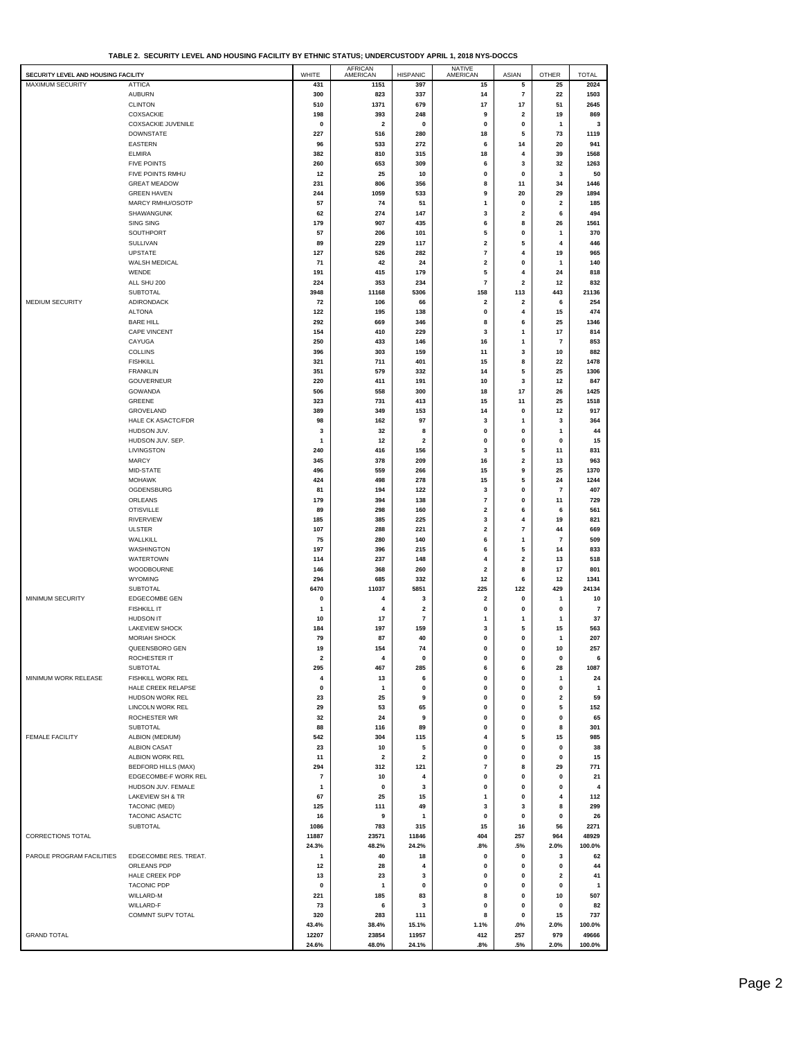| SECURITY LEVEL AND HOUSING FACILITY |                            | WHITE | AFRICAN<br>AMERICAN | <b>HISPANIC</b>         | NATIVE<br>AMERICAN      | ASIAN                   | <b>OTHER</b>            | <b>TOTAL</b>   |
|-------------------------------------|----------------------------|-------|---------------------|-------------------------|-------------------------|-------------------------|-------------------------|----------------|
| MAXIMUM SECURITY                    | <b>ATTICA</b>              | 431   | 1151                | 397                     | 15                      | 5                       | 25                      | 2024           |
|                                     |                            |       |                     |                         |                         |                         |                         |                |
|                                     | <b>AUBURN</b>              | 300   | 823                 | 337                     | 14                      | $\scriptstyle\rm 7$     | 22                      | 1503           |
|                                     | <b>CLINTON</b>             | 510   | 1371                | 679                     | 17                      | 17                      | 51                      | 2645           |
|                                     | COXSACKIE                  | 198   | 393                 | 248                     | 9                       | $\overline{2}$          | 19                      | 869            |
|                                     | <b>COXSACKIE JUVENILE</b>  | 0     | 2                   | 0                       | 0                       | 0                       | 1                       | 3              |
|                                     |                            |       |                     |                         |                         |                         |                         |                |
|                                     | <b>DOWNSTATE</b>           | 227   | 516                 | 280                     | 18                      | 5                       | 73                      | 1119           |
|                                     | <b>EASTERN</b>             | 96    | 533                 | 272                     | 6                       | 14                      | 20                      | 941            |
|                                     | <b>ELMIRA</b>              | 382   | 810                 | 315                     | 18                      | $\overline{4}$          | 39                      | 1568           |
|                                     | <b>FIVE POINTS</b>         | 260   | 653                 | 309                     | 6                       | 3                       | 32                      | 1263           |
|                                     |                            |       |                     |                         |                         |                         |                         |                |
|                                     | FIVE POINTS RMHU           | 12    | 25                  | 10                      | 0                       | $\mathbf 0$             | 3                       | 50             |
|                                     | <b>GREAT MEADOW</b>        | 231   | 806                 | 356                     | 8                       | 11                      | 34                      | 1446           |
|                                     | <b>GREEN HAVEN</b>         | 244   | 1059                | 533                     | 9                       | 20                      | 29                      | 1894           |
|                                     | MARCY RMHU/OSOTP           |       |                     |                         |                         |                         |                         |                |
|                                     |                            | 57    | 74                  | 51                      | $\overline{1}$          | 0                       | $\overline{\mathbf{2}}$ | 185            |
|                                     | SHAWANGUNK                 | 62    | 274                 | 147                     | 3                       | $\overline{\mathbf{2}}$ | 6                       | 494            |
|                                     | SING SING                  | 179   | 907                 | 435                     | 6                       | 8                       | 26                      | 1561           |
|                                     | SOUTHPORT                  | 57    | 206                 | 101                     | 5                       | 0                       | 1                       | 370            |
|                                     |                            |       |                     |                         |                         |                         |                         |                |
|                                     | <b>SULLIVAN</b>            | 89    | 229                 | 117                     | $\overline{\mathbf{2}}$ | 5                       | 4                       | 446            |
|                                     | UPSTATE                    | 127   | 526                 | 282                     | $\overline{7}$          | 4                       | 19                      | 965            |
|                                     | WALSH MEDICAL              | 71    | 42                  | 24                      | $\mathbf 2$             | $\mathbf{0}$            | $\mathbf{1}$            | 140            |
|                                     | WENDE                      | 191   | 415                 | 179                     | 5                       | 4                       | 24                      | 818            |
|                                     |                            |       |                     |                         |                         |                         |                         |                |
|                                     | ALL SHU 200                | 224   | 353                 | 234                     | $\overline{7}$          | $\overline{2}$          | 12                      | 832            |
|                                     | SUBTOTAL                   | 3948  | 11168               | 5306                    | 158                     | 113                     | 443                     | 21136          |
| MEDIUM SECURITY                     | ADIRONDACK                 | 72    | 106                 | 66                      | $\overline{\mathbf{2}}$ | $\mathbf 2$             | 6                       | 254            |
|                                     |                            |       |                     |                         | 0                       |                         |                         | 474            |
|                                     | <b>ALTONA</b>              | 122   | 195                 | 138                     |                         | 4                       | 15                      |                |
|                                     | <b>BARE HILL</b>           | 292   | 669                 | 346                     | 8                       | 6                       | 25                      | 1346           |
|                                     | CAPE VINCENT               | 154   | 410                 | 229                     | 3                       | $\mathbf{1}$            | 17                      | 814            |
|                                     | CAYUGA                     | 250   | 433                 | 146                     | 16                      | $\mathbf{1}$            | $\overline{7}$          | 853            |
|                                     |                            |       |                     |                         |                         |                         |                         |                |
|                                     | <b>COLLINS</b>             | 396   | 303                 | 159                     | 11                      | 3                       | 10                      | 882            |
|                                     | <b>FISHKILL</b>            | 321   | 711                 | 401                     | 15                      | 8                       | 22                      | 1478           |
|                                     | <b>FRANKLIN</b>            | 351   | 579                 | 332                     | 14                      | 5                       | 25                      | 1306           |
|                                     | GOUVERNEUR                 |       | 411                 |                         | 10                      | 3                       |                         | 847            |
|                                     |                            | 220   |                     | 191                     |                         |                         | 12                      |                |
|                                     | GOWANDA                    | 506   | 558                 | 300                     | 18                      | 17                      | 26                      | 1425           |
|                                     | GREENE                     | 323   | 731                 | 413                     | 15                      | 11                      | 25                      | 1518           |
|                                     | GROVELAND                  | 389   | 349                 | 153                     | 14                      | 0                       | 12                      | 917            |
|                                     | HALE CK ASACTC/FDR         |       | 162                 | 97                      | 3                       | 1                       |                         | 364            |
|                                     |                            | 98    |                     |                         |                         |                         | 3                       |                |
|                                     | HUDSON JUV.                | 3     | 32                  | 8                       | 0                       | 0                       | 1                       | 44             |
|                                     | HUDSON JUV. SEP.           | 1     | 12                  | $\overline{\mathbf{2}}$ | 0                       | 0                       | 0                       | 15             |
|                                     | LIVINGSTON                 | 240   | 416                 | 156                     | 3                       | 5                       | 11                      | 831            |
|                                     |                            |       |                     |                         |                         | $\mathbf{2}$            |                         | 963            |
|                                     | <b>MARCY</b>               | 345   | 378                 | 209                     | 16                      |                         | 13                      |                |
|                                     | MID-STATE                  | 496   | 559                 | 266                     | 15                      | 9                       | 25                      | 1370           |
|                                     | <b>MOHAWK</b>              | 424   | 498                 | 278                     | 15                      | 5                       | 24                      | 1244           |
|                                     | OGDENSBURG                 | 81    | 194                 | 122                     | 3                       | 0                       | 7                       | 407            |
|                                     | ORLEANS                    | 179   | 394                 | 138                     | $\overline{7}$          | $\bf{0}$                | 11                      | 729            |
|                                     |                            |       |                     |                         |                         |                         |                         |                |
|                                     | <b>OTISVILLE</b>           | 89    | 298                 | 160                     | $\overline{\mathbf{2}}$ | 6                       | 6                       | 561            |
|                                     | RIVERVIEW                  | 185   | 385                 | 225                     | 3                       | 4                       | 19                      | 821            |
|                                     | <b>ULSTER</b>              | 107   | 288                 | 221                     | $\overline{\mathbf{2}}$ | $\overline{7}$          | 44                      | 669            |
|                                     | WALLKILL                   | 75    | 280                 | 140                     | 6                       | 1                       | 7                       | 509            |
|                                     |                            |       |                     |                         |                         |                         |                         |                |
|                                     | WASHINGTON                 | 197   | 396                 | 215                     | 6                       | 5                       | 14                      | 833            |
|                                     | WATERTOWN                  | 114   | 237                 | 148                     | 4                       | $\mathbf 2$             | 13                      | 518            |
|                                     | WOODBOURNE                 | 146   | 368                 | 260                     | $\overline{\mathbf{2}}$ | 8                       | 17                      | 801            |
|                                     | <b>WYOMING</b>             |       |                     |                         | 12                      |                         |                         | 1341           |
|                                     |                            | 294   | 685                 | 332                     |                         | 6                       | 12                      |                |
|                                     | <b>SUBTOTAL</b>            | 6470  | 11037               | 5851                    | 225                     | 122                     | 429                     | 24134          |
| MINIMUM SECURITY                    | <b>EDGECOMBE GEN</b>       | 0     | 4                   | 3                       | $\overline{\mathbf{2}}$ | 0                       | $\mathbf{1}$            | 10             |
|                                     | <b>FISHKILL IT</b>         | 1     | 4                   | $\overline{\mathbf{2}}$ | 0                       | 0                       | $\pmb{0}$               | $\overline{7}$ |
|                                     |                            |       |                     |                         |                         |                         |                         |                |
|                                     | <b>HUDSON IT</b>           | 10    | 17                  | $\overline{7}$          | $\mathbf{1}$            | 1                       | $\mathbf{1}$            | 37             |
|                                     | <b>LAKEVIEW SHOCK</b>      | 184   | 197                 | 159                     | 3                       | 5                       | 15                      | 563            |
|                                     | <b>MORIAH SHOCK</b>        | 79    | 87                  | 40                      | 0                       | 0                       | 1                       | 207            |
|                                     | QUEENSBORO GEN             | 19    | 154                 | 74                      | o                       | 0                       | 10                      | 257            |
|                                     |                            |       |                     |                         |                         |                         |                         |                |
|                                     | ROCHESTER IT               | 2     | 4                   | 0                       | 0                       | $\pmb{0}$               | 0                       | 6              |
|                                     | SUBTOTAL                   | 295   | 467                 | 285                     | 6                       | 6                       | 28                      | 1087           |
| MINIMUM WORK RELEASE                | FISHKILL WORK REL          | 4     | 13                  | 6                       | $\pmb{0}$               | $\pmb{0}$               | 1                       | 24             |
|                                     | HALE CREEK RELAPSE         | 0     | 1                   | 0                       | $\mathbf{0}$            | $\mathbf 0$             | 0                       | $\overline{1}$ |
|                                     | HUDSON WORK REL            | 23    | 25                  | 9                       | $\mathbf 0$             | $\pmb{0}$               | $\overline{\mathbf{2}}$ | 59             |
|                                     |                            |       |                     |                         |                         |                         |                         |                |
|                                     | LINCOLN WORK REL           | 29    | 53                  | 65                      | $\mathbf{0}$            | $\mathbf 0$             | 5                       | 152            |
|                                     | ROCHESTER WR               | 32    | 24                  | 9                       | $\pmb{0}$               | $\pmb{0}$               | 0                       | 65             |
|                                     | <b>SUBTOTAL</b>            | 88    | 116                 | 89                      | $\mathbf{0}$            | $\mathbf 0$             | 8                       | 301            |
|                                     |                            |       |                     |                         |                         |                         |                         |                |
| FEMALE FACILITY                     | ALBION (MEDIUM)            | 542   | 304                 | 115                     | 4                       | 5                       | 15                      | 985            |
|                                     | <b>ALBION CASAT</b>        | 23    | 10                  | 5                       | $\mathbf{0}$            | $\mathbf 0$             | 0                       | 38             |
|                                     | ALBION WORK REL            | 11    | 2                   | $\mathbf{2}$            | $\pmb{0}$               | 0                       | 0                       | 15             |
|                                     | <b>BEDFORD HILLS (MAX)</b> | 294   | 312                 | 121                     | $\overline{\mathbf{7}}$ | 8                       | 29                      | 771            |
|                                     |                            |       |                     |                         |                         |                         |                         |                |
|                                     | EDGECOMBE-F WORK REL       | 7     | 10                  | 4                       | 0                       | 0                       | 0                       | 21             |
|                                     | HUDSON JUV. FEMALE         | 1     | 0                   | 3                       | $\mathbf 0$             | 0                       | $\mathbf 0$             | $\overline{4}$ |
|                                     | LAKEVIEW SH & TR           | 67    | 25                  | 15                      | $\mathbf{1}$            | 0                       | 4                       | 112            |
|                                     | TACONIC (MED)              | 125   | 111                 | 49                      | 3                       | 3                       | 8                       | 299            |
|                                     |                            |       |                     |                         |                         |                         |                         |                |
|                                     | TACONIC ASACTC             | 16    | 9                   | 1                       | $\pmb{0}$               | 0                       | 0                       | 26             |
|                                     | SUBTOTAL                   | 1086  | 783                 | 315                     | 15                      | 16                      | 56                      | 2271           |
| CORRECTIONS TOTAL                   |                            | 11887 | 23571               | 11846                   | 404                     | 257                     | 964                     | 48929          |
|                                     |                            | 24.3% | 48.2%               | 24.2%                   | .8%                     | .5%                     | 2.0%                    | 100.0%         |
|                                     |                            |       |                     |                         |                         |                         |                         |                |
| PAROLE PROGRAM FACILITIES           | EDGECOMBE RES. TREAT.      | 1     | 40                  | 18                      | 0                       | 0                       | 3                       | 62             |
|                                     | ORLEANS PDP                | 12    | 28                  | 4                       | 0                       | 0                       | $\pmb{0}$               | 44             |
|                                     | HALE CREEK PDP             | 13    | 23                  | 3                       | $\mathbf 0$             | 0                       | $\overline{\mathbf{2}}$ | 41             |
|                                     | <b>TACONIC PDP</b>         | 0     | 1                   | $\pmb{0}$               | 0                       | 0                       | $\pmb{0}$               | $\mathbf{1}$   |
|                                     |                            |       |                     |                         |                         |                         |                         |                |
|                                     | WILLARD-M                  | 221   | 185                 | 83                      | 8                       | 0                       | 10                      | 507            |
|                                     | WILLARD-F                  | 73    | 6                   | 3                       | $\mathbf 0$             | 0                       | $\mathbf 0$             | 82             |
|                                     | COMMNT SUPV TOTAL          | 320   | 283                 | 111                     | 8                       | 0                       | 15                      | 737            |
|                                     |                            | 43.4% | 38.4%               | 15.1%                   | 1.1%                    | .0%                     | 2.0%                    | 100.0%         |
|                                     |                            |       |                     |                         |                         |                         |                         |                |
| <b>GRAND TOTAL</b>                  |                            | 12207 | 23854               | 11957                   | 412                     | 257                     | 979                     | 49666          |
|                                     |                            | 24.6% | 48.0%               | 24.1%                   | .8%                     | .5%                     | 2.0%                    | 100.0%         |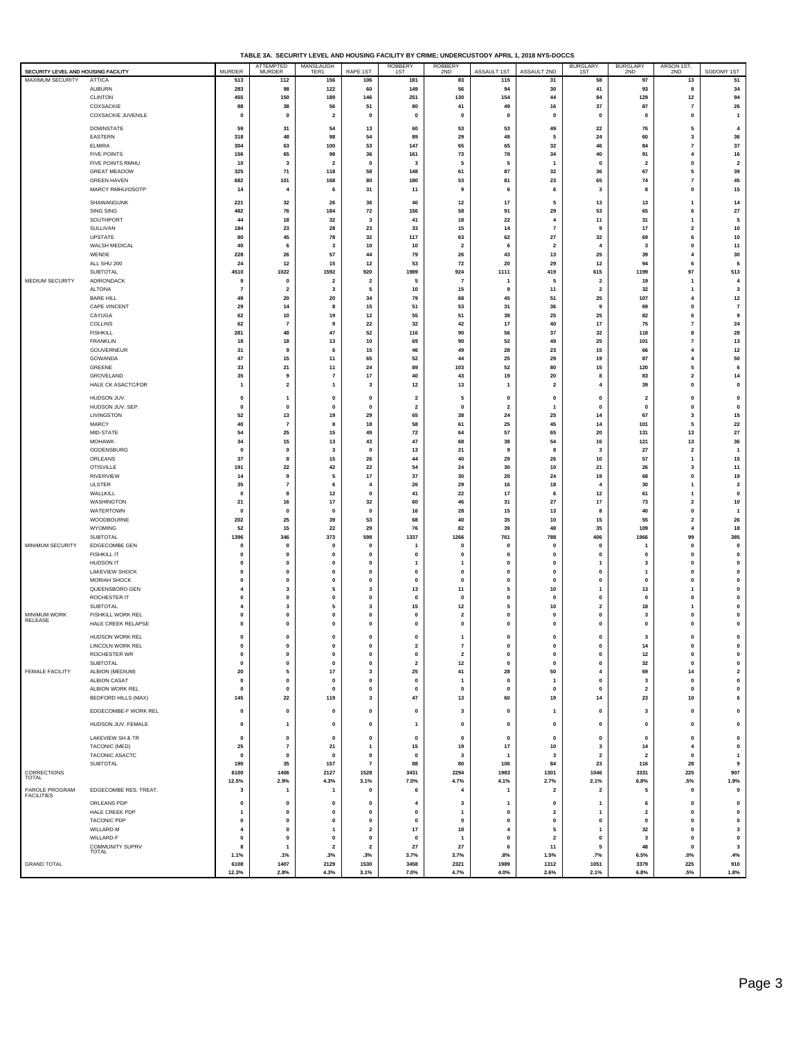| TABLE 3A. SECURITY LEVEL AND HOUSING FACILITY BY CRIME: UNDERCUSTODY APRIL 1, 2018 NYS-DOCCS |
|----------------------------------------------------------------------------------------------|
|                                                                                              |

| SECURITY LEVEL AND HOUSING FACILITY |                                         | <b>MURDER</b>               | <b>ATTEMPTED</b><br><b>MURDER</b> | MANSLAUGH<br>TER1                  | RAPE 1ST                          | <b>ROBBERY</b><br>1ST         | <b>ROBBERY</b><br>2ND         | ASSAULT 1ST                 | ASSAULT 2ND                          | <b>BURGLARY</b><br>1ST                 | <b>BURGLARY</b><br>2ND         | ARSON 1ST,<br>2ND                      | SODOMY 1ST                     |
|-------------------------------------|-----------------------------------------|-----------------------------|-----------------------------------|------------------------------------|-----------------------------------|-------------------------------|-------------------------------|-----------------------------|--------------------------------------|----------------------------------------|--------------------------------|----------------------------------------|--------------------------------|
| <b>MAXIMUM SECURITY</b>             | <b>ATTICA</b>                           | 513                         | 112                               | 156                                | 106                               | 181                           | 83                            | 115                         | 31                                   | 58                                     | 97                             | 13                                     | 51                             |
|                                     | <b>AUBURN</b>                           | 283                         | 98                                | 122                                | 60                                | 149                           | 56                            | 94                          | 30                                   | 41                                     | 93                             | 8                                      | 34                             |
|                                     | <b>CLINTON</b><br>COXSACKIE             | 455<br>88                   | 150<br>38                         | 189<br>56                          | 146<br>51                         | 251<br>80                     | 130<br>41                     | 154<br>49                   | 44<br>16                             | 84<br>37                               | 129<br>87                      | $12$<br>$\overline{\phantom{a}}$       | 94<br>26                       |
|                                     | COXSACKIE JUVENILE                      | $\mathbf{0}$                | $\mathbf{0}$                      | $\overline{\mathbf{2}}$            | $\pmb{0}$                         | 0                             | 0                             | $\mathbf{0}$                | $\mathbf{0}$                         | $\mathbf{0}$                           | $\pmb{0}$                      | $\pmb{0}$                              | $\overline{1}$                 |
|                                     | <b>DOWNSTATE</b>                        | 59                          | 31                                | 54                                 | 13                                | 60                            | 53                            | 53                          | 49                                   | 22                                     | 76                             | 5                                      | $\overline{4}$                 |
|                                     | <b>EASTERN</b>                          | 318                         | 48                                | 98                                 | 54                                | 89                            | 29                            | 49                          | 5                                    | 24                                     | 60                             | 3                                      | 36                             |
|                                     | <b>ELMIRA</b>                           | 304                         | 63                                | 100                                | 53                                | 147                           | 65                            | 65                          | 32                                   | 46                                     | 84                             | $\overline{7}$                         | 37                             |
|                                     | <b>FIVE POINTS</b><br>FIVE POINTS RMHU  | 156<br>10                   | 65<br>3                           | 98<br>$\overline{2}$               | 36<br>$\mathbf 0$                 | 161<br>3                      | 73<br>5                       | 78<br>5                     | 34<br>$\overline{1}$                 | 40<br>$\mathbf 0$                      | 91<br>$\overline{\mathbf{2}}$  | $\overline{4}$<br>0                    | 16<br>$\overline{\mathbf{2}}$  |
|                                     | <b>GREAT MEADOW</b>                     | 325                         | 71                                | 118                                | 58                                | 148                           | 61                            | 87                          | 32                                   | 36                                     | 67                             | 5                                      | 39                             |
|                                     | <b>GREEN HAVEN</b>                      | 682                         | 101                               | 168                                | 80                                | 180                           | 53                            | 81                          | 23                                   | 65                                     | 74                             | $\overline{7}$                         | 45                             |
|                                     | MARCY RMHU/OSOTP                        | 14                          | $\overline{4}$                    | 6                                  | 31                                | 11                            | 9                             | 6                           | 6                                    | $\mathbf{3}$                           | 8                              | $\pmb{0}$                              | 15                             |
|                                     | SHAWANGUNK                              | 221                         | 32                                | 26                                 | 36                                | 40                            | 12                            | 17                          | 5                                    | 13                                     | 13                             | 1                                      | 14                             |
|                                     | SING SING                               | 482                         | 76                                | 184                                | 72                                | 156                           | 58                            | 91                          | 29                                   | 53                                     | 65                             | 6                                      | 27<br>5                        |
|                                     | SOUTHPORT<br>SULLIVAN                   | 44<br>184                   | 18<br>23                          | 32<br>28                           | $\overline{\mathbf{3}}$<br>23     | 41<br>33                      | 18<br>15                      | 22<br>14                    | $\overline{4}$<br>$\overline{7}$     | 11<br>9                                | 31<br>17                       | 1<br>$\overline{\mathbf{2}}$           | 10                             |
|                                     | UPSTATE                                 | 80                          | 45                                | 78                                 | 32                                | 117                           | 63                            | 62                          | ${\bf 27}$                           | 32                                     | 69                             | 6                                      | 10                             |
|                                     | WALSH MEDICAL                           | 40                          | 6                                 | 3                                  | $10\,$                            | 10                            | $\overline{\mathbf{2}}$       | 6                           | $\overline{\mathbf{z}}$              | $\overline{4}$                         | 3                              | $\pmb{0}$                              | $11$                           |
|                                     | WENDE<br>ALL SHU 200                    | 228<br>24                   | 26<br>12                          | 57<br>15                           | 44<br>12                          | 79<br>53                      | 26<br>72                      | 43<br>20                    | 13<br>29                             | 25<br>$12$                             | 39<br>94                       | $\overline{4}$<br>6                    | 30<br>6                        |
|                                     | SUBTOTAL                                | 4510                        | 1022                              | 1592                               | 920                               | 1989                          | 924                           | 1111                        | 419                                  | 615                                    | 1199                           | 97                                     | 513                            |
| MEDIUM SECURITY                     | ADIRONDACK                              | 9                           | $\mathbf 0$                       | $\overline{2}$                     | $\overline{2}$                    | 5                             | $\overline{7}$                |                             | 5                                    | $\overline{\mathbf{2}}$                | 19                             | 1                                      | $\overline{4}$                 |
|                                     | ALTONA                                  | $\overline{7}$              | $\overline{\mathbf{2}}$           | 3                                  | 5                                 | 10                            | 15                            | g                           | 11                                   | $\overline{2}$                         | $32\,$                         | 1<br>4                                 | $\overline{\mathbf{3}}$        |
|                                     | <b>BARE HILL</b><br><b>CAPE VINCENT</b> | 49<br>29                    | 20<br>14                          | 20<br>8                            | 34<br>15                          | 79<br>51                      | 68<br>53                      | 45<br>31                    | 51<br>36                             | 25<br>9                                | 107<br>69                      | $\mathbf{0}$                           | $12$<br>$\overline{7}$         |
|                                     | CAYUGA                                  | 62                          | 10                                | 19                                 | 12                                | 55                            | 51                            | 38                          | 25                                   | 25                                     | 82                             | 6                                      | 9                              |
|                                     | COLLINS                                 | 62                          | $\overline{7}$                    | 9                                  | 22                                | 32                            | 42                            | 17                          | 40                                   | 17                                     | 75                             | $\overline{7}$                         | 24                             |
|                                     | <b>FISHKILL</b><br><b>FRANKLIN</b>      | 281<br>18                   | 48<br>18                          | 47<br>13                           | 52<br>$10\,$                      | 116<br>69                     | 90<br>90                      | 56<br>52                    | 37<br>49                             | 32<br>25                               | 118<br>101                     | 8<br>$\overline{7}$                    | 28<br>13                       |
|                                     | GOUVERNEUR                              | 31                          | 9                                 | 6                                  | 15                                | 46                            | 49                            | 28                          | 23                                   | 15                                     | 66                             | $\overline{4}$                         | $12$                           |
|                                     | GOWANDA                                 | 47                          | 15                                | 11                                 | 65                                | 52                            | 44                            | 25                          | 29                                   | 19                                     | 87                             | 4                                      | 50                             |
|                                     | GREENE<br>GROVELAND                     | 33<br>35                    | 21<br>9                           | 11<br>$\scriptstyle\rm 7$          | 24<br>17                          | 89<br>40                      | 103<br>43                     | 52<br>19                    | 80<br>20                             | 15<br>8                                | 120<br>83                      | 5<br>$\overline{\mathbf{2}}$           | 6<br>14                        |
|                                     | HALE CK ASACTC/FDR                      | $\mathbf{1}$                | $\overline{\mathbf{2}}$           | $\mathbf{1}$                       | 3                                 | $12$                          | 13                            | $\overline{1}$              | $\overline{\mathbf{2}}$              | $\overline{4}$                         | 39                             | $\pmb{0}$                              | $\mathbf 0$                    |
|                                     | HUDSON JUV.                             | $\pmb{0}$                   | $\mathbf{1}$                      | $\pmb{0}$                          | $\pmb{0}$                         | $\overline{\mathbf{2}}$       | 5                             | 0                           | $\mathbf 0$                          | $\mathbf 0$                            | $\overline{\mathbf{2}}$        | $\pmb{0}$                              | 0                              |
|                                     | HUDSON JUV. SEP.                        | $\mathbf 0$                 | $\mathbf{0}$                      | $\mathbf 0$                        | $\mathbf{0}$                      | $\overline{2}$                | $\mathbf{0}$                  | $\overline{2}$              | $\mathbf{1}$                         | $\mathbf{0}$                           | $\mathbf 0$                    | $\mathbf 0$                            | $\mathbf 0$                    |
|                                     | LIVINGSTON                              | 52                          | 13                                | 19                                 | 29                                | 65                            | 38                            | 24                          | 25                                   | 14                                     | 67                             | 3                                      | 15                             |
|                                     | MARCY<br>MID-STATE                      | 40<br>54                    | $\overline{7}$<br>25              | 8                                  | 18<br>49                          | 58<br>${\bf 72}$              | 61<br>64                      | 25<br>57                    | 45<br>65                             | 14<br>20                               | 101<br>131                     | 5<br>13                                | 22<br>27                       |
|                                     | <b>MOHAWK</b>                           | 34                          | 15                                | 15<br>13                           | 43                                | 47                            | 68                            | 38                          | 54                                   | 16                                     | 121                            | 13                                     | 36                             |
|                                     | OGDENSBURG                              | $\mathbf{0}$                | $\mathbf 0$                       | 3                                  | $\mathbf{0}$                      | 13                            | 21                            | 9                           | 8                                    | 3                                      | 27                             | $\mathbf 2$                            | $\mathbf{1}$                   |
|                                     | ORLEANS                                 | 37                          | 8                                 | 15                                 | 26                                | 44                            | 40                            | 29                          | 26                                   | 10                                     | 57                             | 1                                      | 15                             |
|                                     | <b>OTISVILLE</b><br><b>RIVERVIEW</b>    | 191<br>14                   | 22<br>9                           | 42<br>5                            | 22<br>$17\,$                      | 54<br>37                      | 24<br>30                      | 30<br>20                    | 10<br>24                             | 21<br>19                               | 26<br>68                       | 3<br>$\pmb{0}$                         | 11<br>19                       |
|                                     | <b>ULSTER</b>                           | 35                          | $\overline{7}$                    | 6                                  | $\overline{4}$                    | 26                            | 29                            | 16                          | 18                                   | $\overline{4}$                         | 30                             | 1                                      | $\overline{\mathbf{2}}$        |
|                                     | WALLKILL                                | $\mathbf{0}$                | 8                                 | $12$                               | $\mathbf{0}$                      | 41                            | 22                            | 17                          | 6                                    | $12$                                   | 61                             | 1                                      | $\mathbf 0$                    |
|                                     | WASHINGTON<br>WATERTOWN                 | 21<br>$\mathbf 0$           | 16<br>$\mathbf 0$                 | 17<br>$\mathbf{0}$                 | 32<br>$\mathbf{0}$                | 60<br>16                      | 46<br>28                      | 31<br>15                    | 27<br>13                             | 17<br>-8                               | 73<br>40                       | $\overline{\mathbf{2}}$<br>$\mathbf 0$ | 10<br>$\overline{1}$           |
|                                     | WOODBOURNE                              | 202                         | 25                                | 39                                 | 53                                | 68                            | 40                            | 35                          | 10                                   | 15                                     | 55                             | $\overline{\mathbf{2}}$                | 26                             |
|                                     | WYOMING                                 | 52                          | 15                                | 22                                 | 29                                | 76                            | 82                            | 39                          | 48                                   | 35                                     | 109                            | $\overline{4}$                         | 18                             |
| MINIMUM SECURITY                    | SUBTOTAL<br>EDGECOMBE GEN               | 1396<br>$\pmb{0}$           | 346<br>$\mathbf 0$                | 373<br>$\pmb{0}$                   | 598<br>$\pmb{0}$                  | 1337<br>$\mathbf{1}$          | 1266<br>0                     | 761<br>$\mathbf 0$          | 788<br>$\mathbf 0$                   | 406<br>$\mathbf 0$                     | 1966<br>1                      | 99<br>$\pmb{0}$                        | 385<br>$\mathbf 0$             |
|                                     | <b>FISHKILL IT</b>                      | $\mathbf{0}$                | $\mathbf{0}$                      | $\mathbf 0$                        | $\mathbf{0}$                      | $\mathbf{0}$                  | $\mathbf 0$                   | $\mathbf{0}$                | $\mathbf{0}$                         | $\mathbf{0}$                           | $\mathbf 0$                    | $\mathbf{0}$                           | $\mathbf 0$                    |
|                                     | HUDSON IT                               | $\mathbf{0}$                | $\mathbf 0$                       | $\mathbf{0}$                       | $\mathbf{0}$                      | $\mathbf{1}$                  | 1                             | $\mathbf 0$                 | $\mathbf 0$                          | $\overline{1}$                         | 3                              | $\mathbf{0}$                           | $\mathbf 0$                    |
|                                     | LAKEVIEW SHOCK<br><b>MORIAH SHOCK</b>   | 0<br>$\pmb{0}$              | $\mathbf 0$<br>$\mathbf{0}$       | $\pmb{\mathsf{o}}$<br>$\mathbf{0}$ | $\pmb{0}$<br>$\mathbf{0}$         | $\mathbf 0$<br>$\mathbf{o}$   | 0<br>0                        | 0<br>$\mathbf 0$            | $\bf{0}$<br>$\mathbf 0$              | $\mathbf 0$<br>$\mathbf 0$             | $\mathbf{1}$<br>$\mathbf{0}$   | $\pmb{0}$<br>$\mathbf{0}$              | $\mathbf 0$<br>$\mathbf 0$     |
|                                     | QUEENSBORO GEN                          | 4                           | 3                                 | 5                                  | 3                                 | 13                            | 11                            | 5                           | 10                                   | $\mathbf{1}$                           | 13                             | 1                                      | 0                              |
|                                     | ROCHESTER IT                            | $\mathbf{0}$                | $\mathbf{0}$                      | $\mathbf 0$                        | $\mathbf{0}$                      | $\mathbf{0}$                  | 0                             | $\mathbf{0}$                | $\mathbf{0}$                         | $\mathbf{0}$                           | $\mathbf 0$                    | $\mathbf{0}$                           | $\mathbf 0$                    |
| MINIMUM WORK                        | SUBTOTAL<br>FISHKILL WORK REL           | 4<br>$\pmb{0}$              | 3<br>$\mathbf 0$                  | 5<br>$\pmb{\mathsf{o}}$            | 3<br>$\pmb{0}$                    | 15<br>$\mathbf 0$             | 12<br>$\overline{\mathbf{2}}$ | 5<br>$\mathbf{0}$           | 10<br>$\mathbf 0$                    | $\overline{\mathbf{2}}$<br>$\mathbf 0$ | 18<br>3                        | 1<br>$\mathbf{0}$                      | 0<br>0                         |
| RELEASE                             | HALE CREEK RELAPSE                      | $\pmb{0}$                   | $\mathbf 0$                       | $\mathbf{0}$                       | $\mathbf{0}$                      | $\mathbf{o}$                  | 0                             | $\mathbf 0$                 | 0                                    | 0                                      | $\mathbf{0}$                   | $\mathbf{0}$                           | $\mathbf 0$                    |
|                                     | HUDSON WORK REL                         | $\mathbf{0}$                | $\mathbf{0}$                      | $\mathbf 0$                        | $\mathbf{0}$                      | $\mathbf{0}$                  | $\mathbf{1}$                  | $\mathbf{0}$                | $\mathbf{0}$                         | $\mathbf{0}$                           | 3                              | $\mathbf 0$                            | $\mathbf 0$                    |
|                                     | <b>LINCOLN WORK REL</b>                 | $\Omega$                    | $\Omega$                          |                                    | $\Omega$                          | $\overline{2}$                | 7                             | n                           | 0                                    | $\Omega$                               | 14                             | 0                                      | 0                              |
|                                     | ROCHESTER WR                            | $\pmb{0}$                   | $\mathbf 0$                       | $\pmb{0}$                          | $\pmb{0}$                         | $\pmb{0}$                     | $\overline{\mathbf{2}}$       | $\mathbf 0$                 | $\pmb{0}$                            | $\pmb{0}$                              | $12$                           | 0                                      | $\mathbf 0$                    |
| <b>FEMALE FACILITY</b>              | SUBTOTAL<br>ALBION (MEDIUM)             | $\pmb{0}$<br>20             | $\pmb{0}$<br>5                    | $\mathbf{0}$<br>$17$               | $\pmb{0}$<br>$\mathbf 3$          | $\overline{\mathbf{2}}$<br>25 | 12<br>41                      | $\mathbf 0$<br>28           | $\pmb{0}$<br>50                      | $\pmb{0}$<br>$\overline{\mathbf{4}}$   | $32\,$<br>69                   | 0<br>14                                | $\pmb{0}$<br>$\mathbf 2$       |
|                                     | <b>ALBION CASAT</b>                     | $\mathbf 0$                 | $\pmb{0}$                         | $\mathbf{0}$                       | $\pmb{0}$                         | $\pmb{0}$                     | $\mathbf{1}$                  | $\mathbf 0$                 | $\overline{1}$                       | $\mathbf{0}$                           | $\mathbf{3}$                   | $\mathbf 0$                            | $\pmb{0}$                      |
|                                     | ALBION WORK REL                         | $\mathbf{0}$                | $\mathbf{0}$                      | $\pmb{0}$                          | $\pmb{0}$                         | $\pmb{0}$                     | 0                             | $\mathbf 0$                 | $\mathbf 0$                          | $\mathbf{0}$                           | $\overline{\mathbf{2}}$        | 0                                      | $\pmb{0}$                      |
|                                     | <b>BEDFORD HILLS (MAX)</b>              | 145                         | 22                                | 119                                | 3                                 | 47                            | 13                            | 60                          | 19                                   | 14                                     | 23                             | 10                                     | 6                              |
|                                     | EDGECOMBE-F WORK REL                    | $\pmb{0}$                   | $\pmb{0}$                         | $\pmb{0}$                          | $\pmb{0}$                         | $\pmb{0}$                     | $\mathbf 3$                   | $\mathbf 0$                 | $\mathbf{1}$                         | $\pmb{0}$                              | $\mathbf 3$                    | $\pmb{0}$                              | $\pmb{0}$                      |
|                                     | HUDSON JUV. FEMALE                      | $\pmb{0}$                   | $\mathbf{1}$                      | $\pmb{0}$                          | $\pmb{0}$                         | $\mathbf{1}$                  | 0                             | $\mathbf 0$                 | $\mathbf 0$                          | $\pmb{0}$                              | $\pmb{0}$                      | 0                                      | $\pmb{0}$                      |
|                                     | LAKEVIEW SH & TR                        | $\mathbf{0}$                | $\mathbf 0$                       | $\mathbf{0}$                       | $\pmb{0}$                         | $\mathbf{o}$                  | 0                             | $\mathbf 0$                 | $\mathbf 0$                          | 0                                      | $\mathbf{0}$                   | 0                                      | $\mathbf 0$                    |
|                                     | TACONIC (MED)                           | 25                          | $\overline{7}$                    | 21                                 | $\mathbf{1}$                      | 15                            | 19                            | 17                          | 10                                   | $\mathbf{3}$                           | 14                             | $\overline{\mathbf{4}}$                | $\mathbf 0$                    |
|                                     | TACONIC ASACTC<br>SUBTOTAL              | $\mathbf{0}$<br>190         | $\mathbf{0}$<br>35                | $\mathbf 0$<br>157                 | $\pmb{0}$<br>$\scriptstyle\rm{7}$ | $\mathbf{0}$<br>88            | 3<br>80                       | $\mathbf{1}$<br>106         | $\overline{\mathbf{3}}$<br>84        | $\overline{2}$<br>23                   | $\overline{2}$<br>116          | $\mathbf 0$<br>28                      | $\mathbf{1}$<br>9              |
| CORRECTIONS<br>TOTAL                |                                         | 6100                        | 1406                              | 2127                               | 1528                              | 3431                          | 2294                          | 1983                        | 1301                                 | 1046                                   | 3331                           | 225                                    | 907                            |
|                                     |                                         | 12.5%                       | 2.9%                              | 4.3%                               | 3.1%                              | 7.0%                          | 4.7%                          | 4.1%                        | 2.7%                                 | 2.1%                                   | 6.8%                           | .5%                                    | 1.9%                           |
| PAROLE PROGRAM<br><b>FACILITIES</b> | EDGECOMBE RES. TREAT.                   | 3                           | $\mathbf{1}$                      | $\mathbf{1}$                       | $\pmb{0}$                         | 6                             | 4                             | 1                           | $\overline{\mathbf{2}}$              | $\overline{\mathbf{2}}$                | 5                              | $\pmb{0}$                              | $\mathbf 0$                    |
|                                     | ORLEANS PDP                             | $\pmb{0}$                   | $\mathbf 0$                       | $\pmb{0}$                          | $\pmb{0}$                         | $\overline{4}$                | 3                             | 1                           | $\mathbf 0$                          | $\mathbf{1}$                           | 6                              | $\pmb{0}$                              | $\pmb{0}$                      |
|                                     | HALE CREEK PDP<br><b>TACONIC PDP</b>    | $\overline{1}$<br>$\pmb{0}$ | $\mathbf 0$<br>$\mathbf 0$        | $\mathbf{0}$<br>$\mathbf{0}$       | $\mathbf{0}$<br>$\mathbf 0$       | $\mathbf{0}$<br>$\mathbf{o}$  | $\mathbf{1}$<br>0             | $\mathbf{0}$<br>$\mathbf 0$ | $\overline{\mathbf{2}}$<br>$\pmb{0}$ | $\mathbf{1}$<br>0                      | $\overline{2}$<br>$\mathbf{0}$ | $\mathbf 0$<br>0                       | $\mathbf{0}$<br>$\mathbf 0$    |
|                                     | WILLARD-M                               | $\overline{\mathbf{4}}$     | $\pmb{0}$                         | $\overline{1}$                     | $\mathbf 2$                       | 17                            | 18                            | $\overline{4}$              | 5                                    | $\overline{1}$                         | 32                             | $\pmb{0}$                              | $\overline{\mathbf{3}}$        |
|                                     | WILLARD-F                               | $\mathbf{0}$                | $\mathbf{0}$                      | $\Omega$                           | $\mathbf{0}$                      | $\Omega$                      | $\mathbf{1}$                  | $\mathbf{0}$                | $\overline{2}$                       | $\mathbf{0}$                           | $\mathbf{3}$                   | $\mathbf{0}$                           | $\mathbf{0}$                   |
|                                     | <b>COMMUNITY SUPRV</b><br>TOTAL         | 8<br>1.1%                   | $\mathbf{1}$<br>.1%               | $\overline{\mathbf{2}}$<br>.3%     | $\overline{\mathbf{2}}$<br>.3%    | 27<br>3.7%                    | 27<br>3.7%                    | 6<br>.8%                    | 11<br>1.5%                           | 5<br>.7%                               | 48<br>6.5%                     | 0<br>$.0\%$                            | $\overline{\mathbf{3}}$<br>.4% |
| <b>GRAND TOTAL</b>                  |                                         | 6108                        | 1407                              | 2129                               | 1530                              | 3458                          | 2321                          | 1989                        | 1312                                 | 1051                                   | 3379                           | 225                                    | 910                            |
|                                     |                                         | 12.3%                       | 2.8%                              | 4.3%                               | 3.1%                              | 7.0%                          | 4.7%                          | 4.0%                        | 2.6%                                 | 2.1%                                   | 6.8%                           | .5%                                    | 1.8%                           |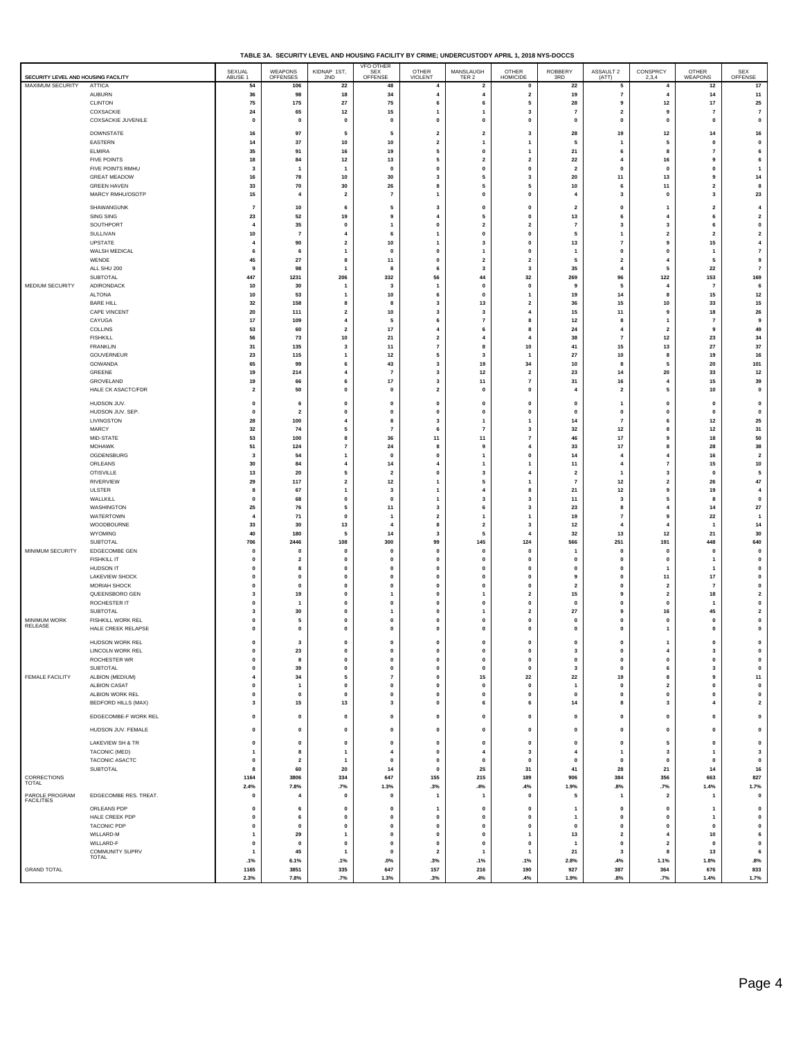| TABLE 3A. SECURITY LEVEL AND HOUSING FACILITY BY CRIME: UNDERCUSTODY APRIL 1, 2018 NYS-DOCCS |  |
|----------------------------------------------------------------------------------------------|--|
|                                                                                              |  |

| <b>AUBURN</b><br>$\scriptstyle\rm 7$<br>98<br>18<br>34<br>$\overline{\mathbf{4}}$<br>$\mathbf{2}$<br>19<br>14<br>11<br>36<br>$\overline{a}$<br>4<br>${\bf 25}$<br><b>CLINTON</b><br>75<br>175<br>27<br>75<br>6<br>5<br>28<br>9<br>12<br>17<br>6<br>COXSACKIE<br>65<br>$12$<br>15<br>3<br>$\overline{\mathbf{2}}$<br>$\overline{7}$<br>$\overline{7}$<br>24<br>$\overline{7}$<br>9<br>$\mathbf{1}$<br>-1<br>COXSACKIE JUVENILE<br>0<br>$\pmb{0}$<br>$\pmb{0}$<br>0<br>$\pmb{0}$<br>$\pmb{\mathsf{o}}$<br>0<br>$\pmb{0}$<br>$\mathbf 0$<br>0<br>$\pmb{0}$<br>$\pmb{0}$<br><b>DOWNSTATE</b><br>97<br>$\overline{\mathbf{2}}$<br>19<br>12<br>16<br>16<br>5<br>5<br>$\overline{\mathbf{2}}$<br>3<br>28<br>14<br>EASTERN<br>14<br>37<br>${\bf 10}$<br>10<br>$\pmb{0}$<br>$\overline{\mathbf{2}}$<br>$\mathbf{1}$<br>$\mathbf{1}$<br>5<br>$\overline{1}$<br>5<br>$\mathbf{0}$<br><b>ELMIRA</b><br>35<br>91<br>16<br>19<br>$\pmb{\mathsf{o}}$<br>21<br>6<br>5<br>6<br>$\overline{7}$<br>$\mathbf{1}$<br>8<br><b>FIVE POINTS</b><br>18<br>84<br>12<br>13<br>5<br>$\overline{\mathbf{2}}$<br>$\overline{\mathbf{2}}$<br>22<br>$\overline{4}$<br>16<br>9<br>6<br>FIVE POINTS RMHU<br>$\pmb{0}$<br>$\pmb{0}$<br>$\pmb{\mathsf{o}}$<br>3<br>$\mathbf 0$<br>$\pmb{0}$<br>$\overline{\mathbf{2}}$<br>$\mathbf{0}$<br>0<br>$\mathbf{1}$<br>-1<br>$\overline{1}$<br><b>GREAT MEADOW</b><br>78<br>10<br>30<br>5<br>3<br>20<br>11<br>13<br>14<br>16<br>3<br>9<br><b>GREEN HAVEN</b><br>33<br>70<br>30<br>26<br>5<br>5<br>11<br>10<br>6<br>$\mathbf 2$<br>8<br>8<br>MARCY RMHU/OSOTP<br>15<br>$\mathbf{0}$<br>23<br>$\overline{2}$<br>$\overline{7}$<br>$\mathbf{0}$<br>$\overline{\mathbf{3}}$<br>$\overline{4}$<br>$\mathbf 0$<br>3<br>-1<br>4<br><b>SHAWANGUNK</b><br>$\overline{7}$<br>10<br>$\pmb{\mathsf{o}}$<br>6<br>5<br>$\mathbf{0}$<br>$\overline{2}$<br>$\mathbf 0$<br>$\overline{2}$<br>$\overline{4}$<br>3<br>$\mathbf{1}$<br>SING SING<br>$\mathbf{2}$<br>23<br>52<br>19<br>5<br>13<br>6<br>9<br>$\overline{a}$<br>0<br>4<br>6<br>SOUTHPORT<br>35<br>$\overline{\mathbf{2}}$<br>$\overline{\mathbf{2}}$<br>$\mathbf{3}$<br>$\pmb{0}$<br>$\overline{4}$<br>$\pmb{0}$<br>$\pmb{0}$<br>$\overline{7}$<br>3<br>6<br>1<br>SULLIVAN<br>10<br>$\scriptstyle\rm{7}$<br>$\mathbf{0}$<br>$\mathbf{2}$<br>0<br>5<br>$\overline{2}$<br>$\overline{4}$<br>6<br>$\overline{1}$<br>$\overline{2}$<br>-1<br>UPSTATE<br>90<br>$\overline{\mathbf{2}}$<br>10<br>3<br>0<br>13<br>$\overline{7}$<br>9<br>15<br>$\overline{\mathbf{4}}$<br>4<br>1<br>WALSH MEDICAL<br>$\pmb{\mathsf{o}}$<br>$\overline{7}$<br>6<br>6<br>$\mathbf{0}$<br>$\mathbf{0}$<br>$\overline{1}$<br>$\mathbf 0$<br>$\mathbf 0$<br>$\mathbf{1}$<br>$\mathbf{1}$<br>$\overline{1}$<br>WENDE<br>${\bf 27}$<br>45<br>11<br>$\overline{\mathbf{2}}$<br>$\overline{\mathbf{2}}$<br>9<br>8<br>$\mathbf 0$<br>2<br>5<br>4<br>5<br>ALL SHU 200<br>98<br>$\mathbf 3$<br>3<br>35<br>22<br>$\scriptstyle\rm{7}$<br>9<br>$\overline{1}$<br>8<br>$\overline{4}$<br>5<br>6<br>SUBTOTAL<br>169<br>447<br>1231<br>206<br>332<br>56<br>44<br>32<br>269<br>96<br>122<br>153<br>MEDIUM SECURITY<br>ADIRONDACK<br>10<br>30<br>3<br>$\pmb{0}$<br>0<br>9<br>5<br>6<br>$\overline{1}$<br>1<br>4<br>$\overline{7}$<br><b>ALTONA</b><br>53<br>10<br>$\pmb{\mathsf{o}}$<br>19<br>14<br>15<br>$12$<br>10<br>6<br>$\mathbf{1}$<br>8<br>$\mathbf{1}$<br><b>BARE HILL</b><br>32<br>158<br>8<br>3<br>13<br>$\overline{\mathbf{2}}$<br>36<br>15<br>10<br>33<br>15<br>8<br>CAPE VINCENT<br>20<br>111<br>$\mathbf{2}$<br>10<br>$\mathbf 3$<br>4<br>15<br>11<br>18<br>26<br>3<br>9<br>CAYUGA<br>$\overline{7}$<br>17<br>109<br>8<br>12<br>$\overline{7}$<br>9<br>$\overline{4}$<br>5<br>6<br>8<br>1<br>COLLINS<br>53<br>60<br>$\overline{\mathbf{2}}$<br>17<br>$\overline{4}$<br>6<br>8<br>24<br>$\overline{4}$<br>$\overline{\mathbf{2}}$<br>9<br>49<br><b>FISHKILL</b><br>73<br>10<br>21<br>$\overline{7}$<br>$12$<br>23<br>34<br>56<br>$\overline{2}$<br>$\overline{\mathbf{4}}$<br>$\overline{4}$<br>38<br><b>FRANKLIN</b><br>31<br>135<br>$\mathbf{3}$<br>11<br>$\scriptstyle\rm{7}$<br>8<br>10<br>41<br>15<br>13<br>27<br>37<br>GOUVERNEUR<br>23<br>115<br>12<br>$\mathbf 3$<br>$\bf 27$<br>10<br>19<br>16<br>$\overline{1}$<br>5<br>$\overline{1}$<br>8<br>101<br>GOWANDA<br>65<br>99<br>43<br>19<br>34<br>20<br>6<br>3<br>10<br>-8<br>5<br>GREENE<br>214<br>$12$<br>$\overline{\mathbf{2}}$<br>23<br>14<br>20<br>33<br>$12$<br>19<br>$\overline{\mathbf{4}}$<br>$\overline{7}$<br>3<br>GROVELAND<br>66<br>17<br>11<br>16<br>15<br>39<br>19<br>6<br>$\overline{7}$<br>31<br>3<br>4<br>HALE CK ASACTC/FDR<br>$\overline{\mathbf{2}}$<br>50<br>$\pmb{0}$<br>0<br>$\overline{\mathbf{2}}$<br>$\pmb{\mathsf{o}}$<br>0<br>$\overline{4}$<br>$\overline{2}$<br>5<br>10<br>$\pmb{0}$<br>HUDSON JUV.<br>$\pmb{\mathsf{o}}$<br>0<br>$\mathbf 0$<br>0<br>6<br>$\mathbf 0$<br>0<br>$\mathbf 0$<br>$\mathbf 0$<br>$\overline{1}$<br>$\mathbf 0$<br>0<br>HUDSON JUV. SEP.<br>$\pmb{0}$<br>$\pmb{\mathsf{o}}$<br>$\pmb{0}$<br>0<br>$\overline{\mathbf{2}}$<br>$\pmb{0}$<br>0<br>$\pmb{0}$<br>0<br>$\pmb{0}$<br>0<br>$\mathbf{0}$<br>LIVINGSTON<br>100<br>12<br>25<br>28<br>$\overline{4}$<br>14<br>$\overline{7}$<br>8<br>3<br>$\mathbf{1}$<br>$\mathbf{1}$<br>6<br>MARCY<br>32<br>74<br>5<br>$\overline{7}$<br>$\overline{7}$<br>3<br>32<br>12<br>12<br>31<br>6<br>8<br>MID-STATE<br>53<br>100<br>36<br>11<br>11<br>$\overline{7}$<br>$17$<br>18<br>50<br>8<br>46<br>9<br><b>MOHAWK</b><br>$17$<br>124<br>24<br>28<br>38<br>51<br>$\overline{7}$<br>8<br>9<br>4<br>33<br>8<br>OGDENSBURG<br>54<br>$\pmb{0}$<br>16<br>$\overline{2}$<br>3<br>0<br>$\pmb{0}$<br>$\mathbf{1}$<br>14<br>$\overline{4}$<br>$\overline{4}$<br>$\overline{1}$<br>ORLEANS<br>10<br>84<br>14<br>$\overline{a}$<br>15<br>30<br>$\overline{4}$<br>$\overline{4}$<br>$\mathbf{1}$<br>$\mathbf{1}$<br>11<br>$\overline{7}$<br><b>OTISVILLE</b><br>13<br>20<br>5<br>$\overline{\mathbf{2}}$<br>$\pmb{0}$<br>3<br>4<br>$\overline{\mathbf{2}}$<br>3<br>$\mathbf 0$<br>5<br>$\overline{1}$<br>117<br>$47\,$<br>RIVERVIEW<br>29<br>$\mathbf{2}$<br>$12$<br>5<br>$12$<br>26<br>$\overline{7}$<br>$\overline{\mathbf{2}}$<br>$\mathbf{1}$<br>-1<br><b>ULSTER</b><br>67<br>$12$<br>8<br>$\overline{1}$<br>3<br>$\overline{1}$<br>4<br>8<br>21<br>9<br>19<br>4<br>WALLKILL<br>68<br>$\pmb{\mathsf{o}}$<br>3<br>3<br>$\mathbf{3}$<br>$\pmb{0}$<br>0<br>0<br>$\overline{1}$<br>11<br>5<br>8<br>WASHINGTON<br>$\bf 27$<br>25<br>76<br>5<br>11<br>6<br>3<br>23<br>8<br>14<br>3<br>4<br>WATERTOWN<br>4<br>71<br>$\pmb{0}$<br>$\overline{\mathbf{2}}$<br>1<br>1<br>19<br>$\scriptstyle\rm 7$<br>9<br>22<br>$\overline{1}$<br>1<br>WOODBOURNE<br>33<br>30<br>13<br>$\overline{\mathbf{2}}$<br>$\overline{\mathbf{3}}$<br>$12$<br>14<br>$\overline{4}$<br>4<br>4<br>$\overline{1}$<br>8<br>WYOMING<br>40<br>180<br>5<br>14<br>3<br>5<br>$\overline{4}$<br>32<br>13<br>12<br>21<br>30<br>SUBTOTAL<br>706<br>2446<br>108<br>300<br>99<br>145<br>124<br>566<br>251<br>191<br>448<br>640<br>MINIMUM SECURITY<br>EDGECOMBE GEN<br>$\pmb{0}$<br>0<br>$\mathbf{0}$<br>$\mathbf 0$<br>$\mathbf 0$<br>$\mathbf 0$<br>$\mathbf 0$<br>$\mathbf 0$<br>$\overline{1}$<br>$\Omega$<br>$\mathbf 0$<br>$\Omega$<br><b>FISHKILL IT</b><br>$\pmb{0}$<br>$\pmb{0}$<br>$\pmb{0}$<br>0<br>$\overline{\mathbf{2}}$<br>$\mathbf 0$<br>$\mathbf 0$<br>$\pmb{0}$<br>$\pmb{0}$<br>$\mathbf 0$<br>0<br>$\mathbf{1}$<br><b>HUDSON IT</b><br>$\mathbf{0}$<br>$\pmb{0}$<br>$\pmb{0}$<br>0<br>8<br>$\mathbf 0$<br>$\mathbf 0$<br>$\mathbf{0}$<br>$\mathbf 0$<br>0<br>1<br>1<br><b>LAKEVIEW SHOCK</b><br>$\pmb{0}$<br>$\pmb{0}$<br>$\pmb{0}$<br>$\pmb{0}$<br>0<br>0<br>9<br>$\mathbf 0$<br>$11$<br>17<br>$\pmb{0}$<br>0<br>MORIAH SHOCK<br>$\pmb{\mathsf{o}}$<br>$\pmb{\mathsf{o}}$<br>$\pmb{0}$<br>$\mathbf{2}$<br>$\pmb{\mathsf{o}}$<br>$\pmb{0}$<br>$\pmb{0}$<br>0<br>$\pmb{0}$<br>0<br>$\overline{\mathbf{2}}$<br>$\overline{7}$<br>QUEENSBORO GEN<br>$\mathbf{2}$<br>3<br>19<br>$\mathbf{0}$<br>$\overline{\mathbf{2}}$<br>15<br>9<br>18<br>$\mathbf{1}$<br>$\mathbf 0$<br>1<br>$\overline{2}$<br>ROCHESTER IT<br>$\pmb{0}$<br>0<br>$\mathbf{0}$<br>$\pmb{0}$<br>$\pmb{0}$<br>$\overline{1}$<br>$\mathbf 0$<br>0<br>$\pmb{0}$<br>$\pmb{0}$<br>0<br>1<br>SUBTOTAL<br>30<br>$\overline{\mathbf{2}}$<br>27<br>45<br>$\mathbf{2}$<br>3<br>16<br>$\mathbf{0}$<br>$\mathbf{0}$<br>9<br>1<br>1<br><b>MINIMUM WORK</b><br>FISHKILL WORK REL<br>0<br>5<br>$\mathbf 0$<br>$\pmb{0}$<br>0<br>0<br>$\pmb{0}$<br>$\mathbf 0$<br>$\mathbf 0$<br>$\pmb{0}$<br>0<br>0<br>RELEASE<br>HALE CREEK RELAPSE<br>$\mathbf{0}$<br>$\pmb{0}$<br>$\mathbf{0}$<br>$\mathbf 0$<br>$\mathbf{0}$<br>$\mathbf{0}$<br>$\mathbf{0}$<br>$\mathbf 0$<br>$\mathbf 0$<br>$\mathbf{0}$<br>0<br>1<br>HUDSON WORK REL<br>$\mathbf 0$<br>$\mathbf{3}$<br>$\mathbf{0}$<br>$\mathbf{0}$<br>0<br>$\pmb{0}$<br>$\mathbf 0$<br>$\mathbf{0}$<br>$\mathbf{0}$<br>$\mathbf{0}$<br>1<br>$\mathbf 0$<br>LINCOLN WORK REL<br>23<br>$\pmb{0}$<br>$\mathbf{0}$<br>$\mathbf 0$<br>3<br>$\mathbf 0$<br>0<br>0<br>$\mathbf{0}$<br>$\mathbf{0}$<br>4<br>-3<br>ROCHESTER WR<br>0<br>8<br>$\pmb{0}$<br>0<br>$\pmb{0}$<br>$\pmb{0}$<br>0<br>$\pmb{0}$<br>$\pmb{0}$<br>$\pmb{\mathsf{o}}$<br>$\pmb{0}$<br>$\pmb{0}$<br><b>SUBTOTAL</b><br>$\mathbf 0$<br>39<br>$\pmb{\mathsf{o}}$<br>$\pmb{0}$<br>$\pmb{\mathsf{o}}$<br>$\mathbf{0}$<br>3<br>$\pmb{\mathsf{o}}$<br>$\mathbf{3}$<br>$\pmb{0}$<br>$\mathbf{0}$<br>6<br>FEMALE FACILITY<br>22<br>19<br>11<br>ALBION (MEDIUM)<br>34<br>5<br>15<br>22<br>4<br>$\overline{7}$<br>$\mathbf 0$<br>8<br>9<br>ALBION CASAT<br>$\mathbf 0$<br>$\pmb{\mathsf{o}}$<br>$\pmb{0}$<br>0<br>$\pmb{\mathsf{o}}$<br>$\overline{\mathbf{2}}$<br>$\pmb{0}$<br>$\overline{1}$<br>0<br>$\pmb{0}$<br>$\mathbf{1}$<br>$\pmb{0}$<br>$\pmb{0}$<br>ALBION WORK REL<br>$\mathbf 0$<br>$\pmb{0}$<br>$\pmb{0}$<br>$\pmb{0}$<br>0<br>$\mathbf 0$<br>$\mathbf 0$<br>0<br>$\mathbf{0}$<br>$\mathbf 0$<br>$\mathbf 0$<br>BEDFORD HILLS (MAX)<br>3<br>15<br>13<br>3<br>$\pmb{0}$<br>6<br>6<br>14<br>8<br>3<br>$\overline{4}$<br>$\overline{\mathbf{2}}$<br>EDGECOMBE-F WORK REL<br>0<br>$\pmb{0}$<br>$\pmb{0}$<br>0<br>$\mathbf 0$<br>$\pmb{0}$<br>$\mathbf{0}$<br>0<br>$\mathbf 0$<br>$\mathbf 0$<br>$\mathbf{0}$<br>$\mathbf{0}$<br>HUDSON JUV. FEMALE<br>$\mathbf 0$<br>$\pmb{0}$<br>0<br>$\pmb{0}$<br>$\pmb{0}$<br>$\mathbf 0$<br>$\pmb{0}$<br>$\mathbf{0}$<br>$\mathbf 0$<br>0<br>$\mathbf 0$<br>$\mathbf{0}$<br>LAKEVIEW SH & TR<br>$\mathbf{0}$<br>$\pmb{\mathsf{o}}$<br>$\pmb{\mathsf{o}}$<br>$\mathbf 0$<br>$\pmb{0}$<br>$\pmb{\mathsf{o}}$<br>$\pmb{0}$<br>$\pmb{0}$<br>$\mathbf 0$<br>$\mathbf{0}$<br>$\mathbf{0}$<br>5<br>TACONIC (MED)<br>$\mathbf{3}$<br>$\mathbf{1}$<br>8<br>$\mathbf{1}$<br>$\overline{4}$<br>$\mathbf 0$<br>$\overline{4}$<br>3<br>$\overline{4}$<br>$\overline{1}$<br>3<br>$\mathbf{1}$<br>TACONIC ASACTC<br>$\pmb{0}$<br>$\mathbf{2}$<br>$\pmb{0}$<br>0<br>$\pmb{0}$<br>$\pmb{\mathsf{o}}$<br>$\pmb{0}$<br>$\overline{1}$<br>0<br>$\pmb{0}$<br>$\mathbf 0$<br>$\pmb{0}$<br>SUBTOTAL<br>60<br>25<br>28<br>${\bf 16}$<br>20<br>31<br>41<br>21<br>14<br>8<br>14<br>$\mathbf 0$<br>CORRECTIONS<br>1164<br>3806<br>334<br>647<br>155<br>215<br>189<br>906<br>384<br>356<br>663<br>827<br>TOTAL<br>1.7%<br>7.8%<br>.7%<br>1.3%<br>.3%<br>.4%<br>.4%<br>1.9%<br>.8%<br>.7%<br>1.4%<br>2.4%<br>PAROLE PROGRAM<br>FACILITIES<br>EDGECOMBE RES. TREAT.<br>$\pmb{0}$<br>$\overline{4}$<br>$\pmb{0}$<br>$\pmb{0}$<br>$\overline{1}$<br>$\mathbf{1}$<br>0<br>5<br>$\mathbf{1}$<br>$\overline{\mathbf{2}}$<br>$\mathbf{1}$<br>$\pmb{0}$<br>ORLEANS PDP<br>$\pmb{0}$<br>$\pmb{0}$<br>0<br>6<br>$\mathbf 0$<br>0<br>$\mathbf{1}$<br>0<br>$\mathbf{1}$<br>0<br>$\mathbf 0$<br>$\mathbf{1}$<br>HALE CREEK PDP<br>$\pmb{0}$<br>6<br>$\pmb{0}$<br>0<br>$\pmb{0}$<br>$\pmb{0}$<br>0<br>$\pmb{0}$<br>$\mathbf 0$<br>$\pmb{0}$<br>1<br>1<br><b>TACONIC PDP</b><br>$\pmb{0}$<br>$\pmb{\mathsf{o}}$<br>$\pmb{\mathsf{o}}$<br>$\mathbf{0}$<br>$\pmb{\mathsf{o}}$<br>$\pmb{0}$<br>$\mathbf{0}$<br>$\mathbf 0$<br>$\mathbf{0}$<br>$\mathbf{0}$<br>$\mathbf{0}$<br>$\mathbf 0$<br>WILLARD-M<br>$\mathbf{1}$<br>29<br>$\overline{1}$<br>$\mathbf{0}$<br>$\pmb{0}$<br>$\pmb{0}$<br>1<br>13<br>$\overline{\mathbf{2}}$<br>$\overline{4}$<br>10<br>6<br>WILLARD-F<br>$\pmb{0}$<br>$\pmb{\mathsf{o}}$<br>$\pmb{0}$<br>0<br>$\pmb{\mathsf{o}}$<br>$\mathbf{2}$<br>$\pmb{0}$<br>$\pmb{0}$<br>$\mathbf{0}$<br>$\pmb{0}$<br>$\mathbf{1}$<br>$\mathbf{0}$<br>COMMUNITY SUPRV<br>45<br>21<br>13<br>6<br>$\mathbf{1}$<br>$\overline{1}$<br>$\mathbf 0$<br>$\overline{\mathbf{2}}$<br>$\mathbf{1}$<br>$\mathbf{1}$<br>3<br>8<br><b>TOTAL</b><br>.1%<br>6.1%<br>.1%<br>.0%<br>.3%<br>.1%<br>.1%<br>2.8%<br>.4%<br>1.1%<br>1.8%<br>.8%<br><b>GRAND TOTAL</b><br>1165<br>3851<br>335<br>647<br>157<br>216<br>190<br>927<br>387<br>364<br>676<br>833<br>2.3%<br>7.8%<br>.7%<br>1.3%<br>.3%<br>.4%<br>.4%<br>1.9%<br>.8%<br>.7%<br>1.4%<br>1.7% | SECURITY LEVEL AND HOUSING FACILITY |               | SEXUAL<br>ABUSE 1 | WEAPONS<br>OFFENSES | KIDNAP 1ST,<br>2ND | <b>VFO OTHER</b><br>SEX<br>OFFENSE | OTHER<br>VIOLENT | MANSLAUGH<br>TER 2      | OTHER<br>HOMICIDE | <b>ROBBERY</b><br>3RD | ASSAULT 2<br>(ATT) | CONSPRCY<br>2,3,4 | OTHER<br>WEAPONS | SEX<br>OFFENSE |
|------------------------------------------------------------------------------------------------------------------------------------------------------------------------------------------------------------------------------------------------------------------------------------------------------------------------------------------------------------------------------------------------------------------------------------------------------------------------------------------------------------------------------------------------------------------------------------------------------------------------------------------------------------------------------------------------------------------------------------------------------------------------------------------------------------------------------------------------------------------------------------------------------------------------------------------------------------------------------------------------------------------------------------------------------------------------------------------------------------------------------------------------------------------------------------------------------------------------------------------------------------------------------------------------------------------------------------------------------------------------------------------------------------------------------------------------------------------------------------------------------------------------------------------------------------------------------------------------------------------------------------------------------------------------------------------------------------------------------------------------------------------------------------------------------------------------------------------------------------------------------------------------------------------------------------------------------------------------------------------------------------------------------------------------------------------------------------------------------------------------------------------------------------------------------------------------------------------------------------------------------------------------------------------------------------------------------------------------------------------------------------------------------------------------------------------------------------------------------------------------------------------------------------------------------------------------------------------------------------------------------------------------------------------------------------------------------------------------------------------------------------------------------------------------------------------------------------------------------------------------------------------------------------------------------------------------------------------------------------------------------------------------------------------------------------------------------------------------------------------------------------------------------------------------------------------------------------------------------------------------------------------------------------------------------------------------------------------------------------------------------------------------------------------------------------------------------------------------------------------------------------------------------------------------------------------------------------------------------------------------------------------------------------------------------------------------------------------------------------------------------------------------------------------------------------------------------------------------------------------------------------------------------------------------------------------------------------------------------------------------------------------------------------------------------------------------------------------------------------------------------------------------------------------------------------------------------------------------------------------------------------------------------------------------------------------------------------------------------------------------------------------------------------------------------------------------------------------------------------------------------------------------------------------------------------------------------------------------------------------------------------------------------------------------------------------------------------------------------------------------------------------------------------------------------------------------------------------------------------------------------------------------------------------------------------------------------------------------------------------------------------------------------------------------------------------------------------------------------------------------------------------------------------------------------------------------------------------------------------------------------------------------------------------------------------------------------------------------------------------------------------------------------------------------------------------------------------------------------------------------------------------------------------------------------------------------------------------------------------------------------------------------------------------------------------------------------------------------------------------------------------------------------------------------------------------------------------------------------------------------------------------------------------------------------------------------------------------------------------------------------------------------------------------------------------------------------------------------------------------------------------------------------------------------------------------------------------------------------------------------------------------------------------------------------------------------------------------------------------------------------------------------------------------------------------------------------------------------------------------------------------------------------------------------------------------------------------------------------------------------------------------------------------------------------------------------------------------------------------------------------------------------------------------------------------------------------------------------------------------------------------------------------------------------------------------------------------------------------------------------------------------------------------------------------------------------------------------------------------------------------------------------------------------------------------------------------------------------------------------------------------------------------------------------------------------------------------------------------------------------------------------------------------------------------------------------------------------------------------------------------------------------------------------------------------------------------------------------------------------------------------------------------------------------------------------------------------------------------------------------------------------------------------------------------------------------------------------------------------------------------------------------------------------------------------------------------------------------------------------------------------------------------------------------------------------------------------------------------------------------------------------------------------------------------------------------------------------------------------------------------------------------------------------------------------------------------------------------------------------------------------------------------------------------------------------------------------------------------------------------------------------------------------------------------------------------------------------------------------------------------------------------------------------------------------------------------------------------------------------------------------------------------------------------------------------------------------------------------------------------------------------------------------------------------------------------------------------------------------------------------------------------------------------------------------------------------------------------------------------------------------------------------------------------------------------------------------------------------------------------------------------------------------------------------------------------------------------------------------------------------------------------------------------------------------------------------------------------------------------------------------------------------------------------------------------------------------------------------------------------------------------------------------------------------------------------------------------------------------------------------------------------------------------------------------------------------------------------------------------------------------------------------------------------------------------------------------------------------------------------------------------------------------------------------------------------------------------------------------------------------------------------------------------------------------------------------------------------------------------------------------------------------------------------------------------------------------------------------------------------------------------------------------------------------------------------------------------------------------------------------------------------------------------------------------------------------------------------------------------------------------------------------------------------------------------------------------------------------------------------------------------------------------------------------------------------------------------------------------------------------------------------------------------------------------------------------------------------------------------------------------------------------------------------------------------------------------------------------------------------------------------------------------------------------------------------------------------------------------------------------------------------------------------------------------------------------------------------------------------------------------------------------------------------------------------------------------------------------------------------------------------------------------------------------------------------------------------------------------------------------------------------------------------------------------------------------------------------------------------------------------------------------------------------------------------------------------------------------------------------------------------------------------------------------------------------------------------------------------------------------------------------------------------------------------------------------------------------------------------------------------------------------------------------------------------------------------------------------------------------------------------------------------------------------------------------------------------------------------------------------------------------------------------------------------------------------------------------------------------------------------------------------------------------------------------------------------------------------------------------------------------------------------------------------------------------------------------------------------------------------------------------------------------------------------------------------------------------------------------------------------------------------------------------------------------------------------------------------------------------------------|-------------------------------------|---------------|-------------------|---------------------|--------------------|------------------------------------|------------------|-------------------------|-------------------|-----------------------|--------------------|-------------------|------------------|----------------|
|                                                                                                                                                                                                                                                                                                                                                                                                                                                                                                                                                                                                                                                                                                                                                                                                                                                                                                                                                                                                                                                                                                                                                                                                                                                                                                                                                                                                                                                                                                                                                                                                                                                                                                                                                                                                                                                                                                                                                                                                                                                                                                                                                                                                                                                                                                                                                                                                                                                                                                                                                                                                                                                                                                                                                                                                                                                                                                                                                                                                                                                                                                                                                                                                                                                                                                                                                                                                                                                                                                                                                                                                                                                                                                                                                                                                                                                                                                                                                                                                                                                                                                                                                                                                                                                                                                                                                                                                                                                                                                                                                                                                                                                                                                                                                                                                                                                                                                                                                                                                                                                                                                                                                                                                                                                                                                                                                                                                                                                                                                                                                                                                                                                                                                                                                                                                                                                                                                                                                                                                                                                                                                                                                                                                                                                                                                                                                                                                                                                                                                                                                                                                                                                                                                                                                                                                                                                                                                                                                                                                                                                                                                                                                                                                                                                                                                                                                                                                                                                                                                                                                                                                                                                                                                                                                                                                                                                                                                                                                                                                                                                                                                                                                                                                                                                                                                                                                                                                                                                                                                                                                                                                                                                                                                                                                                                                                                                                                                                                                                                                                                                                                                                                                                                                                                                                                                                                                                                                                                                                                                                                                                                                                                                                                                                                                                                                                                                                                                                                                                                                                                                                                                                                                                                                                                                                                                                                                                                                                                                                                                                                                                                                                                                                                                                                                                                                                                                                                                                                                                                                                                                                                                                                                                                                                                                                                                                                                                                                                                                                                                                                                                                                                                                                                                                                                                                                                                                                                                                                                                                                                                                                                                                                                                                                                                                                                                                                                                                                                                                                                                                                                                                                                                                                                                                                                                                                                                                                                                                                                                                                            | MAXIMUM SECURITY                    | <b>ATTICA</b> | 54                | 106                 | 22                 | 48                                 |                  | $\overline{\mathbf{2}}$ | 0                 | 22                    | 5                  | $\overline{4}$    | 12               | 17             |
|                                                                                                                                                                                                                                                                                                                                                                                                                                                                                                                                                                                                                                                                                                                                                                                                                                                                                                                                                                                                                                                                                                                                                                                                                                                                                                                                                                                                                                                                                                                                                                                                                                                                                                                                                                                                                                                                                                                                                                                                                                                                                                                                                                                                                                                                                                                                                                                                                                                                                                                                                                                                                                                                                                                                                                                                                                                                                                                                                                                                                                                                                                                                                                                                                                                                                                                                                                                                                                                                                                                                                                                                                                                                                                                                                                                                                                                                                                                                                                                                                                                                                                                                                                                                                                                                                                                                                                                                                                                                                                                                                                                                                                                                                                                                                                                                                                                                                                                                                                                                                                                                                                                                                                                                                                                                                                                                                                                                                                                                                                                                                                                                                                                                                                                                                                                                                                                                                                                                                                                                                                                                                                                                                                                                                                                                                                                                                                                                                                                                                                                                                                                                                                                                                                                                                                                                                                                                                                                                                                                                                                                                                                                                                                                                                                                                                                                                                                                                                                                                                                                                                                                                                                                                                                                                                                                                                                                                                                                                                                                                                                                                                                                                                                                                                                                                                                                                                                                                                                                                                                                                                                                                                                                                                                                                                                                                                                                                                                                                                                                                                                                                                                                                                                                                                                                                                                                                                                                                                                                                                                                                                                                                                                                                                                                                                                                                                                                                                                                                                                                                                                                                                                                                                                                                                                                                                                                                                                                                                                                                                                                                                                                                                                                                                                                                                                                                                                                                                                                                                                                                                                                                                                                                                                                                                                                                                                                                                                                                                                                                                                                                                                                                                                                                                                                                                                                                                                                                                                                                                                                                                                                                                                                                                                                                                                                                                                                                                                                                                                                                                                                                                                                                                                                                                                                                                                                                                                                                                                                                                                                                            |                                     |               |                   |                     |                    |                                    |                  |                         |                   |                       |                    |                   |                  |                |
|                                                                                                                                                                                                                                                                                                                                                                                                                                                                                                                                                                                                                                                                                                                                                                                                                                                                                                                                                                                                                                                                                                                                                                                                                                                                                                                                                                                                                                                                                                                                                                                                                                                                                                                                                                                                                                                                                                                                                                                                                                                                                                                                                                                                                                                                                                                                                                                                                                                                                                                                                                                                                                                                                                                                                                                                                                                                                                                                                                                                                                                                                                                                                                                                                                                                                                                                                                                                                                                                                                                                                                                                                                                                                                                                                                                                                                                                                                                                                                                                                                                                                                                                                                                                                                                                                                                                                                                                                                                                                                                                                                                                                                                                                                                                                                                                                                                                                                                                                                                                                                                                                                                                                                                                                                                                                                                                                                                                                                                                                                                                                                                                                                                                                                                                                                                                                                                                                                                                                                                                                                                                                                                                                                                                                                                                                                                                                                                                                                                                                                                                                                                                                                                                                                                                                                                                                                                                                                                                                                                                                                                                                                                                                                                                                                                                                                                                                                                                                                                                                                                                                                                                                                                                                                                                                                                                                                                                                                                                                                                                                                                                                                                                                                                                                                                                                                                                                                                                                                                                                                                                                                                                                                                                                                                                                                                                                                                                                                                                                                                                                                                                                                                                                                                                                                                                                                                                                                                                                                                                                                                                                                                                                                                                                                                                                                                                                                                                                                                                                                                                                                                                                                                                                                                                                                                                                                                                                                                                                                                                                                                                                                                                                                                                                                                                                                                                                                                                                                                                                                                                                                                                                                                                                                                                                                                                                                                                                                                                                                                                                                                                                                                                                                                                                                                                                                                                                                                                                                                                                                                                                                                                                                                                                                                                                                                                                                                                                                                                                                                                                                                                                                                                                                                                                                                                                                                                                                                                                                                                                                                                            |                                     |               |                   |                     |                    |                                    |                  |                         |                   |                       |                    |                   |                  |                |
|                                                                                                                                                                                                                                                                                                                                                                                                                                                                                                                                                                                                                                                                                                                                                                                                                                                                                                                                                                                                                                                                                                                                                                                                                                                                                                                                                                                                                                                                                                                                                                                                                                                                                                                                                                                                                                                                                                                                                                                                                                                                                                                                                                                                                                                                                                                                                                                                                                                                                                                                                                                                                                                                                                                                                                                                                                                                                                                                                                                                                                                                                                                                                                                                                                                                                                                                                                                                                                                                                                                                                                                                                                                                                                                                                                                                                                                                                                                                                                                                                                                                                                                                                                                                                                                                                                                                                                                                                                                                                                                                                                                                                                                                                                                                                                                                                                                                                                                                                                                                                                                                                                                                                                                                                                                                                                                                                                                                                                                                                                                                                                                                                                                                                                                                                                                                                                                                                                                                                                                                                                                                                                                                                                                                                                                                                                                                                                                                                                                                                                                                                                                                                                                                                                                                                                                                                                                                                                                                                                                                                                                                                                                                                                                                                                                                                                                                                                                                                                                                                                                                                                                                                                                                                                                                                                                                                                                                                                                                                                                                                                                                                                                                                                                                                                                                                                                                                                                                                                                                                                                                                                                                                                                                                                                                                                                                                                                                                                                                                                                                                                                                                                                                                                                                                                                                                                                                                                                                                                                                                                                                                                                                                                                                                                                                                                                                                                                                                                                                                                                                                                                                                                                                                                                                                                                                                                                                                                                                                                                                                                                                                                                                                                                                                                                                                                                                                                                                                                                                                                                                                                                                                                                                                                                                                                                                                                                                                                                                                                                                                                                                                                                                                                                                                                                                                                                                                                                                                                                                                                                                                                                                                                                                                                                                                                                                                                                                                                                                                                                                                                                                                                                                                                                                                                                                                                                                                                                                                                                                                                                                            |                                     |               |                   |                     |                    |                                    |                  |                         |                   |                       |                    |                   |                  |                |
|                                                                                                                                                                                                                                                                                                                                                                                                                                                                                                                                                                                                                                                                                                                                                                                                                                                                                                                                                                                                                                                                                                                                                                                                                                                                                                                                                                                                                                                                                                                                                                                                                                                                                                                                                                                                                                                                                                                                                                                                                                                                                                                                                                                                                                                                                                                                                                                                                                                                                                                                                                                                                                                                                                                                                                                                                                                                                                                                                                                                                                                                                                                                                                                                                                                                                                                                                                                                                                                                                                                                                                                                                                                                                                                                                                                                                                                                                                                                                                                                                                                                                                                                                                                                                                                                                                                                                                                                                                                                                                                                                                                                                                                                                                                                                                                                                                                                                                                                                                                                                                                                                                                                                                                                                                                                                                                                                                                                                                                                                                                                                                                                                                                                                                                                                                                                                                                                                                                                                                                                                                                                                                                                                                                                                                                                                                                                                                                                                                                                                                                                                                                                                                                                                                                                                                                                                                                                                                                                                                                                                                                                                                                                                                                                                                                                                                                                                                                                                                                                                                                                                                                                                                                                                                                                                                                                                                                                                                                                                                                                                                                                                                                                                                                                                                                                                                                                                                                                                                                                                                                                                                                                                                                                                                                                                                                                                                                                                                                                                                                                                                                                                                                                                                                                                                                                                                                                                                                                                                                                                                                                                                                                                                                                                                                                                                                                                                                                                                                                                                                                                                                                                                                                                                                                                                                                                                                                                                                                                                                                                                                                                                                                                                                                                                                                                                                                                                                                                                                                                                                                                                                                                                                                                                                                                                                                                                                                                                                                                                                                                                                                                                                                                                                                                                                                                                                                                                                                                                                                                                                                                                                                                                                                                                                                                                                                                                                                                                                                                                                                                                                                                                                                                                                                                                                                                                                                                                                                                                                                                                                                            |                                     |               |                   |                     |                    |                                    |                  |                         |                   |                       |                    |                   |                  |                |
|                                                                                                                                                                                                                                                                                                                                                                                                                                                                                                                                                                                                                                                                                                                                                                                                                                                                                                                                                                                                                                                                                                                                                                                                                                                                                                                                                                                                                                                                                                                                                                                                                                                                                                                                                                                                                                                                                                                                                                                                                                                                                                                                                                                                                                                                                                                                                                                                                                                                                                                                                                                                                                                                                                                                                                                                                                                                                                                                                                                                                                                                                                                                                                                                                                                                                                                                                                                                                                                                                                                                                                                                                                                                                                                                                                                                                                                                                                                                                                                                                                                                                                                                                                                                                                                                                                                                                                                                                                                                                                                                                                                                                                                                                                                                                                                                                                                                                                                                                                                                                                                                                                                                                                                                                                                                                                                                                                                                                                                                                                                                                                                                                                                                                                                                                                                                                                                                                                                                                                                                                                                                                                                                                                                                                                                                                                                                                                                                                                                                                                                                                                                                                                                                                                                                                                                                                                                                                                                                                                                                                                                                                                                                                                                                                                                                                                                                                                                                                                                                                                                                                                                                                                                                                                                                                                                                                                                                                                                                                                                                                                                                                                                                                                                                                                                                                                                                                                                                                                                                                                                                                                                                                                                                                                                                                                                                                                                                                                                                                                                                                                                                                                                                                                                                                                                                                                                                                                                                                                                                                                                                                                                                                                                                                                                                                                                                                                                                                                                                                                                                                                                                                                                                                                                                                                                                                                                                                                                                                                                                                                                                                                                                                                                                                                                                                                                                                                                                                                                                                                                                                                                                                                                                                                                                                                                                                                                                                                                                                                                                                                                                                                                                                                                                                                                                                                                                                                                                                                                                                                                                                                                                                                                                                                                                                                                                                                                                                                                                                                                                                                                                                                                                                                                                                                                                                                                                                                                                                                                                                                                                            |                                     |               |                   |                     |                    |                                    |                  |                         |                   |                       |                    |                   |                  |                |
|                                                                                                                                                                                                                                                                                                                                                                                                                                                                                                                                                                                                                                                                                                                                                                                                                                                                                                                                                                                                                                                                                                                                                                                                                                                                                                                                                                                                                                                                                                                                                                                                                                                                                                                                                                                                                                                                                                                                                                                                                                                                                                                                                                                                                                                                                                                                                                                                                                                                                                                                                                                                                                                                                                                                                                                                                                                                                                                                                                                                                                                                                                                                                                                                                                                                                                                                                                                                                                                                                                                                                                                                                                                                                                                                                                                                                                                                                                                                                                                                                                                                                                                                                                                                                                                                                                                                                                                                                                                                                                                                                                                                                                                                                                                                                                                                                                                                                                                                                                                                                                                                                                                                                                                                                                                                                                                                                                                                                                                                                                                                                                                                                                                                                                                                                                                                                                                                                                                                                                                                                                                                                                                                                                                                                                                                                                                                                                                                                                                                                                                                                                                                                                                                                                                                                                                                                                                                                                                                                                                                                                                                                                                                                                                                                                                                                                                                                                                                                                                                                                                                                                                                                                                                                                                                                                                                                                                                                                                                                                                                                                                                                                                                                                                                                                                                                                                                                                                                                                                                                                                                                                                                                                                                                                                                                                                                                                                                                                                                                                                                                                                                                                                                                                                                                                                                                                                                                                                                                                                                                                                                                                                                                                                                                                                                                                                                                                                                                                                                                                                                                                                                                                                                                                                                                                                                                                                                                                                                                                                                                                                                                                                                                                                                                                                                                                                                                                                                                                                                                                                                                                                                                                                                                                                                                                                                                                                                                                                                                                                                                                                                                                                                                                                                                                                                                                                                                                                                                                                                                                                                                                                                                                                                                                                                                                                                                                                                                                                                                                                                                                                                                                                                                                                                                                                                                                                                                                                                                                                                                                                                            |                                     |               |                   |                     |                    |                                    |                  |                         |                   |                       |                    |                   |                  |                |
|                                                                                                                                                                                                                                                                                                                                                                                                                                                                                                                                                                                                                                                                                                                                                                                                                                                                                                                                                                                                                                                                                                                                                                                                                                                                                                                                                                                                                                                                                                                                                                                                                                                                                                                                                                                                                                                                                                                                                                                                                                                                                                                                                                                                                                                                                                                                                                                                                                                                                                                                                                                                                                                                                                                                                                                                                                                                                                                                                                                                                                                                                                                                                                                                                                                                                                                                                                                                                                                                                                                                                                                                                                                                                                                                                                                                                                                                                                                                                                                                                                                                                                                                                                                                                                                                                                                                                                                                                                                                                                                                                                                                                                                                                                                                                                                                                                                                                                                                                                                                                                                                                                                                                                                                                                                                                                                                                                                                                                                                                                                                                                                                                                                                                                                                                                                                                                                                                                                                                                                                                                                                                                                                                                                                                                                                                                                                                                                                                                                                                                                                                                                                                                                                                                                                                                                                                                                                                                                                                                                                                                                                                                                                                                                                                                                                                                                                                                                                                                                                                                                                                                                                                                                                                                                                                                                                                                                                                                                                                                                                                                                                                                                                                                                                                                                                                                                                                                                                                                                                                                                                                                                                                                                                                                                                                                                                                                                                                                                                                                                                                                                                                                                                                                                                                                                                                                                                                                                                                                                                                                                                                                                                                                                                                                                                                                                                                                                                                                                                                                                                                                                                                                                                                                                                                                                                                                                                                                                                                                                                                                                                                                                                                                                                                                                                                                                                                                                                                                                                                                                                                                                                                                                                                                                                                                                                                                                                                                                                                                                                                                                                                                                                                                                                                                                                                                                                                                                                                                                                                                                                                                                                                                                                                                                                                                                                                                                                                                                                                                                                                                                                                                                                                                                                                                                                                                                                                                                                                                                                                                                                            |                                     |               |                   |                     |                    |                                    |                  |                         |                   |                       |                    |                   |                  |                |
|                                                                                                                                                                                                                                                                                                                                                                                                                                                                                                                                                                                                                                                                                                                                                                                                                                                                                                                                                                                                                                                                                                                                                                                                                                                                                                                                                                                                                                                                                                                                                                                                                                                                                                                                                                                                                                                                                                                                                                                                                                                                                                                                                                                                                                                                                                                                                                                                                                                                                                                                                                                                                                                                                                                                                                                                                                                                                                                                                                                                                                                                                                                                                                                                                                                                                                                                                                                                                                                                                                                                                                                                                                                                                                                                                                                                                                                                                                                                                                                                                                                                                                                                                                                                                                                                                                                                                                                                                                                                                                                                                                                                                                                                                                                                                                                                                                                                                                                                                                                                                                                                                                                                                                                                                                                                                                                                                                                                                                                                                                                                                                                                                                                                                                                                                                                                                                                                                                                                                                                                                                                                                                                                                                                                                                                                                                                                                                                                                                                                                                                                                                                                                                                                                                                                                                                                                                                                                                                                                                                                                                                                                                                                                                                                                                                                                                                                                                                                                                                                                                                                                                                                                                                                                                                                                                                                                                                                                                                                                                                                                                                                                                                                                                                                                                                                                                                                                                                                                                                                                                                                                                                                                                                                                                                                                                                                                                                                                                                                                                                                                                                                                                                                                                                                                                                                                                                                                                                                                                                                                                                                                                                                                                                                                                                                                                                                                                                                                                                                                                                                                                                                                                                                                                                                                                                                                                                                                                                                                                                                                                                                                                                                                                                                                                                                                                                                                                                                                                                                                                                                                                                                                                                                                                                                                                                                                                                                                                                                                                                                                                                                                                                                                                                                                                                                                                                                                                                                                                                                                                                                                                                                                                                                                                                                                                                                                                                                                                                                                                                                                                                                                                                                                                                                                                                                                                                                                                                                                                                                                                                                            |                                     |               |                   |                     |                    |                                    |                  |                         |                   |                       |                    |                   |                  |                |
|                                                                                                                                                                                                                                                                                                                                                                                                                                                                                                                                                                                                                                                                                                                                                                                                                                                                                                                                                                                                                                                                                                                                                                                                                                                                                                                                                                                                                                                                                                                                                                                                                                                                                                                                                                                                                                                                                                                                                                                                                                                                                                                                                                                                                                                                                                                                                                                                                                                                                                                                                                                                                                                                                                                                                                                                                                                                                                                                                                                                                                                                                                                                                                                                                                                                                                                                                                                                                                                                                                                                                                                                                                                                                                                                                                                                                                                                                                                                                                                                                                                                                                                                                                                                                                                                                                                                                                                                                                                                                                                                                                                                                                                                                                                                                                                                                                                                                                                                                                                                                                                                                                                                                                                                                                                                                                                                                                                                                                                                                                                                                                                                                                                                                                                                                                                                                                                                                                                                                                                                                                                                                                                                                                                                                                                                                                                                                                                                                                                                                                                                                                                                                                                                                                                                                                                                                                                                                                                                                                                                                                                                                                                                                                                                                                                                                                                                                                                                                                                                                                                                                                                                                                                                                                                                                                                                                                                                                                                                                                                                                                                                                                                                                                                                                                                                                                                                                                                                                                                                                                                                                                                                                                                                                                                                                                                                                                                                                                                                                                                                                                                                                                                                                                                                                                                                                                                                                                                                                                                                                                                                                                                                                                                                                                                                                                                                                                                                                                                                                                                                                                                                                                                                                                                                                                                                                                                                                                                                                                                                                                                                                                                                                                                                                                                                                                                                                                                                                                                                                                                                                                                                                                                                                                                                                                                                                                                                                                                                                                                                                                                                                                                                                                                                                                                                                                                                                                                                                                                                                                                                                                                                                                                                                                                                                                                                                                                                                                                                                                                                                                                                                                                                                                                                                                                                                                                                                                                                                                                                                                                                            |                                     |               |                   |                     |                    |                                    |                  |                         |                   |                       |                    |                   |                  |                |
|                                                                                                                                                                                                                                                                                                                                                                                                                                                                                                                                                                                                                                                                                                                                                                                                                                                                                                                                                                                                                                                                                                                                                                                                                                                                                                                                                                                                                                                                                                                                                                                                                                                                                                                                                                                                                                                                                                                                                                                                                                                                                                                                                                                                                                                                                                                                                                                                                                                                                                                                                                                                                                                                                                                                                                                                                                                                                                                                                                                                                                                                                                                                                                                                                                                                                                                                                                                                                                                                                                                                                                                                                                                                                                                                                                                                                                                                                                                                                                                                                                                                                                                                                                                                                                                                                                                                                                                                                                                                                                                                                                                                                                                                                                                                                                                                                                                                                                                                                                                                                                                                                                                                                                                                                                                                                                                                                                                                                                                                                                                                                                                                                                                                                                                                                                                                                                                                                                                                                                                                                                                                                                                                                                                                                                                                                                                                                                                                                                                                                                                                                                                                                                                                                                                                                                                                                                                                                                                                                                                                                                                                                                                                                                                                                                                                                                                                                                                                                                                                                                                                                                                                                                                                                                                                                                                                                                                                                                                                                                                                                                                                                                                                                                                                                                                                                                                                                                                                                                                                                                                                                                                                                                                                                                                                                                                                                                                                                                                                                                                                                                                                                                                                                                                                                                                                                                                                                                                                                                                                                                                                                                                                                                                                                                                                                                                                                                                                                                                                                                                                                                                                                                                                                                                                                                                                                                                                                                                                                                                                                                                                                                                                                                                                                                                                                                                                                                                                                                                                                                                                                                                                                                                                                                                                                                                                                                                                                                                                                                                                                                                                                                                                                                                                                                                                                                                                                                                                                                                                                                                                                                                                                                                                                                                                                                                                                                                                                                                                                                                                                                                                                                                                                                                                                                                                                                                                                                                                                                                                                                                                            |                                     |               |                   |                     |                    |                                    |                  |                         |                   |                       |                    |                   |                  |                |
|                                                                                                                                                                                                                                                                                                                                                                                                                                                                                                                                                                                                                                                                                                                                                                                                                                                                                                                                                                                                                                                                                                                                                                                                                                                                                                                                                                                                                                                                                                                                                                                                                                                                                                                                                                                                                                                                                                                                                                                                                                                                                                                                                                                                                                                                                                                                                                                                                                                                                                                                                                                                                                                                                                                                                                                                                                                                                                                                                                                                                                                                                                                                                                                                                                                                                                                                                                                                                                                                                                                                                                                                                                                                                                                                                                                                                                                                                                                                                                                                                                                                                                                                                                                                                                                                                                                                                                                                                                                                                                                                                                                                                                                                                                                                                                                                                                                                                                                                                                                                                                                                                                                                                                                                                                                                                                                                                                                                                                                                                                                                                                                                                                                                                                                                                                                                                                                                                                                                                                                                                                                                                                                                                                                                                                                                                                                                                                                                                                                                                                                                                                                                                                                                                                                                                                                                                                                                                                                                                                                                                                                                                                                                                                                                                                                                                                                                                                                                                                                                                                                                                                                                                                                                                                                                                                                                                                                                                                                                                                                                                                                                                                                                                                                                                                                                                                                                                                                                                                                                                                                                                                                                                                                                                                                                                                                                                                                                                                                                                                                                                                                                                                                                                                                                                                                                                                                                                                                                                                                                                                                                                                                                                                                                                                                                                                                                                                                                                                                                                                                                                                                                                                                                                                                                                                                                                                                                                                                                                                                                                                                                                                                                                                                                                                                                                                                                                                                                                                                                                                                                                                                                                                                                                                                                                                                                                                                                                                                                                                                                                                                                                                                                                                                                                                                                                                                                                                                                                                                                                                                                                                                                                                                                                                                                                                                                                                                                                                                                                                                                                                                                                                                                                                                                                                                                                                                                                                                                                                                                                                                                            |                                     |               |                   |                     |                    |                                    |                  |                         |                   |                       |                    |                   |                  |                |
|                                                                                                                                                                                                                                                                                                                                                                                                                                                                                                                                                                                                                                                                                                                                                                                                                                                                                                                                                                                                                                                                                                                                                                                                                                                                                                                                                                                                                                                                                                                                                                                                                                                                                                                                                                                                                                                                                                                                                                                                                                                                                                                                                                                                                                                                                                                                                                                                                                                                                                                                                                                                                                                                                                                                                                                                                                                                                                                                                                                                                                                                                                                                                                                                                                                                                                                                                                                                                                                                                                                                                                                                                                                                                                                                                                                                                                                                                                                                                                                                                                                                                                                                                                                                                                                                                                                                                                                                                                                                                                                                                                                                                                                                                                                                                                                                                                                                                                                                                                                                                                                                                                                                                                                                                                                                                                                                                                                                                                                                                                                                                                                                                                                                                                                                                                                                                                                                                                                                                                                                                                                                                                                                                                                                                                                                                                                                                                                                                                                                                                                                                                                                                                                                                                                                                                                                                                                                                                                                                                                                                                                                                                                                                                                                                                                                                                                                                                                                                                                                                                                                                                                                                                                                                                                                                                                                                                                                                                                                                                                                                                                                                                                                                                                                                                                                                                                                                                                                                                                                                                                                                                                                                                                                                                                                                                                                                                                                                                                                                                                                                                                                                                                                                                                                                                                                                                                                                                                                                                                                                                                                                                                                                                                                                                                                                                                                                                                                                                                                                                                                                                                                                                                                                                                                                                                                                                                                                                                                                                                                                                                                                                                                                                                                                                                                                                                                                                                                                                                                                                                                                                                                                                                                                                                                                                                                                                                                                                                                                                                                                                                                                                                                                                                                                                                                                                                                                                                                                                                                                                                                                                                                                                                                                                                                                                                                                                                                                                                                                                                                                                                                                                                                                                                                                                                                                                                                                                                                                                                                                                                                            |                                     |               |                   |                     |                    |                                    |                  |                         |                   |                       |                    |                   |                  |                |
|                                                                                                                                                                                                                                                                                                                                                                                                                                                                                                                                                                                                                                                                                                                                                                                                                                                                                                                                                                                                                                                                                                                                                                                                                                                                                                                                                                                                                                                                                                                                                                                                                                                                                                                                                                                                                                                                                                                                                                                                                                                                                                                                                                                                                                                                                                                                                                                                                                                                                                                                                                                                                                                                                                                                                                                                                                                                                                                                                                                                                                                                                                                                                                                                                                                                                                                                                                                                                                                                                                                                                                                                                                                                                                                                                                                                                                                                                                                                                                                                                                                                                                                                                                                                                                                                                                                                                                                                                                                                                                                                                                                                                                                                                                                                                                                                                                                                                                                                                                                                                                                                                                                                                                                                                                                                                                                                                                                                                                                                                                                                                                                                                                                                                                                                                                                                                                                                                                                                                                                                                                                                                                                                                                                                                                                                                                                                                                                                                                                                                                                                                                                                                                                                                                                                                                                                                                                                                                                                                                                                                                                                                                                                                                                                                                                                                                                                                                                                                                                                                                                                                                                                                                                                                                                                                                                                                                                                                                                                                                                                                                                                                                                                                                                                                                                                                                                                                                                                                                                                                                                                                                                                                                                                                                                                                                                                                                                                                                                                                                                                                                                                                                                                                                                                                                                                                                                                                                                                                                                                                                                                                                                                                                                                                                                                                                                                                                                                                                                                                                                                                                                                                                                                                                                                                                                                                                                                                                                                                                                                                                                                                                                                                                                                                                                                                                                                                                                                                                                                                                                                                                                                                                                                                                                                                                                                                                                                                                                                                                                                                                                                                                                                                                                                                                                                                                                                                                                                                                                                                                                                                                                                                                                                                                                                                                                                                                                                                                                                                                                                                                                                                                                                                                                                                                                                                                                                                                                                                                                                                                                                            |                                     |               |                   |                     |                    |                                    |                  |                         |                   |                       |                    |                   |                  |                |
|                                                                                                                                                                                                                                                                                                                                                                                                                                                                                                                                                                                                                                                                                                                                                                                                                                                                                                                                                                                                                                                                                                                                                                                                                                                                                                                                                                                                                                                                                                                                                                                                                                                                                                                                                                                                                                                                                                                                                                                                                                                                                                                                                                                                                                                                                                                                                                                                                                                                                                                                                                                                                                                                                                                                                                                                                                                                                                                                                                                                                                                                                                                                                                                                                                                                                                                                                                                                                                                                                                                                                                                                                                                                                                                                                                                                                                                                                                                                                                                                                                                                                                                                                                                                                                                                                                                                                                                                                                                                                                                                                                                                                                                                                                                                                                                                                                                                                                                                                                                                                                                                                                                                                                                                                                                                                                                                                                                                                                                                                                                                                                                                                                                                                                                                                                                                                                                                                                                                                                                                                                                                                                                                                                                                                                                                                                                                                                                                                                                                                                                                                                                                                                                                                                                                                                                                                                                                                                                                                                                                                                                                                                                                                                                                                                                                                                                                                                                                                                                                                                                                                                                                                                                                                                                                                                                                                                                                                                                                                                                                                                                                                                                                                                                                                                                                                                                                                                                                                                                                                                                                                                                                                                                                                                                                                                                                                                                                                                                                                                                                                                                                                                                                                                                                                                                                                                                                                                                                                                                                                                                                                                                                                                                                                                                                                                                                                                                                                                                                                                                                                                                                                                                                                                                                                                                                                                                                                                                                                                                                                                                                                                                                                                                                                                                                                                                                                                                                                                                                                                                                                                                                                                                                                                                                                                                                                                                                                                                                                                                                                                                                                                                                                                                                                                                                                                                                                                                                                                                                                                                                                                                                                                                                                                                                                                                                                                                                                                                                                                                                                                                                                                                                                                                                                                                                                                                                                                                                                                                                                                                                            |                                     |               |                   |                     |                    |                                    |                  |                         |                   |                       |                    |                   |                  |                |
|                                                                                                                                                                                                                                                                                                                                                                                                                                                                                                                                                                                                                                                                                                                                                                                                                                                                                                                                                                                                                                                                                                                                                                                                                                                                                                                                                                                                                                                                                                                                                                                                                                                                                                                                                                                                                                                                                                                                                                                                                                                                                                                                                                                                                                                                                                                                                                                                                                                                                                                                                                                                                                                                                                                                                                                                                                                                                                                                                                                                                                                                                                                                                                                                                                                                                                                                                                                                                                                                                                                                                                                                                                                                                                                                                                                                                                                                                                                                                                                                                                                                                                                                                                                                                                                                                                                                                                                                                                                                                                                                                                                                                                                                                                                                                                                                                                                                                                                                                                                                                                                                                                                                                                                                                                                                                                                                                                                                                                                                                                                                                                                                                                                                                                                                                                                                                                                                                                                                                                                                                                                                                                                                                                                                                                                                                                                                                                                                                                                                                                                                                                                                                                                                                                                                                                                                                                                                                                                                                                                                                                                                                                                                                                                                                                                                                                                                                                                                                                                                                                                                                                                                                                                                                                                                                                                                                                                                                                                                                                                                                                                                                                                                                                                                                                                                                                                                                                                                                                                                                                                                                                                                                                                                                                                                                                                                                                                                                                                                                                                                                                                                                                                                                                                                                                                                                                                                                                                                                                                                                                                                                                                                                                                                                                                                                                                                                                                                                                                                                                                                                                                                                                                                                                                                                                                                                                                                                                                                                                                                                                                                                                                                                                                                                                                                                                                                                                                                                                                                                                                                                                                                                                                                                                                                                                                                                                                                                                                                                                                                                                                                                                                                                                                                                                                                                                                                                                                                                                                                                                                                                                                                                                                                                                                                                                                                                                                                                                                                                                                                                                                                                                                                                                                                                                                                                                                                                                                                                                                                                                                                            |                                     |               |                   |                     |                    |                                    |                  |                         |                   |                       |                    |                   |                  |                |
|                                                                                                                                                                                                                                                                                                                                                                                                                                                                                                                                                                                                                                                                                                                                                                                                                                                                                                                                                                                                                                                                                                                                                                                                                                                                                                                                                                                                                                                                                                                                                                                                                                                                                                                                                                                                                                                                                                                                                                                                                                                                                                                                                                                                                                                                                                                                                                                                                                                                                                                                                                                                                                                                                                                                                                                                                                                                                                                                                                                                                                                                                                                                                                                                                                                                                                                                                                                                                                                                                                                                                                                                                                                                                                                                                                                                                                                                                                                                                                                                                                                                                                                                                                                                                                                                                                                                                                                                                                                                                                                                                                                                                                                                                                                                                                                                                                                                                                                                                                                                                                                                                                                                                                                                                                                                                                                                                                                                                                                                                                                                                                                                                                                                                                                                                                                                                                                                                                                                                                                                                                                                                                                                                                                                                                                                                                                                                                                                                                                                                                                                                                                                                                                                                                                                                                                                                                                                                                                                                                                                                                                                                                                                                                                                                                                                                                                                                                                                                                                                                                                                                                                                                                                                                                                                                                                                                                                                                                                                                                                                                                                                                                                                                                                                                                                                                                                                                                                                                                                                                                                                                                                                                                                                                                                                                                                                                                                                                                                                                                                                                                                                                                                                                                                                                                                                                                                                                                                                                                                                                                                                                                                                                                                                                                                                                                                                                                                                                                                                                                                                                                                                                                                                                                                                                                                                                                                                                                                                                                                                                                                                                                                                                                                                                                                                                                                                                                                                                                                                                                                                                                                                                                                                                                                                                                                                                                                                                                                                                                                                                                                                                                                                                                                                                                                                                                                                                                                                                                                                                                                                                                                                                                                                                                                                                                                                                                                                                                                                                                                                                                                                                                                                                                                                                                                                                                                                                                                                                                                                                                                                            |                                     |               |                   |                     |                    |                                    |                  |                         |                   |                       |                    |                   |                  |                |
|                                                                                                                                                                                                                                                                                                                                                                                                                                                                                                                                                                                                                                                                                                                                                                                                                                                                                                                                                                                                                                                                                                                                                                                                                                                                                                                                                                                                                                                                                                                                                                                                                                                                                                                                                                                                                                                                                                                                                                                                                                                                                                                                                                                                                                                                                                                                                                                                                                                                                                                                                                                                                                                                                                                                                                                                                                                                                                                                                                                                                                                                                                                                                                                                                                                                                                                                                                                                                                                                                                                                                                                                                                                                                                                                                                                                                                                                                                                                                                                                                                                                                                                                                                                                                                                                                                                                                                                                                                                                                                                                                                                                                                                                                                                                                                                                                                                                                                                                                                                                                                                                                                                                                                                                                                                                                                                                                                                                                                                                                                                                                                                                                                                                                                                                                                                                                                                                                                                                                                                                                                                                                                                                                                                                                                                                                                                                                                                                                                                                                                                                                                                                                                                                                                                                                                                                                                                                                                                                                                                                                                                                                                                                                                                                                                                                                                                                                                                                                                                                                                                                                                                                                                                                                                                                                                                                                                                                                                                                                                                                                                                                                                                                                                                                                                                                                                                                                                                                                                                                                                                                                                                                                                                                                                                                                                                                                                                                                                                                                                                                                                                                                                                                                                                                                                                                                                                                                                                                                                                                                                                                                                                                                                                                                                                                                                                                                                                                                                                                                                                                                                                                                                                                                                                                                                                                                                                                                                                                                                                                                                                                                                                                                                                                                                                                                                                                                                                                                                                                                                                                                                                                                                                                                                                                                                                                                                                                                                                                                                                                                                                                                                                                                                                                                                                                                                                                                                                                                                                                                                                                                                                                                                                                                                                                                                                                                                                                                                                                                                                                                                                                                                                                                                                                                                                                                                                                                                                                                                                                                                                                            |                                     |               |                   |                     |                    |                                    |                  |                         |                   |                       |                    |                   |                  |                |
|                                                                                                                                                                                                                                                                                                                                                                                                                                                                                                                                                                                                                                                                                                                                                                                                                                                                                                                                                                                                                                                                                                                                                                                                                                                                                                                                                                                                                                                                                                                                                                                                                                                                                                                                                                                                                                                                                                                                                                                                                                                                                                                                                                                                                                                                                                                                                                                                                                                                                                                                                                                                                                                                                                                                                                                                                                                                                                                                                                                                                                                                                                                                                                                                                                                                                                                                                                                                                                                                                                                                                                                                                                                                                                                                                                                                                                                                                                                                                                                                                                                                                                                                                                                                                                                                                                                                                                                                                                                                                                                                                                                                                                                                                                                                                                                                                                                                                                                                                                                                                                                                                                                                                                                                                                                                                                                                                                                                                                                                                                                                                                                                                                                                                                                                                                                                                                                                                                                                                                                                                                                                                                                                                                                                                                                                                                                                                                                                                                                                                                                                                                                                                                                                                                                                                                                                                                                                                                                                                                                                                                                                                                                                                                                                                                                                                                                                                                                                                                                                                                                                                                                                                                                                                                                                                                                                                                                                                                                                                                                                                                                                                                                                                                                                                                                                                                                                                                                                                                                                                                                                                                                                                                                                                                                                                                                                                                                                                                                                                                                                                                                                                                                                                                                                                                                                                                                                                                                                                                                                                                                                                                                                                                                                                                                                                                                                                                                                                                                                                                                                                                                                                                                                                                                                                                                                                                                                                                                                                                                                                                                                                                                                                                                                                                                                                                                                                                                                                                                                                                                                                                                                                                                                                                                                                                                                                                                                                                                                                                                                                                                                                                                                                                                                                                                                                                                                                                                                                                                                                                                                                                                                                                                                                                                                                                                                                                                                                                                                                                                                                                                                                                                                                                                                                                                                                                                                                                                                                                                                                                                                            |                                     |               |                   |                     |                    |                                    |                  |                         |                   |                       |                    |                   |                  |                |
|                                                                                                                                                                                                                                                                                                                                                                                                                                                                                                                                                                                                                                                                                                                                                                                                                                                                                                                                                                                                                                                                                                                                                                                                                                                                                                                                                                                                                                                                                                                                                                                                                                                                                                                                                                                                                                                                                                                                                                                                                                                                                                                                                                                                                                                                                                                                                                                                                                                                                                                                                                                                                                                                                                                                                                                                                                                                                                                                                                                                                                                                                                                                                                                                                                                                                                                                                                                                                                                                                                                                                                                                                                                                                                                                                                                                                                                                                                                                                                                                                                                                                                                                                                                                                                                                                                                                                                                                                                                                                                                                                                                                                                                                                                                                                                                                                                                                                                                                                                                                                                                                                                                                                                                                                                                                                                                                                                                                                                                                                                                                                                                                                                                                                                                                                                                                                                                                                                                                                                                                                                                                                                                                                                                                                                                                                                                                                                                                                                                                                                                                                                                                                                                                                                                                                                                                                                                                                                                                                                                                                                                                                                                                                                                                                                                                                                                                                                                                                                                                                                                                                                                                                                                                                                                                                                                                                                                                                                                                                                                                                                                                                                                                                                                                                                                                                                                                                                                                                                                                                                                                                                                                                                                                                                                                                                                                                                                                                                                                                                                                                                                                                                                                                                                                                                                                                                                                                                                                                                                                                                                                                                                                                                                                                                                                                                                                                                                                                                                                                                                                                                                                                                                                                                                                                                                                                                                                                                                                                                                                                                                                                                                                                                                                                                                                                                                                                                                                                                                                                                                                                                                                                                                                                                                                                                                                                                                                                                                                                                                                                                                                                                                                                                                                                                                                                                                                                                                                                                                                                                                                                                                                                                                                                                                                                                                                                                                                                                                                                                                                                                                                                                                                                                                                                                                                                                                                                                                                                                                                                                                                            |                                     |               |                   |                     |                    |                                    |                  |                         |                   |                       |                    |                   |                  |                |
|                                                                                                                                                                                                                                                                                                                                                                                                                                                                                                                                                                                                                                                                                                                                                                                                                                                                                                                                                                                                                                                                                                                                                                                                                                                                                                                                                                                                                                                                                                                                                                                                                                                                                                                                                                                                                                                                                                                                                                                                                                                                                                                                                                                                                                                                                                                                                                                                                                                                                                                                                                                                                                                                                                                                                                                                                                                                                                                                                                                                                                                                                                                                                                                                                                                                                                                                                                                                                                                                                                                                                                                                                                                                                                                                                                                                                                                                                                                                                                                                                                                                                                                                                                                                                                                                                                                                                                                                                                                                                                                                                                                                                                                                                                                                                                                                                                                                                                                                                                                                                                                                                                                                                                                                                                                                                                                                                                                                                                                                                                                                                                                                                                                                                                                                                                                                                                                                                                                                                                                                                                                                                                                                                                                                                                                                                                                                                                                                                                                                                                                                                                                                                                                                                                                                                                                                                                                                                                                                                                                                                                                                                                                                                                                                                                                                                                                                                                                                                                                                                                                                                                                                                                                                                                                                                                                                                                                                                                                                                                                                                                                                                                                                                                                                                                                                                                                                                                                                                                                                                                                                                                                                                                                                                                                                                                                                                                                                                                                                                                                                                                                                                                                                                                                                                                                                                                                                                                                                                                                                                                                                                                                                                                                                                                                                                                                                                                                                                                                                                                                                                                                                                                                                                                                                                                                                                                                                                                                                                                                                                                                                                                                                                                                                                                                                                                                                                                                                                                                                                                                                                                                                                                                                                                                                                                                                                                                                                                                                                                                                                                                                                                                                                                                                                                                                                                                                                                                                                                                                                                                                                                                                                                                                                                                                                                                                                                                                                                                                                                                                                                                                                                                                                                                                                                                                                                                                                                                                                                                                                                                                            |                                     |               |                   |                     |                    |                                    |                  |                         |                   |                       |                    |                   |                  |                |
|                                                                                                                                                                                                                                                                                                                                                                                                                                                                                                                                                                                                                                                                                                                                                                                                                                                                                                                                                                                                                                                                                                                                                                                                                                                                                                                                                                                                                                                                                                                                                                                                                                                                                                                                                                                                                                                                                                                                                                                                                                                                                                                                                                                                                                                                                                                                                                                                                                                                                                                                                                                                                                                                                                                                                                                                                                                                                                                                                                                                                                                                                                                                                                                                                                                                                                                                                                                                                                                                                                                                                                                                                                                                                                                                                                                                                                                                                                                                                                                                                                                                                                                                                                                                                                                                                                                                                                                                                                                                                                                                                                                                                                                                                                                                                                                                                                                                                                                                                                                                                                                                                                                                                                                                                                                                                                                                                                                                                                                                                                                                                                                                                                                                                                                                                                                                                                                                                                                                                                                                                                                                                                                                                                                                                                                                                                                                                                                                                                                                                                                                                                                                                                                                                                                                                                                                                                                                                                                                                                                                                                                                                                                                                                                                                                                                                                                                                                                                                                                                                                                                                                                                                                                                                                                                                                                                                                                                                                                                                                                                                                                                                                                                                                                                                                                                                                                                                                                                                                                                                                                                                                                                                                                                                                                                                                                                                                                                                                                                                                                                                                                                                                                                                                                                                                                                                                                                                                                                                                                                                                                                                                                                                                                                                                                                                                                                                                                                                                                                                                                                                                                                                                                                                                                                                                                                                                                                                                                                                                                                                                                                                                                                                                                                                                                                                                                                                                                                                                                                                                                                                                                                                                                                                                                                                                                                                                                                                                                                                                                                                                                                                                                                                                                                                                                                                                                                                                                                                                                                                                                                                                                                                                                                                                                                                                                                                                                                                                                                                                                                                                                                                                                                                                                                                                                                                                                                                                                                                                                                                                                                            |                                     |               |                   |                     |                    |                                    |                  |                         |                   |                       |                    |                   |                  |                |
|                                                                                                                                                                                                                                                                                                                                                                                                                                                                                                                                                                                                                                                                                                                                                                                                                                                                                                                                                                                                                                                                                                                                                                                                                                                                                                                                                                                                                                                                                                                                                                                                                                                                                                                                                                                                                                                                                                                                                                                                                                                                                                                                                                                                                                                                                                                                                                                                                                                                                                                                                                                                                                                                                                                                                                                                                                                                                                                                                                                                                                                                                                                                                                                                                                                                                                                                                                                                                                                                                                                                                                                                                                                                                                                                                                                                                                                                                                                                                                                                                                                                                                                                                                                                                                                                                                                                                                                                                                                                                                                                                                                                                                                                                                                                                                                                                                                                                                                                                                                                                                                                                                                                                                                                                                                                                                                                                                                                                                                                                                                                                                                                                                                                                                                                                                                                                                                                                                                                                                                                                                                                                                                                                                                                                                                                                                                                                                                                                                                                                                                                                                                                                                                                                                                                                                                                                                                                                                                                                                                                                                                                                                                                                                                                                                                                                                                                                                                                                                                                                                                                                                                                                                                                                                                                                                                                                                                                                                                                                                                                                                                                                                                                                                                                                                                                                                                                                                                                                                                                                                                                                                                                                                                                                                                                                                                                                                                                                                                                                                                                                                                                                                                                                                                                                                                                                                                                                                                                                                                                                                                                                                                                                                                                                                                                                                                                                                                                                                                                                                                                                                                                                                                                                                                                                                                                                                                                                                                                                                                                                                                                                                                                                                                                                                                                                                                                                                                                                                                                                                                                                                                                                                                                                                                                                                                                                                                                                                                                                                                                                                                                                                                                                                                                                                                                                                                                                                                                                                                                                                                                                                                                                                                                                                                                                                                                                                                                                                                                                                                                                                                                                                                                                                                                                                                                                                                                                                                                                                                                                                                                            |                                     |               |                   |                     |                    |                                    |                  |                         |                   |                       |                    |                   |                  |                |
|                                                                                                                                                                                                                                                                                                                                                                                                                                                                                                                                                                                                                                                                                                                                                                                                                                                                                                                                                                                                                                                                                                                                                                                                                                                                                                                                                                                                                                                                                                                                                                                                                                                                                                                                                                                                                                                                                                                                                                                                                                                                                                                                                                                                                                                                                                                                                                                                                                                                                                                                                                                                                                                                                                                                                                                                                                                                                                                                                                                                                                                                                                                                                                                                                                                                                                                                                                                                                                                                                                                                                                                                                                                                                                                                                                                                                                                                                                                                                                                                                                                                                                                                                                                                                                                                                                                                                                                                                                                                                                                                                                                                                                                                                                                                                                                                                                                                                                                                                                                                                                                                                                                                                                                                                                                                                                                                                                                                                                                                                                                                                                                                                                                                                                                                                                                                                                                                                                                                                                                                                                                                                                                                                                                                                                                                                                                                                                                                                                                                                                                                                                                                                                                                                                                                                                                                                                                                                                                                                                                                                                                                                                                                                                                                                                                                                                                                                                                                                                                                                                                                                                                                                                                                                                                                                                                                                                                                                                                                                                                                                                                                                                                                                                                                                                                                                                                                                                                                                                                                                                                                                                                                                                                                                                                                                                                                                                                                                                                                                                                                                                                                                                                                                                                                                                                                                                                                                                                                                                                                                                                                                                                                                                                                                                                                                                                                                                                                                                                                                                                                                                                                                                                                                                                                                                                                                                                                                                                                                                                                                                                                                                                                                                                                                                                                                                                                                                                                                                                                                                                                                                                                                                                                                                                                                                                                                                                                                                                                                                                                                                                                                                                                                                                                                                                                                                                                                                                                                                                                                                                                                                                                                                                                                                                                                                                                                                                                                                                                                                                                                                                                                                                                                                                                                                                                                                                                                                                                                                                                                                                                            |                                     |               |                   |                     |                    |                                    |                  |                         |                   |                       |                    |                   |                  |                |
|                                                                                                                                                                                                                                                                                                                                                                                                                                                                                                                                                                                                                                                                                                                                                                                                                                                                                                                                                                                                                                                                                                                                                                                                                                                                                                                                                                                                                                                                                                                                                                                                                                                                                                                                                                                                                                                                                                                                                                                                                                                                                                                                                                                                                                                                                                                                                                                                                                                                                                                                                                                                                                                                                                                                                                                                                                                                                                                                                                                                                                                                                                                                                                                                                                                                                                                                                                                                                                                                                                                                                                                                                                                                                                                                                                                                                                                                                                                                                                                                                                                                                                                                                                                                                                                                                                                                                                                                                                                                                                                                                                                                                                                                                                                                                                                                                                                                                                                                                                                                                                                                                                                                                                                                                                                                                                                                                                                                                                                                                                                                                                                                                                                                                                                                                                                                                                                                                                                                                                                                                                                                                                                                                                                                                                                                                                                                                                                                                                                                                                                                                                                                                                                                                                                                                                                                                                                                                                                                                                                                                                                                                                                                                                                                                                                                                                                                                                                                                                                                                                                                                                                                                                                                                                                                                                                                                                                                                                                                                                                                                                                                                                                                                                                                                                                                                                                                                                                                                                                                                                                                                                                                                                                                                                                                                                                                                                                                                                                                                                                                                                                                                                                                                                                                                                                                                                                                                                                                                                                                                                                                                                                                                                                                                                                                                                                                                                                                                                                                                                                                                                                                                                                                                                                                                                                                                                                                                                                                                                                                                                                                                                                                                                                                                                                                                                                                                                                                                                                                                                                                                                                                                                                                                                                                                                                                                                                                                                                                                                                                                                                                                                                                                                                                                                                                                                                                                                                                                                                                                                                                                                                                                                                                                                                                                                                                                                                                                                                                                                                                                                                                                                                                                                                                                                                                                                                                                                                                                                                                                                                                            |                                     |               |                   |                     |                    |                                    |                  |                         |                   |                       |                    |                   |                  |                |
|                                                                                                                                                                                                                                                                                                                                                                                                                                                                                                                                                                                                                                                                                                                                                                                                                                                                                                                                                                                                                                                                                                                                                                                                                                                                                                                                                                                                                                                                                                                                                                                                                                                                                                                                                                                                                                                                                                                                                                                                                                                                                                                                                                                                                                                                                                                                                                                                                                                                                                                                                                                                                                                                                                                                                                                                                                                                                                                                                                                                                                                                                                                                                                                                                                                                                                                                                                                                                                                                                                                                                                                                                                                                                                                                                                                                                                                                                                                                                                                                                                                                                                                                                                                                                                                                                                                                                                                                                                                                                                                                                                                                                                                                                                                                                                                                                                                                                                                                                                                                                                                                                                                                                                                                                                                                                                                                                                                                                                                                                                                                                                                                                                                                                                                                                                                                                                                                                                                                                                                                                                                                                                                                                                                                                                                                                                                                                                                                                                                                                                                                                                                                                                                                                                                                                                                                                                                                                                                                                                                                                                                                                                                                                                                                                                                                                                                                                                                                                                                                                                                                                                                                                                                                                                                                                                                                                                                                                                                                                                                                                                                                                                                                                                                                                                                                                                                                                                                                                                                                                                                                                                                                                                                                                                                                                                                                                                                                                                                                                                                                                                                                                                                                                                                                                                                                                                                                                                                                                                                                                                                                                                                                                                                                                                                                                                                                                                                                                                                                                                                                                                                                                                                                                                                                                                                                                                                                                                                                                                                                                                                                                                                                                                                                                                                                                                                                                                                                                                                                                                                                                                                                                                                                                                                                                                                                                                                                                                                                                                                                                                                                                                                                                                                                                                                                                                                                                                                                                                                                                                                                                                                                                                                                                                                                                                                                                                                                                                                                                                                                                                                                                                                                                                                                                                                                                                                                                                                                                                                                                                                                            |                                     |               |                   |                     |                    |                                    |                  |                         |                   |                       |                    |                   |                  |                |
|                                                                                                                                                                                                                                                                                                                                                                                                                                                                                                                                                                                                                                                                                                                                                                                                                                                                                                                                                                                                                                                                                                                                                                                                                                                                                                                                                                                                                                                                                                                                                                                                                                                                                                                                                                                                                                                                                                                                                                                                                                                                                                                                                                                                                                                                                                                                                                                                                                                                                                                                                                                                                                                                                                                                                                                                                                                                                                                                                                                                                                                                                                                                                                                                                                                                                                                                                                                                                                                                                                                                                                                                                                                                                                                                                                                                                                                                                                                                                                                                                                                                                                                                                                                                                                                                                                                                                                                                                                                                                                                                                                                                                                                                                                                                                                                                                                                                                                                                                                                                                                                                                                                                                                                                                                                                                                                                                                                                                                                                                                                                                                                                                                                                                                                                                                                                                                                                                                                                                                                                                                                                                                                                                                                                                                                                                                                                                                                                                                                                                                                                                                                                                                                                                                                                                                                                                                                                                                                                                                                                                                                                                                                                                                                                                                                                                                                                                                                                                                                                                                                                                                                                                                                                                                                                                                                                                                                                                                                                                                                                                                                                                                                                                                                                                                                                                                                                                                                                                                                                                                                                                                                                                                                                                                                                                                                                                                                                                                                                                                                                                                                                                                                                                                                                                                                                                                                                                                                                                                                                                                                                                                                                                                                                                                                                                                                                                                                                                                                                                                                                                                                                                                                                                                                                                                                                                                                                                                                                                                                                                                                                                                                                                                                                                                                                                                                                                                                                                                                                                                                                                                                                                                                                                                                                                                                                                                                                                                                                                                                                                                                                                                                                                                                                                                                                                                                                                                                                                                                                                                                                                                                                                                                                                                                                                                                                                                                                                                                                                                                                                                                                                                                                                                                                                                                                                                                                                                                                                                                                                                                                            |                                     |               |                   |                     |                    |                                    |                  |                         |                   |                       |                    |                   |                  |                |
|                                                                                                                                                                                                                                                                                                                                                                                                                                                                                                                                                                                                                                                                                                                                                                                                                                                                                                                                                                                                                                                                                                                                                                                                                                                                                                                                                                                                                                                                                                                                                                                                                                                                                                                                                                                                                                                                                                                                                                                                                                                                                                                                                                                                                                                                                                                                                                                                                                                                                                                                                                                                                                                                                                                                                                                                                                                                                                                                                                                                                                                                                                                                                                                                                                                                                                                                                                                                                                                                                                                                                                                                                                                                                                                                                                                                                                                                                                                                                                                                                                                                                                                                                                                                                                                                                                                                                                                                                                                                                                                                                                                                                                                                                                                                                                                                                                                                                                                                                                                                                                                                                                                                                                                                                                                                                                                                                                                                                                                                                                                                                                                                                                                                                                                                                                                                                                                                                                                                                                                                                                                                                                                                                                                                                                                                                                                                                                                                                                                                                                                                                                                                                                                                                                                                                                                                                                                                                                                                                                                                                                                                                                                                                                                                                                                                                                                                                                                                                                                                                                                                                                                                                                                                                                                                                                                                                                                                                                                                                                                                                                                                                                                                                                                                                                                                                                                                                                                                                                                                                                                                                                                                                                                                                                                                                                                                                                                                                                                                                                                                                                                                                                                                                                                                                                                                                                                                                                                                                                                                                                                                                                                                                                                                                                                                                                                                                                                                                                                                                                                                                                                                                                                                                                                                                                                                                                                                                                                                                                                                                                                                                                                                                                                                                                                                                                                                                                                                                                                                                                                                                                                                                                                                                                                                                                                                                                                                                                                                                                                                                                                                                                                                                                                                                                                                                                                                                                                                                                                                                                                                                                                                                                                                                                                                                                                                                                                                                                                                                                                                                                                                                                                                                                                                                                                                                                                                                                                                                                                                                                                                            |                                     |               |                   |                     |                    |                                    |                  |                         |                   |                       |                    |                   |                  |                |
|                                                                                                                                                                                                                                                                                                                                                                                                                                                                                                                                                                                                                                                                                                                                                                                                                                                                                                                                                                                                                                                                                                                                                                                                                                                                                                                                                                                                                                                                                                                                                                                                                                                                                                                                                                                                                                                                                                                                                                                                                                                                                                                                                                                                                                                                                                                                                                                                                                                                                                                                                                                                                                                                                                                                                                                                                                                                                                                                                                                                                                                                                                                                                                                                                                                                                                                                                                                                                                                                                                                                                                                                                                                                                                                                                                                                                                                                                                                                                                                                                                                                                                                                                                                                                                                                                                                                                                                                                                                                                                                                                                                                                                                                                                                                                                                                                                                                                                                                                                                                                                                                                                                                                                                                                                                                                                                                                                                                                                                                                                                                                                                                                                                                                                                                                                                                                                                                                                                                                                                                                                                                                                                                                                                                                                                                                                                                                                                                                                                                                                                                                                                                                                                                                                                                                                                                                                                                                                                                                                                                                                                                                                                                                                                                                                                                                                                                                                                                                                                                                                                                                                                                                                                                                                                                                                                                                                                                                                                                                                                                                                                                                                                                                                                                                                                                                                                                                                                                                                                                                                                                                                                                                                                                                                                                                                                                                                                                                                                                                                                                                                                                                                                                                                                                                                                                                                                                                                                                                                                                                                                                                                                                                                                                                                                                                                                                                                                                                                                                                                                                                                                                                                                                                                                                                                                                                                                                                                                                                                                                                                                                                                                                                                                                                                                                                                                                                                                                                                                                                                                                                                                                                                                                                                                                                                                                                                                                                                                                                                                                                                                                                                                                                                                                                                                                                                                                                                                                                                                                                                                                                                                                                                                                                                                                                                                                                                                                                                                                                                                                                                                                                                                                                                                                                                                                                                                                                                                                                                                                                                                                            |                                     |               |                   |                     |                    |                                    |                  |                         |                   |                       |                    |                   |                  |                |
|                                                                                                                                                                                                                                                                                                                                                                                                                                                                                                                                                                                                                                                                                                                                                                                                                                                                                                                                                                                                                                                                                                                                                                                                                                                                                                                                                                                                                                                                                                                                                                                                                                                                                                                                                                                                                                                                                                                                                                                                                                                                                                                                                                                                                                                                                                                                                                                                                                                                                                                                                                                                                                                                                                                                                                                                                                                                                                                                                                                                                                                                                                                                                                                                                                                                                                                                                                                                                                                                                                                                                                                                                                                                                                                                                                                                                                                                                                                                                                                                                                                                                                                                                                                                                                                                                                                                                                                                                                                                                                                                                                                                                                                                                                                                                                                                                                                                                                                                                                                                                                                                                                                                                                                                                                                                                                                                                                                                                                                                                                                                                                                                                                                                                                                                                                                                                                                                                                                                                                                                                                                                                                                                                                                                                                                                                                                                                                                                                                                                                                                                                                                                                                                                                                                                                                                                                                                                                                                                                                                                                                                                                                                                                                                                                                                                                                                                                                                                                                                                                                                                                                                                                                                                                                                                                                                                                                                                                                                                                                                                                                                                                                                                                                                                                                                                                                                                                                                                                                                                                                                                                                                                                                                                                                                                                                                                                                                                                                                                                                                                                                                                                                                                                                                                                                                                                                                                                                                                                                                                                                                                                                                                                                                                                                                                                                                                                                                                                                                                                                                                                                                                                                                                                                                                                                                                                                                                                                                                                                                                                                                                                                                                                                                                                                                                                                                                                                                                                                                                                                                                                                                                                                                                                                                                                                                                                                                                                                                                                                                                                                                                                                                                                                                                                                                                                                                                                                                                                                                                                                                                                                                                                                                                                                                                                                                                                                                                                                                                                                                                                                                                                                                                                                                                                                                                                                                                                                                                                                                                                                                                            |                                     |               |                   |                     |                    |                                    |                  |                         |                   |                       |                    |                   |                  |                |
|                                                                                                                                                                                                                                                                                                                                                                                                                                                                                                                                                                                                                                                                                                                                                                                                                                                                                                                                                                                                                                                                                                                                                                                                                                                                                                                                                                                                                                                                                                                                                                                                                                                                                                                                                                                                                                                                                                                                                                                                                                                                                                                                                                                                                                                                                                                                                                                                                                                                                                                                                                                                                                                                                                                                                                                                                                                                                                                                                                                                                                                                                                                                                                                                                                                                                                                                                                                                                                                                                                                                                                                                                                                                                                                                                                                                                                                                                                                                                                                                                                                                                                                                                                                                                                                                                                                                                                                                                                                                                                                                                                                                                                                                                                                                                                                                                                                                                                                                                                                                                                                                                                                                                                                                                                                                                                                                                                                                                                                                                                                                                                                                                                                                                                                                                                                                                                                                                                                                                                                                                                                                                                                                                                                                                                                                                                                                                                                                                                                                                                                                                                                                                                                                                                                                                                                                                                                                                                                                                                                                                                                                                                                                                                                                                                                                                                                                                                                                                                                                                                                                                                                                                                                                                                                                                                                                                                                                                                                                                                                                                                                                                                                                                                                                                                                                                                                                                                                                                                                                                                                                                                                                                                                                                                                                                                                                                                                                                                                                                                                                                                                                                                                                                                                                                                                                                                                                                                                                                                                                                                                                                                                                                                                                                                                                                                                                                                                                                                                                                                                                                                                                                                                                                                                                                                                                                                                                                                                                                                                                                                                                                                                                                                                                                                                                                                                                                                                                                                                                                                                                                                                                                                                                                                                                                                                                                                                                                                                                                                                                                                                                                                                                                                                                                                                                                                                                                                                                                                                                                                                                                                                                                                                                                                                                                                                                                                                                                                                                                                                                                                                                                                                                                                                                                                                                                                                                                                                                                                                                                                                                            |                                     |               |                   |                     |                    |                                    |                  |                         |                   |                       |                    |                   |                  |                |
|                                                                                                                                                                                                                                                                                                                                                                                                                                                                                                                                                                                                                                                                                                                                                                                                                                                                                                                                                                                                                                                                                                                                                                                                                                                                                                                                                                                                                                                                                                                                                                                                                                                                                                                                                                                                                                                                                                                                                                                                                                                                                                                                                                                                                                                                                                                                                                                                                                                                                                                                                                                                                                                                                                                                                                                                                                                                                                                                                                                                                                                                                                                                                                                                                                                                                                                                                                                                                                                                                                                                                                                                                                                                                                                                                                                                                                                                                                                                                                                                                                                                                                                                                                                                                                                                                                                                                                                                                                                                                                                                                                                                                                                                                                                                                                                                                                                                                                                                                                                                                                                                                                                                                                                                                                                                                                                                                                                                                                                                                                                                                                                                                                                                                                                                                                                                                                                                                                                                                                                                                                                                                                                                                                                                                                                                                                                                                                                                                                                                                                                                                                                                                                                                                                                                                                                                                                                                                                                                                                                                                                                                                                                                                                                                                                                                                                                                                                                                                                                                                                                                                                                                                                                                                                                                                                                                                                                                                                                                                                                                                                                                                                                                                                                                                                                                                                                                                                                                                                                                                                                                                                                                                                                                                                                                                                                                                                                                                                                                                                                                                                                                                                                                                                                                                                                                                                                                                                                                                                                                                                                                                                                                                                                                                                                                                                                                                                                                                                                                                                                                                                                                                                                                                                                                                                                                                                                                                                                                                                                                                                                                                                                                                                                                                                                                                                                                                                                                                                                                                                                                                                                                                                                                                                                                                                                                                                                                                                                                                                                                                                                                                                                                                                                                                                                                                                                                                                                                                                                                                                                                                                                                                                                                                                                                                                                                                                                                                                                                                                                                                                                                                                                                                                                                                                                                                                                                                                                                                                                                                                                                            |                                     |               |                   |                     |                    |                                    |                  |                         |                   |                       |                    |                   |                  |                |
|                                                                                                                                                                                                                                                                                                                                                                                                                                                                                                                                                                                                                                                                                                                                                                                                                                                                                                                                                                                                                                                                                                                                                                                                                                                                                                                                                                                                                                                                                                                                                                                                                                                                                                                                                                                                                                                                                                                                                                                                                                                                                                                                                                                                                                                                                                                                                                                                                                                                                                                                                                                                                                                                                                                                                                                                                                                                                                                                                                                                                                                                                                                                                                                                                                                                                                                                                                                                                                                                                                                                                                                                                                                                                                                                                                                                                                                                                                                                                                                                                                                                                                                                                                                                                                                                                                                                                                                                                                                                                                                                                                                                                                                                                                                                                                                                                                                                                                                                                                                                                                                                                                                                                                                                                                                                                                                                                                                                                                                                                                                                                                                                                                                                                                                                                                                                                                                                                                                                                                                                                                                                                                                                                                                                                                                                                                                                                                                                                                                                                                                                                                                                                                                                                                                                                                                                                                                                                                                                                                                                                                                                                                                                                                                                                                                                                                                                                                                                                                                                                                                                                                                                                                                                                                                                                                                                                                                                                                                                                                                                                                                                                                                                                                                                                                                                                                                                                                                                                                                                                                                                                                                                                                                                                                                                                                                                                                                                                                                                                                                                                                                                                                                                                                                                                                                                                                                                                                                                                                                                                                                                                                                                                                                                                                                                                                                                                                                                                                                                                                                                                                                                                                                                                                                                                                                                                                                                                                                                                                                                                                                                                                                                                                                                                                                                                                                                                                                                                                                                                                                                                                                                                                                                                                                                                                                                                                                                                                                                                                                                                                                                                                                                                                                                                                                                                                                                                                                                                                                                                                                                                                                                                                                                                                                                                                                                                                                                                                                                                                                                                                                                                                                                                                                                                                                                                                                                                                                                                                                                                                                                            |                                     |               |                   |                     |                    |                                    |                  |                         |                   |                       |                    |                   |                  |                |
|                                                                                                                                                                                                                                                                                                                                                                                                                                                                                                                                                                                                                                                                                                                                                                                                                                                                                                                                                                                                                                                                                                                                                                                                                                                                                                                                                                                                                                                                                                                                                                                                                                                                                                                                                                                                                                                                                                                                                                                                                                                                                                                                                                                                                                                                                                                                                                                                                                                                                                                                                                                                                                                                                                                                                                                                                                                                                                                                                                                                                                                                                                                                                                                                                                                                                                                                                                                                                                                                                                                                                                                                                                                                                                                                                                                                                                                                                                                                                                                                                                                                                                                                                                                                                                                                                                                                                                                                                                                                                                                                                                                                                                                                                                                                                                                                                                                                                                                                                                                                                                                                                                                                                                                                                                                                                                                                                                                                                                                                                                                                                                                                                                                                                                                                                                                                                                                                                                                                                                                                                                                                                                                                                                                                                                                                                                                                                                                                                                                                                                                                                                                                                                                                                                                                                                                                                                                                                                                                                                                                                                                                                                                                                                                                                                                                                                                                                                                                                                                                                                                                                                                                                                                                                                                                                                                                                                                                                                                                                                                                                                                                                                                                                                                                                                                                                                                                                                                                                                                                                                                                                                                                                                                                                                                                                                                                                                                                                                                                                                                                                                                                                                                                                                                                                                                                                                                                                                                                                                                                                                                                                                                                                                                                                                                                                                                                                                                                                                                                                                                                                                                                                                                                                                                                                                                                                                                                                                                                                                                                                                                                                                                                                                                                                                                                                                                                                                                                                                                                                                                                                                                                                                                                                                                                                                                                                                                                                                                                                                                                                                                                                                                                                                                                                                                                                                                                                                                                                                                                                                                                                                                                                                                                                                                                                                                                                                                                                                                                                                                                                                                                                                                                                                                                                                                                                                                                                                                                                                                                                                                                            |                                     |               |                   |                     |                    |                                    |                  |                         |                   |                       |                    |                   |                  |                |
|                                                                                                                                                                                                                                                                                                                                                                                                                                                                                                                                                                                                                                                                                                                                                                                                                                                                                                                                                                                                                                                                                                                                                                                                                                                                                                                                                                                                                                                                                                                                                                                                                                                                                                                                                                                                                                                                                                                                                                                                                                                                                                                                                                                                                                                                                                                                                                                                                                                                                                                                                                                                                                                                                                                                                                                                                                                                                                                                                                                                                                                                                                                                                                                                                                                                                                                                                                                                                                                                                                                                                                                                                                                                                                                                                                                                                                                                                                                                                                                                                                                                                                                                                                                                                                                                                                                                                                                                                                                                                                                                                                                                                                                                                                                                                                                                                                                                                                                                                                                                                                                                                                                                                                                                                                                                                                                                                                                                                                                                                                                                                                                                                                                                                                                                                                                                                                                                                                                                                                                                                                                                                                                                                                                                                                                                                                                                                                                                                                                                                                                                                                                                                                                                                                                                                                                                                                                                                                                                                                                                                                                                                                                                                                                                                                                                                                                                                                                                                                                                                                                                                                                                                                                                                                                                                                                                                                                                                                                                                                                                                                                                                                                                                                                                                                                                                                                                                                                                                                                                                                                                                                                                                                                                                                                                                                                                                                                                                                                                                                                                                                                                                                                                                                                                                                                                                                                                                                                                                                                                                                                                                                                                                                                                                                                                                                                                                                                                                                                                                                                                                                                                                                                                                                                                                                                                                                                                                                                                                                                                                                                                                                                                                                                                                                                                                                                                                                                                                                                                                                                                                                                                                                                                                                                                                                                                                                                                                                                                                                                                                                                                                                                                                                                                                                                                                                                                                                                                                                                                                                                                                                                                                                                                                                                                                                                                                                                                                                                                                                                                                                                                                                                                                                                                                                                                                                                                                                                                                                                                                                                                            |                                     |               |                   |                     |                    |                                    |                  |                         |                   |                       |                    |                   |                  |                |
|                                                                                                                                                                                                                                                                                                                                                                                                                                                                                                                                                                                                                                                                                                                                                                                                                                                                                                                                                                                                                                                                                                                                                                                                                                                                                                                                                                                                                                                                                                                                                                                                                                                                                                                                                                                                                                                                                                                                                                                                                                                                                                                                                                                                                                                                                                                                                                                                                                                                                                                                                                                                                                                                                                                                                                                                                                                                                                                                                                                                                                                                                                                                                                                                                                                                                                                                                                                                                                                                                                                                                                                                                                                                                                                                                                                                                                                                                                                                                                                                                                                                                                                                                                                                                                                                                                                                                                                                                                                                                                                                                                                                                                                                                                                                                                                                                                                                                                                                                                                                                                                                                                                                                                                                                                                                                                                                                                                                                                                                                                                                                                                                                                                                                                                                                                                                                                                                                                                                                                                                                                                                                                                                                                                                                                                                                                                                                                                                                                                                                                                                                                                                                                                                                                                                                                                                                                                                                                                                                                                                                                                                                                                                                                                                                                                                                                                                                                                                                                                                                                                                                                                                                                                                                                                                                                                                                                                                                                                                                                                                                                                                                                                                                                                                                                                                                                                                                                                                                                                                                                                                                                                                                                                                                                                                                                                                                                                                                                                                                                                                                                                                                                                                                                                                                                                                                                                                                                                                                                                                                                                                                                                                                                                                                                                                                                                                                                                                                                                                                                                                                                                                                                                                                                                                                                                                                                                                                                                                                                                                                                                                                                                                                                                                                                                                                                                                                                                                                                                                                                                                                                                                                                                                                                                                                                                                                                                                                                                                                                                                                                                                                                                                                                                                                                                                                                                                                                                                                                                                                                                                                                                                                                                                                                                                                                                                                                                                                                                                                                                                                                                                                                                                                                                                                                                                                                                                                                                                                                                                                                                                            |                                     |               |                   |                     |                    |                                    |                  |                         |                   |                       |                    |                   |                  |                |
|                                                                                                                                                                                                                                                                                                                                                                                                                                                                                                                                                                                                                                                                                                                                                                                                                                                                                                                                                                                                                                                                                                                                                                                                                                                                                                                                                                                                                                                                                                                                                                                                                                                                                                                                                                                                                                                                                                                                                                                                                                                                                                                                                                                                                                                                                                                                                                                                                                                                                                                                                                                                                                                                                                                                                                                                                                                                                                                                                                                                                                                                                                                                                                                                                                                                                                                                                                                                                                                                                                                                                                                                                                                                                                                                                                                                                                                                                                                                                                                                                                                                                                                                                                                                                                                                                                                                                                                                                                                                                                                                                                                                                                                                                                                                                                                                                                                                                                                                                                                                                                                                                                                                                                                                                                                                                                                                                                                                                                                                                                                                                                                                                                                                                                                                                                                                                                                                                                                                                                                                                                                                                                                                                                                                                                                                                                                                                                                                                                                                                                                                                                                                                                                                                                                                                                                                                                                                                                                                                                                                                                                                                                                                                                                                                                                                                                                                                                                                                                                                                                                                                                                                                                                                                                                                                                                                                                                                                                                                                                                                                                                                                                                                                                                                                                                                                                                                                                                                                                                                                                                                                                                                                                                                                                                                                                                                                                                                                                                                                                                                                                                                                                                                                                                                                                                                                                                                                                                                                                                                                                                                                                                                                                                                                                                                                                                                                                                                                                                                                                                                                                                                                                                                                                                                                                                                                                                                                                                                                                                                                                                                                                                                                                                                                                                                                                                                                                                                                                                                                                                                                                                                                                                                                                                                                                                                                                                                                                                                                                                                                                                                                                                                                                                                                                                                                                                                                                                                                                                                                                                                                                                                                                                                                                                                                                                                                                                                                                                                                                                                                                                                                                                                                                                                                                                                                                                                                                                                                                                                                                                                            |                                     |               |                   |                     |                    |                                    |                  |                         |                   |                       |                    |                   |                  |                |
|                                                                                                                                                                                                                                                                                                                                                                                                                                                                                                                                                                                                                                                                                                                                                                                                                                                                                                                                                                                                                                                                                                                                                                                                                                                                                                                                                                                                                                                                                                                                                                                                                                                                                                                                                                                                                                                                                                                                                                                                                                                                                                                                                                                                                                                                                                                                                                                                                                                                                                                                                                                                                                                                                                                                                                                                                                                                                                                                                                                                                                                                                                                                                                                                                                                                                                                                                                                                                                                                                                                                                                                                                                                                                                                                                                                                                                                                                                                                                                                                                                                                                                                                                                                                                                                                                                                                                                                                                                                                                                                                                                                                                                                                                                                                                                                                                                                                                                                                                                                                                                                                                                                                                                                                                                                                                                                                                                                                                                                                                                                                                                                                                                                                                                                                                                                                                                                                                                                                                                                                                                                                                                                                                                                                                                                                                                                                                                                                                                                                                                                                                                                                                                                                                                                                                                                                                                                                                                                                                                                                                                                                                                                                                                                                                                                                                                                                                                                                                                                                                                                                                                                                                                                                                                                                                                                                                                                                                                                                                                                                                                                                                                                                                                                                                                                                                                                                                                                                                                                                                                                                                                                                                                                                                                                                                                                                                                                                                                                                                                                                                                                                                                                                                                                                                                                                                                                                                                                                                                                                                                                                                                                                                                                                                                                                                                                                                                                                                                                                                                                                                                                                                                                                                                                                                                                                                                                                                                                                                                                                                                                                                                                                                                                                                                                                                                                                                                                                                                                                                                                                                                                                                                                                                                                                                                                                                                                                                                                                                                                                                                                                                                                                                                                                                                                                                                                                                                                                                                                                                                                                                                                                                                                                                                                                                                                                                                                                                                                                                                                                                                                                                                                                                                                                                                                                                                                                                                                                                                                                                                                                            |                                     |               |                   |                     |                    |                                    |                  |                         |                   |                       |                    |                   |                  |                |
|                                                                                                                                                                                                                                                                                                                                                                                                                                                                                                                                                                                                                                                                                                                                                                                                                                                                                                                                                                                                                                                                                                                                                                                                                                                                                                                                                                                                                                                                                                                                                                                                                                                                                                                                                                                                                                                                                                                                                                                                                                                                                                                                                                                                                                                                                                                                                                                                                                                                                                                                                                                                                                                                                                                                                                                                                                                                                                                                                                                                                                                                                                                                                                                                                                                                                                                                                                                                                                                                                                                                                                                                                                                                                                                                                                                                                                                                                                                                                                                                                                                                                                                                                                                                                                                                                                                                                                                                                                                                                                                                                                                                                                                                                                                                                                                                                                                                                                                                                                                                                                                                                                                                                                                                                                                                                                                                                                                                                                                                                                                                                                                                                                                                                                                                                                                                                                                                                                                                                                                                                                                                                                                                                                                                                                                                                                                                                                                                                                                                                                                                                                                                                                                                                                                                                                                                                                                                                                                                                                                                                                                                                                                                                                                                                                                                                                                                                                                                                                                                                                                                                                                                                                                                                                                                                                                                                                                                                                                                                                                                                                                                                                                                                                                                                                                                                                                                                                                                                                                                                                                                                                                                                                                                                                                                                                                                                                                                                                                                                                                                                                                                                                                                                                                                                                                                                                                                                                                                                                                                                                                                                                                                                                                                                                                                                                                                                                                                                                                                                                                                                                                                                                                                                                                                                                                                                                                                                                                                                                                                                                                                                                                                                                                                                                                                                                                                                                                                                                                                                                                                                                                                                                                                                                                                                                                                                                                                                                                                                                                                                                                                                                                                                                                                                                                                                                                                                                                                                                                                                                                                                                                                                                                                                                                                                                                                                                                                                                                                                                                                                                                                                                                                                                                                                                                                                                                                                                                                                                                                                                                                            |                                     |               |                   |                     |                    |                                    |                  |                         |                   |                       |                    |                   |                  |                |
|                                                                                                                                                                                                                                                                                                                                                                                                                                                                                                                                                                                                                                                                                                                                                                                                                                                                                                                                                                                                                                                                                                                                                                                                                                                                                                                                                                                                                                                                                                                                                                                                                                                                                                                                                                                                                                                                                                                                                                                                                                                                                                                                                                                                                                                                                                                                                                                                                                                                                                                                                                                                                                                                                                                                                                                                                                                                                                                                                                                                                                                                                                                                                                                                                                                                                                                                                                                                                                                                                                                                                                                                                                                                                                                                                                                                                                                                                                                                                                                                                                                                                                                                                                                                                                                                                                                                                                                                                                                                                                                                                                                                                                                                                                                                                                                                                                                                                                                                                                                                                                                                                                                                                                                                                                                                                                                                                                                                                                                                                                                                                                                                                                                                                                                                                                                                                                                                                                                                                                                                                                                                                                                                                                                                                                                                                                                                                                                                                                                                                                                                                                                                                                                                                                                                                                                                                                                                                                                                                                                                                                                                                                                                                                                                                                                                                                                                                                                                                                                                                                                                                                                                                                                                                                                                                                                                                                                                                                                                                                                                                                                                                                                                                                                                                                                                                                                                                                                                                                                                                                                                                                                                                                                                                                                                                                                                                                                                                                                                                                                                                                                                                                                                                                                                                                                                                                                                                                                                                                                                                                                                                                                                                                                                                                                                                                                                                                                                                                                                                                                                                                                                                                                                                                                                                                                                                                                                                                                                                                                                                                                                                                                                                                                                                                                                                                                                                                                                                                                                                                                                                                                                                                                                                                                                                                                                                                                                                                                                                                                                                                                                                                                                                                                                                                                                                                                                                                                                                                                                                                                                                                                                                                                                                                                                                                                                                                                                                                                                                                                                                                                                                                                                                                                                                                                                                                                                                                                                                                                                                                                                            |                                     |               |                   |                     |                    |                                    |                  |                         |                   |                       |                    |                   |                  |                |
|                                                                                                                                                                                                                                                                                                                                                                                                                                                                                                                                                                                                                                                                                                                                                                                                                                                                                                                                                                                                                                                                                                                                                                                                                                                                                                                                                                                                                                                                                                                                                                                                                                                                                                                                                                                                                                                                                                                                                                                                                                                                                                                                                                                                                                                                                                                                                                                                                                                                                                                                                                                                                                                                                                                                                                                                                                                                                                                                                                                                                                                                                                                                                                                                                                                                                                                                                                                                                                                                                                                                                                                                                                                                                                                                                                                                                                                                                                                                                                                                                                                                                                                                                                                                                                                                                                                                                                                                                                                                                                                                                                                                                                                                                                                                                                                                                                                                                                                                                                                                                                                                                                                                                                                                                                                                                                                                                                                                                                                                                                                                                                                                                                                                                                                                                                                                                                                                                                                                                                                                                                                                                                                                                                                                                                                                                                                                                                                                                                                                                                                                                                                                                                                                                                                                                                                                                                                                                                                                                                                                                                                                                                                                                                                                                                                                                                                                                                                                                                                                                                                                                                                                                                                                                                                                                                                                                                                                                                                                                                                                                                                                                                                                                                                                                                                                                                                                                                                                                                                                                                                                                                                                                                                                                                                                                                                                                                                                                                                                                                                                                                                                                                                                                                                                                                                                                                                                                                                                                                                                                                                                                                                                                                                                                                                                                                                                                                                                                                                                                                                                                                                                                                                                                                                                                                                                                                                                                                                                                                                                                                                                                                                                                                                                                                                                                                                                                                                                                                                                                                                                                                                                                                                                                                                                                                                                                                                                                                                                                                                                                                                                                                                                                                                                                                                                                                                                                                                                                                                                                                                                                                                                                                                                                                                                                                                                                                                                                                                                                                                                                                                                                                                                                                                                                                                                                                                                                                                                                                                                                                                                            |                                     |               |                   |                     |                    |                                    |                  |                         |                   |                       |                    |                   |                  |                |
|                                                                                                                                                                                                                                                                                                                                                                                                                                                                                                                                                                                                                                                                                                                                                                                                                                                                                                                                                                                                                                                                                                                                                                                                                                                                                                                                                                                                                                                                                                                                                                                                                                                                                                                                                                                                                                                                                                                                                                                                                                                                                                                                                                                                                                                                                                                                                                                                                                                                                                                                                                                                                                                                                                                                                                                                                                                                                                                                                                                                                                                                                                                                                                                                                                                                                                                                                                                                                                                                                                                                                                                                                                                                                                                                                                                                                                                                                                                                                                                                                                                                                                                                                                                                                                                                                                                                                                                                                                                                                                                                                                                                                                                                                                                                                                                                                                                                                                                                                                                                                                                                                                                                                                                                                                                                                                                                                                                                                                                                                                                                                                                                                                                                                                                                                                                                                                                                                                                                                                                                                                                                                                                                                                                                                                                                                                                                                                                                                                                                                                                                                                                                                                                                                                                                                                                                                                                                                                                                                                                                                                                                                                                                                                                                                                                                                                                                                                                                                                                                                                                                                                                                                                                                                                                                                                                                                                                                                                                                                                                                                                                                                                                                                                                                                                                                                                                                                                                                                                                                                                                                                                                                                                                                                                                                                                                                                                                                                                                                                                                                                                                                                                                                                                                                                                                                                                                                                                                                                                                                                                                                                                                                                                                                                                                                                                                                                                                                                                                                                                                                                                                                                                                                                                                                                                                                                                                                                                                                                                                                                                                                                                                                                                                                                                                                                                                                                                                                                                                                                                                                                                                                                                                                                                                                                                                                                                                                                                                                                                                                                                                                                                                                                                                                                                                                                                                                                                                                                                                                                                                                                                                                                                                                                                                                                                                                                                                                                                                                                                                                                                                                                                                                                                                                                                                                                                                                                                                                                                                                                                                                            |                                     |               |                   |                     |                    |                                    |                  |                         |                   |                       |                    |                   |                  |                |
|                                                                                                                                                                                                                                                                                                                                                                                                                                                                                                                                                                                                                                                                                                                                                                                                                                                                                                                                                                                                                                                                                                                                                                                                                                                                                                                                                                                                                                                                                                                                                                                                                                                                                                                                                                                                                                                                                                                                                                                                                                                                                                                                                                                                                                                                                                                                                                                                                                                                                                                                                                                                                                                                                                                                                                                                                                                                                                                                                                                                                                                                                                                                                                                                                                                                                                                                                                                                                                                                                                                                                                                                                                                                                                                                                                                                                                                                                                                                                                                                                                                                                                                                                                                                                                                                                                                                                                                                                                                                                                                                                                                                                                                                                                                                                                                                                                                                                                                                                                                                                                                                                                                                                                                                                                                                                                                                                                                                                                                                                                                                                                                                                                                                                                                                                                                                                                                                                                                                                                                                                                                                                                                                                                                                                                                                                                                                                                                                                                                                                                                                                                                                                                                                                                                                                                                                                                                                                                                                                                                                                                                                                                                                                                                                                                                                                                                                                                                                                                                                                                                                                                                                                                                                                                                                                                                                                                                                                                                                                                                                                                                                                                                                                                                                                                                                                                                                                                                                                                                                                                                                                                                                                                                                                                                                                                                                                                                                                                                                                                                                                                                                                                                                                                                                                                                                                                                                                                                                                                                                                                                                                                                                                                                                                                                                                                                                                                                                                                                                                                                                                                                                                                                                                                                                                                                                                                                                                                                                                                                                                                                                                                                                                                                                                                                                                                                                                                                                                                                                                                                                                                                                                                                                                                                                                                                                                                                                                                                                                                                                                                                                                                                                                                                                                                                                                                                                                                                                                                                                                                                                                                                                                                                                                                                                                                                                                                                                                                                                                                                                                                                                                                                                                                                                                                                                                                                                                                                                                                                                                                                                            |                                     |               |                   |                     |                    |                                    |                  |                         |                   |                       |                    |                   |                  |                |
|                                                                                                                                                                                                                                                                                                                                                                                                                                                                                                                                                                                                                                                                                                                                                                                                                                                                                                                                                                                                                                                                                                                                                                                                                                                                                                                                                                                                                                                                                                                                                                                                                                                                                                                                                                                                                                                                                                                                                                                                                                                                                                                                                                                                                                                                                                                                                                                                                                                                                                                                                                                                                                                                                                                                                                                                                                                                                                                                                                                                                                                                                                                                                                                                                                                                                                                                                                                                                                                                                                                                                                                                                                                                                                                                                                                                                                                                                                                                                                                                                                                                                                                                                                                                                                                                                                                                                                                                                                                                                                                                                                                                                                                                                                                                                                                                                                                                                                                                                                                                                                                                                                                                                                                                                                                                                                                                                                                                                                                                                                                                                                                                                                                                                                                                                                                                                                                                                                                                                                                                                                                                                                                                                                                                                                                                                                                                                                                                                                                                                                                                                                                                                                                                                                                                                                                                                                                                                                                                                                                                                                                                                                                                                                                                                                                                                                                                                                                                                                                                                                                                                                                                                                                                                                                                                                                                                                                                                                                                                                                                                                                                                                                                                                                                                                                                                                                                                                                                                                                                                                                                                                                                                                                                                                                                                                                                                                                                                                                                                                                                                                                                                                                                                                                                                                                                                                                                                                                                                                                                                                                                                                                                                                                                                                                                                                                                                                                                                                                                                                                                                                                                                                                                                                                                                                                                                                                                                                                                                                                                                                                                                                                                                                                                                                                                                                                                                                                                                                                                                                                                                                                                                                                                                                                                                                                                                                                                                                                                                                                                                                                                                                                                                                                                                                                                                                                                                                                                                                                                                                                                                                                                                                                                                                                                                                                                                                                                                                                                                                                                                                                                                                                                                                                                                                                                                                                                                                                                                                                                                                                                            |                                     |               |                   |                     |                    |                                    |                  |                         |                   |                       |                    |                   |                  |                |
|                                                                                                                                                                                                                                                                                                                                                                                                                                                                                                                                                                                                                                                                                                                                                                                                                                                                                                                                                                                                                                                                                                                                                                                                                                                                                                                                                                                                                                                                                                                                                                                                                                                                                                                                                                                                                                                                                                                                                                                                                                                                                                                                                                                                                                                                                                                                                                                                                                                                                                                                                                                                                                                                                                                                                                                                                                                                                                                                                                                                                                                                                                                                                                                                                                                                                                                                                                                                                                                                                                                                                                                                                                                                                                                                                                                                                                                                                                                                                                                                                                                                                                                                                                                                                                                                                                                                                                                                                                                                                                                                                                                                                                                                                                                                                                                                                                                                                                                                                                                                                                                                                                                                                                                                                                                                                                                                                                                                                                                                                                                                                                                                                                                                                                                                                                                                                                                                                                                                                                                                                                                                                                                                                                                                                                                                                                                                                                                                                                                                                                                                                                                                                                                                                                                                                                                                                                                                                                                                                                                                                                                                                                                                                                                                                                                                                                                                                                                                                                                                                                                                                                                                                                                                                                                                                                                                                                                                                                                                                                                                                                                                                                                                                                                                                                                                                                                                                                                                                                                                                                                                                                                                                                                                                                                                                                                                                                                                                                                                                                                                                                                                                                                                                                                                                                                                                                                                                                                                                                                                                                                                                                                                                                                                                                                                                                                                                                                                                                                                                                                                                                                                                                                                                                                                                                                                                                                                                                                                                                                                                                                                                                                                                                                                                                                                                                                                                                                                                                                                                                                                                                                                                                                                                                                                                                                                                                                                                                                                                                                                                                                                                                                                                                                                                                                                                                                                                                                                                                                                                                                                                                                                                                                                                                                                                                                                                                                                                                                                                                                                                                                                                                                                                                                                                                                                                                                                                                                                                                                                                                                                            |                                     |               |                   |                     |                    |                                    |                  |                         |                   |                       |                    |                   |                  |                |
|                                                                                                                                                                                                                                                                                                                                                                                                                                                                                                                                                                                                                                                                                                                                                                                                                                                                                                                                                                                                                                                                                                                                                                                                                                                                                                                                                                                                                                                                                                                                                                                                                                                                                                                                                                                                                                                                                                                                                                                                                                                                                                                                                                                                                                                                                                                                                                                                                                                                                                                                                                                                                                                                                                                                                                                                                                                                                                                                                                                                                                                                                                                                                                                                                                                                                                                                                                                                                                                                                                                                                                                                                                                                                                                                                                                                                                                                                                                                                                                                                                                                                                                                                                                                                                                                                                                                                                                                                                                                                                                                                                                                                                                                                                                                                                                                                                                                                                                                                                                                                                                                                                                                                                                                                                                                                                                                                                                                                                                                                                                                                                                                                                                                                                                                                                                                                                                                                                                                                                                                                                                                                                                                                                                                                                                                                                                                                                                                                                                                                                                                                                                                                                                                                                                                                                                                                                                                                                                                                                                                                                                                                                                                                                                                                                                                                                                                                                                                                                                                                                                                                                                                                                                                                                                                                                                                                                                                                                                                                                                                                                                                                                                                                                                                                                                                                                                                                                                                                                                                                                                                                                                                                                                                                                                                                                                                                                                                                                                                                                                                                                                                                                                                                                                                                                                                                                                                                                                                                                                                                                                                                                                                                                                                                                                                                                                                                                                                                                                                                                                                                                                                                                                                                                                                                                                                                                                                                                                                                                                                                                                                                                                                                                                                                                                                                                                                                                                                                                                                                                                                                                                                                                                                                                                                                                                                                                                                                                                                                                                                                                                                                                                                                                                                                                                                                                                                                                                                                                                                                                                                                                                                                                                                                                                                                                                                                                                                                                                                                                                                                                                                                                                                                                                                                                                                                                                                                                                                                                                                                                                                            |                                     |               |                   |                     |                    |                                    |                  |                         |                   |                       |                    |                   |                  |                |
|                                                                                                                                                                                                                                                                                                                                                                                                                                                                                                                                                                                                                                                                                                                                                                                                                                                                                                                                                                                                                                                                                                                                                                                                                                                                                                                                                                                                                                                                                                                                                                                                                                                                                                                                                                                                                                                                                                                                                                                                                                                                                                                                                                                                                                                                                                                                                                                                                                                                                                                                                                                                                                                                                                                                                                                                                                                                                                                                                                                                                                                                                                                                                                                                                                                                                                                                                                                                                                                                                                                                                                                                                                                                                                                                                                                                                                                                                                                                                                                                                                                                                                                                                                                                                                                                                                                                                                                                                                                                                                                                                                                                                                                                                                                                                                                                                                                                                                                                                                                                                                                                                                                                                                                                                                                                                                                                                                                                                                                                                                                                                                                                                                                                                                                                                                                                                                                                                                                                                                                                                                                                                                                                                                                                                                                                                                                                                                                                                                                                                                                                                                                                                                                                                                                                                                                                                                                                                                                                                                                                                                                                                                                                                                                                                                                                                                                                                                                                                                                                                                                                                                                                                                                                                                                                                                                                                                                                                                                                                                                                                                                                                                                                                                                                                                                                                                                                                                                                                                                                                                                                                                                                                                                                                                                                                                                                                                                                                                                                                                                                                                                                                                                                                                                                                                                                                                                                                                                                                                                                                                                                                                                                                                                                                                                                                                                                                                                                                                                                                                                                                                                                                                                                                                                                                                                                                                                                                                                                                                                                                                                                                                                                                                                                                                                                                                                                                                                                                                                                                                                                                                                                                                                                                                                                                                                                                                                                                                                                                                                                                                                                                                                                                                                                                                                                                                                                                                                                                                                                                                                                                                                                                                                                                                                                                                                                                                                                                                                                                                                                                                                                                                                                                                                                                                                                                                                                                                                                                                                                                                                                            |                                     |               |                   |                     |                    |                                    |                  |                         |                   |                       |                    |                   |                  |                |
|                                                                                                                                                                                                                                                                                                                                                                                                                                                                                                                                                                                                                                                                                                                                                                                                                                                                                                                                                                                                                                                                                                                                                                                                                                                                                                                                                                                                                                                                                                                                                                                                                                                                                                                                                                                                                                                                                                                                                                                                                                                                                                                                                                                                                                                                                                                                                                                                                                                                                                                                                                                                                                                                                                                                                                                                                                                                                                                                                                                                                                                                                                                                                                                                                                                                                                                                                                                                                                                                                                                                                                                                                                                                                                                                                                                                                                                                                                                                                                                                                                                                                                                                                                                                                                                                                                                                                                                                                                                                                                                                                                                                                                                                                                                                                                                                                                                                                                                                                                                                                                                                                                                                                                                                                                                                                                                                                                                                                                                                                                                                                                                                                                                                                                                                                                                                                                                                                                                                                                                                                                                                                                                                                                                                                                                                                                                                                                                                                                                                                                                                                                                                                                                                                                                                                                                                                                                                                                                                                                                                                                                                                                                                                                                                                                                                                                                                                                                                                                                                                                                                                                                                                                                                                                                                                                                                                                                                                                                                                                                                                                                                                                                                                                                                                                                                                                                                                                                                                                                                                                                                                                                                                                                                                                                                                                                                                                                                                                                                                                                                                                                                                                                                                                                                                                                                                                                                                                                                                                                                                                                                                                                                                                                                                                                                                                                                                                                                                                                                                                                                                                                                                                                                                                                                                                                                                                                                                                                                                                                                                                                                                                                                                                                                                                                                                                                                                                                                                                                                                                                                                                                                                                                                                                                                                                                                                                                                                                                                                                                                                                                                                                                                                                                                                                                                                                                                                                                                                                                                                                                                                                                                                                                                                                                                                                                                                                                                                                                                                                                                                                                                                                                                                                                                                                                                                                                                                                                                                                                                                                                                            |                                     |               |                   |                     |                    |                                    |                  |                         |                   |                       |                    |                   |                  |                |
|                                                                                                                                                                                                                                                                                                                                                                                                                                                                                                                                                                                                                                                                                                                                                                                                                                                                                                                                                                                                                                                                                                                                                                                                                                                                                                                                                                                                                                                                                                                                                                                                                                                                                                                                                                                                                                                                                                                                                                                                                                                                                                                                                                                                                                                                                                                                                                                                                                                                                                                                                                                                                                                                                                                                                                                                                                                                                                                                                                                                                                                                                                                                                                                                                                                                                                                                                                                                                                                                                                                                                                                                                                                                                                                                                                                                                                                                                                                                                                                                                                                                                                                                                                                                                                                                                                                                                                                                                                                                                                                                                                                                                                                                                                                                                                                                                                                                                                                                                                                                                                                                                                                                                                                                                                                                                                                                                                                                                                                                                                                                                                                                                                                                                                                                                                                                                                                                                                                                                                                                                                                                                                                                                                                                                                                                                                                                                                                                                                                                                                                                                                                                                                                                                                                                                                                                                                                                                                                                                                                                                                                                                                                                                                                                                                                                                                                                                                                                                                                                                                                                                                                                                                                                                                                                                                                                                                                                                                                                                                                                                                                                                                                                                                                                                                                                                                                                                                                                                                                                                                                                                                                                                                                                                                                                                                                                                                                                                                                                                                                                                                                                                                                                                                                                                                                                                                                                                                                                                                                                                                                                                                                                                                                                                                                                                                                                                                                                                                                                                                                                                                                                                                                                                                                                                                                                                                                                                                                                                                                                                                                                                                                                                                                                                                                                                                                                                                                                                                                                                                                                                                                                                                                                                                                                                                                                                                                                                                                                                                                                                                                                                                                                                                                                                                                                                                                                                                                                                                                                                                                                                                                                                                                                                                                                                                                                                                                                                                                                                                                                                                                                                                                                                                                                                                                                                                                                                                                                                                                                                                                                            |                                     |               |                   |                     |                    |                                    |                  |                         |                   |                       |                    |                   |                  |                |
|                                                                                                                                                                                                                                                                                                                                                                                                                                                                                                                                                                                                                                                                                                                                                                                                                                                                                                                                                                                                                                                                                                                                                                                                                                                                                                                                                                                                                                                                                                                                                                                                                                                                                                                                                                                                                                                                                                                                                                                                                                                                                                                                                                                                                                                                                                                                                                                                                                                                                                                                                                                                                                                                                                                                                                                                                                                                                                                                                                                                                                                                                                                                                                                                                                                                                                                                                                                                                                                                                                                                                                                                                                                                                                                                                                                                                                                                                                                                                                                                                                                                                                                                                                                                                                                                                                                                                                                                                                                                                                                                                                                                                                                                                                                                                                                                                                                                                                                                                                                                                                                                                                                                                                                                                                                                                                                                                                                                                                                                                                                                                                                                                                                                                                                                                                                                                                                                                                                                                                                                                                                                                                                                                                                                                                                                                                                                                                                                                                                                                                                                                                                                                                                                                                                                                                                                                                                                                                                                                                                                                                                                                                                                                                                                                                                                                                                                                                                                                                                                                                                                                                                                                                                                                                                                                                                                                                                                                                                                                                                                                                                                                                                                                                                                                                                                                                                                                                                                                                                                                                                                                                                                                                                                                                                                                                                                                                                                                                                                                                                                                                                                                                                                                                                                                                                                                                                                                                                                                                                                                                                                                                                                                                                                                                                                                                                                                                                                                                                                                                                                                                                                                                                                                                                                                                                                                                                                                                                                                                                                                                                                                                                                                                                                                                                                                                                                                                                                                                                                                                                                                                                                                                                                                                                                                                                                                                                                                                                                                                                                                                                                                                                                                                                                                                                                                                                                                                                                                                                                                                                                                                                                                                                                                                                                                                                                                                                                                                                                                                                                                                                                                                                                                                                                                                                                                                                                                                                                                                                                                                                                            |                                     |               |                   |                     |                    |                                    |                  |                         |                   |                       |                    |                   |                  |                |
|                                                                                                                                                                                                                                                                                                                                                                                                                                                                                                                                                                                                                                                                                                                                                                                                                                                                                                                                                                                                                                                                                                                                                                                                                                                                                                                                                                                                                                                                                                                                                                                                                                                                                                                                                                                                                                                                                                                                                                                                                                                                                                                                                                                                                                                                                                                                                                                                                                                                                                                                                                                                                                                                                                                                                                                                                                                                                                                                                                                                                                                                                                                                                                                                                                                                                                                                                                                                                                                                                                                                                                                                                                                                                                                                                                                                                                                                                                                                                                                                                                                                                                                                                                                                                                                                                                                                                                                                                                                                                                                                                                                                                                                                                                                                                                                                                                                                                                                                                                                                                                                                                                                                                                                                                                                                                                                                                                                                                                                                                                                                                                                                                                                                                                                                                                                                                                                                                                                                                                                                                                                                                                                                                                                                                                                                                                                                                                                                                                                                                                                                                                                                                                                                                                                                                                                                                                                                                                                                                                                                                                                                                                                                                                                                                                                                                                                                                                                                                                                                                                                                                                                                                                                                                                                                                                                                                                                                                                                                                                                                                                                                                                                                                                                                                                                                                                                                                                                                                                                                                                                                                                                                                                                                                                                                                                                                                                                                                                                                                                                                                                                                                                                                                                                                                                                                                                                                                                                                                                                                                                                                                                                                                                                                                                                                                                                                                                                                                                                                                                                                                                                                                                                                                                                                                                                                                                                                                                                                                                                                                                                                                                                                                                                                                                                                                                                                                                                                                                                                                                                                                                                                                                                                                                                                                                                                                                                                                                                                                                                                                                                                                                                                                                                                                                                                                                                                                                                                                                                                                                                                                                                                                                                                                                                                                                                                                                                                                                                                                                                                                                                                                                                                                                                                                                                                                                                                                                                                                                                                                                                                            |                                     |               |                   |                     |                    |                                    |                  |                         |                   |                       |                    |                   |                  |                |
|                                                                                                                                                                                                                                                                                                                                                                                                                                                                                                                                                                                                                                                                                                                                                                                                                                                                                                                                                                                                                                                                                                                                                                                                                                                                                                                                                                                                                                                                                                                                                                                                                                                                                                                                                                                                                                                                                                                                                                                                                                                                                                                                                                                                                                                                                                                                                                                                                                                                                                                                                                                                                                                                                                                                                                                                                                                                                                                                                                                                                                                                                                                                                                                                                                                                                                                                                                                                                                                                                                                                                                                                                                                                                                                                                                                                                                                                                                                                                                                                                                                                                                                                                                                                                                                                                                                                                                                                                                                                                                                                                                                                                                                                                                                                                                                                                                                                                                                                                                                                                                                                                                                                                                                                                                                                                                                                                                                                                                                                                                                                                                                                                                                                                                                                                                                                                                                                                                                                                                                                                                                                                                                                                                                                                                                                                                                                                                                                                                                                                                                                                                                                                                                                                                                                                                                                                                                                                                                                                                                                                                                                                                                                                                                                                                                                                                                                                                                                                                                                                                                                                                                                                                                                                                                                                                                                                                                                                                                                                                                                                                                                                                                                                                                                                                                                                                                                                                                                                                                                                                                                                                                                                                                                                                                                                                                                                                                                                                                                                                                                                                                                                                                                                                                                                                                                                                                                                                                                                                                                                                                                                                                                                                                                                                                                                                                                                                                                                                                                                                                                                                                                                                                                                                                                                                                                                                                                                                                                                                                                                                                                                                                                                                                                                                                                                                                                                                                                                                                                                                                                                                                                                                                                                                                                                                                                                                                                                                                                                                                                                                                                                                                                                                                                                                                                                                                                                                                                                                                                                                                                                                                                                                                                                                                                                                                                                                                                                                                                                                                                                                                                                                                                                                                                                                                                                                                                                                                                                                                                                                                                            |                                     |               |                   |                     |                    |                                    |                  |                         |                   |                       |                    |                   |                  |                |
|                                                                                                                                                                                                                                                                                                                                                                                                                                                                                                                                                                                                                                                                                                                                                                                                                                                                                                                                                                                                                                                                                                                                                                                                                                                                                                                                                                                                                                                                                                                                                                                                                                                                                                                                                                                                                                                                                                                                                                                                                                                                                                                                                                                                                                                                                                                                                                                                                                                                                                                                                                                                                                                                                                                                                                                                                                                                                                                                                                                                                                                                                                                                                                                                                                                                                                                                                                                                                                                                                                                                                                                                                                                                                                                                                                                                                                                                                                                                                                                                                                                                                                                                                                                                                                                                                                                                                                                                                                                                                                                                                                                                                                                                                                                                                                                                                                                                                                                                                                                                                                                                                                                                                                                                                                                                                                                                                                                                                                                                                                                                                                                                                                                                                                                                                                                                                                                                                                                                                                                                                                                                                                                                                                                                                                                                                                                                                                                                                                                                                                                                                                                                                                                                                                                                                                                                                                                                                                                                                                                                                                                                                                                                                                                                                                                                                                                                                                                                                                                                                                                                                                                                                                                                                                                                                                                                                                                                                                                                                                                                                                                                                                                                                                                                                                                                                                                                                                                                                                                                                                                                                                                                                                                                                                                                                                                                                                                                                                                                                                                                                                                                                                                                                                                                                                                                                                                                                                                                                                                                                                                                                                                                                                                                                                                                                                                                                                                                                                                                                                                                                                                                                                                                                                                                                                                                                                                                                                                                                                                                                                                                                                                                                                                                                                                                                                                                                                                                                                                                                                                                                                                                                                                                                                                                                                                                                                                                                                                                                                                                                                                                                                                                                                                                                                                                                                                                                                                                                                                                                                                                                                                                                                                                                                                                                                                                                                                                                                                                                                                                                                                                                                                                                                                                                                                                                                                                                                                                                                                                                                                                            |                                     |               |                   |                     |                    |                                    |                  |                         |                   |                       |                    |                   |                  |                |
|                                                                                                                                                                                                                                                                                                                                                                                                                                                                                                                                                                                                                                                                                                                                                                                                                                                                                                                                                                                                                                                                                                                                                                                                                                                                                                                                                                                                                                                                                                                                                                                                                                                                                                                                                                                                                                                                                                                                                                                                                                                                                                                                                                                                                                                                                                                                                                                                                                                                                                                                                                                                                                                                                                                                                                                                                                                                                                                                                                                                                                                                                                                                                                                                                                                                                                                                                                                                                                                                                                                                                                                                                                                                                                                                                                                                                                                                                                                                                                                                                                                                                                                                                                                                                                                                                                                                                                                                                                                                                                                                                                                                                                                                                                                                                                                                                                                                                                                                                                                                                                                                                                                                                                                                                                                                                                                                                                                                                                                                                                                                                                                                                                                                                                                                                                                                                                                                                                                                                                                                                                                                                                                                                                                                                                                                                                                                                                                                                                                                                                                                                                                                                                                                                                                                                                                                                                                                                                                                                                                                                                                                                                                                                                                                                                                                                                                                                                                                                                                                                                                                                                                                                                                                                                                                                                                                                                                                                                                                                                                                                                                                                                                                                                                                                                                                                                                                                                                                                                                                                                                                                                                                                                                                                                                                                                                                                                                                                                                                                                                                                                                                                                                                                                                                                                                                                                                                                                                                                                                                                                                                                                                                                                                                                                                                                                                                                                                                                                                                                                                                                                                                                                                                                                                                                                                                                                                                                                                                                                                                                                                                                                                                                                                                                                                                                                                                                                                                                                                                                                                                                                                                                                                                                                                                                                                                                                                                                                                                                                                                                                                                                                                                                                                                                                                                                                                                                                                                                                                                                                                                                                                                                                                                                                                                                                                                                                                                                                                                                                                                                                                                                                                                                                                                                                                                                                                                                                                                                                                                                                                                            |                                     |               |                   |                     |                    |                                    |                  |                         |                   |                       |                    |                   |                  |                |
|                                                                                                                                                                                                                                                                                                                                                                                                                                                                                                                                                                                                                                                                                                                                                                                                                                                                                                                                                                                                                                                                                                                                                                                                                                                                                                                                                                                                                                                                                                                                                                                                                                                                                                                                                                                                                                                                                                                                                                                                                                                                                                                                                                                                                                                                                                                                                                                                                                                                                                                                                                                                                                                                                                                                                                                                                                                                                                                                                                                                                                                                                                                                                                                                                                                                                                                                                                                                                                                                                                                                                                                                                                                                                                                                                                                                                                                                                                                                                                                                                                                                                                                                                                                                                                                                                                                                                                                                                                                                                                                                                                                                                                                                                                                                                                                                                                                                                                                                                                                                                                                                                                                                                                                                                                                                                                                                                                                                                                                                                                                                                                                                                                                                                                                                                                                                                                                                                                                                                                                                                                                                                                                                                                                                                                                                                                                                                                                                                                                                                                                                                                                                                                                                                                                                                                                                                                                                                                                                                                                                                                                                                                                                                                                                                                                                                                                                                                                                                                                                                                                                                                                                                                                                                                                                                                                                                                                                                                                                                                                                                                                                                                                                                                                                                                                                                                                                                                                                                                                                                                                                                                                                                                                                                                                                                                                                                                                                                                                                                                                                                                                                                                                                                                                                                                                                                                                                                                                                                                                                                                                                                                                                                                                                                                                                                                                                                                                                                                                                                                                                                                                                                                                                                                                                                                                                                                                                                                                                                                                                                                                                                                                                                                                                                                                                                                                                                                                                                                                                                                                                                                                                                                                                                                                                                                                                                                                                                                                                                                                                                                                                                                                                                                                                                                                                                                                                                                                                                                                                                                                                                                                                                                                                                                                                                                                                                                                                                                                                                                                                                                                                                                                                                                                                                                                                                                                                                                                                                                                                                                                                            |                                     |               |                   |                     |                    |                                    |                  |                         |                   |                       |                    |                   |                  |                |
|                                                                                                                                                                                                                                                                                                                                                                                                                                                                                                                                                                                                                                                                                                                                                                                                                                                                                                                                                                                                                                                                                                                                                                                                                                                                                                                                                                                                                                                                                                                                                                                                                                                                                                                                                                                                                                                                                                                                                                                                                                                                                                                                                                                                                                                                                                                                                                                                                                                                                                                                                                                                                                                                                                                                                                                                                                                                                                                                                                                                                                                                                                                                                                                                                                                                                                                                                                                                                                                                                                                                                                                                                                                                                                                                                                                                                                                                                                                                                                                                                                                                                                                                                                                                                                                                                                                                                                                                                                                                                                                                                                                                                                                                                                                                                                                                                                                                                                                                                                                                                                                                                                                                                                                                                                                                                                                                                                                                                                                                                                                                                                                                                                                                                                                                                                                                                                                                                                                                                                                                                                                                                                                                                                                                                                                                                                                                                                                                                                                                                                                                                                                                                                                                                                                                                                                                                                                                                                                                                                                                                                                                                                                                                                                                                                                                                                                                                                                                                                                                                                                                                                                                                                                                                                                                                                                                                                                                                                                                                                                                                                                                                                                                                                                                                                                                                                                                                                                                                                                                                                                                                                                                                                                                                                                                                                                                                                                                                                                                                                                                                                                                                                                                                                                                                                                                                                                                                                                                                                                                                                                                                                                                                                                                                                                                                                                                                                                                                                                                                                                                                                                                                                                                                                                                                                                                                                                                                                                                                                                                                                                                                                                                                                                                                                                                                                                                                                                                                                                                                                                                                                                                                                                                                                                                                                                                                                                                                                                                                                                                                                                                                                                                                                                                                                                                                                                                                                                                                                                                                                                                                                                                                                                                                                                                                                                                                                                                                                                                                                                                                                                                                                                                                                                                                                                                                                                                                                                                                                                                                                                                            |                                     |               |                   |                     |                    |                                    |                  |                         |                   |                       |                    |                   |                  |                |
|                                                                                                                                                                                                                                                                                                                                                                                                                                                                                                                                                                                                                                                                                                                                                                                                                                                                                                                                                                                                                                                                                                                                                                                                                                                                                                                                                                                                                                                                                                                                                                                                                                                                                                                                                                                                                                                                                                                                                                                                                                                                                                                                                                                                                                                                                                                                                                                                                                                                                                                                                                                                                                                                                                                                                                                                                                                                                                                                                                                                                                                                                                                                                                                                                                                                                                                                                                                                                                                                                                                                                                                                                                                                                                                                                                                                                                                                                                                                                                                                                                                                                                                                                                                                                                                                                                                                                                                                                                                                                                                                                                                                                                                                                                                                                                                                                                                                                                                                                                                                                                                                                                                                                                                                                                                                                                                                                                                                                                                                                                                                                                                                                                                                                                                                                                                                                                                                                                                                                                                                                                                                                                                                                                                                                                                                                                                                                                                                                                                                                                                                                                                                                                                                                                                                                                                                                                                                                                                                                                                                                                                                                                                                                                                                                                                                                                                                                                                                                                                                                                                                                                                                                                                                                                                                                                                                                                                                                                                                                                                                                                                                                                                                                                                                                                                                                                                                                                                                                                                                                                                                                                                                                                                                                                                                                                                                                                                                                                                                                                                                                                                                                                                                                                                                                                                                                                                                                                                                                                                                                                                                                                                                                                                                                                                                                                                                                                                                                                                                                                                                                                                                                                                                                                                                                                                                                                                                                                                                                                                                                                                                                                                                                                                                                                                                                                                                                                                                                                                                                                                                                                                                                                                                                                                                                                                                                                                                                                                                                                                                                                                                                                                                                                                                                                                                                                                                                                                                                                                                                                                                                                                                                                                                                                                                                                                                                                                                                                                                                                                                                                                                                                                                                                                                                                                                                                                                                                                                                                                                                                                                            |                                     |               |                   |                     |                    |                                    |                  |                         |                   |                       |                    |                   |                  |                |
|                                                                                                                                                                                                                                                                                                                                                                                                                                                                                                                                                                                                                                                                                                                                                                                                                                                                                                                                                                                                                                                                                                                                                                                                                                                                                                                                                                                                                                                                                                                                                                                                                                                                                                                                                                                                                                                                                                                                                                                                                                                                                                                                                                                                                                                                                                                                                                                                                                                                                                                                                                                                                                                                                                                                                                                                                                                                                                                                                                                                                                                                                                                                                                                                                                                                                                                                                                                                                                                                                                                                                                                                                                                                                                                                                                                                                                                                                                                                                                                                                                                                                                                                                                                                                                                                                                                                                                                                                                                                                                                                                                                                                                                                                                                                                                                                                                                                                                                                                                                                                                                                                                                                                                                                                                                                                                                                                                                                                                                                                                                                                                                                                                                                                                                                                                                                                                                                                                                                                                                                                                                                                                                                                                                                                                                                                                                                                                                                                                                                                                                                                                                                                                                                                                                                                                                                                                                                                                                                                                                                                                                                                                                                                                                                                                                                                                                                                                                                                                                                                                                                                                                                                                                                                                                                                                                                                                                                                                                                                                                                                                                                                                                                                                                                                                                                                                                                                                                                                                                                                                                                                                                                                                                                                                                                                                                                                                                                                                                                                                                                                                                                                                                                                                                                                                                                                                                                                                                                                                                                                                                                                                                                                                                                                                                                                                                                                                                                                                                                                                                                                                                                                                                                                                                                                                                                                                                                                                                                                                                                                                                                                                                                                                                                                                                                                                                                                                                                                                                                                                                                                                                                                                                                                                                                                                                                                                                                                                                                                                                                                                                                                                                                                                                                                                                                                                                                                                                                                                                                                                                                                                                                                                                                                                                                                                                                                                                                                                                                                                                                                                                                                                                                                                                                                                                                                                                                                                                                                                                                                                                                            |                                     |               |                   |                     |                    |                                    |                  |                         |                   |                       |                    |                   |                  |                |
|                                                                                                                                                                                                                                                                                                                                                                                                                                                                                                                                                                                                                                                                                                                                                                                                                                                                                                                                                                                                                                                                                                                                                                                                                                                                                                                                                                                                                                                                                                                                                                                                                                                                                                                                                                                                                                                                                                                                                                                                                                                                                                                                                                                                                                                                                                                                                                                                                                                                                                                                                                                                                                                                                                                                                                                                                                                                                                                                                                                                                                                                                                                                                                                                                                                                                                                                                                                                                                                                                                                                                                                                                                                                                                                                                                                                                                                                                                                                                                                                                                                                                                                                                                                                                                                                                                                                                                                                                                                                                                                                                                                                                                                                                                                                                                                                                                                                                                                                                                                                                                                                                                                                                                                                                                                                                                                                                                                                                                                                                                                                                                                                                                                                                                                                                                                                                                                                                                                                                                                                                                                                                                                                                                                                                                                                                                                                                                                                                                                                                                                                                                                                                                                                                                                                                                                                                                                                                                                                                                                                                                                                                                                                                                                                                                                                                                                                                                                                                                                                                                                                                                                                                                                                                                                                                                                                                                                                                                                                                                                                                                                                                                                                                                                                                                                                                                                                                                                                                                                                                                                                                                                                                                                                                                                                                                                                                                                                                                                                                                                                                                                                                                                                                                                                                                                                                                                                                                                                                                                                                                                                                                                                                                                                                                                                                                                                                                                                                                                                                                                                                                                                                                                                                                                                                                                                                                                                                                                                                                                                                                                                                                                                                                                                                                                                                                                                                                                                                                                                                                                                                                                                                                                                                                                                                                                                                                                                                                                                                                                                                                                                                                                                                                                                                                                                                                                                                                                                                                                                                                                                                                                                                                                                                                                                                                                                                                                                                                                                                                                                                                                                                                                                                                                                                                                                                                                                                                                                                                                                                                                                            |                                     |               |                   |                     |                    |                                    |                  |                         |                   |                       |                    |                   |                  |                |
|                                                                                                                                                                                                                                                                                                                                                                                                                                                                                                                                                                                                                                                                                                                                                                                                                                                                                                                                                                                                                                                                                                                                                                                                                                                                                                                                                                                                                                                                                                                                                                                                                                                                                                                                                                                                                                                                                                                                                                                                                                                                                                                                                                                                                                                                                                                                                                                                                                                                                                                                                                                                                                                                                                                                                                                                                                                                                                                                                                                                                                                                                                                                                                                                                                                                                                                                                                                                                                                                                                                                                                                                                                                                                                                                                                                                                                                                                                                                                                                                                                                                                                                                                                                                                                                                                                                                                                                                                                                                                                                                                                                                                                                                                                                                                                                                                                                                                                                                                                                                                                                                                                                                                                                                                                                                                                                                                                                                                                                                                                                                                                                                                                                                                                                                                                                                                                                                                                                                                                                                                                                                                                                                                                                                                                                                                                                                                                                                                                                                                                                                                                                                                                                                                                                                                                                                                                                                                                                                                                                                                                                                                                                                                                                                                                                                                                                                                                                                                                                                                                                                                                                                                                                                                                                                                                                                                                                                                                                                                                                                                                                                                                                                                                                                                                                                                                                                                                                                                                                                                                                                                                                                                                                                                                                                                                                                                                                                                                                                                                                                                                                                                                                                                                                                                                                                                                                                                                                                                                                                                                                                                                                                                                                                                                                                                                                                                                                                                                                                                                                                                                                                                                                                                                                                                                                                                                                                                                                                                                                                                                                                                                                                                                                                                                                                                                                                                                                                                                                                                                                                                                                                                                                                                                                                                                                                                                                                                                                                                                                                                                                                                                                                                                                                                                                                                                                                                                                                                                                                                                                                                                                                                                                                                                                                                                                                                                                                                                                                                                                                                                                                                                                                                                                                                                                                                                                                                                                                                                                                                                                                            |                                     |               |                   |                     |                    |                                    |                  |                         |                   |                       |                    |                   |                  |                |
|                                                                                                                                                                                                                                                                                                                                                                                                                                                                                                                                                                                                                                                                                                                                                                                                                                                                                                                                                                                                                                                                                                                                                                                                                                                                                                                                                                                                                                                                                                                                                                                                                                                                                                                                                                                                                                                                                                                                                                                                                                                                                                                                                                                                                                                                                                                                                                                                                                                                                                                                                                                                                                                                                                                                                                                                                                                                                                                                                                                                                                                                                                                                                                                                                                                                                                                                                                                                                                                                                                                                                                                                                                                                                                                                                                                                                                                                                                                                                                                                                                                                                                                                                                                                                                                                                                                                                                                                                                                                                                                                                                                                                                                                                                                                                                                                                                                                                                                                                                                                                                                                                                                                                                                                                                                                                                                                                                                                                                                                                                                                                                                                                                                                                                                                                                                                                                                                                                                                                                                                                                                                                                                                                                                                                                                                                                                                                                                                                                                                                                                                                                                                                                                                                                                                                                                                                                                                                                                                                                                                                                                                                                                                                                                                                                                                                                                                                                                                                                                                                                                                                                                                                                                                                                                                                                                                                                                                                                                                                                                                                                                                                                                                                                                                                                                                                                                                                                                                                                                                                                                                                                                                                                                                                                                                                                                                                                                                                                                                                                                                                                                                                                                                                                                                                                                                                                                                                                                                                                                                                                                                                                                                                                                                                                                                                                                                                                                                                                                                                                                                                                                                                                                                                                                                                                                                                                                                                                                                                                                                                                                                                                                                                                                                                                                                                                                                                                                                                                                                                                                                                                                                                                                                                                                                                                                                                                                                                                                                                                                                                                                                                                                                                                                                                                                                                                                                                                                                                                                                                                                                                                                                                                                                                                                                                                                                                                                                                                                                                                                                                                                                                                                                                                                                                                                                                                                                                                                                                                                                                                                                            |                                     |               |                   |                     |                    |                                    |                  |                         |                   |                       |                    |                   |                  |                |
|                                                                                                                                                                                                                                                                                                                                                                                                                                                                                                                                                                                                                                                                                                                                                                                                                                                                                                                                                                                                                                                                                                                                                                                                                                                                                                                                                                                                                                                                                                                                                                                                                                                                                                                                                                                                                                                                                                                                                                                                                                                                                                                                                                                                                                                                                                                                                                                                                                                                                                                                                                                                                                                                                                                                                                                                                                                                                                                                                                                                                                                                                                                                                                                                                                                                                                                                                                                                                                                                                                                                                                                                                                                                                                                                                                                                                                                                                                                                                                                                                                                                                                                                                                                                                                                                                                                                                                                                                                                                                                                                                                                                                                                                                                                                                                                                                                                                                                                                                                                                                                                                                                                                                                                                                                                                                                                                                                                                                                                                                                                                                                                                                                                                                                                                                                                                                                                                                                                                                                                                                                                                                                                                                                                                                                                                                                                                                                                                                                                                                                                                                                                                                                                                                                                                                                                                                                                                                                                                                                                                                                                                                                                                                                                                                                                                                                                                                                                                                                                                                                                                                                                                                                                                                                                                                                                                                                                                                                                                                                                                                                                                                                                                                                                                                                                                                                                                                                                                                                                                                                                                                                                                                                                                                                                                                                                                                                                                                                                                                                                                                                                                                                                                                                                                                                                                                                                                                                                                                                                                                                                                                                                                                                                                                                                                                                                                                                                                                                                                                                                                                                                                                                                                                                                                                                                                                                                                                                                                                                                                                                                                                                                                                                                                                                                                                                                                                                                                                                                                                                                                                                                                                                                                                                                                                                                                                                                                                                                                                                                                                                                                                                                                                                                                                                                                                                                                                                                                                                                                                                                                                                                                                                                                                                                                                                                                                                                                                                                                                                                                                                                                                                                                                                                                                                                                                                                                                                                                                                                                                                                                            |                                     |               |                   |                     |                    |                                    |                  |                         |                   |                       |                    |                   |                  |                |
|                                                                                                                                                                                                                                                                                                                                                                                                                                                                                                                                                                                                                                                                                                                                                                                                                                                                                                                                                                                                                                                                                                                                                                                                                                                                                                                                                                                                                                                                                                                                                                                                                                                                                                                                                                                                                                                                                                                                                                                                                                                                                                                                                                                                                                                                                                                                                                                                                                                                                                                                                                                                                                                                                                                                                                                                                                                                                                                                                                                                                                                                                                                                                                                                                                                                                                                                                                                                                                                                                                                                                                                                                                                                                                                                                                                                                                                                                                                                                                                                                                                                                                                                                                                                                                                                                                                                                                                                                                                                                                                                                                                                                                                                                                                                                                                                                                                                                                                                                                                                                                                                                                                                                                                                                                                                                                                                                                                                                                                                                                                                                                                                                                                                                                                                                                                                                                                                                                                                                                                                                                                                                                                                                                                                                                                                                                                                                                                                                                                                                                                                                                                                                                                                                                                                                                                                                                                                                                                                                                                                                                                                                                                                                                                                                                                                                                                                                                                                                                                                                                                                                                                                                                                                                                                                                                                                                                                                                                                                                                                                                                                                                                                                                                                                                                                                                                                                                                                                                                                                                                                                                                                                                                                                                                                                                                                                                                                                                                                                                                                                                                                                                                                                                                                                                                                                                                                                                                                                                                                                                                                                                                                                                                                                                                                                                                                                                                                                                                                                                                                                                                                                                                                                                                                                                                                                                                                                                                                                                                                                                                                                                                                                                                                                                                                                                                                                                                                                                                                                                                                                                                                                                                                                                                                                                                                                                                                                                                                                                                                                                                                                                                                                                                                                                                                                                                                                                                                                                                                                                                                                                                                                                                                                                                                                                                                                                                                                                                                                                                                                                                                                                                                                                                                                                                                                                                                                                                                                                                                                                                                                            |                                     |               |                   |                     |                    |                                    |                  |                         |                   |                       |                    |                   |                  |                |
|                                                                                                                                                                                                                                                                                                                                                                                                                                                                                                                                                                                                                                                                                                                                                                                                                                                                                                                                                                                                                                                                                                                                                                                                                                                                                                                                                                                                                                                                                                                                                                                                                                                                                                                                                                                                                                                                                                                                                                                                                                                                                                                                                                                                                                                                                                                                                                                                                                                                                                                                                                                                                                                                                                                                                                                                                                                                                                                                                                                                                                                                                                                                                                                                                                                                                                                                                                                                                                                                                                                                                                                                                                                                                                                                                                                                                                                                                                                                                                                                                                                                                                                                                                                                                                                                                                                                                                                                                                                                                                                                                                                                                                                                                                                                                                                                                                                                                                                                                                                                                                                                                                                                                                                                                                                                                                                                                                                                                                                                                                                                                                                                                                                                                                                                                                                                                                                                                                                                                                                                                                                                                                                                                                                                                                                                                                                                                                                                                                                                                                                                                                                                                                                                                                                                                                                                                                                                                                                                                                                                                                                                                                                                                                                                                                                                                                                                                                                                                                                                                                                                                                                                                                                                                                                                                                                                                                                                                                                                                                                                                                                                                                                                                                                                                                                                                                                                                                                                                                                                                                                                                                                                                                                                                                                                                                                                                                                                                                                                                                                                                                                                                                                                                                                                                                                                                                                                                                                                                                                                                                                                                                                                                                                                                                                                                                                                                                                                                                                                                                                                                                                                                                                                                                                                                                                                                                                                                                                                                                                                                                                                                                                                                                                                                                                                                                                                                                                                                                                                                                                                                                                                                                                                                                                                                                                                                                                                                                                                                                                                                                                                                                                                                                                                                                                                                                                                                                                                                                                                                                                                                                                                                                                                                                                                                                                                                                                                                                                                                                                                                                                                                                                                                                                                                                                                                                                                                                                                                                                                                                                                            |                                     |               |                   |                     |                    |                                    |                  |                         |                   |                       |                    |                   |                  |                |
|                                                                                                                                                                                                                                                                                                                                                                                                                                                                                                                                                                                                                                                                                                                                                                                                                                                                                                                                                                                                                                                                                                                                                                                                                                                                                                                                                                                                                                                                                                                                                                                                                                                                                                                                                                                                                                                                                                                                                                                                                                                                                                                                                                                                                                                                                                                                                                                                                                                                                                                                                                                                                                                                                                                                                                                                                                                                                                                                                                                                                                                                                                                                                                                                                                                                                                                                                                                                                                                                                                                                                                                                                                                                                                                                                                                                                                                                                                                                                                                                                                                                                                                                                                                                                                                                                                                                                                                                                                                                                                                                                                                                                                                                                                                                                                                                                                                                                                                                                                                                                                                                                                                                                                                                                                                                                                                                                                                                                                                                                                                                                                                                                                                                                                                                                                                                                                                                                                                                                                                                                                                                                                                                                                                                                                                                                                                                                                                                                                                                                                                                                                                                                                                                                                                                                                                                                                                                                                                                                                                                                                                                                                                                                                                                                                                                                                                                                                                                                                                                                                                                                                                                                                                                                                                                                                                                                                                                                                                                                                                                                                                                                                                                                                                                                                                                                                                                                                                                                                                                                                                                                                                                                                                                                                                                                                                                                                                                                                                                                                                                                                                                                                                                                                                                                                                                                                                                                                                                                                                                                                                                                                                                                                                                                                                                                                                                                                                                                                                                                                                                                                                                                                                                                                                                                                                                                                                                                                                                                                                                                                                                                                                                                                                                                                                                                                                                                                                                                                                                                                                                                                                                                                                                                                                                                                                                                                                                                                                                                                                                                                                                                                                                                                                                                                                                                                                                                                                                                                                                                                                                                                                                                                                                                                                                                                                                                                                                                                                                                                                                                                                                                                                                                                                                                                                                                                                                                                                                                                                                                                                                            |                                     |               |                   |                     |                    |                                    |                  |                         |                   |                       |                    |                   |                  |                |
|                                                                                                                                                                                                                                                                                                                                                                                                                                                                                                                                                                                                                                                                                                                                                                                                                                                                                                                                                                                                                                                                                                                                                                                                                                                                                                                                                                                                                                                                                                                                                                                                                                                                                                                                                                                                                                                                                                                                                                                                                                                                                                                                                                                                                                                                                                                                                                                                                                                                                                                                                                                                                                                                                                                                                                                                                                                                                                                                                                                                                                                                                                                                                                                                                                                                                                                                                                                                                                                                                                                                                                                                                                                                                                                                                                                                                                                                                                                                                                                                                                                                                                                                                                                                                                                                                                                                                                                                                                                                                                                                                                                                                                                                                                                                                                                                                                                                                                                                                                                                                                                                                                                                                                                                                                                                                                                                                                                                                                                                                                                                                                                                                                                                                                                                                                                                                                                                                                                                                                                                                                                                                                                                                                                                                                                                                                                                                                                                                                                                                                                                                                                                                                                                                                                                                                                                                                                                                                                                                                                                                                                                                                                                                                                                                                                                                                                                                                                                                                                                                                                                                                                                                                                                                                                                                                                                                                                                                                                                                                                                                                                                                                                                                                                                                                                                                                                                                                                                                                                                                                                                                                                                                                                                                                                                                                                                                                                                                                                                                                                                                                                                                                                                                                                                                                                                                                                                                                                                                                                                                                                                                                                                                                                                                                                                                                                                                                                                                                                                                                                                                                                                                                                                                                                                                                                                                                                                                                                                                                                                                                                                                                                                                                                                                                                                                                                                                                                                                                                                                                                                                                                                                                                                                                                                                                                                                                                                                                                                                                                                                                                                                                                                                                                                                                                                                                                                                                                                                                                                                                                                                                                                                                                                                                                                                                                                                                                                                                                                                                                                                                                                                                                                                                                                                                                                                                                                                                                                                                                                                                                                            |                                     |               |                   |                     |                    |                                    |                  |                         |                   |                       |                    |                   |                  |                |
|                                                                                                                                                                                                                                                                                                                                                                                                                                                                                                                                                                                                                                                                                                                                                                                                                                                                                                                                                                                                                                                                                                                                                                                                                                                                                                                                                                                                                                                                                                                                                                                                                                                                                                                                                                                                                                                                                                                                                                                                                                                                                                                                                                                                                                                                                                                                                                                                                                                                                                                                                                                                                                                                                                                                                                                                                                                                                                                                                                                                                                                                                                                                                                                                                                                                                                                                                                                                                                                                                                                                                                                                                                                                                                                                                                                                                                                                                                                                                                                                                                                                                                                                                                                                                                                                                                                                                                                                                                                                                                                                                                                                                                                                                                                                                                                                                                                                                                                                                                                                                                                                                                                                                                                                                                                                                                                                                                                                                                                                                                                                                                                                                                                                                                                                                                                                                                                                                                                                                                                                                                                                                                                                                                                                                                                                                                                                                                                                                                                                                                                                                                                                                                                                                                                                                                                                                                                                                                                                                                                                                                                                                                                                                                                                                                                                                                                                                                                                                                                                                                                                                                                                                                                                                                                                                                                                                                                                                                                                                                                                                                                                                                                                                                                                                                                                                                                                                                                                                                                                                                                                                                                                                                                                                                                                                                                                                                                                                                                                                                                                                                                                                                                                                                                                                                                                                                                                                                                                                                                                                                                                                                                                                                                                                                                                                                                                                                                                                                                                                                                                                                                                                                                                                                                                                                                                                                                                                                                                                                                                                                                                                                                                                                                                                                                                                                                                                                                                                                                                                                                                                                                                                                                                                                                                                                                                                                                                                                                                                                                                                                                                                                                                                                                                                                                                                                                                                                                                                                                                                                                                                                                                                                                                                                                                                                                                                                                                                                                                                                                                                                                                                                                                                                                                                                                                                                                                                                                                                                                                                                                                            |                                     |               |                   |                     |                    |                                    |                  |                         |                   |                       |                    |                   |                  |                |
|                                                                                                                                                                                                                                                                                                                                                                                                                                                                                                                                                                                                                                                                                                                                                                                                                                                                                                                                                                                                                                                                                                                                                                                                                                                                                                                                                                                                                                                                                                                                                                                                                                                                                                                                                                                                                                                                                                                                                                                                                                                                                                                                                                                                                                                                                                                                                                                                                                                                                                                                                                                                                                                                                                                                                                                                                                                                                                                                                                                                                                                                                                                                                                                                                                                                                                                                                                                                                                                                                                                                                                                                                                                                                                                                                                                                                                                                                                                                                                                                                                                                                                                                                                                                                                                                                                                                                                                                                                                                                                                                                                                                                                                                                                                                                                                                                                                                                                                                                                                                                                                                                                                                                                                                                                                                                                                                                                                                                                                                                                                                                                                                                                                                                                                                                                                                                                                                                                                                                                                                                                                                                                                                                                                                                                                                                                                                                                                                                                                                                                                                                                                                                                                                                                                                                                                                                                                                                                                                                                                                                                                                                                                                                                                                                                                                                                                                                                                                                                                                                                                                                                                                                                                                                                                                                                                                                                                                                                                                                                                                                                                                                                                                                                                                                                                                                                                                                                                                                                                                                                                                                                                                                                                                                                                                                                                                                                                                                                                                                                                                                                                                                                                                                                                                                                                                                                                                                                                                                                                                                                                                                                                                                                                                                                                                                                                                                                                                                                                                                                                                                                                                                                                                                                                                                                                                                                                                                                                                                                                                                                                                                                                                                                                                                                                                                                                                                                                                                                                                                                                                                                                                                                                                                                                                                                                                                                                                                                                                                                                                                                                                                                                                                                                                                                                                                                                                                                                                                                                                                                                                                                                                                                                                                                                                                                                                                                                                                                                                                                                                                                                                                                                                                                                                                                                                                                                                                                                                                                                                                                                                            |                                     |               |                   |                     |                    |                                    |                  |                         |                   |                       |                    |                   |                  |                |
|                                                                                                                                                                                                                                                                                                                                                                                                                                                                                                                                                                                                                                                                                                                                                                                                                                                                                                                                                                                                                                                                                                                                                                                                                                                                                                                                                                                                                                                                                                                                                                                                                                                                                                                                                                                                                                                                                                                                                                                                                                                                                                                                                                                                                                                                                                                                                                                                                                                                                                                                                                                                                                                                                                                                                                                                                                                                                                                                                                                                                                                                                                                                                                                                                                                                                                                                                                                                                                                                                                                                                                                                                                                                                                                                                                                                                                                                                                                                                                                                                                                                                                                                                                                                                                                                                                                                                                                                                                                                                                                                                                                                                                                                                                                                                                                                                                                                                                                                                                                                                                                                                                                                                                                                                                                                                                                                                                                                                                                                                                                                                                                                                                                                                                                                                                                                                                                                                                                                                                                                                                                                                                                                                                                                                                                                                                                                                                                                                                                                                                                                                                                                                                                                                                                                                                                                                                                                                                                                                                                                                                                                                                                                                                                                                                                                                                                                                                                                                                                                                                                                                                                                                                                                                                                                                                                                                                                                                                                                                                                                                                                                                                                                                                                                                                                                                                                                                                                                                                                                                                                                                                                                                                                                                                                                                                                                                                                                                                                                                                                                                                                                                                                                                                                                                                                                                                                                                                                                                                                                                                                                                                                                                                                                                                                                                                                                                                                                                                                                                                                                                                                                                                                                                                                                                                                                                                                                                                                                                                                                                                                                                                                                                                                                                                                                                                                                                                                                                                                                                                                                                                                                                                                                                                                                                                                                                                                                                                                                                                                                                                                                                                                                                                                                                                                                                                                                                                                                                                                                                                                                                                                                                                                                                                                                                                                                                                                                                                                                                                                                                                                                                                                                                                                                                                                                                                                                                                                                                                                                                                                                            |                                     |               |                   |                     |                    |                                    |                  |                         |                   |                       |                    |                   |                  |                |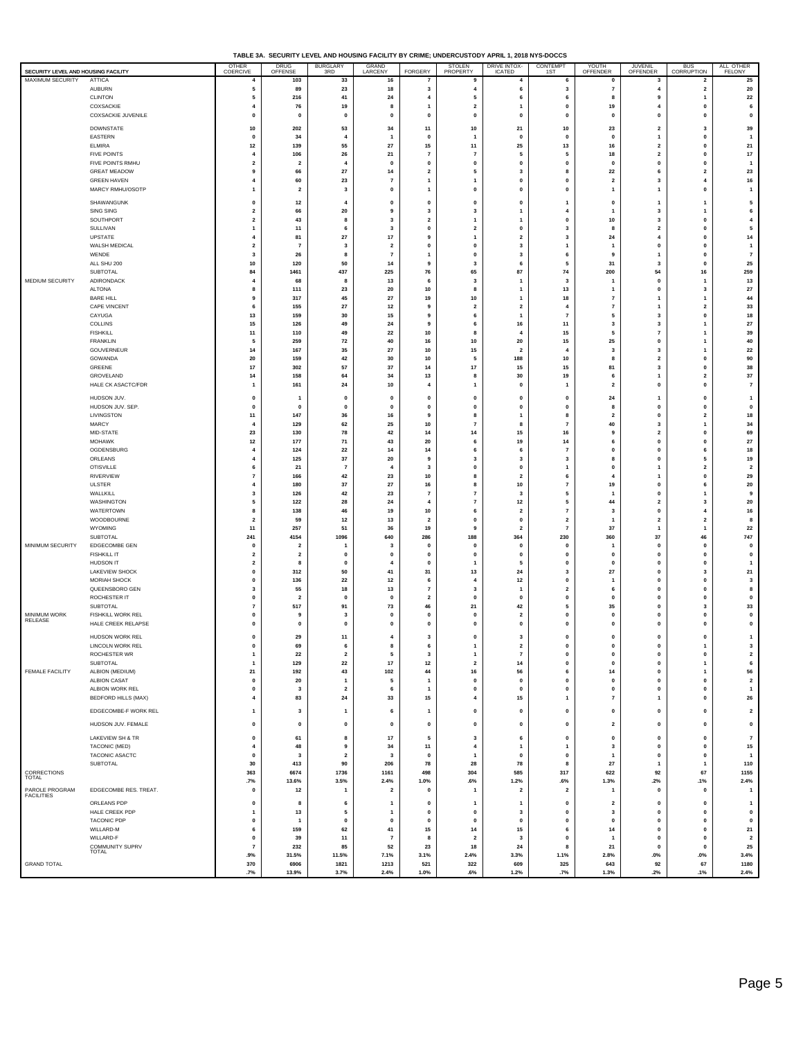**TABLE 3A. SECURITY LEVEL AND HOUSING FACILITY BY CRIME; UNDERCUSTODY APRIL 1, 2018 NYS-DOCCS**

| SECURITY LEVEL AND HOUSING FACILITY |                                        | OTHER<br>COERCIVE                                  | DRUG<br>OFFENSE               | <b>BURGLARY</b><br>3RD  | GRAND<br>LARCENY              | FORGERY                                   | STOLEN<br>PROPERTY             | DRIVE INTOX-<br>ICATED           | CONTEMPT<br>1ST                  | YOUTH<br>OFFENDER                       | JUVENIL<br>OFFENDER            | BUS<br>CORRUPTION                         | ALL OTHER<br>FELONY           |
|-------------------------------------|----------------------------------------|----------------------------------------------------|-------------------------------|-------------------------|-------------------------------|-------------------------------------------|--------------------------------|----------------------------------|----------------------------------|-----------------------------------------|--------------------------------|-------------------------------------------|-------------------------------|
| MAXIMUM SECURITY                    | <b>ATTICA</b>                          | 4                                                  | 103                           | 33                      | 16                            | $\overline{7}$                            | 9                              | $\overline{4}$                   | 6                                | $\pmb{0}$                               | 3                              | $\overline{\mathbf{2}}$                   | 25                            |
|                                     | <b>AUBURN</b><br><b>CLINTON</b>        | 5<br>5                                             | 89<br>216                     | 23<br>41                | 18<br>24                      | $\overline{\mathbf{3}}$<br>$\overline{4}$ | $\pmb{4}$<br>5                 | 6<br>6                           | 3<br>6                           | $\overline{7}$<br>8                     | $\overline{4}$<br>9            | $\mathbf{2}$<br>$\mathbf{1}$              | 20<br>22                      |
|                                     | COXSACKIE                              | 4                                                  | 76                            | 19                      | 8                             | 1                                         | $\mathbf{2}$                   | $\overline{1}$                   | $\mathbf 0$                      | 19                                      | $\overline{4}$                 | $\mathbf{0}$                              | 6                             |
|                                     | COXSACKIE JUVENILE                     | $\mathbf 0$                                        | $\mathbf{0}$                  | 0                       | $\mathbf{0}$                  | 0                                         | $\pmb{0}$                      | $\mathbf 0$                      | $\Omega$                         | $\mathbf{0}$                            | 0                              | $\Omega$                                  | $\pmb{0}$                     |
|                                     | <b>DOWNSTATE</b>                       | 10                                                 | 202                           | 53                      | 34                            | 11                                        | $10\,$                         | 21                               | 10                               | 23                                      | $\mathbf{2}$                   | $\mathbf{3}$                              | 39                            |
|                                     | EASTERN                                | $\mathbf 0$                                        | 34                            | 4                       |                               | $\mathbf{0}$                              | $\mathbf{1}$                   | $\mathbf{0}$                     | $\mathbf 0$                      | $\pmb{0}$                               | $\mathbf{1}$                   | $\pmb{\mathsf{o}}$                        | $\overline{\mathbf{1}}$       |
|                                     | <b>ELMIRA</b><br><b>FIVE POINTS</b>    | 12<br>4                                            | 139<br>106                    | 55<br>26                | $\bf 27$<br>21                | 15<br>$\overline{7}$                      | 11<br>$\overline{7}$           | 25<br>5                          | 13<br>5                          | 16<br>18                                | $\mathbf{2}$<br>$\mathbf{2}$   | $\mathbf{0}$<br>$\Omega$                  | 21<br>$17\,$                  |
|                                     | FIVE POINTS RMHU                       | $\overline{\mathbf{2}}$                            | $\overline{2}$                | $\overline{4}$          | $\mathbf{0}$                  | $\pmb{0}$                                 | $\pmb{0}$                      | $\mathbf 0$                      | $\mathbf 0$                      | $\mathbf{0}$                            | $\pmb{0}$                      | $\mathbf{0}$                              | $\overline{1}$                |
|                                     | <b>GREAT MEADOW</b>                    | 9                                                  | 66                            | 27                      | 14                            | $\overline{2}$                            | 5                              | $\mathbf{3}$                     | 8                                | 22                                      | 6                              | $\overline{2}$                            | 23                            |
|                                     | <b>GREEN HAVEN</b><br>MARCY RMHU/OSOTP | 4<br>1                                             | 60<br>$\overline{2}$          | 23<br>3                 | $\overline{7}$<br>$\mathbf 0$ | 1                                         | $\overline{1}$<br>$\mathbf{0}$ | $\pmb{0}$<br>$\mathbf 0$         | 0<br>$\mathbf 0$                 | $\overline{\mathbf{2}}$<br>$\mathbf{1}$ | 3<br>$\mathbf{1}$              | $\overline{4}$<br>$\mathbf{0}$            | 16<br>$\overline{1}$          |
|                                     |                                        |                                                    |                               |                         |                               | $\mathbf{1}$                              |                                |                                  |                                  |                                         |                                |                                           |                               |
|                                     | SHAWANGUNK<br>SING SING                | 0<br>$\overline{2}$                                | $12$<br>66                    | $\overline{4}$<br>20    | $\mathbf{0}$<br>9             | $\pmb{0}$<br>3                            | 0<br>3                         | $\mathbf 0$<br>$\mathbf{1}$      | 1<br>4                           | $\mathbf{0}$<br>$\mathbf{1}$            | $\overline{1}$<br>3            | -1                                        | 5<br>6                        |
|                                     | SOUTHPORT                              | $\overline{\mathbf{2}}$                            | 43                            | 8                       | 3                             | $\overline{\mathbf{2}}$                   | $\overline{1}$                 | $\overline{1}$                   | 0                                | 10                                      | 3                              | $\mathbf{0}$                              | 4                             |
|                                     | SULLIVAN                               | 1                                                  | 11                            | 6                       | $\mathbf{3}$                  | $\mathbf 0$                               | $\overline{\mathbf{2}}$        | $\mathbf 0$                      | 3                                | 8                                       | $\overline{\mathbf{2}}$        | $\mathbf{0}$                              | 5                             |
|                                     | UPSTATE<br>WALSH MEDICAL               | 4<br>$\overline{\mathbf{2}}$                       | 81<br>$\overline{7}$          | 27<br>$\mathbf{3}$      | 17<br>$\overline{\mathbf{2}}$ | 9<br>$\pmb{0}$                            | $\mathbf{1}$<br>$\pmb{0}$      | $\overline{2}$<br>$\mathbf 3$    | 3<br>1                           | 24<br>$\overline{1}$                    | 4<br>$\pmb{0}$                 | $\Omega$<br>$\mathbf{0}$                  | 14<br>$\overline{1}$          |
|                                     | WENDE                                  | 3                                                  | 26                            | 8                       | $\overline{7}$                | $\overline{1}$                            | $\pmb{0}$                      | $\mathbf{3}$                     | 6                                | 9                                       | $\mathbf{1}$                   | $\mathbf 0$                               | $\overline{7}$                |
|                                     | ALL SHU 200                            | 10                                                 | 120                           | 50                      | 14                            | 9                                         | 3                              | 6                                | 5                                | 31                                      | 3                              | $\mathbf{0}$                              | 25                            |
|                                     | <b>SUBTOTAL</b>                        | 84                                                 | 1461                          | 437                     | 225                           | 76                                        | 65                             | 87                               | 74                               | 200                                     | 54                             | 16                                        | 259                           |
| MEDIUM SECURITY                     | ADIRONDACK<br>ALTONA                   | $\overline{4}$<br>8                                | 68<br>111                     | 8<br>23                 | 13<br>20                      | 6<br>10                                   | 3<br>8                         | $\overline{1}$<br>$\overline{1}$ | 3<br>13                          | $\mathbf{1}$                            | $\pmb{0}$<br>$\pmb{0}$         | $\mathbf{1}$<br>$\overline{\mathbf{3}}$   | 13<br>27                      |
|                                     | <b>BARE HILL</b>                       | 9                                                  | 317                           | 45                      | 27                            | 19                                        | $10\,$                         | $\overline{1}$                   | 18                               | $\overline{7}$                          | $\mathbf{1}$                   | -1                                        | 44                            |
|                                     | CAPE VINCENT                           | 6                                                  | 155                           | 27                      | 12                            | 9                                         | $\overline{\mathbf{2}}$        | $\overline{\mathbf{2}}$          | $\overline{4}$                   | $\overline{7}$                          | 1                              | $\overline{\mathbf{2}}$                   | 33                            |
|                                     | CAYUGA<br>COLLINS                      | 13<br>15                                           | 159<br>126                    | 30<br>49                | 15<br>24                      | 9<br>9                                    | 6<br>6                         | $\overline{1}$<br>16             | $\overline{7}$<br>11             | 5<br>3                                  | 3<br>3                         | $\mathbf{0}$                              | 18<br>27                      |
|                                     | <b>FISHKILL</b>                        | 11                                                 | 110                           | 49                      | 22                            | 10                                        | 8                              | $\overline{4}$                   | 15                               | 5                                       | $\overline{7}$                 |                                           | 39                            |
|                                     | <b>FRANKLIN</b>                        | 5                                                  | 259                           | 72                      | 40                            | 16                                        | ${\bf 10}$                     | 20                               | 15                               | 25                                      | 0                              |                                           | 40                            |
|                                     | GOUVERNEUR<br>GOWANDA                  | 14<br>20                                           | 167<br>159                    | 35<br>42                | ${\bf 27}$<br>30              | 10<br>10                                  | 15<br>5                        | $\overline{\mathbf{2}}$<br>188   | $\overline{4}$<br>10             | 3<br>8                                  | 3<br>$\overline{\mathbf{2}}$   | -1<br>$\mathbf{0}$                        | 22<br>90                      |
|                                     | GREENE                                 | 17                                                 | 302                           | 57                      | 37                            | 14                                        | $17\,$                         | 15                               | 15                               | 81                                      | 3                              | $\mathbf{0}$                              | 38                            |
|                                     | GROVELAND                              | 14                                                 | 158                           | 64                      | 34                            | 13                                        | 8                              | 30                               | 19                               | 6                                       | 1                              | $\overline{2}$                            | 37                            |
|                                     | HALE CK ASACTC/FDR                     | 1                                                  | 161                           | 24                      | 10                            | $\overline{4}$                            | $\mathbf{1}$                   | $\mathbf{0}$                     | 1                                | $\overline{\mathbf{2}}$                 | 0                              | $\Omega$                                  | $\overline{7}$                |
|                                     | HUDSON JUV.                            | $\mathbf 0$                                        | $\mathbf{1}$                  | $\mathbf{0}$            | $\mathbf 0$                   | $\mathbf{0}$                              | $\mathbf{0}$                   | $\mathbf{0}$                     | $\mathbf 0$                      | 24                                      | $\mathbf{1}$                   | $\mathbf{0}$                              | $\overline{1}$                |
|                                     | HUDSON JUV. SEP.<br>LIVINGSTON         | 0<br>11                                            | $\mathbf 0$<br>147            | 0<br>36                 | $\pmb{0}$<br>16               | $\pmb{0}$<br>9                            | $\pmb{0}$<br>8                 | $\pmb{0}$<br>$\overline{1}$      | $\mathbf 0$<br>8                 | 8<br>$\overline{\mathbf{2}}$            | $\pmb{0}$<br>$\mathbf{0}$      | $\mathbf{0}$<br>$\overline{2}$            | $\mathbf 0$<br>18             |
|                                     | <b>MARCY</b>                           | 4                                                  | 129                           | 62                      | 25                            | 10                                        | $\overline{7}$                 | 8                                | $\overline{7}$                   | 40                                      | 3                              |                                           | 34                            |
|                                     | MID-STATE                              | 23                                                 | 130                           | 78                      | 42                            | 14                                        | 14                             | 15                               | 16                               | 9                                       | $\overline{\mathbf{2}}$        | $\mathbf{0}$                              | 69                            |
|                                     | <b>MOHAWK</b><br>OGDENSBURG            | 12<br>$\overline{4}$                               | 177<br>124                    | 71<br>22                | 43<br>14                      | 20<br>14                                  | 6<br>6                         | 19<br>6                          | 14<br>$\overline{7}$             | 6<br>$\pmb{\mathsf{o}}$                 | $\mathbf{0}$<br>0              | $\Omega$<br>6                             | 27<br>18                      |
|                                     | ORLEANS                                | $\overline{4}$                                     | 125                           | 37                      | 20                            | 9                                         | 3                              | $\overline{\mathbf{3}}$          | 3                                | 8                                       | $\mathbf 0$                    | 5                                         | 19                            |
|                                     | <b>OTISVILLE</b>                       | 6                                                  | 21                            | $\overline{7}$          | $\overline{\bf{4}}$           | $\mathbf{3}$                              | 0                              | 0                                | $\mathbf{1}$                     | $\mathbf 0$                             | $\mathbf{1}$                   | $\overline{\mathbf{2}}$                   | $\overline{\mathbf{2}}$       |
|                                     | RIVERVIEW<br><b>ULSTER</b>             | $\overline{7}$<br>4                                | 166<br>180                    | 42<br>37                | 23<br>27                      | 10<br>16                                  | 8<br>$\bf{8}$                  | $\overline{\mathbf{2}}$          | 6<br>$\overline{7}$              | $\overline{\mathbf{4}}$<br>19           | $\overline{1}$<br>$\mathbf{0}$ | $\mathbf{0}$<br>6                         | 29<br>${\bf 20}$              |
|                                     | WALLKILL                               | 3                                                  | 126                           | 42                      | 23                            | $\overline{7}$                            | $\overline{7}$                 | 10<br>$\mathbf{3}$               | 5                                | $\mathbf{1}$                            | 0                              | $\mathbf{1}$                              | 9                             |
|                                     | WASHINGTON                             | 5                                                  | 122                           | 28                      | 24                            | $\overline{4}$                            | $\overline{7}$                 | $12$                             | 5                                | 44                                      | $\mathbf{2}$                   | $\overline{\mathbf{3}}$                   | 20                            |
|                                     | WATERTOWN<br>WOODBOURNE                | 8<br>$\overline{2}$                                | 138<br>59                     | 46<br>$12$              | 19                            | 10<br>$\overline{\mathbf{2}}$             | 6<br>$\pmb{0}$                 | $\overline{\mathbf{2}}$          | $\overline{7}$<br>$\overline{2}$ | 3<br>$\mathbf{1}$                       | $\pmb{0}$<br>$\mathbf{2}$      | $\overline{\mathbf{4}}$<br>$\overline{2}$ | 16<br>8                       |
|                                     | WYOMING                                | 11                                                 | 257                           | 51                      | 13<br>36                      | 19                                        | 9                              | $\pmb{0}$<br>$\overline{2}$      | $\overline{7}$                   | 37                                      | $\mathbf{1}$                   | $\overline{1}$                            | 22                            |
|                                     | SUBTOTAL                               | 241                                                | 4154                          | 1096                    | 640                           | 286                                       | 188                            | 364                              | 230                              | 360                                     | ${\bf 37}$                     | 46                                        | 747                           |
| MINIMUM SECURITY                    | EDGECOMBE GEN                          | $\mathbf 0$                                        | $\overline{2}$                | 1                       | -3                            | $\mathbf 0$                               | $\mathbf{0}$                   | $\mathbf{0}$                     | $\mathbf 0$                      |                                         | $\mathbf 0$                    | $\mathbf{0}$                              | $\mathbf 0$                   |
|                                     | <b>FISHKILL IT</b><br><b>HUDSON IT</b> | $\overline{\mathbf{2}}$<br>$\overline{\mathbf{2}}$ | $\overline{\mathbf{2}}$<br>8  | 0<br>0                  | $\mathbf 0$<br>$\overline{4}$ | $\pmb{0}$<br>$\mathbf{0}$                 | $\pmb{0}$<br>$\overline{1}$    | $\pmb{0}$<br>5                   | 0<br>$\mathbf 0$                 | $\pmb{0}$<br>$\mathbf{0}$               | $\pmb{0}$<br>$\pmb{0}$         | $\pmb{\mathsf{o}}$<br>$\mathbf{0}$        | $\pmb{0}$<br>$\overline{1}$   |
|                                     | <b>LAKEVIEW SHOCK</b>                  | $\mathbf 0$                                        | 312                           | 50                      | 41                            | 31                                        | 13                             | 24                               | 3                                | 27                                      | $\mathbf 0$                    | 3                                         | ${\bf 21}$                    |
|                                     | <b>MORIAH SHOCK</b><br>QUEENSBORO GEN  | 0                                                  | 136                           | 22                      | $12$                          | 6                                         | $\overline{4}$<br>3            | $12$                             | $\mathbf 0$<br>$\overline{2}$    | $\mathbf{1}$<br>6                       | $\pmb{0}$<br>$\mathbf{0}$      | $\mathbf{0}$                              | 3<br>8                        |
|                                     | ROCHESTER IT                           | 3<br>0                                             | 55<br>$\overline{\mathbf{2}}$ | 18<br>0                 | 13<br>$\mathbf 0$             | $\overline{7}$<br>$\overline{\mathbf{2}}$ | $\pmb{0}$                      | $\mathbf{1}$<br>$\mathbf 0$      | $\mathbf{0}$                     | $\pmb{0}$                               | $\pmb{0}$                      | $\mathbf{0}$<br>$\mathbf{0}$              | $\pmb{0}$                     |
|                                     | SUBTOTAL                               | $\overline{7}$                                     | 517                           | 91                      | 73                            | 46                                        | 21                             | 42                               | 5                                | 35                                      | $\mathbf{0}$                   | 3                                         | 33                            |
| <b>MINIMUM WORK</b><br>RELEASE      | FISHKILL WORK REL                      | $\mathbf 0$                                        | -9                            | 3                       | $\mathbf 0$                   | $\mathbf{0}$                              | 0                              | $\overline{2}$                   | $\Omega$                         | $\mathbf{0}$                            | $\mathbf{0}$                   | $\Omega$                                  | 0                             |
|                                     | HALE CREEK RELAPSE                     | 0                                                  | $\mathbf 0$                   | 0                       | $\mathbf 0$                   | $\mathbf 0$                               | $\pmb{0}$                      | $\pmb{\mathsf{o}}$               | $\mathbf 0$                      | $\mathbf{0}$                            | $\pmb{0}$                      | $\mathbf{0}$                              | $\pmb{0}$                     |
|                                     | HUDSON WORK REL<br>LINCOLN WORK REL    | 0<br>O                                             | 29<br>69                      | 11<br>6                 | 4<br>8                        | 3<br>6                                    | 0<br>$\overline{1}$            | 3<br>$\overline{2}$              | 0<br>$\Omega$                    | $\pmb{\mathsf{o}}$<br>$\mathbf 0$       | 0<br>$\mathbf{0}$              | $\pmb{0}$                                 | 1<br>3                        |
|                                     | ROCHESTER WR                           | $\mathbf{1}$                                       | 22                            | $\overline{\mathbf{2}}$ | 5                             | 3                                         | 1                              | $\overline{7}$                   | $\mathbf{0}$                     | $\pmb{0}$                               | 0                              | $\mathbf 0$                               | $\overline{\mathbf{2}}$       |
|                                     | SUBTOTAL                               | $\overline{1}$                                     | 129                           | 22                      | $17$                          | $12$                                      | $\overline{\mathbf{2}}$        | 14                               | 0                                | $\pmb{\mathsf{o}}$                      | $\mathbf 0$                    | $\mathbf{1}$                              | 6                             |
| FEMALE FACILITY                     | ALBION (MEDIUM)<br>ALBION CASAT        | 21<br>$\mathbf 0$                                  | 192<br>20                     | 43<br>1                 | ${\bf 102}$<br>5              | 44<br>$\mathbf{1}$                        | ${\bf 16}$<br>0                | 56<br>$\pmb{0}$                  | 6<br>$\pmb{0}$                   | 14<br>$\pmb{0}$                         | 0<br>0                         | $\mathbf{1}$<br>$\pmb{0}$                 | 56<br>$\overline{\mathbf{2}}$ |
|                                     | ALBION WORK REL                        | $\mathbf{0}$                                       | $\overline{\mathbf{3}}$       | $\overline{\mathbf{2}}$ | 6                             | $\mathbf{1}$                              | $\mathbf{0}$                   | $\pmb{0}$                        | $\mathbf{0}$                     | $\pmb{\mathsf{o}}$                      | $\mathbf 0$                    | $\pmb{\mathsf{o}}$                        | $\overline{1}$                |
|                                     | <b>BEDFORD HILLS (MAX)</b>             | $\overline{4}$                                     | 83                            | 24                      | 33                            | 15                                        | 4                              | 15                               | $\overline{1}$                   | $\overline{7}$                          | $\mathbf{1}$                   | $\mathbf{0}$                              | 26                            |
|                                     | EDGECOMBE-F WORK REL                   | 1                                                  | 3                             | 1                       | 6                             | $\mathbf{1}$                              | 0                              | $\pmb{0}$                        | $\mathbf{0}$                     | $\pmb{0}$                               | $\mathbf 0$                    | $\mathbf{0}$                              | $\overline{\mathbf{2}}$       |
|                                     | HUDSON JUV. FEMALE                     | $\mathbf{0}$                                       | $\mathbf 0$                   | $\mathbf 0$             | $\mathbf 0$                   | $\mathbf 0$                               | $\mathbf 0$                    | $\mathbf 0$                      | $\mathbf 0$                      | $\overline{\mathbf{2}}$                 | $\mathbf 0$                    | $\pmb{\mathsf{o}}$                        | $\mathbf 0$                   |
|                                     | LAKEVIEW SH & TR                       | $\mathbf 0$                                        | 61                            | 8                       | 17                            | 5                                         | 3                              | 6                                | 0                                | $\pmb{0}$                               | $\pmb{0}$                      | $\pmb{\mathsf{o}}$                        | $\overline{7}$                |
|                                     | TACONIC (MED)                          | 4                                                  | 48                            | 9                       | 34                            | 11                                        | 4                              | $\overline{1}$                   | $\mathbf{1}$                     | $\mathbf{3}$                            | 0                              | $\mathbf{0}$                              | 15                            |
|                                     | TACONIC ASACTC                         | $\mathbf 0$                                        | 3                             | $\overline{\mathbf{2}}$ | 3                             | $\pmb{0}$                                 | $\overline{1}$                 | $\pmb{0}$                        | $\pmb{0}$                        | $\mathbf{1}$                            | 0                              | $\pmb{0}$                                 | $\overline{\mathbf{1}}$       |
|                                     | SUBTOTAL                               | 30<br>363                                          | 413<br>6674                   | 90<br>1736              | 206<br>1161                   | 78<br>498                                 | 28<br>304                      | 78<br>585                        | 8<br>317                         | 27<br>622                               | $\mathbf{1}$<br>92             | -1<br>67                                  | 110<br>1155                   |
| CORRECTIONS<br>TOTAL                |                                        | .7%                                                | 13.6%                         | 3.5%                    | 2.4%                          | 1.0%                                      | .6%                            | 1.2%                             | .6%                              | 1.3%                                    | .2%                            | .1%                                       | 2.4%                          |
| PAROLE PROGRAM<br>FACILITIES        | EDGECOMBE RES. TREAT.                  | $\mathbf 0$                                        | $12$                          | 1                       | $\overline{2}$                | 0                                         | $\mathbf{1}$                   | $\overline{\mathbf{z}}$          | $\overline{2}$                   | $\overline{1}$                          | 0                              | $\mathbf 0$                               | $\overline{\mathbf{1}}$       |
|                                     | ORLEANS PDP                            | $\mathbf 0$                                        | 8                             | 6                       | -1                            | $\mathbf 0$                               | $\mathbf{1}$                   | $\mathbf{1}$                     | $\mathbf 0$                      | $\overline{2}$                          | $\mathbf 0$                    | $\mathbf{0}$                              | $\mathbf{1}$                  |
|                                     | HALE CREEK PDP                         | 1                                                  | 13                            | 5                       | $\mathbf{1}$                  | $\mathbf 0$                               | 0                              | $\mathbf{3}$                     | $\mathbf{0}$                     | 3                                       | 0                              | $\mathbf{0}$                              | $\pmb{0}$                     |
|                                     | TACONIC PDP<br>WILLARD-M               | $\mathbf 0$<br>6                                   | $\mathbf{1}$<br>159           | 0<br>62                 | $\mathbf{0}$<br>41            | $\mathbf 0$<br>15                         | $\mathbf 0$<br>14              | $\mathbf{0}$<br>15               | $\mathbf{0}$<br>6                | $\pmb{\mathsf{o}}$<br>14                | $\mathbf 0$<br>0               | $\mathbf{0}$<br>$\mathbf 0$               | $\mathbf{0}$<br>21            |
|                                     | WILLARD-F                              | $\mathbf 0$                                        | 39                            | 11                      | $\overline{7}$                | 8                                         | $\mathbf 2$                    | $\overline{\mathbf{3}}$          | $\mathbf 0$                      | $\overline{1}$                          | $\pmb{0}$                      | $\mathbf{0}$                              | $\overline{\mathbf{2}}$       |
|                                     | COMMUNITY SUPRV<br><b>TOTAL</b>        | $\overline{7}$                                     | 232                           | 85                      | 52                            | 23                                        | 18                             | 24                               | 8                                | 21                                      | $\mathbf 0$                    | $\mathbf{0}$                              | 25                            |
| <b>GRAND TOTAL</b>                  |                                        | .9%<br>370                                         | 31.5%<br>6906                 | 11.5%<br>1821           | 7.1%<br>1213                  | 3.1%<br>521                               | 2.4%<br>322                    | 3.3%<br>609                      | 1.1%<br>325                      | 2.8%<br>643                             | $.0\%$<br>92                   | .0%<br>67                                 | 3.4%<br>1180                  |
|                                     |                                        | .7%                                                | 13.9%                         | 3.7%                    | 2.4%                          | 1.0%                                      | .6%                            | 1.2%                             | .7%                              | 1.3%                                    | .2%                            | .1%                                       | 2.4%                          |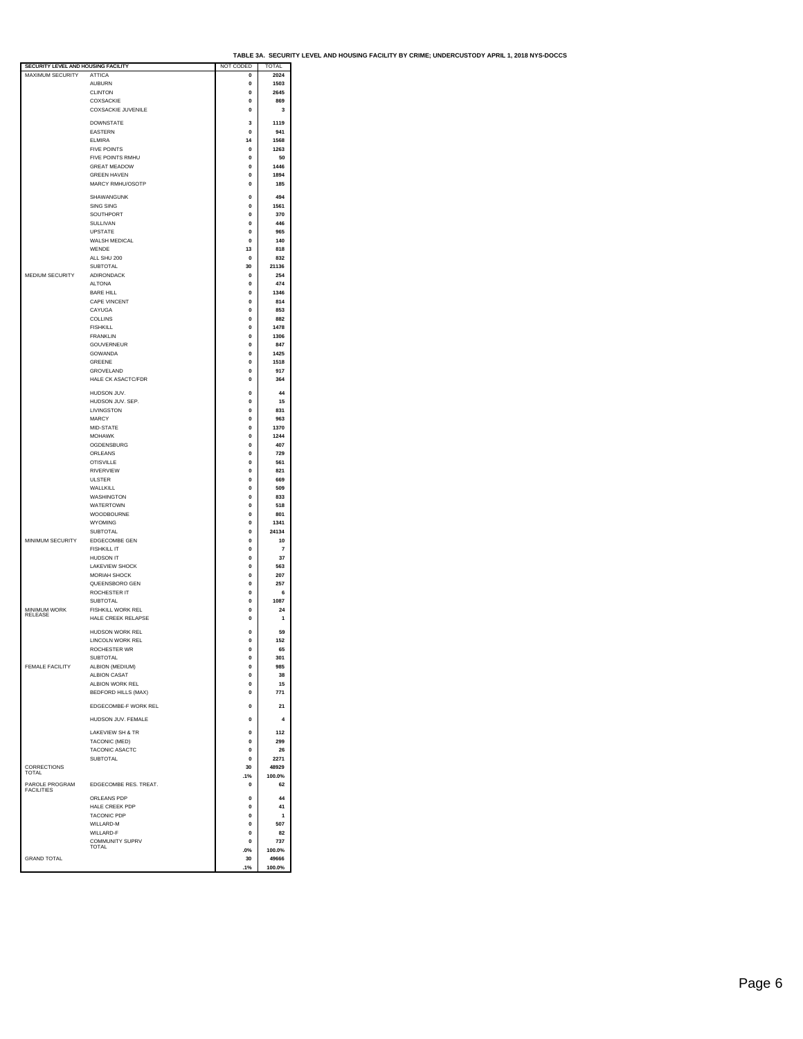| SECURITY LEVEL AND HOUSING FACILITY |                                    | NOT CODED   | <b>TOTAL</b>   |  |
|-------------------------------------|------------------------------------|-------------|----------------|--|
| <b>MAXIMUM SECURITY</b>             | <b>ATTICA</b>                      | 0           | 2024           |  |
|                                     | <b>AUBURN</b>                      | 0           | 1503           |  |
|                                     | <b>CLINTON</b>                     | 0           | 2645           |  |
|                                     | COXSACKIE                          | $\bf{0}$    | 869            |  |
|                                     | <b>COXSACKIE JUVENILE</b>          | 0           | 3              |  |
|                                     |                                    |             |                |  |
|                                     | <b>DOWNSTATE</b>                   | 3           | 1119           |  |
|                                     | <b>EASTERN</b>                     | 0           | 941            |  |
|                                     | FI MIRA                            | 14          | 1568           |  |
|                                     | <b>FIVE POINTS</b>                 | 0           | 1263           |  |
|                                     | FIVE POINTS RMHU                   | 0           | 50             |  |
|                                     | <b>GREAT MEADOW</b>                | 0           | 1446           |  |
|                                     | <b>GREEN HAVEN</b>                 | 0           | 1894           |  |
|                                     | MARCY RMHU/OSOTP                   | 0           | 185            |  |
|                                     |                                    |             |                |  |
|                                     | SHAWANGUNK                         | $\Omega$    | 494            |  |
|                                     | SING SING                          | 0           | 1561           |  |
|                                     | SOUTHPORT                          | 0           | 370            |  |
|                                     | SULLIVAN                           | 0           | 446            |  |
|                                     | <b>UPSTATE</b>                     | $\bf{0}$    | 965            |  |
|                                     | <b>WALSH MEDICAL</b>               | 0           | 140            |  |
|                                     | WENDE                              | 13          | 818            |  |
|                                     | ALL SHU 200                        | 0           | 832            |  |
|                                     | SUBTOTAL                           | 30          | 21136          |  |
| MEDIUM SECURITY                     | ADIRONDACK                         | 0           | 254            |  |
|                                     | <b>ALTONA</b>                      | 0           | 474            |  |
|                                     | <b>BARE HILL</b>                   | 0           | 1346           |  |
|                                     | CAPE VINCENT                       | $\Omega$    | 814            |  |
|                                     | CAYUGA                             | 0           | 853            |  |
|                                     | COLLINS                            | $\bf{0}$    | 882            |  |
|                                     |                                    |             |                |  |
|                                     | <b>FISHKILL</b><br><b>FRANKLIN</b> | 0           | 1478           |  |
|                                     |                                    | 0           | 1306           |  |
|                                     | <b>GOUVERNEUR</b>                  | $\Omega$    | 847            |  |
|                                     | GOWANDA                            | 0           | 1425           |  |
|                                     | GREENE                             | $\bf{0}$    | 1518           |  |
|                                     | GROVELAND                          | 0           | 917            |  |
|                                     | HALE CK ASACTC/FDR                 | 0           | 364            |  |
|                                     |                                    | $\bf{0}$    | 44             |  |
|                                     | HUDSON JUV.<br>HUDSON JUV. SEP.    | $\bf{0}$    | 15             |  |
|                                     |                                    |             |                |  |
|                                     | LIVINGSTON                         | 0           | 831            |  |
|                                     | MARCY                              | 0           | 963            |  |
|                                     | MID-STATE                          | $\Omega$    | 1370           |  |
|                                     | <b>MOHAWK</b>                      | 0           | 1244           |  |
|                                     | OGDENSBURG                         | $\bf{0}$    | 407            |  |
|                                     | ORLEANS                            | 0           | 729            |  |
|                                     | <b>OTISVILLE</b>                   | 0           | 561            |  |
|                                     | <b>RIVERVIEW</b>                   | $\Omega$    | 821            |  |
|                                     | <b>ULSTER</b>                      | 0           | 669            |  |
|                                     | WALLKILL                           | $\Omega$    | 509            |  |
|                                     | WASHINGTON                         | 0           | 833            |  |
|                                     | <b>WATERTOWN</b>                   | 0           | 518            |  |
|                                     | WOODBOURNE                         | 0           | 801            |  |
|                                     | WYOMING                            | 0           | 1341           |  |
|                                     | SUBTOTAL                           | $\Omega$    | 24134          |  |
| MINIMUM SECURITY                    | EDGECOMBE GEN                      | 0           | 10             |  |
|                                     | <b>FISHKILL IT</b>                 | 0           | $\overline{7}$ |  |
|                                     |                                    |             |                |  |
|                                     | HUDSON IT<br>LAKEVIEW SHOCK        | 0           | 37<br>563      |  |
|                                     | MORIAH SHOCK                       | 0           |                |  |
|                                     |                                    | 0           | 207            |  |
|                                     | QUEENSBORO GEN                     | 0           | 257            |  |
|                                     | <b>ROCHESTER IT</b>                | $\bf{0}$    | 6              |  |
|                                     | SUBTOTAL                           | 0           | 1087           |  |
| MINIMUM WORK<br>RELEASE             | FISHKILL WORK REL                  | $\bf{0}$    | 24             |  |
|                                     | HALE CREEK RELAPSE                 | 0           | 1              |  |
|                                     | HUDSON WORK REL                    | $\bf{0}$    | 59             |  |
|                                     | LINCOLN WORK REL                   | 0           | 152            |  |
|                                     | ROCHESTER WR                       | 0           | 65             |  |
|                                     | <b>SUBTOTAL</b>                    | 0           | 301            |  |
| FEMALE FACILITY                     |                                    | 0           | 985            |  |
|                                     | ALBION (MEDIUM)                    |             |                |  |
|                                     | <b>ALBION CASAT</b>                | $\Omega$    | 38             |  |
|                                     | ALBION WORK REL                    | $\bf{0}$    | 15             |  |
|                                     | <b>BEDFORD HILLS (MAX)</b>         | 0           | 771            |  |
|                                     | EDGECOMBE-F WORK REL               | 0           | 21             |  |
|                                     |                                    |             |                |  |
|                                     | HUDSON JUV. FEMALE                 | 0           | 4              |  |
|                                     | <b>LAKEVIEW SH &amp; TR</b>        | $\Omega$    | 112            |  |
|                                     | TACONIC (MED)                      |             | 299            |  |
|                                     |                                    | 0           |                |  |
|                                     | TACONIC ASACTC                     | $\Omega$    | 26             |  |
|                                     | <b>SUBTOTAL</b>                    | 0           | 2271           |  |
| CORRECTIONS<br><b>TOTAL</b>         |                                    | 30          | 48929          |  |
|                                     |                                    | .1%         | 100.0%         |  |
| PAROLE PROGRAM<br><b>FACILITIES</b> | EDGECOMBE RES. TREAT.              | 0           | 62             |  |
|                                     | ORLEANS PDP                        | 0           | 44             |  |
|                                     | HALE CREEK PDP                     | $\bf{0}$    | 41             |  |
|                                     | <b>TACONIC PDP</b>                 | 0           | 1              |  |
|                                     | WILLARD-M                          | 0           | 507            |  |
|                                     | WILLARD-F                          | $\Omega$    |                |  |
|                                     |                                    |             | 82             |  |
|                                     | COMMUNITY SUPRV<br>TOTAL           | $\mathbf 0$ | 737            |  |
|                                     |                                    | .0%         | 100.0%         |  |
| <b>GRAND TOTAL</b>                  |                                    | 30          | 49666          |  |
|                                     |                                    | .1%         | 100.0%         |  |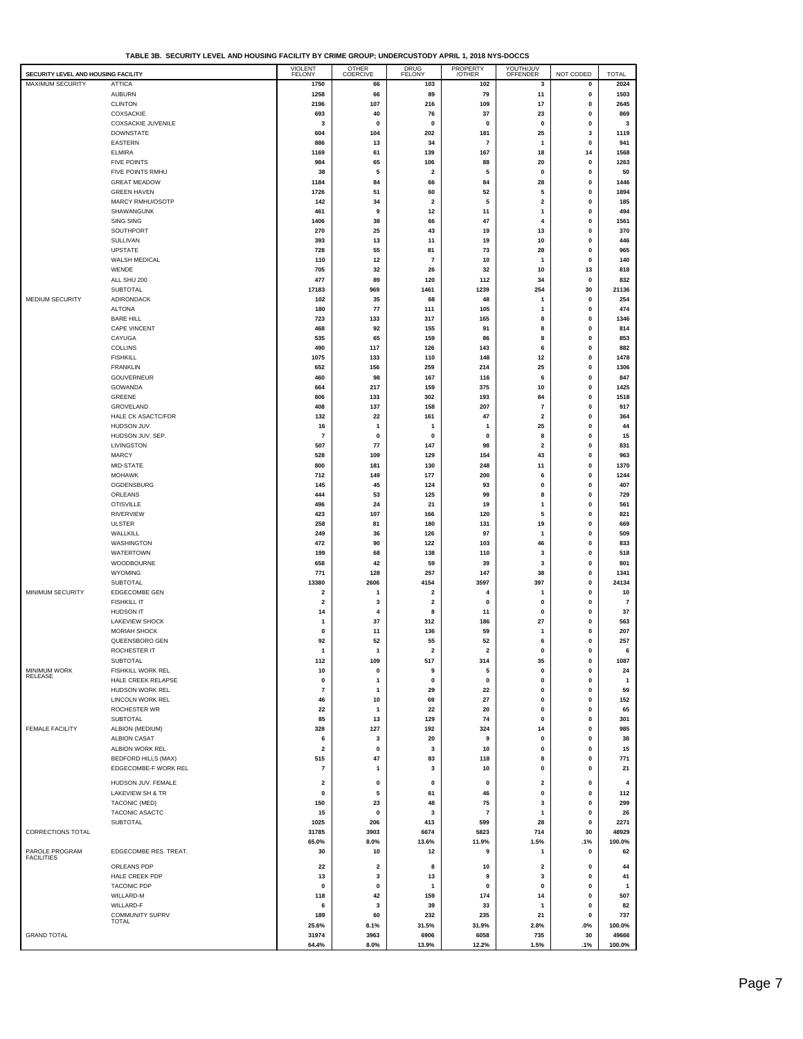**TABLE 3B. SECURITY LEVEL AND HOUSING FACILITY BY CRIME GROUP; UNDERCUSTODY APRIL 1, 2018 NYS-DOCCS**

| SECURITY LEVEL AND HOUSING FACILITY |                                                | <b>VIOLENT</b><br><b>FELONY</b> | OTHER<br>COERCIVE | DRUG<br>FELONY          | PROPERTY<br>/OTHER      | YOUTH/JUV<br>OFFENDER        | NOT CODED                  | <b>TOTAL</b>         |
|-------------------------------------|------------------------------------------------|---------------------------------|-------------------|-------------------------|-------------------------|------------------------------|----------------------------|----------------------|
| <b>MAXIMUM SECURITY</b>             | <b>ATTICA</b>                                  | 1750                            | 66                | 103                     | 102                     | 3                            | 0                          | 2024                 |
|                                     | <b>AUBURN</b>                                  | 1258                            | 66                | 89                      | 79                      | 11                           | 0                          | 1503                 |
|                                     | <b>CLINTON</b>                                 | 2196                            | 107               | 216                     | 109                     | 17                           | 0                          | 2645                 |
|                                     | COXSACKIE<br>COXSACKIE JUVENILE                | 693<br>3                        | 40<br>$\pmb{0}$   | 76<br>$\mathbf 0$       | 37<br>$\pmb{0}$         | 23<br>0                      | 0<br>0                     | 869<br>3             |
|                                     | <b>DOWNSTATE</b>                               | 604                             | 104               | 202                     | 181                     | 25                           | 3                          | 1119                 |
|                                     | <b>EASTERN</b>                                 | 886                             | 13                | 34                      | $\overline{7}$          | $\mathbf{1}$                 | 0                          | 941                  |
|                                     | <b>ELMIRA</b>                                  | 1169                            | 61                | 139                     | 167                     | 18                           | 14                         | 1568                 |
|                                     | <b>FIVE POINTS</b>                             | 984                             | 65                | 106                     | 88                      | 20                           | 0                          | 1263                 |
|                                     | FIVE POINTS RMHU                               | 38                              | 5                 | 2                       | 5                       | 0                            | 0                          | 50                   |
|                                     | <b>GREAT MEADOW</b><br><b>GREEN HAVEN</b>      | 1184<br>1726                    | 84<br>51          | 66<br>60                | 84<br>52                | 28<br>5                      | $\mathbf 0$<br>0           | 1446<br>1894         |
|                                     | MARCY RMHU/OSOTP                               | 142                             | 34                | $\overline{\mathbf{2}}$ | 5                       | $\mathbf 2$                  | $\mathbf 0$                | 185                  |
|                                     | SHAWANGUNK                                     | 461                             | 9                 | 12                      | 11                      | 1                            | 0                          | 494                  |
|                                     | SING SING                                      | 1406                            | 38                | 66                      | 47                      | 4                            | 0                          | 1561                 |
|                                     | SOUTHPORT                                      | 270                             | 25                | 43                      | 19                      | 13                           | 0                          | 370                  |
|                                     | SULLIVAN                                       | 393                             | 13                | 11                      | 19                      | 10                           | 0                          | 446                  |
|                                     | <b>UPSTATE</b>                                 | 728                             | 55                | 81                      | 73                      | 28                           | 0                          | 965                  |
|                                     | WALSH MEDICAL<br>WENDE                         | 110<br>705                      | 12<br>32          | 7<br>26                 | 10<br>32                | $\mathbf{1}$<br>10           | 0<br>13                    | 140<br>818           |
|                                     | ALL SHU 200                                    | 477                             | 89                | 120                     | 112                     | 34                           | 0                          | 832                  |
|                                     | <b>SUBTOTAL</b>                                | 17183                           | 969               | 1461                    | 1239                    | 254                          | 30                         | 21136                |
| MEDIUM SECURITY                     | ADIRONDACK                                     | 102                             | 35                | 68                      | 48                      | 1                            | 0                          | 254                  |
|                                     | <b>ALTONA</b>                                  | 180                             | 77                | 111                     | 105                     | 1                            | 0                          | 474                  |
|                                     | <b>BARE HILL</b>                               | 723                             | 133               | 317                     | 165                     | 8                            | 0                          | 1346                 |
|                                     | CAPE VINCENT<br>CAYUGA                         | 468<br>535                      | 92<br>65          | 155<br>159              | 91<br>86                | 8<br>8                       | $\pmb{0}$<br>0             | 814<br>853           |
|                                     | COLLINS                                        | 490                             | 117               | 126                     | 143                     | 6                            | $\mathbf 0$                | 882                  |
|                                     | <b>FISHKILL</b>                                | 1075                            | 133               | 110                     | 148                     | 12                           | 0                          | 1478                 |
|                                     | <b>FRANKLIN</b>                                | 652                             | 156               | 259                     | 214                     | 25                           | 0                          | 1306                 |
|                                     | GOUVERNEUR                                     | 460                             | 98                | 167                     | 116                     | 6                            | 0                          | 847                  |
|                                     | GOWANDA                                        | 664                             | 217               | 159                     | 375                     | 10                           | $\mathbf 0$                | 1425                 |
|                                     | GREENE<br>GROVELAND                            | 806<br>408                      | 133<br>137        | 302<br>158              | 193<br>207              | 84<br>$\overline{7}$         | $\mathbf 0$<br>$\mathbf 0$ | 1518<br>917          |
|                                     | HALE CK ASACTC/FDR                             | 132                             | 22                | 161                     | 47                      | $\mathbf 2$                  | $\mathbf 0$                | 364                  |
|                                     | HUDSON JUV.                                    | 16                              | $\overline{1}$    | 1                       | 1                       | 25                           | $\mathbf 0$                | 44                   |
|                                     | HUDSON JUV. SEP.                               | $\overline{7}$                  | 0                 | 0                       | 0                       | 8                            | $\mathbf 0$                | 15                   |
|                                     | LIVINGSTON                                     | 507                             | 77                | 147                     | 98                      | $\overline{\mathbf{2}}$      | $\mathbf 0$                | 831                  |
|                                     | <b>MARCY</b>                                   | 528                             | 109               | 129                     | 154                     | 43                           | $\mathbf 0$                | 963                  |
|                                     | MID-STATE                                      | 800                             | 181               | 130                     | 248                     | 11                           | 0<br>0                     | 1370                 |
|                                     | <b>MOHAWK</b><br>OGDENSBURG                    | 712<br>145                      | 149<br>45         | 177<br>124              | 200<br>93               | 6<br>0                       | $\mathbf 0$                | 1244<br>407          |
|                                     | ORLEANS                                        | 444                             | 53                | 125                     | 99                      | 8                            | 0                          | 729                  |
|                                     | <b>OTISVILLE</b>                               | 496                             | 24                | 21                      | 19                      | $\mathbf{1}$                 | 0                          | 561                  |
|                                     | <b>RIVERVIEW</b>                               | 423                             | 107               | 166                     | 120                     | 5                            | 0                          | 821                  |
|                                     | <b>ULSTER</b>                                  | 258                             | 81                | 180                     | 131                     | 19                           | $\mathbf 0$                | 669                  |
|                                     | WALLKILL                                       | 249                             | 36                | 126                     | 97                      | $\mathbf{1}$                 | 0                          | 509                  |
|                                     | WASHINGTON<br>WATERTOWN                        | 472<br>199                      | 90<br>68          | 122<br>138              | 103<br>110              | 46<br>3                      | 0<br>0                     | 833<br>518           |
|                                     | WOODBOURNE                                     | 658                             | 42                | 59                      | 39                      | 3                            | 0                          | 801                  |
|                                     | <b>WYOMING</b>                                 | 771                             | 128               | 257                     | 147                     | 38                           | 0                          | 1341                 |
|                                     | SUBTOTAL                                       | 13380                           | 2606              | 4154                    | 3597                    | 397                          | 0                          | 24134                |
| MINIMUM SECURITY                    | EDGECOMBE GEN                                  | 2                               | 1                 | $\overline{\mathbf{2}}$ | 4                       | $\mathbf{1}$                 | 0                          | 10                   |
|                                     | <b>FISHKILL IT</b><br>HUDSON IT                | $\overline{\mathbf{2}}$         | 3<br>4            | 2                       | 0                       | $\mathbf 0$<br>0             | 0<br>$\pmb{0}$             | $\overline{7}$       |
|                                     | <b>LAKEVIEW SHOCK</b>                          | 14<br>1                         | 37                | 8<br>312                | 11<br>186               | 27                           | 0                          | 37<br>563            |
|                                     | MORIAH SHOCK                                   | 0                               | 11                | 136                     | 59                      | $\mathbf{1}$                 | 0                          | 207                  |
|                                     | QUEENSBORO GEN                                 | 92                              | 52                | 55                      | 52                      | 6                            | 0                          | 257                  |
|                                     | ROCHESTER IT                                   |                                 |                   |                         |                         |                              |                            |                      |
|                                     | <b>SUBTOTAL</b>                                | 112                             | 109               | 517                     | 314                     | 35                           | $\pmb{0}$                  | 1087                 |
| MINIMUM WORK<br>RELEASE             | <b>FISHKILL WORK REL</b><br>HALE CREEK RELAPSE | 10<br>0                         | 0<br>1            | 9<br>0                  | 5<br>0                  | 0<br>$\pmb{0}$               | $\pmb{0}$<br>0             | 24<br>$\overline{1}$ |
|                                     | <b>HUDSON WORK REL</b>                         | $\overline{7}$                  | 1                 | 29                      | 22                      | 0                            | 0                          | 59                   |
|                                     | <b>LINCOLN WORK REL</b>                        | 46                              | 10                | 69                      | 27                      | $\pmb{0}$                    | 0                          | 152                  |
|                                     | ROCHESTER WR                                   | 22                              | 1                 | 22                      | 20                      | $\mathbf 0$                  | 0                          | 65                   |
|                                     | <b>SUBTOTAL</b>                                | 85                              | 13                | 129                     | 74                      | 0                            | 0                          | 301                  |
| <b>FEMALE FACILITY</b>              | ALBION (MEDIUM)                                | 328                             | 127               | 192                     | 324                     | 14                           | 0                          | 985                  |
|                                     | <b>ALBION CASAT</b><br>ALBION WORK REL         | 6<br>$\overline{2}$             | 3<br>0            | 20<br>3                 | 9<br>10                 | 0<br>0                       | $\mathbf 0$<br>0           | 38<br>15             |
|                                     | <b>BEDFORD HILLS (MAX)</b>                     | 515                             | 47                | 83                      | 118                     | 8                            | 0                          | 771                  |
|                                     | EDGECOMBE-F WORK REL                           | $\overline{7}$                  | 1                 | 3                       | 10                      | 0                            | 0                          | 21                   |
|                                     | HUDSON JUV. FEMALE                             |                                 |                   |                         |                         |                              |                            | $\overline{4}$       |
|                                     | LAKEVIEW SH & TR                               | $\overline{\mathbf{2}}$<br>0    | 0<br>5            | 0<br>61                 | 0<br>46                 | $\overline{\mathbf{2}}$<br>0 | 0<br>0                     | 112                  |
|                                     | <b>TACONIC (MED)</b>                           | 150                             | 23                | 48                      | 75                      | 3                            | $\mathbf 0$                | 299                  |
|                                     | TACONIC ASACTC                                 | 15                              | 0                 | 3                       | $\overline{\mathbf{7}}$ | $\mathbf{1}$                 | $\pmb{0}$                  | 26                   |
|                                     | SUBTOTAL                                       | 1025                            | 206               | 413                     | 599                     | 28                           | $\mathbf 0$                | 2271                 |
| CORRECTIONS TOTAL                   |                                                | 31785                           | 3903              | 6674                    | 5823                    | 714                          | 30                         | 48929                |
| PAROLE PROGRAM                      | EDGECOMBE RES. TREAT.                          | 65.0%<br>30                     | 8.0%<br>10        | 13.6%<br>12             | 11.9%<br>9              | 1.5%<br>1                    | .1%<br>0                   | 100.0%<br>62         |
| <b>FACILITIES</b>                   |                                                |                                 |                   |                         |                         |                              |                            |                      |
|                                     | ORLEANS PDP<br>HALE CREEK PDP                  | 22<br>13                        | $\mathbf 2$<br>3  | 8<br>13                 | 10<br>9                 | $\mathbf 2$<br>3             | 0<br>$\mathbf 0$           | 44<br>41             |
|                                     | <b>TACONIC PDP</b>                             | 0                               | 0                 | 1                       | 0                       | 0                            | 0                          | $\mathbf{1}$         |
|                                     | WILLARD-M                                      | 118                             | 42                | 159                     | 174                     | 14                           | 0                          | 507                  |
|                                     | WILLARD-F                                      | 6                               | 3                 | 39                      | 33                      | $\mathbf{1}$                 | 0                          | 82                   |
|                                     | COMMUNITY SUPRV<br><b>TOTAL</b>                | 189                             | 60                | 232                     | 235                     | 21                           | 0                          | 737                  |
| <b>GRAND TOTAL</b>                  |                                                | 25.6%<br>31974                  | 8.1%<br>3963      | 31.5%                   | 31.9%<br>6058           | 2.8%<br>735                  | .0%                        | 100.0%<br>49666      |
|                                     |                                                | 64.4%                           | 8.0%              | 6906<br>13.9%           | 12.2%                   | 1.5%                         | 30<br>.1%                  | 100.0%               |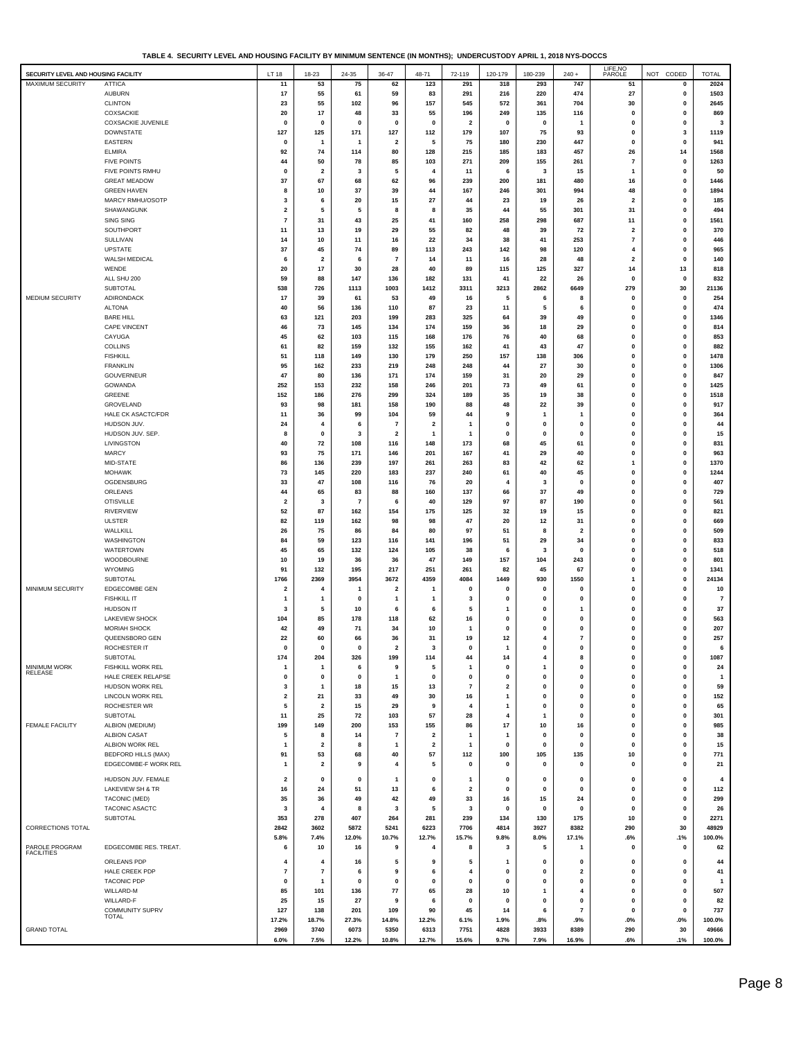|                                     | TABLE 4. SECURITY LEVEL AND HOUSING PACILITY BY MINIMUM SENTENCE (IN MUNTHS); UNDERCUSTUDY APRIL 1, 2010 NYS-DUCCS |                         |                         |                |                         |                         |                         |                         |                |                         |                         |                  |                |
|-------------------------------------|--------------------------------------------------------------------------------------------------------------------|-------------------------|-------------------------|----------------|-------------------------|-------------------------|-------------------------|-------------------------|----------------|-------------------------|-------------------------|------------------|----------------|
| SECURITY LEVEL AND HOUSING FACILITY |                                                                                                                    | LT 18                   | 18-23                   | 24-35          | 36-47                   | 48-71                   | 72-119                  | 120-179                 | 180-239        | $240 +$                 | LIFE, NO<br>PAROLE      | NOT CODED        | <b>TOTAL</b>   |
| MAXIMUM SECURITY                    | <b>ATTICA</b>                                                                                                      | 11                      | 53                      | 75             | 62                      | 123                     | 291                     | 318                     | 293            | 747                     | 51                      | 0                | 2024           |
|                                     |                                                                                                                    |                         |                         |                |                         |                         |                         |                         |                |                         |                         |                  |                |
|                                     | <b>AUBURN</b>                                                                                                      | 17                      | 55                      | 61             | 59                      | 83                      | 291                     | 216                     | 220            | 474                     | 27                      | $\pmb{0}$        | 1503           |
|                                     | <b>CLINTON</b>                                                                                                     | 23                      | 55                      | 102            | 96                      | 157                     | 545                     | 572                     | 361            | 704                     | 30                      | $\mathbf 0$      | 2645           |
|                                     | COXSACKIE                                                                                                          | 20                      | 17                      | 48             | 33                      | 55                      | 196                     | 249                     | 135            | 116                     | 0                       | $\mathbf 0$      | 869            |
|                                     | COXSACKIE JUVENILE                                                                                                 | $\pmb{0}$               | $\mathbf 0$             | $\mathbf{0}$   | $\mathbf{0}$            | $\mathbf 0$             | $\overline{\mathbf{2}}$ | $\mathbf 0$             | $\mathbf 0$    | -1                      | $\mathbf 0$             | $\mathbf 0$      | 3              |
|                                     | <b>DOWNSTATE</b>                                                                                                   | 127                     | 125                     | 171            | 127                     | 112                     | 179                     | 107                     | 75             | 93                      | $\mathbf 0$             | 3                | 1119           |
|                                     | <b>EASTERN</b>                                                                                                     | $\mathbf 0$             | $\mathbf{1}$            | 1              | $\overline{\mathbf{2}}$ | 5                       | 75                      | 180                     | 230            | 447                     | $\mathbf 0$             | 0                | 941            |
|                                     | <b>ELMIRA</b>                                                                                                      | 92                      | 74                      | 114            | 80                      | 128                     | 215                     | 185                     | 183            | 457                     | 26                      | 14               | 1568           |
|                                     | <b>FIVE POINTS</b>                                                                                                 | 44                      | 50                      | 78             | 85                      | 103                     | 271                     | 209                     | 155            | 261                     | $\overline{7}$          | $\mathbf 0$      | 1263           |
|                                     | FIVE POINTS RMHU                                                                                                   | $\mathbf 0$             | $\overline{\mathbf{2}}$ | 3              | 5                       | 4                       | 11                      | 6                       | 3              | 15                      | $\mathbf{1}$            | 0                | 50             |
|                                     | <b>GREAT MEADOW</b>                                                                                                | 37                      | 67                      | 68             | 62                      | 96                      | 239                     | 200                     | 181            | 480                     | 16                      | 0                | 1446           |
|                                     | <b>GREEN HAVEN</b>                                                                                                 | 8                       | 10                      | 37             | 39                      | 44                      | 167                     | 246                     | 301            | 994                     | 48                      | $\mathbf 0$      | 1894           |
|                                     |                                                                                                                    |                         |                         |                |                         |                         | 44                      |                         |                |                         |                         |                  | 185            |
|                                     | MARCY RMHU/OSOTP                                                                                                   | 3                       | 6                       | 20             | 15                      | 27                      |                         | 23                      | 19             | 26                      | $\overline{\mathbf{2}}$ | 0                |                |
|                                     | SHAWANGUNK                                                                                                         | 2                       | 5                       | 5              | 8                       | 8                       | 35                      | 44                      | 55             | 301                     | 31                      | 0                | 494            |
|                                     | SING SING                                                                                                          | $\overline{7}$          | 31                      | 43             | 25                      | 41                      | 160                     | 258                     | 298            | 687                     | 11                      | 0                | 1561           |
|                                     | <b>SOUTHPORT</b>                                                                                                   | 11                      | 13                      | 19             | 29                      | 55                      | 82                      | 48                      | 39             | 72                      | $\overline{\mathbf{2}}$ | 0                | 370            |
|                                     | SULLIVAN                                                                                                           | 14                      | 10                      | 11             | 16                      | 22                      | 34                      | 38                      | 41             | 253                     | $\overline{7}$          | $\mathbf 0$      | 446            |
|                                     | <b>UPSTATE</b>                                                                                                     | 37                      | 45                      | 74             | 89                      | 113                     | 243                     | 142                     | 98             | 120                     | 4                       | $\mathbf 0$      | 965            |
|                                     | WALSH MEDICAL                                                                                                      | 6                       | $\overline{\mathbf{2}}$ | 6              | $\overline{7}$          | 14                      | 11                      | 16                      | 28             | 48                      | $\overline{2}$          | $\mathbf 0$      | 140            |
|                                     | WENDE                                                                                                              | 20                      | 17                      | 30             | 28                      | 40                      | 89                      | 115                     | 125            | 327                     | 14                      | 13               | 818            |
|                                     | ALL SHU 200                                                                                                        | 59                      | 88                      | 147            | 136                     | 182                     | 131                     | 41                      | 22             | 26                      | $\mathbf 0$             | $\mathbf 0$      | 832            |
|                                     | <b>SUBTOTAL</b>                                                                                                    | 538                     | 726                     | 1113           | 1003                    | 1412                    | 3311                    | 3213                    | 2862           | 6649                    | 279                     | 30               | 21136          |
| <b>MEDIUM SECURITY</b>              | ADIRONDACK                                                                                                         | 17                      | 39                      | 61             | 53                      | 49                      | 16                      | 5                       | 6              | 8                       | $\mathbf 0$             | $\pmb{0}$        | 254            |
|                                     | <b>ALTONA</b>                                                                                                      | 40                      | 56                      | 136            | 110                     | 87                      | 23                      | 11                      | 5              | 6                       | $\mathbf{0}$            | 0                | 474            |
|                                     | <b>BARE HILL</b>                                                                                                   | 63                      | 121                     | 203            | 199                     | 283                     | 325                     | 64                      | 39             | 49                      | 0                       | $\mathbf 0$      | 1346           |
|                                     |                                                                                                                    |                         |                         |                |                         |                         |                         |                         |                |                         | 0                       | $\mathbf 0$      |                |
|                                     | CAPE VINCENT                                                                                                       | 46                      | 73                      | 145            | 134                     | 174                     | 159                     | 36                      | 18             | 29                      |                         |                  | 814            |
|                                     | CAYUGA                                                                                                             | 45                      | 62                      | 103            | 115                     | 168                     | 176                     | 76                      | 40             | 68                      | 0                       | 0                | 853            |
|                                     | <b>COLLINS</b>                                                                                                     | 61                      | 82                      | 159            | 132                     | 155                     | 162                     | 41                      | 43             | 47                      | 0                       | 0                | 882            |
|                                     | <b>FISHKILL</b>                                                                                                    | 51                      | 118                     | 149            | 130                     | 179                     | 250                     | 157                     | 138            | 306                     | 0                       | 0                | 1478           |
|                                     | <b>FRANKLIN</b>                                                                                                    | 95                      | 162                     | 233            | 219                     | 248                     | 248                     | 44                      | 27             | 30                      | 0                       | 0                | 1306           |
|                                     | GOUVERNEUR                                                                                                         | 47                      | 80                      | 136            | 171                     | 174                     | 159                     | 31                      | 20             | 29                      | 0                       | 0                | 847            |
|                                     | GOWANDA                                                                                                            | 252                     | 153                     | 232            | 158                     | 246                     | 201                     | 73                      | 49             | 61                      | 0                       | 0                | 1425           |
|                                     | GREENE                                                                                                             | 152                     | 186                     | 276            | 299                     | 324                     | 189                     | 35                      | 19             | 38                      | $\bf{0}$                | $\mathbf 0$      | 1518           |
|                                     | GROVELAND                                                                                                          | 93                      | 98                      | 181            | 158                     | 190                     | 88                      | 48                      | 22             | 39                      | 0                       | $\mathbf 0$      | 917            |
|                                     | HALE CK ASACTC/FDR                                                                                                 | 11                      | 36                      | 99             | 104                     | 59                      | 44                      | 9                       | $\mathbf{1}$   | $\mathbf{1}$            | 0                       | $\mathbf 0$      | 364            |
|                                     | HUDSON JUV.                                                                                                        | 24                      | 4                       | 6              | $\overline{7}$          | $\mathbf 2$             | -1                      | $\mathbf 0$             | $\mathbf 0$    | $\pmb{0}$               | 0                       | 0                | 44             |
|                                     | HUDSON JUV. SEP.                                                                                                   | 8                       | $\mathbf 0$             | 3              | $\overline{\mathbf{2}}$ | 1                       | -1                      | $\Omega$                | $\mathbf 0$    | $\mathbf 0$             | $\bf{0}$                | 0                | 15             |
|                                     | LIVINGSTON                                                                                                         | 40                      | 72                      | 108            | 116                     | 148                     | 173                     | 68                      | 45             | 61                      | $\bf{0}$                | 0                | 831            |
|                                     | <b>MARCY</b>                                                                                                       |                         |                         |                |                         |                         |                         |                         |                |                         | $\bf{0}$                |                  |                |
|                                     |                                                                                                                    | 93                      | 75                      | 171            | 146                     | 201                     | 167                     | 41                      | 29             | 40                      |                         | 0                | 963            |
|                                     | MID-STATE                                                                                                          | 86                      | 136                     | 239            | 197                     | 261                     | 263                     | 83                      | 42             | 62                      | 1                       | 0                | 1370           |
|                                     | <b>MOHAWK</b>                                                                                                      | 73                      | 145                     | 220            | 183                     | 237                     | 240                     | 61                      | 40             | 45                      | 0                       | 0                | 1244           |
|                                     | OGDENSBURG                                                                                                         | 33                      | 47                      | 108            | 116                     | 76                      | 20                      | 4                       | 3              | $\mathbf{0}$            | $\bf{0}$                | $\mathbf 0$      | 407            |
|                                     | ORLEANS                                                                                                            | 44                      | 65                      | 83             | 88                      | 160                     | 137                     | 66                      | 37             | 49                      | 0                       | 0                | 729            |
|                                     | <b>OTISVILLE</b>                                                                                                   | $\overline{2}$          | 3                       | $\overline{7}$ | 6                       | 40                      | 129                     | 97                      | 87             | 190                     | $\bf{0}$                | $\mathbf 0$      | 561            |
|                                     | <b>RIVERVIEW</b>                                                                                                   | 52                      | 87                      | 162            | 154                     | 175                     | 125                     | 32                      | 19             | 15                      | 0                       | 0                | 821            |
|                                     | <b>ULSTER</b>                                                                                                      | 82                      | 119                     | 162            | 98                      | 98                      | 47                      | 20                      | 12             | 31                      | 0                       | 0                | 669            |
|                                     | WALLKILL                                                                                                           | 26                      | 75                      | 86             | 84                      | 80                      | 97                      | 51                      | 8              | 2                       | 0                       | 0                | 509            |
|                                     | WASHINGTON                                                                                                         | 84                      | 59                      | 123            | 116                     | 141                     | 196                     | 51                      | 29             | 34                      | 0                       | 0                | 833            |
|                                     | <b>WATERTOWN</b>                                                                                                   | 45                      | 65                      | 132            | 124                     | 105                     | 38                      | 6                       | 3              | 0                       | 0                       | 0                | 518            |
|                                     | WOODBOURNE                                                                                                         | 10                      | 19                      | 36             | 36                      | 47                      | 149                     | 157                     | 104            | 243                     | $\bf{0}$                | $\mathbf 0$      |                |
|                                     |                                                                                                                    |                         |                         |                |                         |                         |                         |                         |                |                         |                         |                  | 801            |
|                                     | <b>WYOMING</b>                                                                                                     | 91                      | 132                     | 195            | 217                     | 251                     | 261                     | 82                      | 45             | 67                      | 0                       | 0                | 1341           |
|                                     | <b>SUBTOTAL</b>                                                                                                    | 1766                    | 2369                    | 3954           | 3672                    | 4359                    | 4084                    | 1449                    | 930            | 1550                    | 1                       | $\mathbf 0$      | 24134          |
| MINIMUM SECURITY                    | <b>EDGECOMBE GEN</b>                                                                                               | $\overline{\mathbf{2}}$ | $\overline{4}$          | $\mathbf{1}$   | $\overline{\mathbf{2}}$ | $\mathbf{1}$            | $\pmb{0}$               | $\mathbf 0$             | $\mathbf 0$    | 0                       | $\mathbf 0$             | $\pmb{0}$        | 10             |
|                                     | <b>FISHKILL IT</b>                                                                                                 | $\mathbf{1}$            | $\mathbf{1}$            | 0              | $\mathbf{1}$            | -1                      | $\overline{\mathbf{3}}$ | 0                       | $\mathbf 0$    | 0                       | $\bf{0}$                | 0                | $\overline{7}$ |
|                                     | <b>HUDSON IT</b>                                                                                                   | 3                       | 5                       | 10             | 6                       | 6                       | 5                       |                         | 0              | 1                       | $\bf{0}$                | $\mathbf 0$      | 37             |
|                                     | <b>LAKEVIEW SHOCK</b>                                                                                              | 104                     | 85                      | 178            | 118                     | 62                      | 16                      | 0                       | $\mathbf 0$    | $\mathbf{0}$            | $\bf{0}$                | 0                | 563            |
|                                     | <b>MORIAH SHOCK</b>                                                                                                | 42                      | 49                      | 71             | 34                      | 10                      | $\mathbf{1}$            | $\mathbf 0$             | $\mathbf 0$    | $\mathbf{0}$            | 0                       | $\mathbf 0$      | 207            |
|                                     | QUEENSBORO GEN                                                                                                     | 22                      | 60                      | 66             | 36                      | 31                      | 19                      | 12                      | $\overline{4}$ | $\overline{\mathbf{r}}$ | 0                       | 0                | 257            |
|                                     | <b>ROCHESTER IT</b>                                                                                                |                         | 0                       | 0              | $\overline{2}$          | 3                       | 0                       |                         | 0              | 0                       | 0                       | $\mathbf 0$      | 6              |
|                                     | SUBTOTAL                                                                                                           | 174                     | 204                     | 326            | 199                     | 114                     | 44                      | 14                      | 4              | 8                       | 0                       | $\pmb{0}$        | 1087           |
| <b>MINIMUM WORK</b>                 | FISHKILL WORK REL                                                                                                  | $\mathbf{1}$            | $\mathbf{1}$            | 6              | 9                       | 5                       | $\mathbf{1}$            | $\mathbf 0$             | $\mathbf{1}$   | $\pmb{0}$               | 0                       | 0                | 24             |
| RELEASE                             | HALE CREEK RELAPSE                                                                                                 | 0                       | 0                       | 0              | $\mathbf{1}$            | 0                       | 0                       | $\mathbf 0$             | 0              | $\pmb{0}$               | 0                       | $\pmb{0}$        | $\overline{1}$ |
|                                     | HUDSON WORK REL                                                                                                    | 3                       | $\mathbf{1}$            | 18             | 15                      | 13                      | $\overline{7}$          | $\overline{\mathbf{2}}$ | $\mathbf 0$    | 0                       | 0                       | 0                | 59             |
|                                     | LINCOLN WORK REL                                                                                                   |                         | 21                      |                |                         |                         |                         | 1                       | $\mathbf 0$    | $\pmb{0}$               | 0                       |                  | 152            |
|                                     | ROCHESTER WR                                                                                                       | 2                       |                         | 33<br>15       | 49<br>29                | 30<br>9                 | 16<br>$\overline{4}$    |                         | $\mathbf{0}$   | $\pmb{0}$               | 0                       | 0<br>$\mathbf 0$ |                |
|                                     |                                                                                                                    | 5                       | $\overline{\mathbf{2}}$ |                |                         |                         |                         | 1                       |                |                         |                         |                  | 65             |
|                                     | SUBTOTAL                                                                                                           | 11                      | 25                      | 72             | 103                     | 57                      | 28                      | 4                       | $\mathbf{1}$   | $\pmb{0}$               | 0                       | $\pmb{0}$        | 301            |
| FEMALE FACILITY                     | ALBION (MEDIUM)                                                                                                    | 199                     | 149                     | 200            | 153                     | 155                     | 86                      | 17                      | 10             | 16                      | $\mathbf 0$             | $\pmb{0}$        | 985            |
|                                     | <b>ALBION CASAT</b>                                                                                                | 5                       | 8                       | 14             | $\overline{7}$          | $\overline{\mathbf{2}}$ | -1                      | $\mathbf{1}$            | $\mathbf 0$    | $\pmb{0}$               | $\pmb{0}$               | $\pmb{0}$        | 38             |
|                                     | ALBION WORK REL                                                                                                    | $\mathbf{1}$            | $\overline{\mathbf{2}}$ | 8              | $\mathbf{1}$            | $\overline{\mathbf{2}}$ | $\mathbf{1}$            | 0                       | $\mathbf 0$    | 0                       | $\pmb{0}$               | 0                | 15             |
|                                     | <b>BEDFORD HILLS (MAX)</b>                                                                                         | 91                      | 53                      | 68             | 40                      | 57                      | 112                     | 100                     | 105            | 135                     | 10                      | $\pmb{0}$        | 771            |
|                                     | EDGECOMBE-F WORK REL                                                                                               | -1                      | $\overline{\mathbf{2}}$ | 9              | $\overline{4}$          | 5                       | $\pmb{0}$               | 0                       | $\mathbf 0$    | 0                       | $\pmb{0}$               | $\pmb{0}$        | 21             |
|                                     |                                                                                                                    |                         |                         |                |                         |                         |                         |                         |                |                         |                         |                  |                |
|                                     | HUDSON JUV. FEMALE                                                                                                 | 2                       | 0                       | 0              | $\mathbf{1}$            | 0                       | $\mathbf{1}$            | 0                       | 0              | 0                       | 0                       | 0                | 4              |
|                                     | <b>LAKEVIEW SH &amp; TR</b>                                                                                        | 16                      | 24                      | 51             | 13                      | 6                       | $\overline{\mathbf{2}}$ | $\mathbf 0$             | $\mathbf 0$    | 0                       | 0                       | 0                | 112            |
|                                     | TACONIC (MED)                                                                                                      | 35                      | 36                      | 49             | 42                      | 49                      | 33                      | 16                      | 15             | 24                      | 0                       | 0                | 299            |
|                                     | TACONIC ASACTC                                                                                                     | 3                       | $\overline{4}$          | 8              | 3                       | 5                       | 3                       | $\mathbf{0}$            | $\mathbf{0}$   | 0                       | $\pmb{0}$               | $\mathbf 0$      | 26             |
|                                     | SUBTOTAL                                                                                                           | 353                     | 278                     | 407            | 264                     | 281                     | 239                     | 134                     | 130            | 175                     | 10                      | $\mathbf 0$      | 2271           |
| CORRECTIONS TOTAL                   |                                                                                                                    | 2842                    | 3602                    | 5872           | 5241                    | 6223                    | 7706                    | 4814                    | 3927           | 8382                    | 290                     | 30               | 48929          |
|                                     |                                                                                                                    | 5.8%                    | 7.4%                    | 12.0%          | 10.7%                   | 12.7%                   | 15.7%                   | 9.8%                    | 8.0%           | 17.1%                   | .6%                     | .1%              | 100.0%         |
| PAROLE PROGRAM                      | EDGECOMBE RES. TREAT.                                                                                              | 6                       | 10                      | 16             | 9                       | $\overline{4}$          | 8                       | 3                       | 5              | $\mathbf{1}$            | $\pmb{0}$               | $\pmb{0}$        | 62             |
| <b>FACILITIES</b>                   |                                                                                                                    |                         |                         |                |                         |                         |                         |                         |                |                         |                         |                  |                |
|                                     | ORLEANS PDP                                                                                                        | 4                       | 4                       | 16             | 5                       | 9                       | 5                       | 1                       | $\mathbf 0$    | 0                       | 0                       | $\pmb{0}$        | 44             |
|                                     | HALE CREEK PDP                                                                                                     | $\scriptstyle\rm 7$     | $\overline{7}$          | 6              | 9                       | 6                       | 4                       | $\mathbf 0$             | $\mathbf 0$    | $\overline{\mathbf{2}}$ | $\mathbf 0$             | 0                | 41             |
|                                     | <b>TACONIC PDP</b>                                                                                                 | 0                       | $\mathbf{1}$            | $\mathbf 0$    | $\mathbf{0}$            | $\mathbf 0$             | $\mathbf 0$             | $\mathbf{0}$            | $\mathbf 0$    | 0                       | 0                       | 0                | $\mathbf{1}$   |
|                                     | WILLARD-M                                                                                                          | 85                      | 101                     | 136            | 77                      | 65                      | 28                      | 10                      | $\mathbf{1}$   | 4                       | 0                       | 0                | 507            |
|                                     | WILLARD-F                                                                                                          | 25                      | 15                      | 27             | 9                       | 6                       | $\mathbf 0$             | $\mathbf 0$             | $\mathbf 0$    | $\pmb{0}$               | 0                       | 0                | 82             |
|                                     | <b>COMMUNITY SUPRV</b>                                                                                             | 127                     | 138                     | 201            | 109                     | 90                      | 45                      | 14                      | 6              | $\bf 7$                 | $\mathbf 0$             | $\mathbf 0$      | 737            |
|                                     | <b>TOTAL</b>                                                                                                       | 17.2%                   | 18.7%                   | 27.3%          | 14.8%                   | 12.2%                   | 6.1%                    | 1.9%                    | .8%            | .9%                     | .0%                     | .0%              | 100.0%         |
| <b>GRAND TOTAL</b>                  |                                                                                                                    | 2969                    | 3740                    | 6073           | 5350                    | 6313                    | 7751                    | 4828                    | 3933           | 8389                    | 290                     | 30               | 49666          |
|                                     |                                                                                                                    | 6.0%                    | 7.5%                    | 12.2%          | 10.8%                   | 12.7%                   | 15.6%                   | 9.7%                    | 7.9%           | 16.9%                   | .6%                     | .1%              | 100.0%         |
|                                     |                                                                                                                    |                         |                         |                |                         |                         |                         |                         |                |                         |                         |                  |                |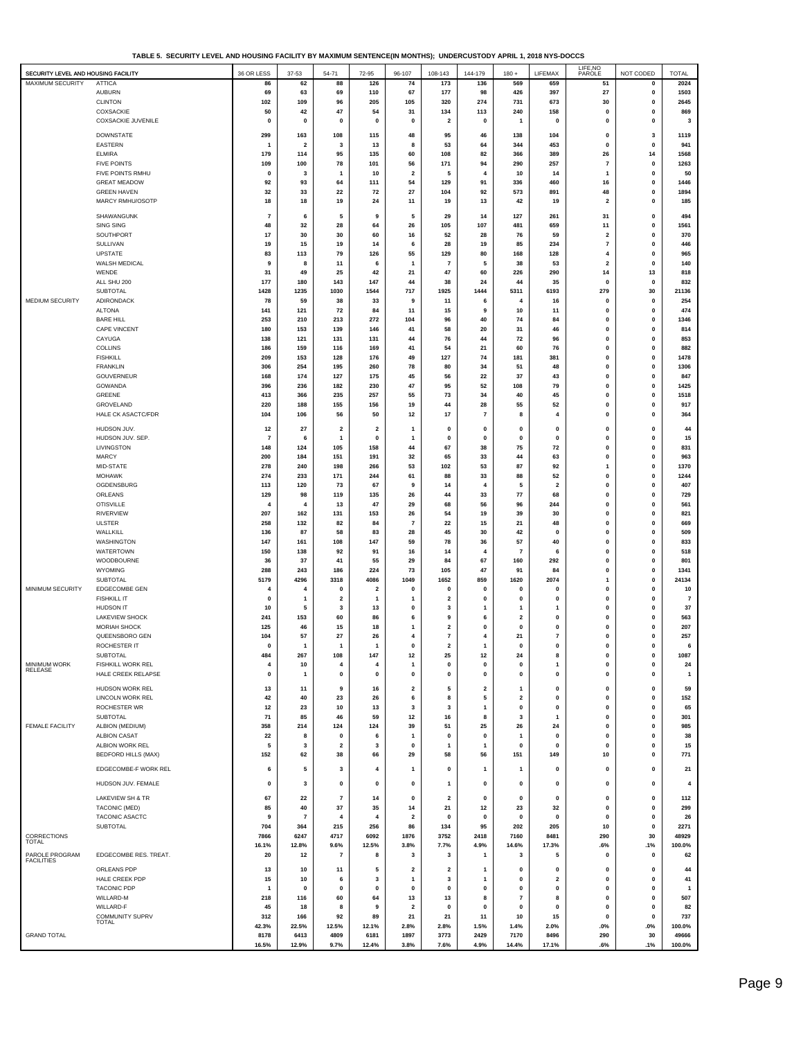| TABLE 5. SECURITY LEVEL AND HOUSING FACILITY BY MAXIMUM SENTENCE(IN MONTHS): UNDERCUSTODY APRIL 1. 2018 NYS-DOCCS |  |
|-------------------------------------------------------------------------------------------------------------------|--|
|                                                                                                                   |  |

| SECURITY LEVEL AND HOUSING FACILITY |                                  | 36 OR LESS             | $37 - 53$               | 54-71                   | 72-95                         | 96-107                  | 108-143                 | 144-179            | $180 +$                 | LIFEMAX                 | LIFE, NO<br>PAROLE           | NOT CODED                 | <b>TOTAL</b>         |
|-------------------------------------|----------------------------------|------------------------|-------------------------|-------------------------|-------------------------------|-------------------------|-------------------------|--------------------|-------------------------|-------------------------|------------------------------|---------------------------|----------------------|
| MAXIMUM SECURITY                    | <b>ATTICA</b>                    | 86                     | 62                      | 88                      | 126                           | 74                      | 173                     | 136                | 569                     | 659                     | 51                           | $\mathbf 0$               | 2024                 |
|                                     | <b>AUBURN</b>                    | 69                     | 63                      | 69                      | 110                           | 67                      | 177                     | 98                 | 426                     | 397                     | 27                           | $\mathbf 0$               | 1503                 |
|                                     | <b>CLINTON</b>                   | 102                    | 109                     | 96                      | 205                           | 105                     | 320                     | 274                | 731                     | 673                     | 30                           | 0                         | 2645                 |
|                                     | COXSACKIE                        | 50                     | 42                      | 47                      | 54                            | 31                      | 134                     | 113                | 240                     | 158                     | 0                            | 0                         | 869                  |
|                                     | <b>COXSACKIE JUVENILE</b>        | $\mathbf 0$            | 0                       | $\mathbf 0$             | $\mathbf 0$                   | $\mathbf 0$             | $\overline{\mathbf{2}}$ | $\mathbf 0$        | -1                      | $\mathbf{0}$            | 0                            | $\mathbf 0$               | 3                    |
|                                     | <b>DOWNSTATE</b>                 | 299                    | 163                     | 108                     | 115                           | 48                      | 95                      | 46                 | 138                     | 104                     | 0                            | 3                         | 1119                 |
|                                     | EASTERN                          | -1                     | $\overline{\mathbf{2}}$ | 3                       | 13                            | 8                       | 53                      | 64                 | 344                     | 453                     | 0                            | 0                         | 941                  |
|                                     | <b>ELMIRA</b>                    | 179                    | 114                     | 95                      | 135                           | 60                      | 108                     | 82                 | 366                     | 389                     | 26                           | 14                        | 1568                 |
|                                     | <b>FIVE POINTS</b>               | 109                    | 100                     | 78                      | 101                           | 56                      | 171                     | 94                 | 290                     | 257                     | $\overline{7}$               | $\mathbf 0$               | 1263                 |
|                                     | FIVE POINTS RMHU                 | $\mathbf 0$            | 3                       | -1                      | 10                            | $\overline{\mathbf{2}}$ | 5                       | 4                  | 10                      | 14                      | 1                            | 0                         | 50                   |
|                                     | <b>GREAT MEADOW</b>              | 92                     | 93                      | 64                      | 111                           | 54                      | 129                     | 91                 | 336                     | 460                     | 16                           | $\pmb{0}$                 | 1446                 |
|                                     | <b>GREEN HAVEN</b>               | 32                     | 33                      | 22                      | 72                            | 27                      | 104                     | 92                 | 573                     | 891                     | 48                           | 0                         | 1894                 |
|                                     | MARCY RMHU/OSOTP                 | 18                     | 18                      | 19                      | 24                            | 11                      | 19                      | 13                 | 42                      | 19                      | $\overline{\mathbf{2}}$      | $\mathbf 0$               | 185                  |
|                                     | SHAWANGUNK                       | $\overline{7}$         | 6                       | 5                       | 9                             | 5                       | 29                      | 14                 | 127                     | 261                     | 31                           | 0                         | 494                  |
|                                     | <b>SING SING</b>                 | 48                     | 32                      | 28                      | 64                            | 26                      | 105                     | 107                | 481                     | 659                     | 11                           | 0                         | 1561                 |
|                                     | SOUTHPORT                        | 17                     | 30                      | 30                      | 60                            | 16                      | 52                      | 28                 | 76                      | 59                      | $\overline{\mathbf{2}}$      | $\mathbf 0$               | 370                  |
|                                     | <b>SULLIVAN</b>                  | 19                     | 15                      | 19                      | 14                            | 6                       | 28                      | 19                 | 85                      | 234                     | $\overline{\mathbf{r}}$      | $\pmb{0}$                 | 446                  |
|                                     | <b>UPSTATE</b>                   | 83                     | 113                     | 79                      | 126                           | 55                      | 129                     | 80                 | 168                     | 128                     | 4                            | $\pmb{0}$                 | 965                  |
|                                     | WALSH MEDICAL                    | 9                      | 8                       | 11                      | 6                             | $\mathbf{1}$            | $\overline{7}$          | 5                  | 38                      | 53                      | 2                            | 0                         | 140                  |
|                                     | WENDE                            | 31                     | 49                      | 25                      | 42                            | 21                      | 47                      | 60                 | 226                     | 290                     | 14                           | 13                        | 818                  |
|                                     | ALL SHU 200                      | 177                    | 180                     | 143                     | 147                           | 44                      | 38                      | 24                 | 44                      | 35                      | $\mathbf{0}$                 | $\mathbf{0}$              | 832                  |
|                                     | <b>SUBTOTAL</b>                  | 1428                   | 1235                    | 1030                    | 1544                          | 717                     | 1925                    | 1444               | 5311                    | 6193                    | 279                          | 30                        | 21136                |
| MEDIUM SECURITY                     | ADIRONDACK                       | 78                     | 59                      | 38                      | 33                            | 9                       | 11                      | 6                  | 4                       | 16                      | 0                            | $\pmb{0}$                 | 254                  |
|                                     | <b>ALTONA</b>                    | 141                    | 121                     | 72                      | 84                            | 11                      | 15                      | 9                  | 10                      | 11                      | 0                            | 0                         | 474                  |
|                                     | <b>BARE HILL</b>                 | 253                    | 210                     | 213                     | 272                           | 104                     | 96                      | 40                 | 74                      | 84                      | 0                            | 0                         | 1346                 |
|                                     | CAPE VINCENT<br>CAYUGA           | 180<br>138             | 153<br>121              | 139<br>131              | 146<br>131                    | 41<br>44                | 58<br>76                | 20<br>44           | 31<br>72                | 46<br>96                | $\mathbf{0}$<br>$\mathbf{0}$ | $\mathbf{0}$<br>$\pmb{0}$ | 814<br>853           |
|                                     | <b>COLLINS</b>                   | 186                    | 159                     | 116                     | 169                           | 41                      | 54                      | 21                 | 60                      | 76                      | 0                            | $\pmb{0}$                 | 882                  |
|                                     | <b>FISHKILL</b>                  | 209                    | 153                     | 128                     | 176                           | 49                      | 127                     | 74                 | 181                     | 381                     | 0                            | 0                         | 1478                 |
|                                     | <b>FRANKLIN</b>                  | 306                    | 254                     | 195                     | 260                           | 78                      | 80                      | 34                 | 51                      | 48                      | $\mathbf{0}$                 | 0                         | 1306                 |
|                                     | GOUVERNEUR                       | 168                    | 174                     | 127                     | 175                           | 45                      | 56                      | 22                 | 37                      | 43                      | $\mathbf{0}$                 | $\mathbf{0}$              | 847                  |
|                                     | GOWANDA                          | 396                    | 236                     | 182                     | 230                           | 47                      | 95                      | 52                 | 108                     | 79                      | $\mathbf{0}$                 | $\pmb{0}$                 | 1425                 |
|                                     | GREENE                           | 413                    | 366                     | 235                     | 257                           | 55                      | 73                      | 34                 | 40                      | 45                      | 0                            | $\pmb{0}$                 | 1518                 |
|                                     | GROVELAND                        | 220                    | 188                     | 155                     | 156                           | 19                      | 44                      | 28                 | 55                      | 52                      | 0                            | 0                         | 917                  |
|                                     | <b>HALE CK ASACTC/FDR</b>        | 104                    | 106                     | 56                      | 50                            | 12                      | 17                      | $\overline{7}$     | 8                       | 4                       | $\mathbf{0}$                 | $\mathbf{0}$              | 364                  |
|                                     | HUDSON JUV.                      | 12                     | 27                      | $\overline{\mathbf{2}}$ | $\overline{2}$                | $\mathbf{1}$            | $\mathbf{0}$            | $\mathbf 0$        | 0                       | 0                       | 0                            | 0                         | 44                   |
|                                     | HUDSON JUV. SEP.                 | 7                      | 6                       | 1                       | $\mathbf 0$                   |                         | 0                       | $\mathbf 0$        | 0                       | $\mathbf 0$             | 0                            | 0                         | 15                   |
|                                     | LIVINGSTON                       | 148                    | 124                     | 105                     | 158                           | 44                      | 67                      | 38                 | 75                      | 72                      | $\mathbf{0}$                 | $\mathbf{0}$              | 831                  |
|                                     | <b>MARCY</b>                     | 200                    | 184                     | 151                     | 191                           | 32                      | 65                      | 33                 | 44                      | 63                      | $\mathbf{0}$                 | $\pmb{0}$                 | 963                  |
|                                     | MID-STATE                        | 278                    | 240                     | 198                     | 266                           | 53                      | 102                     | 53                 | 87                      | 92                      | 1                            | $\pmb{0}$                 | 1370                 |
|                                     | <b>MOHAWK</b>                    | 274                    | 233                     | 171                     | 244                           | 61                      | 88                      | 33                 | 88                      | 52                      | 0                            | 0                         | 1244                 |
|                                     | OGDENSBURG                       | 113                    | 120                     | 73                      | 67                            | 9                       | 14                      | $\overline{4}$     | 5                       | $\overline{\mathbf{2}}$ | 0                            | 0                         | 407                  |
|                                     | ORLEANS                          | 129                    | 98                      | 119                     | 135                           | 26                      | 44                      | 33                 | 77                      | 68                      | $\mathbf{0}$                 | $\mathbf{0}$              | 729                  |
|                                     | <b>OTISVILLE</b>                 | 4                      | 4                       | 13                      | 47                            | 29                      | 68                      | 56                 | 96                      | 244                     | $\mathbf{0}$                 | $\pmb{0}$                 | 561                  |
|                                     | RIVERVIEW                        | 207                    | 162                     | 131                     | 153                           | 26                      | 54                      | 19                 | 39                      | 30                      | 0                            | $\pmb{0}$                 | 821                  |
|                                     | ULSTER                           | 258                    | 132                     | 82                      | 84                            | $\overline{7}$          | 22                      | 15                 | 21                      | 48                      | 0                            | $\mathbf 0$               | 669                  |
|                                     | WALLKILL                         | 136                    | 87                      | 58                      | 83                            | 28                      | 45                      | 30                 | 42                      | 0                       | 0                            | 0                         | 509                  |
|                                     | WASHINGTON                       | 147                    | 161                     | 108                     | 147                           | 59                      | 78                      | 36                 | 57                      | 40                      | $\mathbf{0}$                 | $\mathbf{0}$              | 833                  |
|                                     | WATERTOWN                        | 150                    | 138                     | 92                      | 91                            | 16                      | 14                      | $\overline{4}$     | $\overline{7}$          | 6                       | $\mathbf{0}$                 | $\pmb{0}$                 | 518                  |
|                                     | WOODBOURNE                       | 36                     | 37                      | 41                      | 55                            | 29                      | 84                      | 67                 | 160                     | 292                     | 0                            | $\pmb{0}$                 | 801                  |
|                                     | WYOMING                          | 288                    | 243                     | 186                     | 224                           | 73                      | 105                     | 47                 | 91                      | 84                      | 0                            | 0                         | 1341                 |
| MINIMUM SECURITY                    | SUBTOTAL<br><b>EDGECOMBE GEN</b> | 5179<br>$\overline{4}$ | 4296<br>4               | 3318                    | 4086                          | 1049<br>$\mathbf 0$     | 1652<br>$\mathbf{0}$    | 859<br>$\mathbf 0$ | 1620<br>o               | 2074<br>$\Omega$        | 1<br>$\mathbf{0}$            | 0<br>$\pmb{0}$            | 24134                |
|                                     | <b>FISHKILL IT</b>               | $\mathbf 0$            | 1                       | 0<br>$\mathbf{2}$       | $\overline{\mathbf{2}}$<br>-1 |                         | 2                       | 0                  | 0                       | 0                       | $\mathbf{0}$                 | $\pmb{0}$                 | 10<br>$\overline{7}$ |
|                                     | <b>HUDSON IT</b>                 | 10                     | 5                       | 3                       | 13                            | 0                       | 3                       | 1                  |                         |                         | 0                            | $\mathbf 0$               | 37                   |
|                                     | <b>LAKEVIEW SHOCK</b>            | 241                    | 153                     | 60                      | 86                            | 6                       | 9                       | 6                  | $\overline{a}$          | 0                       | 0                            | $\mathbf 0$               | 563                  |
|                                     | <b>MORIAH SHOCK</b>              | 125                    | 46                      | 15                      | 18                            |                         | $\overline{2}$          | $\mathbf 0$        | 0                       | 0                       | 0                            | 0                         | 207                  |
|                                     | QUEENSBORO GEN                   | 104                    | 57                      | 27                      | 26                            | 4                       | $\overline{7}$          | 4                  | 21                      | 7                       | $\Omega$                     | $\mathbf 0$               | 257                  |
|                                     | ROCHESTER IT                     |                        |                         |                         |                               |                         |                         |                    |                         |                         |                              |                           | 6                    |
|                                     | <b>SUBTOTAL</b>                  | 484                    | 267                     | 108                     | 147                           | 12                      | 25                      | 12                 | 24                      | 8                       | 0                            | $\pmb{0}$                 | 1087                 |
| MINIMUM WORK                        | FISHKILL WORK REL                | 4                      | 10                      | 4                       | 4                             | $\mathbf{1}$            | $\mathbf{0}$            | $\mathbf 0$        | 0                       | 1                       | 0                            | $\pmb{0}$                 | 24                   |
| RELEASE                             | HALE CREEK RELAPSE               | 0                      | 1                       | 0                       | 0                             | 0                       | $\mathbf{0}$            | 0                  | 0                       | 0                       | 0                            | 0                         | $\mathbf{1}$         |
|                                     | HUDSON WORK REL                  | 13                     | 11                      | 9                       | 16                            | $\overline{\mathbf{2}}$ | 5                       | $\overline{2}$     | 1                       | 0                       | 0                            | $\pmb{0}$                 | 59                   |
|                                     | <b>LINCOLN WORK REL</b>          | 42                     | 40                      | 23                      | 26                            | 6                       | 8                       | 5                  | $\overline{\mathbf{2}}$ | $\mathbf 0$             | 0                            | 0                         | 152                  |
|                                     | ROCHESTER WR                     | 12                     | 23                      | 10                      | 13                            | 3                       | 3                       | $\mathbf{1}$       | $\mathbf 0$             | 0                       | 0                            | 0                         | 65                   |
|                                     | SUBTOTAL                         | 71                     | 85                      | 46                      | 59                            | 12                      | 16                      | 8                  | 3                       | 1                       | $\mathbf{0}$                 | $\pmb{0}$                 | 301                  |
| <b>FEMALE FACILITY</b>              | ALBION (MEDIUM)                  | 358                    | 214                     | 124                     | 124                           | 39                      | 51                      | 25                 | 26                      | 24                      | 0                            | $\pmb{0}$                 | 985                  |
|                                     | ALBION CASAT                     | 22                     | 8                       | $\mathbf 0$             | 6                             | $\mathbf{1}$            | $\mathbf{0}$            | $\mathbf 0$        | $\overline{1}$          | 0                       | 0                            | $\pmb{0}$                 | 38                   |
|                                     | ALBION WORK REL                  | 5                      | 3                       | $\overline{\mathbf{2}}$ | 3                             | $\mathbf 0$             | 1                       | 1                  | 0                       | 0                       | 0                            | 0                         | 15                   |
|                                     | <b>BEDFORD HILLS (MAX)</b>       | 152                    | 62                      | 38                      | 66                            | 29                      | 58                      | 56                 | 151                     | 149                     | 10                           | 0                         | 771                  |
|                                     | EDGECOMBE-F WORK REL             | 6                      | 5                       | $\mathbf 3$             | 4                             | $\mathbf{1}$            | 0                       | 1                  | 1                       | 0                       | 0                            | $\pmb{0}$                 | 21                   |
|                                     |                                  |                        |                         |                         |                               |                         |                         |                    |                         |                         |                              |                           |                      |
|                                     | HUDSON JUV. FEMALE               | 0                      | 3                       | 0                       | $\mathbf 0$                   | $\mathbf 0$             | $\mathbf{1}$            | $\mathbf 0$        | 0                       | 0                       | 0                            | $\mathbf 0$               | 4                    |
|                                     | LAKEVIEW SH & TR                 | 67                     | 22                      | 7                       | 14                            | $\mathbf 0$             | $\overline{\mathbf{2}}$ | $\mathbf 0$        | $\mathbf 0$             | 0                       | 0                            | 0                         | 112                  |
|                                     | TACONIC (MED)                    | 85                     | 40                      | 37                      | 35                            | 14                      | 21                      | 12                 | 23                      | 32                      | 0                            | 0                         | 299                  |
|                                     | TACONIC ASACTC                   | 9                      | -7                      | 4                       | 4                             | $\overline{\mathbf{2}}$ | $\mathbf{0}$            | 0                  | $\Omega$                | $\mathbf 0$             | $\Omega$                     | $\mathbf{0}$              | 26                   |
|                                     | <b>SUBTOTAL</b>                  | 704                    | 364                     | 215                     | 256                           | 86                      | 134                     | 95                 | 202                     | 205                     | 10                           | $\pmb{0}$                 | 2271                 |
| CORRECTIONS                         |                                  | 7866                   | 6247                    | 4717                    | 6092                          | 1876                    | 3752                    | 2418               | 7160                    | 8481                    | 290                          | 30                        | 48929                |
| <b>TOTAL</b>                        |                                  | 16.1%                  | 12.8%                   | 9.6%                    | 12.5%                         | 3.8%                    | 7.7%                    | 4.9%               | 14.6%                   | 17.3%                   | .6%                          | .1%                       | 100.0%               |
| PAROLE PROGRAM<br><b>FACILITIES</b> | EDGECOMBE RES. TREAT.            | 20                     | $12$                    | $\overline{7}$          | 8                             | 3                       | 3                       | 1                  | 3                       | 5                       | $\mathbf 0$                  | $\mathbf{0}$              | 62                   |
|                                     | ORLEANS PDP                      | 13                     | 10                      | 11                      | 5                             | $\overline{\mathbf{2}}$ | $\overline{2}$          | $\mathbf{1}$       | 0                       | 0                       | 0                            | 0                         | 44                   |
|                                     | HALE CREEK PDP                   | 15                     | 10                      | 6                       | 3                             | $\mathbf{1}$            | 3                       | 1                  | 0                       | $\overline{\mathbf{2}}$ | 0                            | 0                         | 41                   |
|                                     | <b>TACONIC PDP</b>               | -1                     | $\mathbf 0$             | 0                       | $\mathbf 0$                   | $\mathbf 0$             | $\Omega$                | $\Omega$           | $\Omega$                | $\Omega$                | 0                            | $\mathbf{0}$              | $\overline{1}$       |
|                                     | WILLARD-M                        | 218                    | 116                     | 60                      | 64                            | 13                      | 13                      | 8                  | $\overline{7}$          | 8                       | $\mathbf{0}$                 | $\pmb{0}$                 | 507                  |
|                                     | WILLARD-F                        | 45                     | 18                      | 8                       | 9                             | $\overline{\mathbf{2}}$ | $\mathbf{0}$            | $\pmb{0}$          | $\mathbf 0$             | $\mathbf 0$             | 0                            | $\pmb{0}$                 | 82                   |
|                                     | COMMUNITY SUPRV                  | 312                    | 166                     | 92                      | 89                            | 21                      | 21                      | 11                 | 10                      | 15                      | 0                            | $\mathbf{0}$              | 737                  |
|                                     | <b>TOTAL</b>                     | 42.3%                  | 22.5%                   | 12.5%                   | 12.1%                         | 2.8%                    | 2.8%                    | 1.5%               | 1.4%                    | 2.0%                    | $.0\%$                       | $.0\%$                    | 100.0%               |
| <b>GRAND TOTAL</b>                  |                                  | 8178                   | 6413                    | 4809                    | 6181                          | 1897                    | 3773                    | 2429               | 7170                    | 8496                    | 290                          | 30                        | 49666                |
|                                     |                                  | 16.5%                  | 12.9%                   | 9.7%                    | 12.4%                         | 3.8%                    | 7.6%                    | 4.9%               | 14.4%                   | 17.1%                   | .6%                          | .1%                       | 100.0%               |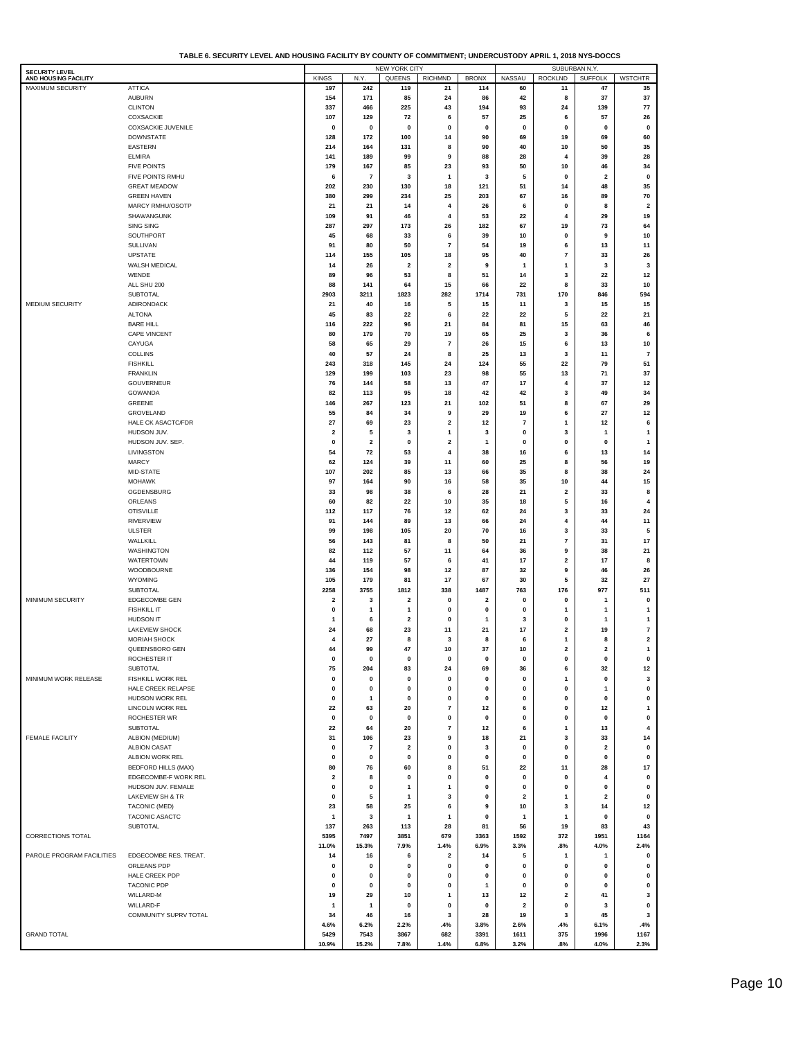**TABLE 6. SECURITY LEVEL AND HOUSING FACILITY BY COUNTY OF COMMITMENT; UNDERCUSTODY APRIL 1, 2018 NYS-DOCCS**

|                                               |                            |                         |                         | <b>NEW YORK CITY</b>    |                     |              |                         |                          | SUBURBAN N.Y.           |                         |
|-----------------------------------------------|----------------------------|-------------------------|-------------------------|-------------------------|---------------------|--------------|-------------------------|--------------------------|-------------------------|-------------------------|
| <b>SECURITY LEVEL</b><br>AND HOUSING FACILITY |                            | <b>KINGS</b>            | N.Y.                    | QUEENS                  | <b>RICHMND</b>      | <b>BRONX</b> | <b>NASSAU</b>           | <b>ROCKLND</b>           | <b>SUFFOLK</b>          | <b>WSTCHTR</b>          |
| <b>MAXIMUM SECURITY</b>                       | <b>ATTICA</b>              | 197                     | 242                     | 119                     | 21                  | 114          | 60                      | 11                       | 47                      | 35                      |
|                                               | <b>AUBURN</b>              | 154                     | 171                     | 85                      | 24                  | 86           | 42                      | 8                        | 37                      | 37                      |
|                                               | <b>CLINTON</b>             | 337                     | 466                     | 225                     | 43                  | 194          | 93                      | 24                       | 139                     | 77                      |
|                                               | <b>COXSACKIE</b>           | 107                     | 129                     | 72                      | 6                   | 57           | 25                      | 6                        | 57                      | 26                      |
|                                               |                            |                         |                         |                         |                     |              |                         |                          |                         |                         |
|                                               | <b>COXSACKIE JUVENILE</b>  | 0                       | $\mathbf 0$             | $\pmb{0}$               | $\pmb{0}$           | $\mathbf 0$  | $\mathbf 0$             | $\pmb{0}$                | $\pmb{0}$               | $\mathbf 0$             |
|                                               | <b>DOWNSTATE</b>           | 128                     | 172                     | 100                     | 14                  | 90           | 69                      | 19                       | 69                      | 60                      |
|                                               | <b>EASTERN</b>             | 214                     | 164                     | 131                     | 8                   | 90           | 40                      | 10                       | 50                      | 35                      |
|                                               | <b>ELMIRA</b>              | 141                     | 189                     | 99                      | 9                   | 88           | 28                      | 4                        | 39                      | 28                      |
|                                               | <b>FIVE POINTS</b>         | 179                     | 167                     | 85                      | 23                  | 93           | 50                      | 10                       | 46                      | 34                      |
|                                               | FIVE POINTS RMHU           | 6                       | $\overline{7}$          | 3                       | $\mathbf{1}$        | 3            | 5                       | 0                        | $\overline{\mathbf{2}}$ | $\pmb{0}$               |
|                                               | <b>GREAT MEADOW</b>        | 202                     | 230                     | 130                     | 18                  | 121          | 51                      | 14                       | 48                      | 35                      |
|                                               | <b>GREEN HAVEN</b>         | 380                     | 299                     | 234                     | 25                  | 203          | 67                      | 16                       | 89                      | 70                      |
|                                               | MARCY RMHU/OSOTP           | 21                      | 21                      | 14                      | 4                   | 26           | 6                       | $\mathbf 0$              | 8                       | $\overline{\mathbf{2}}$ |
|                                               | SHAWANGUNK                 | 109                     | 91                      | 46                      | 4                   | 53           | 22                      | 4                        | 29                      | 19                      |
|                                               | <b>SING SING</b>           | 287                     | 297                     | 173                     | 26                  | 182          | 67                      | 19                       | 73                      | 64                      |
|                                               | SOUTHPORT                  | 45                      | 68                      | 33                      | 6                   | 39           | 10                      | $\mathbf 0$              | 9                       | 10                      |
|                                               | SULLIVAN                   | 91                      | 80                      | 50                      | $\overline{7}$      | 54           | 19                      | 6                        | 13                      | 11                      |
|                                               | <b>UPSTATE</b>             | 114                     | 155                     | 105                     | 18                  | 95           | 40                      | $\overline{\phantom{a}}$ | 33                      | 26                      |
|                                               | WALSH MEDICAL              |                         |                         |                         |                     | 9            |                         |                          | 3                       |                         |
|                                               |                            | 14                      | 26                      | $\overline{\mathbf{2}}$ | 2                   |              | -1                      | -1                       |                         | 3                       |
|                                               | WENDE                      | 89                      | 96                      | 53                      | 8                   | 51           | 14                      | 3                        | 22                      | 12                      |
|                                               | ALL SHU 200                | 88                      | 141                     | 64                      | 15                  | 66           | 22                      | 8                        | 33                      | 10                      |
|                                               | <b>SUBTOTAL</b>            | 2903                    | 3211                    | 1823                    | 282                 | 1714         | 731                     | 170                      | 846                     | 594                     |
| MEDIUM SECURITY                               | ADIRONDACK                 | 21                      | 40                      | 16                      | 5                   | 15           | 11                      | 3                        | 15                      | 15                      |
|                                               | <b>ALTONA</b>              | 45                      | 83                      | 22                      | 6                   | 22           | 22                      | 5                        | 22                      | 21                      |
|                                               | <b>BARE HILL</b>           | 116                     | 222                     | 96                      | 21                  | 84           | 81                      | 15                       | 63                      | 46                      |
|                                               | CAPE VINCENT               | 80                      | 179                     | 70                      | 19                  | 65           | 25                      | 3                        | 36                      | 6                       |
|                                               | CAYUGA                     | 58                      | 65                      | 29                      | 7                   | 26           | 15                      | 6                        | 13                      | 10                      |
|                                               | <b>COLLINS</b>             | 40                      | 57                      | 24                      | 8                   | 25           | 13                      | 3                        | 11                      | $\overline{7}$          |
|                                               | <b>FISHKILL</b>            | 243                     | 318                     | 145                     | 24                  | 124          | 55                      | 22                       | 79                      | 51                      |
|                                               | <b>FRANKLIN</b>            | 129                     | 199                     | 103                     | 23                  | 98           | 55                      | 13                       | 71                      | 37                      |
|                                               | <b>GOUVERNEUR</b>          | 76                      | 144                     | 58                      | 13                  | 47           | 17                      | 4                        | 37                      | 12                      |
|                                               | GOWANDA                    | 82                      | 113                     | 95                      | 18                  | 42           | 42                      | 3                        | 49                      | 34                      |
|                                               | GREENE                     | 146                     | 267                     |                         |                     |              |                         | 8                        | 67                      |                         |
|                                               |                            |                         |                         | 123                     | 21                  | 102          | 51                      |                          |                         | 29                      |
|                                               | GROVELAND                  | 55                      | 84                      | 34                      | 9                   | 29           | 19                      | 6                        | 27                      | 12                      |
|                                               | HALE CK ASACTC/FDR         | 27                      | 69                      | 23                      | 2                   | 12           | $\overline{7}$          | $\mathbf{1}$             | 12                      | 6                       |
|                                               | HUDSON JUV.                | 2                       | 5                       | 3                       | 1                   | 3            | 0                       | 3                        | 1                       | $\mathbf{1}$            |
|                                               | HUDSON JUV. SEP.           | 0                       | $\overline{\mathbf{2}}$ | $\mathbf 0$             | $\mathbf 2$         | 1            | 0                       | $\mathbf{0}$             | $\mathbf 0$             | $\mathbf{1}$            |
|                                               | LIVINGSTON                 | 54                      | 72                      | 53                      | 4                   | 38           | 16                      | 6                        | 13                      | 14                      |
|                                               | <b>MARCY</b>               | 62                      | 124                     | 39                      | 11                  | 60           | 25                      | 8                        | 56                      | 19                      |
|                                               | MID-STATE                  | 107                     | 202                     | 85                      | 13                  | 66           | 35                      | 8                        | 38                      | 24                      |
|                                               | <b>MOHAWK</b>              | 97                      | 164                     | 90                      | 16                  | 58           | 35                      | 10                       | 44                      | 15                      |
|                                               | OGDENSBURG                 | 33                      | 98                      | 38                      | 6                   | 28           | 21                      | $\overline{\mathbf{2}}$  | 33                      | 8                       |
|                                               | ORLEANS                    | 60                      | 82                      | 22                      | 10                  | 35           | 18                      | 5                        | 16                      | $\overline{4}$          |
|                                               | <b>OTISVILLE</b>           | 112                     | 117                     | 76                      | 12                  | 62           | 24                      | 3                        | 33                      | 24                      |
|                                               | <b>RIVERVIEW</b>           | 91                      | 144                     | 89                      | 13                  | 66           | 24                      | 4                        | 44                      | 11                      |
|                                               | <b>ULSTER</b>              | 99                      | 198                     | 105                     |                     | 70           |                         | 3                        | 33                      |                         |
|                                               |                            |                         |                         |                         | 20                  |              | 16                      |                          |                         | 5                       |
|                                               | WALLKILI                   | 56                      | 143                     | 81                      | 8                   | 50           | 21                      | $\overline{\mathbf{r}}$  | 31                      | 17                      |
|                                               | WASHINGTON                 | 82                      | 112                     | 57                      | 11                  | 64           | 36                      | 9                        | 38                      | 21                      |
|                                               | <b>WATERTOWN</b>           | 44                      | 119                     | 57                      | 6                   | 41           | 17                      | 2                        | 17                      | 8                       |
|                                               | WOODBOURNE                 | 136                     | 154                     | 98                      | 12                  | 87           | 32                      | 9                        | 46                      | 26                      |
|                                               | WYOMING                    | 105                     | 179                     | 81                      | 17                  | 67           | 30                      | 5                        | 32                      | 27                      |
|                                               | <b>SUBTOTAL</b>            | 2258                    | 3755                    | 1812                    | 338                 | 1487         | 763                     | 176                      | 977                     | 511                     |
| <b>MINIMUM SECURITY</b>                       | EDGECOMBE GEN              | 2                       | -3                      | $\overline{\mathbf{2}}$ | $\mathbf{0}$        | 2            | 0                       | $\Omega$                 | 1                       | $\pmb{0}$               |
|                                               | <b>FISHKILL IT</b>         | 0                       | -1                      | $\mathbf{1}$            | $\mathbf{0}$        | $\mathbf 0$  | 0                       | 1                        | 1                       | $\mathbf{1}$            |
|                                               | <b>HUDSON IT</b>           | 1                       | 6                       | $\overline{\mathbf{2}}$ | $\mathbf{0}$        | 1            | -3                      | $\Omega$                 | 1                       | $\mathbf{1}$            |
|                                               | <b>LAKEVIEW SHOCK</b>      | 24                      | 68                      | 23                      | 11                  | 21           | 17                      | $\overline{2}$           | 19                      | $\bf 7$                 |
|                                               | MORIAH SHOCK               | 4                       | 27                      | 8                       | 3                   | 8            | 6                       | $\mathbf{1}$             | 8                       | $\mathbf{2}$            |
|                                               | OUEENSRORO GEN             |                         | 99                      | 47                      | 10                  | 37           | 10                      |                          |                         |                         |
|                                               | ROCHESTER IT               | 0                       | $\pmb{0}$               | $\pmb{\mathsf{o}}$      | 0                   | 0            | $\pmb{0}$               | $\pmb{0}$                | $\pmb{0}$               | $\pmb{0}$               |
|                                               | <b>SUBTOTAL</b>            | 75                      | 204                     | 83                      | 24                  | 69           | 36                      | 6                        | 32                      | 12                      |
| MINIMUM WORK RELEASE                          | FISHKILL WORK REL          | 0                       | $\mathbf 0$             | $\pmb{0}$               | 0                   | 0            | $\pmb{0}$               | $\mathbf{1}$             | $\pmb{0}$               | 3                       |
|                                               | HALE CREEK RELAPSE         |                         |                         |                         |                     |              |                         |                          |                         |                         |
|                                               | HUDSON WORK REL            | 0                       | $\pmb{0}$               | $\pmb{0}$               | 0                   | 0            | 0                       | 0<br>$\mathbf{0}$        | 1<br>$\mathbf{0}$       | $\pmb{0}$<br>$\pmb{0}$  |
|                                               |                            | 0                       | $\mathbf{1}$            | $\mathbf 0$             | 0                   | 0            | $\mathbf 0$             |                          |                         |                         |
|                                               | LINCOLN WORK REL           | 22                      | 63                      | 20                      | $\scriptstyle\rm 7$ | 12           | 6                       | 0                        | $12$                    | $\mathbf{1}$            |
|                                               | ROCHESTER WR               | 0                       | $\pmb{0}$               | $\mathbf 0$             | 0                   | 0            | 0                       | $\mathbf{0}$             | $\pmb{0}$               | $\pmb{0}$               |
|                                               | SUBTOTAL                   | 22                      | 64                      | 20                      | $\scriptstyle\rm 7$ | $12$         | 6                       | $\mathbf{1}$             | 13                      | $\pmb{4}$               |
| <b>FEMALE FACILITY</b>                        | ALBION (MEDIUM)            | 31                      | 106                     | 23                      | 9                   | 18           | 21                      | 3                        | 33                      | 14                      |
|                                               | <b>ALBION CASAT</b>        | 0                       | $\overline{\mathbf{7}}$ | $\overline{\mathbf{2}}$ | $\pmb{0}$           | 3            | $\pmb{0}$               | 0                        | 2                       | 0                       |
|                                               | ALBION WORK REL            | 0                       | $\pmb{0}$               | $\mathbf 0$             | 0                   | 0            | $\pmb{0}$               | 0                        | $\pmb{0}$               | $\pmb{0}$               |
|                                               | <b>BEDFORD HILLS (MAX)</b> | 80                      | 76                      | 60                      | 8                   | 51           | 22                      | 11                       | 28                      | $17$                    |
|                                               | EDGECOMBE-F WORK REL       | $\overline{\mathbf{2}}$ | 8                       | $\mathbf 0$             | 0                   | 0            | $\pmb{0}$               | 0                        | 4                       | $\pmb{0}$               |
|                                               | HUDSON JUV. FEMALE         | 0                       | $\pmb{0}$               | $\mathbf{1}$            | $\mathbf{1}$        | 0            | $\mathbf 0$             | 0                        | 0                       | $\pmb{0}$               |
|                                               | LAKEVIEW SH & TR           | 0                       | 5                       | $\mathbf{1}$            | 3                   | 0            | $\overline{2}$          | $\mathbf{1}$             | $\overline{\mathbf{2}}$ | $\pmb{0}$               |
|                                               | TACONIC (MED)              | 23                      | 58                      | 25                      | 6                   | 9            | 10                      | 3                        | 14                      | 12                      |
|                                               | TACONIC ASACTC             | 1                       | 3                       | $\mathbf{1}$            | $\mathbf{1}$        | 0            | $\mathbf{1}$            | $\mathbf{1}$             | $\mathbf{0}$            | $\pmb{0}$               |
|                                               | SUBTOTAL                   | 137                     | 263                     | 113                     | 28                  | 81           | 56                      | 19                       | 83                      | 43                      |
| CORRECTIONS TOTAL                             |                            | 5395                    | 7497                    | 3851                    | 679                 | 3363         | 1592                    | 372                      | 1951                    | 1164                    |
|                                               |                            | 11.0%                   | 15.3%                   | 7.9%                    |                     | 6.9%         |                         | .8%                      |                         | 2.4%                    |
|                                               |                            |                         |                         |                         | 1.4%                |              | 3.3%                    |                          | 4.0%                    |                         |
| PAROLE PROGRAM FACILITIES                     | EDGECOMBE RES. TREAT.      | 14                      | 16                      | 6                       | 2                   | 14           | 5                       | $\mathbf{1}$             | 1                       | $\pmb{0}$               |
|                                               | ORLEANS PDP                | 0                       | $\mathbf 0$             | $\pmb{0}$               | $\mathbf{0}$        | $\mathbf 0$  | 0                       | 0                        | $\pmb{0}$               | $\pmb{0}$               |
|                                               | HALE CREEK PDP             | 0                       | $\mathbf 0$             | 0                       | 0                   | 0            | 0                       | $\mathbf 0$              | 0                       | $\pmb{0}$               |
|                                               | <b>TACONIC PDP</b>         | 0                       | 0                       | 0                       | 0                   | 1            | $\pmb{0}$               | 0                        | 0                       | 0                       |
|                                               | WILLARD-M                  | 19                      | 29                      | 10                      | 1                   | 13           | 12                      | 2                        | 41                      | $\mathbf{3}$            |
|                                               | WILLARD-F                  | 1                       | 1                       | $\mathbf 0$             | 0                   | 0            | $\overline{\mathbf{2}}$ | 0                        | 3                       | 0                       |
|                                               | COMMUNITY SUPRV TOTAL      | 34                      | 46                      | 16                      | 3                   | 28           | 19                      | 3                        | 45                      | 3                       |
|                                               |                            | 4.6%                    | 6.2%                    | 2.2%                    | .4%                 | 3.8%         | 2.6%                    | .4%                      | 6.1%                    | .4%                     |
| <b>GRAND TOTAL</b>                            |                            | 5429                    | 7543                    | 3867                    | 682                 | 3391         | 1611                    | 375                      | 1996                    | 1167                    |
|                                               |                            | 10.9%                   | 15.2%                   | 7.8%                    | 1.4%                | 6.8%         | 3.2%                    | .8%                      | 4.0%                    | 2.3%                    |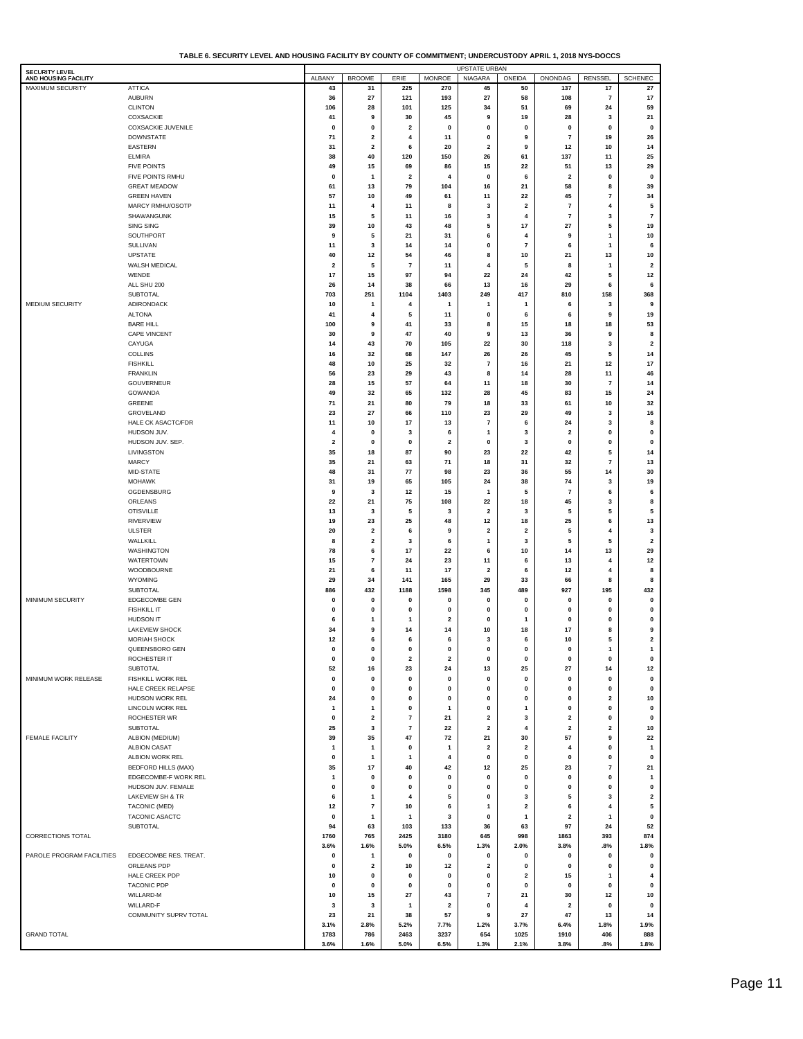|                                               | == And nooomo : Aoi                     |                         |                              |                          |                               | <b>UPSTATE URBAN</b>          |                         |                               |                             |                               |
|-----------------------------------------------|-----------------------------------------|-------------------------|------------------------------|--------------------------|-------------------------------|-------------------------------|-------------------------|-------------------------------|-----------------------------|-------------------------------|
| <b>SECURITY LEVEL</b><br>AND HOUSING FACILITY |                                         | ALBANY                  | <b>BROOME</b>                | ERIE                     | <b>MONROE</b>                 | <b>NIAGARA</b>                | ONEIDA                  | ONONDAG                       | <b>RENSSEL</b>              | <b>SCHENEC</b>                |
| MAXIMUM SECURITY                              | <b>ATTICA</b>                           | 43                      | 31                           | 225                      | 270                           | 45                            | 50                      | 137                           | 17                          | 27                            |
|                                               | <b>AUBURN</b>                           | 36                      | 27                           | 121                      | 193                           | 27                            | 58                      | 108                           | 7                           | 17                            |
|                                               | <b>CLINTON</b>                          | 106                     | 28                           | 101                      | 125                           | 34                            | 51                      | 69                            | 24                          | 59                            |
|                                               | COXSACKIE<br><b>COXSACKIE JUVENILE</b>  | 41<br>0                 | 9<br>0                       | 30<br>2                  | 45<br>$\mathbf 0$             | 9<br>0                        | 19<br>0                 | 28<br>0                       | 3<br>0                      | 21<br>$\pmb{0}$               |
|                                               | <b>DOWNSTATE</b>                        | 71                      | $\overline{\mathbf{2}}$      | 4                        | 11                            | $\pmb{0}$                     | 9                       | $\overline{\mathbf{r}}$       | 19                          | 26                            |
|                                               | <b>EASTERN</b>                          | 31                      | $\overline{\mathbf{2}}$      | 6                        | 20                            | $\overline{\mathbf{2}}$       | 9                       | 12                            | 10                          | 14                            |
|                                               | <b>ELMIRA</b>                           | 38                      | 40                           | 120                      | 150                           | 26                            | 61                      | 137                           | 11                          | 25                            |
|                                               | <b>FIVE POINTS</b>                      | 49                      | 15                           | 69                       | 86                            | 15                            | 22                      | 51                            | 13                          | 29                            |
|                                               | FIVE POINTS RMHU                        | 0                       | $\mathbf{1}$                 | 2                        | 4                             | $\pmb{0}$                     | 6                       | $\overline{\mathbf{2}}$       | 0                           | $\mathbf 0$                   |
|                                               | <b>GREAT MEADOW</b>                     | 61                      | 13                           | 79                       | 104                           | 16                            | 21                      | 58                            | 8                           | 39                            |
|                                               | <b>GREEN HAVEN</b>                      | 57                      | 10                           | 49                       | 61                            | 11                            | 22                      | 45                            | 7                           | 34                            |
|                                               | MARCY RMHU/OSOTP                        | 11                      | 4                            | 11                       | 8                             | 3                             | $\overline{2}$          | $\overline{\mathbf{r}}$       | 4                           | 5                             |
|                                               | SHAWANGUNK<br><b>SING SING</b>          | 15<br>39                | 5<br>10                      | 11<br>43                 | 16<br>48                      | 3<br>5                        | 4<br>17                 | $\overline{\mathbf{r}}$<br>27 | 3<br>5                      | $\overline{\mathbf{r}}$<br>19 |
|                                               | SOUTHPORT                               | 9                       | 5                            | 21                       | 31                            | 6                             | 4                       | 9                             | 1                           | 10                            |
|                                               | SULLIVAN                                | 11                      | 3                            | 14                       | 14                            | 0                             | $\overline{\mathbf{r}}$ | 6                             | 1                           | 6                             |
|                                               | <b>UPSTATE</b>                          | 40                      | 12                           | 54                       | 46                            | 8                             | 10                      | 21                            | 13                          | 10                            |
|                                               | WALSH MEDICAL                           | $\overline{\mathbf{2}}$ | 5                            | $\overline{7}$           | 11                            | 4                             | 5                       | 8                             | 1                           | $\overline{\mathbf{2}}$       |
|                                               | WENDE                                   | 17                      | 15                           | 97                       | 94                            | 22                            | 24                      | 42                            | 5                           | 12                            |
|                                               | ALL SHU 200                             | 26                      | 14                           | 38                       | 66                            | 13                            | 16                      | 29                            | 6                           | 6                             |
|                                               | <b>SUBTOTAL</b>                         | 703                     | 251                          | 1104                     | 1403                          | 249                           | 417                     | 810                           | 158                         | 368                           |
| MEDIUM SECURITY                               | ADIRONDACK                              | 10                      | -1                           | 4                        |                               | 1                             | 1                       | 6                             | 3                           | 9                             |
|                                               | <b>ALTONA</b>                           | 41                      | 4<br>9                       | 5                        | 11                            | 0                             | 6                       | 6                             | 9                           | 19                            |
|                                               | <b>BARE HILL</b><br><b>CAPE VINCENT</b> | 100<br>30               | 9                            | 41<br>47                 | 33<br>40                      | 8<br>9                        | 15<br>13                | 18<br>36                      | 18<br>9                     | 53<br>8                       |
|                                               | CAYUGA                                  | 14                      | 43                           | 70                       | 105                           | 22                            | 30                      | 118                           | 3                           | $\overline{\mathbf{2}}$       |
|                                               | <b>COLLINS</b>                          | 16                      | 32                           | 68                       | 147                           | 26                            | 26                      | 45                            | 5                           | 14                            |
|                                               | <b>FISHKILL</b>                         | 48                      | 10                           | 25                       | 32                            | 7                             | 16                      | 21                            | 12                          | 17                            |
|                                               | <b>FRANKLIN</b>                         | 56                      | 23                           | 29                       | 43                            | 8                             | 14                      | 28                            | 11                          | 46                            |
|                                               | <b>GOUVERNEUR</b>                       | 28                      | 15                           | 57                       | 64                            | 11                            | 18                      | 30                            | 7                           | 14                            |
|                                               | GOWANDA                                 | 49                      | 32                           | 65                       | 132                           | 28                            | 45                      | 83                            | 15                          | 24                            |
|                                               | GREENE                                  | 71                      | 21                           | 80                       | 79                            | 18                            | 33                      | 61                            | 10                          | 32                            |
|                                               | GROVELAND                               | 23                      | 27                           | 66                       | 110                           | 23                            | 29                      | 49                            | 3                           | 16                            |
|                                               | HALE CK ASACTC/FDR<br>HUDSON JUV.       | 11<br>4                 | 10<br>$\mathbf 0$            | 17<br>3                  | 13<br>6                       | 7<br>1                        | 6<br>3                  | 24<br>$\mathbf 2$             | 3<br>0                      | 8<br>0                        |
|                                               | HUDSON JUV. SEP.                        | 2                       | $\mathbf 0$                  | 0                        | $\overline{\mathbf{2}}$       | 0                             | 3                       | $\pmb{0}$                     | 0                           | 0                             |
|                                               | LIVINGSTON                              | 35                      | 18                           | 87                       | 90                            | 23                            | 22                      | 42                            | 5                           | 14                            |
|                                               | <b>MARCY</b>                            | 35                      | 21                           | 63                       | 71                            | 18                            | 31                      | 32                            | 7                           | 13                            |
|                                               | MID-STATE                               | 48                      | 31                           | 77                       | 98                            | 23                            | 36                      | 55                            | 14                          | 30                            |
|                                               | <b>MOHAWK</b>                           | 31                      | 19                           | 65                       | 105                           | 24                            | 38                      | 74                            | 3                           | 19                            |
|                                               | OGDENSBURG                              | 9                       | 3                            | 12                       | 15                            | $\mathbf{1}$                  | 5                       | $\overline{\mathbf{r}}$       | 6                           | 6                             |
|                                               | ORLEANS                                 | 22                      | 21                           | 75                       | 108                           | 22                            | 18                      | 45                            | 3                           | 8                             |
|                                               | <b>OTISVILLE</b><br><b>RIVERVIEW</b>    | 13<br>19                | 3<br>23                      | 5<br>25                  | 3<br>48                       | $\overline{\mathbf{2}}$<br>12 | 3<br>18                 | 5<br>25                       | 5<br>6                      | 5<br>13                       |
|                                               | <b>ULSTER</b>                           | 20                      | $\overline{\mathbf{2}}$      | 6                        | 9                             | $\overline{\mathbf{2}}$       | $\overline{\mathbf{2}}$ | 5                             | $\overline{4}$              | 3                             |
|                                               | WALLKILL                                | 8                       | $\overline{\mathbf{2}}$      | 3                        | 6                             | 1                             | 3                       | 5                             | 5                           | $\overline{\mathbf{2}}$       |
|                                               | WASHINGTON                              | 78                      | 6                            | 17                       | 22                            | 6                             | 10                      | 14                            | 13                          | 29                            |
|                                               | WATERTOWN                               | 15                      | $\overline{7}$               | 24                       | 23                            | 11                            | 6                       | 13                            | 4                           | 12                            |
|                                               | WOODBOURNE                              | 21                      | 6                            | 11                       | 17                            | $\mathbf 2$                   | 6                       | 12                            | $\overline{4}$              | 8                             |
|                                               | <b>WYOMING</b>                          | 29                      | 34                           | 141                      | 165                           | 29                            | 33                      | 66                            | 8                           | 8                             |
|                                               | SUBTOTAL                                | 886                     | 432                          | 1188                     | 1598                          | 345                           | 489                     | 927                           | 195                         | 432                           |
| MINIMUM SECURITY                              | EDGECOMBE GEN                           | $\mathbf 0$             | 0                            | 0                        | $\mathbf 0$                   | 0                             | $\mathbf 0$             | $\mathbf 0$                   | 0                           | 0                             |
|                                               | <b>FISHKILL IT</b><br>HUDSON IT         | $\mathbf 0$<br>6        | $\mathbf 0$<br>1             | 0<br>1                   | $\mathbf 0$<br>$\overline{2}$ | $\mathbf 0$<br>$\mathbf 0$    | 0<br>1                  | $\mathbf 0$<br>$\mathbf 0$    | $\mathbf{0}$<br>$\mathbf 0$ | 0<br>0                        |
|                                               | <b>LAKEVIEW SHOCK</b>                   | 34                      | 9                            | 14                       | 14                            | 10                            | 18                      | 17                            | 8                           | 9                             |
|                                               | <b>MORIAH SHOCK</b>                     | 12                      | 6                            | 6                        | 6                             | 3                             | 6                       | 10                            | 5                           | 2                             |
|                                               | QUEENSBORO GEN                          | $\mathbf 0$             | $\mathbf 0$                  | 0                        | $\mathbf 0$                   | 0                             | 0                       | $\mathbf 0$                   | 1                           | $\mathbf{1}$                  |
|                                               | ROCHESTER IT                            | 0                       | $\pmb{0}$                    | $\mathbf{2}$             | 2                             | 0                             | $\mathbf 0$             | 0                             | 0                           | 0                             |
|                                               | SUBTOTAL                                | 52                      | 16                           | 23                       | 24                            | 13                            | 25                      | 27                            | 14                          | 12                            |
| MINIMUM WORK RELEASE                          | FISHKILL WORK REL                       | 0                       | $\pmb{0}$                    | 0                        | $\pmb{0}$                     | 0                             | 0                       | 0                             | 0                           | 0                             |
|                                               | HALE CREEK RELAPSE                      | 0                       | $\pmb{0}$                    | 0                        | 0                             | $\pmb{0}$                     | 0                       | $\pmb{0}$                     | 0                           | $\pmb{0}$                     |
|                                               | HUDSON WORK REL<br>LINCOLN WORK REL     | 24                      | $\pmb{0}$                    | 0                        | 0                             | 0                             | 0                       | 0                             | $\overline{\mathbf{2}}$     | 10                            |
|                                               | ROCHESTER WR                            | 1<br>0                  | 1<br>$\overline{\mathbf{2}}$ | 0<br>$\bf 7$             | 1<br>21                       | $\pmb{0}$<br>$\mathbf{2}$     | 1<br>3                  | 0<br>$\mathbf{2}$             | 0<br>0                      | 0<br>0                        |
|                                               | <b>SUBTOTAL</b>                         | 25                      | 3                            | $\overline{\phantom{a}}$ | 22                            | 2                             | 4                       | $\mathbf{2}$                  | $\overline{\mathbf{2}}$     | 10                            |
| <b>FEMALE FACILITY</b>                        | ALBION (MEDIUM)                         | 39                      | 35                           | 47                       | 72                            | 21                            | 30                      | 57                            | 9                           | 22                            |
|                                               | <b>ALBION CASAT</b>                     | 1                       | $\mathbf{1}$                 | 0                        | $\mathbf{1}$                  | 2                             | $\overline{\mathbf{2}}$ | 4                             | 0                           | $\mathbf{1}$                  |
|                                               | ALBION WORK REL                         | 0                       | 1                            | 1                        | 4                             | 0                             | 0                       | 0                             | 0                           | 0                             |
|                                               | <b>BEDFORD HILLS (MAX)</b>              | 35                      | 17                           | 40                       | 42                            | 12                            | 25                      | 23                            | 7                           | 21                            |
|                                               | EDGECOMBE-F WORK REL                    | 1                       | $\mathbf 0$                  | 0                        | 0                             | $\pmb{0}$                     | 0                       | $\pmb{0}$                     | 0                           | $\mathbf{1}$                  |
|                                               | HUDSON JUV. FEMALE                      | 0                       | $\pmb{0}$                    | 0                        | 0                             | $\pmb{0}$                     | 0                       | 0                             | 0                           | 0                             |
|                                               | LAKEVIEW SH & TR                        | 6                       | 1                            | 4                        | 5                             | 0                             | 3                       | 5                             | 3                           | $\overline{\mathbf{2}}$       |
|                                               | TACONIC (MED)<br>TACONIC ASACTC         | 12<br>0                 | $\overline{7}$<br>1          | 10<br>1                  | 6<br>3                        | 1<br>$\pmb{0}$                | 2<br>1                  | 6<br>$\overline{\mathbf{2}}$  | 4<br>$\mathbf{1}$           | 5<br>0                        |
|                                               | SUBTOTAL                                | 94                      | 63                           | 103                      | 133                           | 36                            | 63                      | 97                            | 24                          | 52                            |
| CORRECTIONS TOTAL                             |                                         | 1760                    | 765                          | 2425                     | 3180                          | 645                           | 998                     | 1863                          | 393                         | 874                           |
|                                               |                                         | 3.6%                    | 1.6%                         | 5.0%                     | 6.5%                          | 1.3%                          | 2.0%                    | 3.8%                          | .8%                         | 1.8%                          |
| PAROLE PROGRAM FACILITIES                     | EDGECOMBE RES. TREAT.                   | 0                       | 1                            | 0                        | 0                             | 0                             | $\mathbf 0$             | $\mathbf 0$                   | 0                           | $\pmb{0}$                     |
|                                               | ORLEANS PDP                             | 0                       | $\overline{\mathbf{2}}$      | 10                       | 12                            | 2                             | $\mathbf 0$             | $\pmb{0}$                     | 0                           | 0                             |
|                                               | HALE CREEK PDP                          | 10                      | $\pmb{0}$                    | $\mathbf 0$              | 0                             | 0                             | 2                       | 15                            | 1                           | 4                             |
|                                               | <b>TACONIC PDP</b>                      | 0                       | $\pmb{0}$                    | 0                        | 0                             | $\pmb{0}$                     | 0                       | $\pmb{0}$                     | 0                           | $\pmb{0}$                     |
|                                               | WILLARD-M                               | 10                      | 15                           | 27                       | 43                            | $\overline{\mathbf{r}}$       | 21                      | 30                            | 12                          | 10                            |
|                                               | WILLARD-F<br>COMMUNITY SUPRV TOTAL      | 3<br>23                 | 3<br>21                      | 1<br>38                  | $\overline{\mathbf{2}}$<br>57 | 0<br>9                        | 4<br>27                 | $\overline{\mathbf{2}}$<br>47 | 0<br>13                     | $\pmb{0}$<br>14               |
|                                               |                                         | 3.1%                    | 2.8%                         | 5.2%                     | 7.7%                          | 1.2%                          | 3.7%                    | 6.4%                          | 1.8%                        | 1.9%                          |
| <b>GRAND TOTAL</b>                            |                                         | 1783                    | 786                          | 2463                     | 3237                          | 654                           | 1025                    | 1910                          | 406                         | 888                           |
|                                               |                                         | 3.6%                    | 1.6%                         | 5.0%                     | 6.5%                          | 1.3%                          | 2.1%                    | 3.8%                          | .8%                         | 1.8%                          |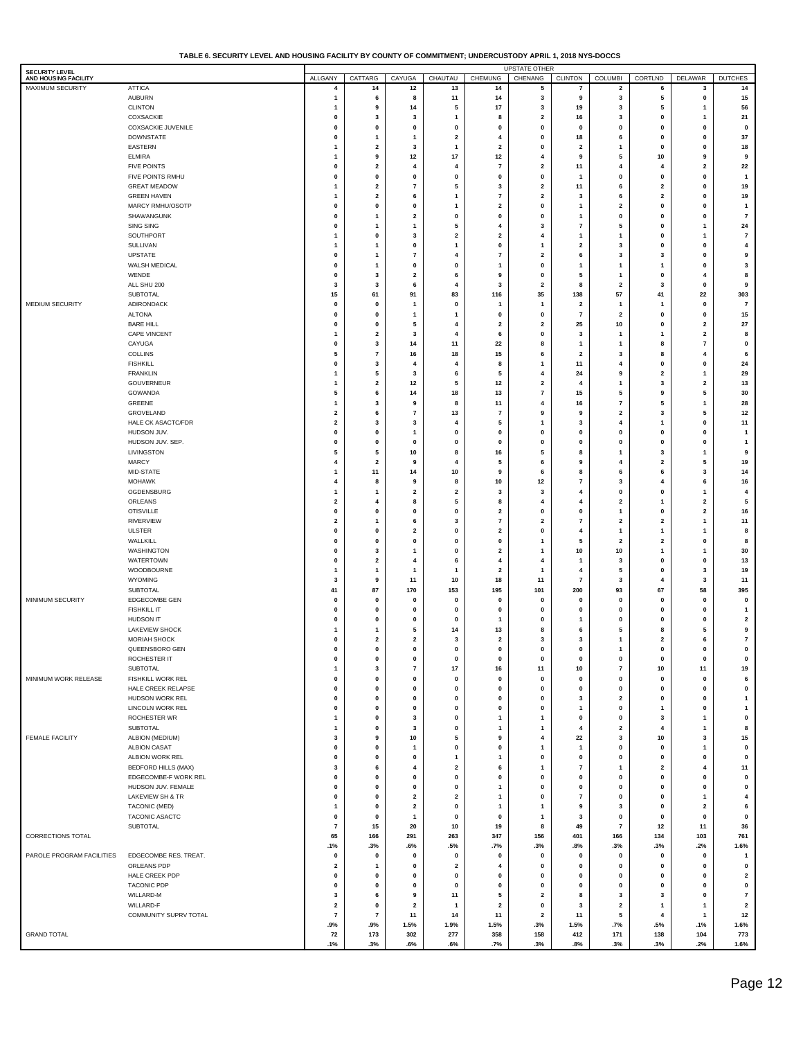|  | TABLE 6. SECURITY LEVEL AND HOUSING FACILITY BY COUNTY OF COMMITMENT: UNDERCUSTODY APRIL 1. 2018 NYS-DOCCS |  |
|--|------------------------------------------------------------------------------------------------------------|--|
|  |                                                                                                            |  |

| <b>SECURITY LEVEL</b><br>AND HOUSING FACILITY |                                            | ALLGANY                                | CATTARG                              | CAYUGA                       | CHAUTAU                      | CHEMUNG                       | <b>UPSTATE OTHER</b><br>CHENANG | <b>CLINTON</b>                                     | <b>COLUMBI</b>                       | CORTLND                              | DELAWAR                  | <b>DUTCHES</b>                   |
|-----------------------------------------------|--------------------------------------------|----------------------------------------|--------------------------------------|------------------------------|------------------------------|-------------------------------|---------------------------------|----------------------------------------------------|--------------------------------------|--------------------------------------|--------------------------|----------------------------------|
| MAXIMUM SECURITY                              | <b>ATTICA</b>                              | 4                                      | 14                                   | 12                           | 13                           | 14                            | 5                               | 7                                                  | $\overline{\mathbf{2}}$              | 6                                    | 3                        | 14                               |
|                                               | <b>AUBURN</b>                              | $\mathbf{1}$                           | 6                                    | 8                            | 11                           | 14                            | 3                               | 9                                                  | 3                                    | 5                                    | 0                        | 15                               |
|                                               | <b>CLINTON</b>                             | $\overline{1}$                         | 9                                    | 14                           | 5                            | 17                            | 3                               | 19                                                 | 3                                    | 5                                    | 1                        | 56                               |
|                                               | COXSACKIE<br><b>COXSACKIE JUVENILE</b>     | $\mathbf 0$                            | 3                                    | 3                            | 1<br>$\mathbf 0$             | 8                             | 2                               | 16                                                 | 3<br>0                               | $\mathbf 0$<br>$\mathbf 0$           | 1                        | 21                               |
|                                               | <b>DOWNSTATE</b>                           | 0<br>$\mathbf 0$                       | 0<br>$\mathbf{1}$                    | 0<br>$\mathbf{1}$            | $\overline{\mathbf{2}}$      | 0<br>$\overline{4}$           | 0<br>0                          | 0<br>18                                            | 6                                    | $\mathbf{0}$                         | 0<br>$\bf{0}$            | $\pmb{0}$<br>37                  |
|                                               | <b>EASTERN</b>                             | $\mathbf{1}$                           | $\overline{\mathbf{2}}$              | 3                            | 1                            | $\overline{2}$                | 0                               | $\overline{\mathbf{2}}$                            | 1                                    | $\mathbf{0}$                         | $\bf{0}$                 | 18                               |
|                                               | <b>ELMIRA</b>                              | $\mathbf{1}$                           | 9                                    | 12                           | 17                           | 12                            | 4                               | 9                                                  | 5                                    | 10                                   | 9                        | 9                                |
|                                               | <b>FIVE POINTS</b>                         | $\mathbf{0}$                           | $\overline{\mathbf{2}}$              | $\overline{4}$               | 4                            | $\overline{7}$                | 2                               | 11                                                 | 4                                    | $\overline{4}$                       | $\overline{\mathbf{2}}$  | 22                               |
|                                               | FIVE POINTS RMHU                           | $\mathbf 0$<br>$\mathbf{1}$            | $\pmb{0}$<br>$\overline{\mathbf{2}}$ | 0                            | $\mathbf 0$<br>5             | $\mathbf 0$<br>3              | 0                               | $\mathbf{1}$                                       | 0<br>6                               | $\pmb{0}$<br>$\overline{\mathbf{2}}$ | 0<br>$\bf{0}$            | $\overline{\mathbf{1}}$          |
|                                               | <b>GREAT MEADOW</b><br><b>GREEN HAVEN</b>  | $\mathbf{1}$                           | $\overline{\mathbf{2}}$              | $\overline{\mathbf{r}}$<br>6 | 1                            | $\overline{7}$                | 2<br>2                          | 11<br>3                                            | 6                                    | $\overline{\mathbf{2}}$              | $\bf{0}$                 | 19<br>19                         |
|                                               | MARCY RMHU/OSOTP                           | $\mathbf 0$                            | $\pmb{0}$                            | 0                            | 1                            | $\overline{2}$                | 0                               | $\mathbf{1}$                                       | $\overline{\mathbf{2}}$              | $\pmb{0}$                            | $\bf{0}$                 | $\mathbf{1}$                     |
|                                               | SHAWANGUNK                                 | $\mathbf 0$                            | $\mathbf{1}$                         | $\overline{\mathbf{2}}$      | 0                            | $\mathbf 0$                   | 0                               | $\mathbf{1}$                                       | 0                                    | $\pmb{0}$                            | 0                        | $\bf 7$                          |
|                                               | <b>SING SING</b>                           | $\mathbf 0$                            | $\mathbf{1}$                         | $\overline{1}$               | 5                            | 4                             | 3                               | $\overline{\mathbf{r}}$                            | 5                                    | $\pmb{0}$                            | 1                        | 24                               |
|                                               | SOUTHPORT                                  | $\mathbf{1}$<br>$\mathbf{1}$           | $\pmb{0}$<br>$\mathbf{1}$            | 3                            | $\overline{\mathbf{2}}$<br>1 | $\overline{2}$<br>$\mathbf 0$ | 4<br>$\mathbf{1}$               | $\mathbf{1}$                                       | 1                                    | $\mathbf{0}$<br>$\pmb{0}$            | 1<br>0                   | $\bf 7$                          |
|                                               | SULLIVAN<br><b>UPSTATE</b>                 | 0                                      | $\mathbf{1}$                         | 0<br>$\overline{\mathbf{r}}$ | 4                            | $\overline{7}$                | 2                               | $\overline{\mathbf{2}}$<br>6                       | 3<br>3                               | 3                                    | $\bf{0}$                 | 4<br>9                           |
|                                               | WALSH MEDICAL                              | $\mathbf 0$                            | $\mathbf{1}$                         | 0                            | $\mathbf 0$                  | $\mathbf{1}$                  | 0                               | $\mathbf{1}$                                       | 1                                    |                                      | $\bf{0}$                 | 3                                |
|                                               | WENDE                                      | $\mathbf 0$                            | 3                                    | $\overline{\mathbf{2}}$      | 6                            | 9                             | 0                               | 5                                                  | 1                                    | $\pmb{0}$                            | 4                        | 8                                |
|                                               | ALL SHU 200                                | 3                                      | 3                                    | 6                            | 4                            | 3                             | 2                               | 8                                                  | $\overline{\mathbf{2}}$              | 3                                    | $\mathbf{0}$             | 9                                |
|                                               | <b>SUBTOTAL</b>                            | 15<br>$\mathbf 0$                      | 61<br>$\mathbf 0$                    | 91<br>-1                     | 83<br>$\mathbf 0$            | 116                           | 35                              | 138                                                | 57<br>$\mathbf{1}$                   | 41                                   | 22<br>0                  | 303                              |
| MEDIUM SECURITY                               | ADIRONDACK<br><b>ALTONA</b>                | $\mathbf{0}$                           | $\mathbf 0$                          | $\mathbf{1}$                 |                              | $\mathbf{1}$<br>0             | 1<br>0                          | $\overline{\mathbf{2}}$<br>$\overline{\mathbf{r}}$ | $\overline{\mathbf{2}}$              | $\mathbf 0$                          | $\mathbf{0}$             | $\overline{7}$<br>15             |
|                                               | <b>BARE HILL</b>                           | $\mathbf 0$                            | $\mathbf{0}$                         | 5                            | 4                            | $\overline{\mathbf{2}}$       | 2                               | 25                                                 | 10                                   | $\mathbf{0}$                         | $\overline{\mathbf{2}}$  | ${\bf 27}$                       |
|                                               | <b>CAPE VINCENT</b>                        | $\mathbf{1}$                           | $\overline{\mathbf{2}}$              | 3                            | 4                            | 6                             | 0                               | 3                                                  | 1                                    |                                      | $\overline{\mathbf{2}}$  | 8                                |
|                                               | CAYUGA                                     | $\mathbf 0$                            | 3                                    | 14                           | 11                           | 22                            | 8                               | $\mathbf{1}$                                       | 1                                    | 8                                    | $\overline{7}$           | $\pmb{0}$                        |
|                                               | <b>COLLINS</b>                             | 5                                      | $\overline{7}$                       | 16                           | 18                           | 15                            | 6                               | $\overline{\mathbf{2}}$                            | 3                                    | 8                                    | 4                        | 6                                |
|                                               | <b>FISHKILL</b><br><b>FRANKLIN</b>         | $\mathbf 0$<br>$\mathbf{1}$            | 3<br>5                               | 4<br>3                       | 4<br>6                       | 8<br>5                        | $\mathbf{1}$<br>4               | 11<br>24                                           | 4<br>9                               | $\pmb{0}$<br>$\overline{\mathbf{2}}$ | $\bf{0}$<br>1            | 24<br>29                         |
|                                               | <b>GOUVERNEUR</b>                          | $\mathbf{1}$                           | $\overline{\mathbf{2}}$              | 12                           | 5                            | 12                            | 2                               | $\overline{4}$                                     | 1                                    | 3                                    | $\overline{\mathbf{2}}$  | 13                               |
|                                               | <b>GOWANDA</b>                             | 5                                      | 6                                    | 14                           | 18                           | 13                            | 7                               | 15                                                 | 5                                    | 9                                    | 5                        | 30                               |
|                                               | GREENE                                     | $\mathbf{1}$                           | 3                                    | 9                            | 8                            | 11                            | 4                               | 16                                                 | $\overline{7}$                       | 5                                    | 1                        | 28                               |
|                                               | GROVELAND                                  | $\overline{\mathbf{2}}$                | 6                                    | $\scriptstyle\rm{7}$         | 13                           | $\overline{7}$                | 9                               | 9                                                  | $\overline{\mathbf{2}}$              | 3                                    | 5                        | 12                               |
|                                               | HALE CK ASACTC/FDR<br>HUDSON JUV.          | $\overline{\mathbf{2}}$<br>$\mathbf 0$ | 3<br>$\pmb{0}$                       | 3<br>$\mathbf{1}$            | 4<br>$\mathbf 0$             | 5<br>$\mathbf 0$              | 1<br>0                          | 3<br>$\pmb{0}$                                     | 4<br>0                               | $\mathbf{0}$                         | 0<br>$\bf{0}$            | 11<br>$\mathbf{1}$               |
|                                               | HUDSON JUV. SEP.                           | $\mathbf{0}$                           | $\mathbf{0}$                         | 0                            | $\mathbf 0$                  | 0                             | 0                               | 0                                                  | $\mathbf 0$                          | $\mathbf{0}$                         | $\bf{0}$                 | $\mathbf{1}$                     |
|                                               | LIVINGSTON                                 | 5                                      | 5                                    | 10                           | 8                            | 16                            | 5                               | 8                                                  | 1                                    | 3                                    | 1                        | 9                                |
|                                               | <b>MARCY</b>                               | $\overline{4}$                         | $\overline{\mathbf{2}}$              | 9                            | 4                            | 5                             | 6                               | 9                                                  | 4                                    | $\overline{\mathbf{2}}$              | 5                        | 19                               |
|                                               | MID-STATE                                  | $\mathbf{1}$                           | 11                                   | 14                           | 10                           | 9                             | 6                               | 8                                                  | 6                                    | 6                                    | 3                        | 14                               |
|                                               | <b>MOHAWK</b><br>OGDENSBURG                | $\overline{4}$<br>$\mathbf{1}$         | 8<br>$\mathbf{1}$                    | 9<br>$\overline{\mathbf{2}}$ | 8<br>$\overline{\mathbf{2}}$ | 10<br>3                       | 12<br>3                         | $\overline{\mathbf{r}}$<br>4                       | 3<br>0                               | $\overline{4}$<br>$\pmb{0}$          | 6<br>1                   | 16<br>4                          |
|                                               | ORLEANS                                    | $\overline{\mathbf{2}}$                | 4                                    | 8                            | 5                            | 8                             | 4                               | 4                                                  | $\overline{\mathbf{2}}$              |                                      | $\overline{\mathbf{2}}$  | 5                                |
|                                               | <b>OTISVILLE</b>                           | $\pmb{0}$                              | $\pmb{0}$                            | 0                            | 0                            | $\overline{2}$                | 0                               | $\pmb{0}$                                          | 1                                    | $\pmb{0}$                            | $\overline{2}$           | 16                               |
|                                               | <b>RIVERVIEW</b>                           | $\overline{\mathbf{2}}$                | $\mathbf{1}$                         | 6                            | 3                            | $\overline{7}$                | 2                               | $\overline{\mathbf{r}}$                            | $\overline{\mathbf{2}}$              | $\overline{\mathbf{2}}$              | 1                        | 11                               |
|                                               | <b>ULSTER</b>                              | $\pmb{0}$                              | $\pmb{0}$                            | $\overline{\mathbf{2}}$      | 0                            | $\overline{2}$                | 0                               | $\overline{\mathbf{4}}$                            | $\mathbf{1}$                         | $\mathbf{1}$                         | 1                        | 8                                |
|                                               | WALLKILL<br><b>WASHINGTON</b>              | $\mathbf 0$<br>0                       | $\mathbf{0}$<br>3                    | 0<br>$\mathbf{1}$            | $\mathbf 0$<br>$\mathbf 0$   | $\mathbf 0$<br>2              | $\mathbf{1}$<br>1               | 5<br>10                                            | $\overline{\mathbf{2}}$<br>10        | $\overline{\mathbf{2}}$<br>-1        | 0<br>1                   | 8<br>30                          |
|                                               | <b>WATERTOWN</b>                           | $\mathbf 0$                            | $\overline{\mathbf{2}}$              | 4                            | 6                            | 4                             | 4                               | $\mathbf{1}$                                       | 3                                    | $\mathbf{0}$                         | 0                        | 13                               |
|                                               | WOODBOURNE                                 | $\mathbf{1}$                           | $\mathbf{1}$                         | $\mathbf{1}$                 | 1                            | $\overline{2}$                | 1                               | 4                                                  | 5                                    | $\pmb{0}$                            | 3                        | 19                               |
|                                               | WYOMING                                    | 3                                      | 9                                    | 11                           | 10                           | 18                            | 11                              | $\overline{\mathbf{r}}$                            | 3                                    | $\overline{4}$                       | 3                        | 11                               |
|                                               | <b>SUBTOTAL</b>                            | 41                                     | 87                                   | 170                          | 153                          | 195                           | 101                             | 200                                                | 93                                   | 67                                   | 58                       | 395                              |
| MINIMUM SECURITY                              | EDGECOMBE GEN<br><b>FISHKILL IT</b>        | $\mathbf{0}$<br>$\mathbf{0}$           | $\mathbf{0}$<br>$\mathbf{0}$         | 0<br>0                       | $\mathbf 0$<br>$\mathbf 0$   | 0<br>0                        | 0<br>0                          | $\pmb{0}$<br>0                                     | 0<br>0                               | $\pmb{0}$<br>$\mathbf{0}$            | $\mathbf{0}$<br>$\bf{0}$ | $\pmb{0}$<br>$\mathbf{1}$        |
|                                               | HUDSON IT                                  | $\mathbf{0}$                           | $\mathbf 0$                          | 0                            | 0                            | -1                            | 0                               | $\mathbf{1}$                                       | 0                                    | $\mathbf{0}$                         | $\bf{0}$                 | $\overline{\mathbf{2}}$          |
|                                               | <b>LAKEVIEW SHOCK</b>                      | $\mathbf{1}$                           | $\mathbf{1}$                         | 5                            | 14                           | 13                            | 8                               | 6                                                  | 5                                    | 8                                    | 5                        | 9                                |
|                                               | <b>MORIAH SHOCK</b>                        | $\mathbf{0}$                           | $\overline{2}$                       | $\overline{\mathbf{2}}$      | 3                            | $\overline{2}$                | 3                               | 3                                                  | 1                                    | $\overline{\mathbf{2}}$              | 6                        | $\scriptstyle\rm 7$              |
|                                               | QUEENSBORO GEN                             |                                        |                                      |                              |                              |                               |                                 |                                                    |                                      |                                      |                          |                                  |
|                                               | ROCHESTER IT<br><b>SUBTOTAL</b>            | $\pmb{0}$<br>$\mathbf{1}$              | $\pmb{0}$<br>3                       | 0<br>$\scriptstyle\rm{7}$    | 0<br>17                      | 0<br>16                       | 0<br>11                         | 0<br>10                                            | $\pmb{0}$<br>$\overline{7}$          | $\pmb{0}$<br>10                      | 0<br>11                  | $\pmb{0}$<br>19                  |
| MINIMUM WORK RELEASE                          | FISHKILL WORK REL                          | $\pmb{0}$                              | 0                                    | 0                            | 0                            | $\mathbf 0$                   | 0                               | 0                                                  | $\pmb{0}$                            | $\pmb{0}$                            | 0                        | 6                                |
|                                               | HALE CREEK RELAPSE                         | $\pmb{0}$                              | 0                                    | 0                            | 0                            | 0                             | 0                               | 0                                                  | $\pmb{0}$                            | $\pmb{0}$                            | 0                        | 0                                |
|                                               | HUDSON WORK REL                            | $\pmb{0}$                              | 0                                    | 0                            | 0                            | $\mathbf 0$                   | 0                               | 3                                                  | $\overline{\mathbf{2}}$              | $\pmb{0}$                            | $\mathbf 0$              | $\mathbf{1}$                     |
|                                               | LINCOLN WORK REL                           | $\pmb{0}$<br>$\mathbf{1}$              | 0                                    | 0                            | 0                            | 0                             | 0<br>1                          | $\mathbf{1}$                                       | 0                                    | $\overline{1}$<br>3                  | 0                        | $\mathbf{1}$                     |
|                                               | ROCHESTER WR<br>SUBTOTAL                   | $\mathbf{1}$                           | 0<br>0                               | 3<br>3                       | 0<br>0                       | $\mathbf{1}$<br>$\mathbf{1}$  | 1                               | 0<br>$\overline{\mathbf{4}}$                       | $\pmb{0}$<br>$\overline{\mathbf{2}}$ | $\overline{\mathbf{4}}$              | 1<br>1                   | $\pmb{0}$<br>8                   |
| <b>FEMALE FACILITY</b>                        | ALBION (MEDIUM)                            | 3                                      | 9                                    | 10                           | 5                            | 9                             | 4                               | 22                                                 | 3                                    | 10                                   | 3                        | 15                               |
|                                               | <b>ALBION CASAT</b>                        | $\pmb{0}$                              | $\pmb{0}$                            | $\mathbf{1}$                 | 0                            | 0                             | 1                               | $\mathbf{1}$                                       | 0                                    | $\pmb{0}$                            | 1                        | $\pmb{0}$                        |
|                                               | ALBION WORK REL                            | $\pmb{0}$                              | 0                                    | 0                            | $\mathbf{1}$                 | $\overline{\mathbf{1}}$       | 0                               | 0                                                  | $\mathbf 0$                          | $\pmb{0}$                            | 0                        | $\pmb{0}$                        |
|                                               | <b>BEDFORD HILLS (MAX)</b>                 | 3                                      | 6                                    | 4                            | $\overline{\mathbf{2}}$      | 6                             | $\mathbf{1}$                    | $\bf 7$                                            | $\mathbf{1}$                         | $\overline{\mathbf{2}}$              | 4                        | 11                               |
|                                               | EDGECOMBE-F WORK REL<br>HUDSON JUV. FEMALE | $\pmb{0}$<br>0                         | 0<br>0                               | 0<br>0                       | 0<br>0                       | $\mathbf 0$<br>$\mathbf{1}$   | 0<br>0                          | 0<br>0                                             | 0<br>0                               | $\pmb{0}$<br>$\pmb{0}$               | $\mathbf{0}$<br>0        | $\pmb{0}$<br>$\pmb{0}$           |
|                                               | LAKEVIEW SH & TR                           | $\pmb{0}$                              | 0                                    | $\overline{\mathbf{2}}$      | $\overline{\mathbf{2}}$      | $\overline{1}$                | 0                               | $\bf 7$                                            | $\pmb{0}$                            | $\pmb{0}$                            | 1                        | 4                                |
|                                               | TACONIC (MED)                              | $\mathbf{1}$                           | 0                                    | $\overline{\mathbf{2}}$      | 0                            | $\mathbf{1}$                  | 1                               | 9                                                  | 3                                    | $\pmb{0}$                            | $\overline{\mathbf{2}}$  | 6                                |
|                                               | TACONIC ASACTC                             | $\pmb{0}$                              | $\pmb{0}$                            | $\mathbf{1}$                 | 0                            | $\pmb{0}$                     | $\mathbf{1}$                    | 3                                                  | $\pmb{0}$                            | $\pmb{0}$                            | 0                        | $\pmb{0}$                        |
|                                               | SUBTOTAL                                   | $\overline{\phantom{a}}$               | 15                                   | 20                           | 10                           | 19                            | 8                               | 49                                                 | $\overline{7}$                       | 12                                   | 11                       | 36                               |
| CORRECTIONS TOTAL                             |                                            | 65<br>.1%                              | 166<br>.3%                           | 291<br>.6%                   | 263<br>.5%                   | 347<br>.7%                    | 156<br>.3%                      | 401<br>.8%                                         | 166<br>.3%                           | 134<br>.3%                           | 103<br>.2%               | 761<br>1.6%                      |
| PAROLE PROGRAM FACILITIES                     | EDGECOMBE RES. TREAT.                      | $\pmb{0}$                              | $\pmb{0}$                            | 0                            | $\mathbf 0$                  | 0                             | 0                               | $\pmb{0}$                                          | $\pmb{0}$                            | $\pmb{0}$                            | $\pmb{0}$                | $\mathbf{1}$                     |
|                                               | ORLEANS PDP                                | $\overline{\mathbf{2}}$                | $\mathbf{1}$                         | 0                            | $\overline{2}$               | 4                             | 0                               | 0                                                  | $\pmb{0}$                            | $\pmb{0}$                            | $\mathbf{0}$             | $\pmb{0}$                        |
|                                               | HALE CREEK PDP                             | $\pmb{0}$                              | $\mathbf{0}$                         | 0                            | 0                            | $\mathbf 0$                   | 0                               | 0                                                  | 0                                    | $\pmb{0}$                            | $\mathbf{0}$             | $\overline{\mathbf{2}}$          |
|                                               | <b>TACONIC PDP</b>                         | $\pmb{0}$                              | 0                                    | $\pmb{0}$                    | 0                            | $\pmb{0}$                     | 0                               | $\pmb{0}$                                          | $\pmb{0}$                            | $\pmb{0}$                            | $\mathbf{0}$             | $\pmb{0}$                        |
|                                               | WILLARD-M<br>WILLARD-F                     | 3<br>$\overline{\mathbf{2}}$           | 6<br>$\pmb{0}$                       | 9<br>$\overline{\mathbf{2}}$ | 11<br>$\mathbf{1}$           | 5<br>$\overline{2}$           | $\mathbf{2}$<br>0               | 8<br>$\mathbf{3}$                                  | $\mathbf{3}$<br>$\overline{2}$       | 3<br>$\overline{1}$                  | $\bf{0}$<br>1            | $\overline{7}$<br>$\overline{2}$ |
|                                               | COMMUNITY SUPRV TOTAL                      | $\overline{7}$                         | $\overline{7}$                       | 11                           | 14                           | 11                            | $\mathbf{2}$                    | 11                                                 | 5                                    | $\overline{4}$                       | $\mathbf{1}$             | 12                               |
|                                               |                                            | .9%                                    | .9%                                  | 1.5%                         | 1.9%                         | 1.5%                          | .3%                             | 1.5%                                               | .7%                                  | .5%                                  | .1%                      | 1.6%                             |
| <b>GRAND TOTAL</b>                            |                                            | 72<br>.1%                              | 173<br>.3%                           | 302<br>.6%                   | 277<br>.6%                   | 358<br>.7%                    | 158<br>.3%                      | 412<br>.8%                                         | 171<br>.3%                           | 138<br>.3%                           | 104<br>.2%               | 773<br>1.6%                      |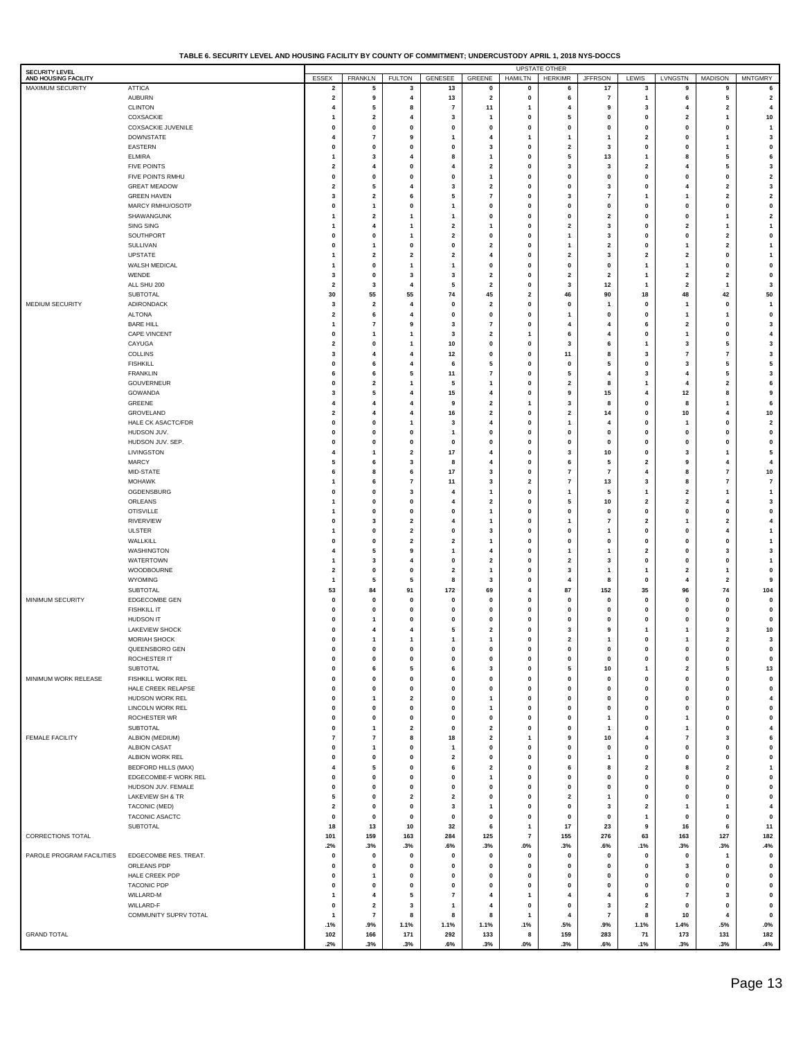| TABLE 6. SECURITY LEVEL AND HOUSING FACILITY BY COUNTY OF COMMITMENT: UNDERCUSTODY APRIL 1. 2018 NYS-DOCCS |  |
|------------------------------------------------------------------------------------------------------------|--|
|                                                                                                            |  |

| <b>SECURITY LEVEL</b>                    |                                         |                                         |                                |                                      |                              |                                |                         | <b>UPSTATE OTHER</b>         |                                  |                                |                                         |                          |                                      |
|------------------------------------------|-----------------------------------------|-----------------------------------------|--------------------------------|--------------------------------------|------------------------------|--------------------------------|-------------------------|------------------------------|----------------------------------|--------------------------------|-----------------------------------------|--------------------------|--------------------------------------|
| AND HOUSING FACILITY<br>MAXIMUM SECURITY | <b>ATTICA</b>                           | ESSEX<br>2                              | <b>FRANKLN</b><br>5            | <b>FULTON</b><br>3                   | GENESEE<br>13                | GREENE<br>0                    | HAMILTN<br>0            | <b>HERKIMR</b><br>6          | <b>JFFRSON</b><br>17             | LEWIS<br>3                     | LVNGSTN<br>9                            | MADISON<br>9             | <b>MNTGMRY</b><br>6                  |
|                                          | <b>AUBURN</b>                           | 2                                       | 9                              | 4                                    | 13                           | 2                              | 0                       | 6                            | $\overline{7}$                   | 1                              | 6                                       | 5                        | $\overline{\mathbf{2}}$              |
|                                          | <b>CLINTON</b>                          | 4                                       | 5                              | 8                                    | $\overline{\mathbf{r}}$      | 11                             | 1                       | 4                            | 9                                | 3                              | 4                                       | $\mathbf{2}$             | 4                                    |
|                                          | COXSACKIE                               | 1                                       | $\overline{\mathbf{2}}$        | 4                                    | 3                            | 1                              | 0                       | 5                            | $\mathbf{0}$                     | 0                              | $\overline{\mathbf{2}}$                 | 1                        | 10                                   |
|                                          | <b>COXSACKIE JUVENILE</b>               | 0                                       | 0                              | $\pmb{0}$                            | $\pmb{0}$                    | 0                              | $\mathbf 0$             | $\mathbf 0$                  | $\mathbf 0$                      | $\pmb{0}$                      | $\pmb{0}$                               | 0                        | $\overline{1}$                       |
|                                          | <b>DOWNSTATE</b>                        | $\overline{4}$                          | $\overline{7}$                 | 9                                    | 1                            | $\overline{4}$                 | $\mathbf{1}$            | $\mathbf{1}$                 | $\mathbf{1}$                     | $\overline{2}$                 | $\pmb{0}$                               | $\mathbf{1}$             | 3                                    |
|                                          | EASTERN                                 | $\mathbf{0}$                            | $\mathbf{0}$                   | $\pmb{0}$                            | 0                            | 3                              | 0                       | $\overline{2}$               | 3                                | $\pmb{0}$                      | $\pmb{0}$                               | $\mathbf{1}$             | $\pmb{0}$                            |
|                                          | <b>ELMIRA</b>                           | 1                                       | 3                              | $\overline{4}$                       | 8                            | 1                              | $\mathbf{0}$            | 5                            | 13                               | 1                              | 8                                       | 5                        | 6                                    |
|                                          | <b>FIVE POINTS</b>                      | $\overline{\mathbf{2}}$                 | 4                              | $\pmb{0}$                            | $\overline{4}$               | 2                              | 0                       | 3                            | 3                                | $\overline{2}$                 | 4                                       | 5                        | $\mathbf{3}$                         |
|                                          | FIVE POINTS RMHU                        | $\mathbf{0}$                            | $\pmb{0}$                      | $\pmb{0}$                            | 0                            | 1                              | 0                       | $\mathbf{0}$                 | $\pmb{0}$                        | $\pmb{0}$                      | $\pmb{0}$                               | 0                        | $\overline{\mathbf{2}}$              |
|                                          | <b>GREAT MEADOW</b>                     | $\overline{\mathbf{2}}$                 | 5                              | $\overline{\mathbf{4}}$              | 3                            | 2                              | 0                       | $\mathbf{0}$                 | 3                                | $\pmb{0}$                      | 4                                       | $\overline{\mathbf{2}}$  | $\mathbf{3}$                         |
|                                          | <b>GREEN HAVEN</b>                      | 3                                       | $\mathbf 2$                    | 6                                    | 5                            | $\overline{7}$                 | $\mathbf{0}$            | 3                            | $\overline{7}$                   | 1                              | $\mathbf{1}$                            | $\overline{\mathbf{2}}$  | $\overline{\mathbf{2}}$              |
|                                          | MARCY RMHU/OSOTP<br>SHAWANGUNK          | $\mathbf{0}$<br>1                       | 1<br>$\mathbf{2}$              | $\pmb{0}$<br>$\overline{1}$          | 1<br>$\overline{1}$          | $\mathbf{0}$<br>0              | 0<br>0                  | $\mathbf{0}$<br>$\mathbf{0}$ | $\pmb{0}$<br>$\overline{2}$      | $\pmb{0}$<br>$\pmb{0}$         | $\pmb{0}$<br>$\pmb{0}$                  | 0<br>$\mathbf{1}$        | $\pmb{0}$<br>$\overline{\mathbf{2}}$ |
|                                          | SING SING                               | 1                                       | 4                              | $\mathbf{1}$                         | $\overline{\mathbf{2}}$      | 1                              | 0                       | $\overline{2}$               | 3                                | $\pmb{0}$                      | $\overline{\mathbf{2}}$                 | $\mathbf{1}$             | $\mathbf{1}$                         |
|                                          | SOUTHPORT                               | $\mathbf{0}$                            | $\mathbf 0$                    | $\mathbf{1}$                         | $\overline{\mathbf{2}}$      | $\mathbf 0$                    | $\mathbf{0}$            | $\mathbf{1}$                 | 3                                | $\pmb{0}$                      | $\pmb{0}$                               | $\overline{\mathbf{2}}$  | $\pmb{0}$                            |
|                                          | SULLIVAN                                | $\mathbf{0}$                            | 1                              | $\pmb{0}$                            | 0                            | 2                              | 0                       | -1                           | $\overline{2}$                   | $\pmb{0}$                      | $\mathbf{1}$                            | $\overline{\mathbf{2}}$  | $\mathbf{1}$                         |
|                                          | <b>UPSTATE</b>                          | 1                                       | $\overline{\mathbf{2}}$        | $\overline{\mathbf{2}}$              | $\overline{\mathbf{2}}$      | $\overline{\mathbf{4}}$        | 0                       | $\overline{2}$               | 3                                | $\overline{2}$                 | $\overline{\mathbf{2}}$                 | 0                        | $\mathbf{1}$                         |
|                                          | WALSH MEDICAL                           | 1                                       | $\mathbf 0$                    | $\mathbf{1}$                         | $\mathbf{1}$                 | $\mathbf 0$                    | 0                       | $\mathbf{0}$                 | $\pmb{0}$                        | $\mathbf{1}$                   | $\mathbf{1}$                            | 0                        | $\pmb{0}$                            |
|                                          | WENDE                                   | 3                                       | $\mathbf 0$                    | 3                                    | 3                            | 2                              | $\mathbf{0}$            | $\overline{2}$               | $\overline{2}$                   | $\overline{1}$                 | $\overline{\mathbf{2}}$                 | $\overline{\mathbf{2}}$  | $\pmb{0}$                            |
|                                          | ALL SHU 200                             | $\overline{\mathbf{2}}$                 | 3                              | $\overline{\mathbf{4}}$              | 5                            | 2                              | 0                       | 3                            | 12                               | $\overline{1}$                 | $\overline{\mathbf{2}}$                 | $\overline{1}$           | $\mathbf{3}$                         |
|                                          | SUBTOTAL                                | 30                                      | 55                             | 55                                   | 74                           | 45                             | $\overline{\mathbf{2}}$ | 46                           | 90                               | 18                             | 48                                      | 42                       | 50                                   |
| MEDIUM SECURITY                          | ADIRONDACK                              | 3                                       | $\overline{\mathbf{2}}$        | $\overline{\mathbf{4}}$              | 0                            | 2                              | 0                       | $\mathbf{0}$                 | -1                               | $\pmb{0}$                      | $\mathbf{1}$                            | 0                        | $\overline{1}$                       |
|                                          | <b>ALTONA</b>                           | $\overline{\mathbf{2}}$                 | 6                              | $\overline{\mathbf{4}}$              | 0                            | 0                              | $\mathbf{0}$            | 1                            | $\mathbf{0}$                     | $\pmb{0}$                      | $\mathbf{1}$                            | $\mathbf{1}$             | $\pmb{0}$                            |
|                                          | <b>BARE HILL</b><br><b>CAPE VINCENT</b> | 1<br>$\mathbf{0}$                       | $\overline{7}$<br>$\mathbf{1}$ | 9<br>$\mathbf{1}$                    | 3<br>3                       | $\overline{7}$<br>$\mathbf{2}$ | 0<br>$\mathbf{1}$       | 4<br>6                       | $\overline{4}$<br>$\overline{4}$ | 6<br>$\pmb{0}$                 | $\overline{\mathbf{2}}$<br>$\mathbf{1}$ | 0<br>0                   | 3<br>$\overline{\mathbf{4}}$         |
|                                          | CAYUGA                                  | $\overline{\mathbf{2}}$                 | $\mathbf 0$                    | $\mathbf{1}$                         | 10                           | $\mathbf 0$                    | 0                       | 3                            | 6                                | $\mathbf{1}$                   | 3                                       | 5                        | $\mathbf{3}$                         |
|                                          | COLLINS                                 | 3                                       | $\overline{4}$                 | $\overline{4}$                       | 12                           | 0                              | $\mathbf{0}$            | 11                           | 8                                | 3                              | $\overline{7}$                          | $\overline{\phantom{a}}$ | $\mathbf{3}$                         |
|                                          | <b>FISHKILL</b>                         | $\mathbf 0$                             | 6                              | $\overline{4}$                       | 6                            | 5                              | $\mathbf{0}$            | $\mathbf{0}$                 | 5                                | $\pmb{0}$                      | 3                                       | 5                        | 5                                    |
|                                          | <b>FRANKLIN</b>                         | 6                                       | 6                              | 5                                    | 11                           | $\overline{7}$                 | 0                       | 5                            | 4                                | 3                              | 4                                       | 5                        | $\mathbf{3}$                         |
|                                          | GOUVERNEUR                              | $\mathbf{0}$                            | $\overline{\mathbf{2}}$        | $\mathbf{1}$                         | 5                            | 1                              | 0                       | $\overline{2}$               | 8                                | $\mathbf{1}$                   | $\overline{4}$                          | $\overline{\mathbf{2}}$  | 6                                    |
|                                          | GOWANDA                                 | 3                                       | 5                              | $\overline{4}$                       | 15                           | $\overline{4}$                 | $\mathbf{0}$            | 9                            | 15                               | 4                              | 12                                      | 8                        | $\boldsymbol{9}$                     |
|                                          | GREENE                                  | $\overline{4}$                          | $\overline{4}$                 | $\overline{4}$                       | 9                            | $\mathbf{2}$                   | 1                       | 3                            | 8                                | $\pmb{0}$                      | 8                                       | 1                        | 6                                    |
|                                          | GROVELAND                               | 2                                       | $\overline{4}$                 | $\overline{\mathbf{4}}$              | 16                           | $\mathbf{2}$                   | 0                       | $\overline{2}$               | 14                               | $\pmb{0}$                      | 10                                      | $\overline{4}$           | 10                                   |
|                                          | HALE CK ASACTC/FDR                      | $\mathbf{0}$                            | $\mathbf 0$                    | $\mathbf{1}$                         | 3                            | $\overline{4}$                 | 0                       | $\mathbf{1}$                 | $\overline{4}$                   | $\pmb{0}$                      | $\mathbf{1}$                            | 0                        | $\overline{\mathbf{2}}$              |
|                                          | HUDSON JUV.                             | $\mathbf{0}$                            | 0                              | $\pmb{0}$                            | $\mathbf{1}$                 | $\mathbf 0$                    | $\mathbf{0}$            | $\mathbf{0}$                 | $\pmb{0}$                        | $\pmb{0}$                      | $\pmb{0}$                               | 0                        | $\pmb{0}$                            |
|                                          | HUDSON JUV. SEP.<br>LIVINGSTON          | $\mathbf 0$<br>$\overline{4}$           | $\mathbf 0$<br>$\mathbf{1}$    | $\pmb{0}$<br>$\overline{\mathbf{2}}$ | 0<br>17                      | $\mathbf{0}$<br>$\overline{4}$ | $\mathbf{0}$<br>0       | $\mathbf{0}$<br>3            | $\pmb{0}$<br>10                  | $\pmb{0}$<br>$\pmb{0}$         | $\pmb{0}$<br>3                          | 0<br>$\mathbf{1}$        | $\pmb{0}$<br>5                       |
|                                          | <b>MARCY</b>                            | 5                                       | 6                              | 3                                    | 8                            | $\overline{4}$                 | 0                       | 6                            | 5                                | $\overline{2}$                 | 9                                       | $\overline{4}$           | $\overline{\mathbf{4}}$              |
|                                          | MID-STATE                               | 6                                       | 8                              | 6                                    | 17                           | 3                              | $\mathbf{0}$            | $\overline{7}$               | $\overline{7}$                   | 4                              | 8                                       | 7                        | 10                                   |
|                                          | <b>MOHAWK</b>                           | 1                                       | 6                              | $\overline{7}$                       | 11                           | 3                              | $\overline{2}$          | $\overline{7}$               | 13                               | 3                              | 8                                       | $\overline{\phantom{a}}$ | $\bf 7$                              |
|                                          | OGDENSBURG                              | $\mathbf{0}$                            | $\pmb{0}$                      | 3                                    | 4                            | 1                              | 0                       | $\mathbf{1}$                 | 5                                | $\overline{1}$                 | $\overline{\mathbf{2}}$                 | 1                        | $\mathbf{1}$                         |
|                                          | ORLEANS                                 | 1                                       | $\mathbf 0$                    | $\pmb{0}$                            | $\overline{4}$               | 2                              | 0                       | 5                            | 10                               | $\overline{2}$                 | $\overline{\mathbf{2}}$                 | $\overline{4}$           | $\mathbf{3}$                         |
|                                          | <b>OTISVILLE</b>                        | 1                                       | 0                              | $\pmb{0}$                            | 0                            | 1                              | $\mathbf{0}$            | $\mathbf{0}$                 | $\pmb{0}$                        | $\pmb{0}$                      | $\pmb{0}$                               | 0                        | $\pmb{0}$                            |
|                                          | <b>RIVERVIEW</b>                        | $\mathbf 0$                             | 3                              | $\overline{\mathbf{2}}$              | 4                            | 1                              | $\mathbf{0}$            | -1                           | $\overline{7}$                   | $\overline{2}$                 | $\mathbf{1}$                            | $\overline{\mathbf{2}}$  | $\overline{\mathbf{4}}$              |
|                                          | <b>ULSTER</b>                           | 1                                       | $\pmb{0}$                      | $\overline{\mathbf{2}}$              | 0                            | 3                              | 0                       | $\mathbf{0}$                 | $\mathbf{1}$                     | $\pmb{0}$                      | $\pmb{0}$                               | $\overline{4}$           | $\mathbf{1}$                         |
|                                          | WALLKILL                                | $\mathbf{0}$                            | $\mathbf{0}$                   | $\overline{\mathbf{2}}$              | $\overline{\mathbf{2}}$      | 1                              | 0                       | $\mathbf{0}$                 | $\pmb{0}$                        | $\pmb{0}$                      | $\pmb{0}$                               | 0                        | $\mathbf{1}$                         |
|                                          | <b>WASHINGTON</b>                       | $\overline{4}$                          | 5                              | 9                                    | $\mathbf{1}$                 | $\overline{4}$                 | $\mathbf{0}$            | -1                           | $\mathbf{1}$                     | $\overline{2}$                 | $\pmb{0}$                               | 3                        | $\mathbf{3}$                         |
|                                          | WATERTOWN                               | 1                                       | 3<br>$\pmb{0}$                 | $\overline{4}$<br>$\pmb{0}$          | 0<br>$\overline{\mathbf{2}}$ | 2<br>1                         | 0<br>0                  | $\overline{2}$<br>3          | 3<br>$\mathbf{1}$                | $\pmb{0}$<br>$\overline{1}$    | $\pmb{0}$<br>$\overline{\mathbf{2}}$    | 0<br>$\mathbf{1}$        | $\mathbf{1}$<br>$\pmb{0}$            |
|                                          | WOODBOURNE<br>WYOMING                   | $\mathbf{2}$<br>$\mathbf{1}$            | 5                              | 5                                    | 8                            | 3                              | 0                       | 4                            | 8                                | $\pmb{0}$                      | 4                                       | $\overline{\mathbf{2}}$  | $\boldsymbol{9}$                     |
|                                          | SUBTOTAL                                | 53                                      | 84                             | 91                                   | 172                          | 69                             | 4                       | 87                           | 152                              | 35                             | 96                                      | 74                       | 104                                  |
| MINIMUM SECURITY                         | EDGECOMBE GEN                           | $\mathbf 0$                             | $\mathbf 0$                    | $\pmb{0}$                            | 0                            | $\mathbf{0}$                   | $\mathbf{0}$            | $\mathbf{0}$                 | $\pmb{0}$                        | $\pmb{0}$                      | $\pmb{0}$                               | $\mathbf{0}$             | $\pmb{0}$                            |
|                                          | <b>FISHKILL IT</b>                      | $\mathbf{0}$                            | $\mathbf 0$                    | $\pmb{0}$                            | 0                            | $\mathbf 0$                    | $\mathbf{0}$            | $\mathbf{0}$                 | $\mathbf{0}$                     | $\pmb{0}$                      | $\pmb{0}$                               | $\mathbf 0$              | $\pmb{0}$                            |
|                                          | <b>HUDSON IT</b>                        | $\mathbf{0}$                            | 1                              | $\mathbf{0}$                         | 0                            | $\mathbf{0}$                   | $\mathbf{0}$            | $\mathbf 0$                  | $\pmb{0}$                        | $\pmb{0}$                      | $\pmb{0}$                               | 0                        | $\pmb{0}$                            |
|                                          | <b>LAKEVIEW SHOCK</b>                   | $\mathbf{0}$                            | $\overline{4}$                 | $\overline{4}$                       | 5                            | 2                              | $\mathbf{0}$            | 3                            | 9                                | 1                              | $\mathbf{1}$                            | 3                        | 10                                   |
|                                          | MORIAH SHOCK                            | $\mathbf{0}$                            | 1                              | $\mathbf{1}$                         | $\mathbf{1}$                 | 1                              | 0                       | $\overline{\mathbf{2}}$      | -1                               | $\pmb{0}$                      | 1                                       | $\overline{\mathbf{2}}$  | 3                                    |
|                                          | QUEENSBORO GEN                          |                                         | O                              | 0                                    | $\mathbf 0$                  | $\mathbf 0$                    |                         | n                            |                                  |                                |                                         | $\mathbf{0}$             | $\mathbf{0}$                         |
|                                          | ROCHESTER IT                            | $\pmb{0}$                               | $\pmb{0}$                      | $\pmb{0}$                            | 0                            | 0                              | 0                       | $\pmb{\mathsf{o}}$           | $\pmb{0}$                        | $\pmb{0}$                      | $\pmb{0}$                               | $\mathbf 0$              | $\pmb{0}$                            |
|                                          | SUBTOTAL                                | $\mathbf 0$                             | 6                              | 5                                    | 6                            | 3                              | 0                       | 5                            | $10\,$                           | $\mathbf{1}$                   | $\overline{\mathbf{2}}$                 | 5                        | 13                                   |
| MINIMUM WORK RELEASE                     | FISHKILL WORK REL                       | $\pmb{0}$                               | 0                              | $\pmb{0}$                            | 0                            | 0                              | 0                       | $\mathbf{0}$                 | $\pmb{0}$                        | $\mathbf 0$                    | $\pmb{0}$                               | 0                        | $\mathbf 0$                          |
|                                          | HALE CREEK RELAPSE<br>HUDSON WORK REL   | $\mathbf 0$<br>$\mathbf{0}$             | 0<br>$\mathbf{1}$              | $\pmb{0}$<br>$\overline{\mathbf{2}}$ | 0<br>0                       | 0<br>1                         | 0<br>0                  | $\mathbf{0}$<br>$\mathbf 0$  | $\pmb{0}$<br>$\pmb{0}$           | $\mathbf 0$<br>$\mathbf 0$     | $\pmb{0}$<br>$\pmb{0}$                  | 0<br>0                   | $\pmb{0}$<br>$\overline{\mathbf{4}}$ |
|                                          | LINCOLN WORK REL                        | $\mathbf 0$                             | 0                              | $\pmb{0}$                            | 0                            | 1                              | 0                       | $\mathbf{0}$                 | $\pmb{0}$                        | $\pmb{0}$                      | $\pmb{0}$                               | 0                        | $\pmb{0}$                            |
|                                          | ROCHESTER WR                            | $\mathbf 0$                             | 0                              | $\pmb{0}$                            | 0                            | 0                              | 0                       | $\mathbf{0}$                 | $\mathbf{1}$                     | $\pmb{0}$                      | $\mathbf{1}$                            | 0                        | $\pmb{0}$                            |
|                                          | SUBTOTAL                                | $\pmb{0}$                               | 1                              | $\overline{2}$                       | 0                            | $\mathbf{2}$                   | 0                       | $\mathbf{0}$                 | $\overline{1}$                   | $\pmb{0}$                      | $\mathbf{1}$                            | 0                        | $\overline{\mathbf{4}}$              |
| FEMALE FACILITY                          | ALBION (MEDIUM)                         | $\overline{7}$                          | $\scriptstyle\rm{7}$           | 8                                    | 18                           | $\mathbf{2}$                   | $\mathbf{1}$            | 9                            | 10                               | 4                              | $\overline{7}$                          | 3                        | 6                                    |
|                                          | <b>ALBION CASAT</b>                     | $\pmb{0}$                               | 1                              | $\pmb{0}$                            | $\mathbf{1}$                 | 0                              | 0                       | $\mathbf{0}$                 | $\pmb{0}$                        | $\pmb{0}$                      | $\pmb{0}$                               | 0                        | $\pmb{0}$                            |
|                                          | ALBION WORK REL                         | $\mathbf 0$                             | 0                              | $\pmb{0}$                            | $\mathbf{2}$                 | 0                              | 0                       | $\mathbf{0}$                 | $\mathbf{1}$                     | $\mathbf 0$                    | $\pmb{0}$                               | 0                        | $\pmb{0}$                            |
|                                          | <b>BEDFORD HILLS (MAX)</b>              | $\overline{4}$                          | 5                              | $\pmb{0}$                            | 6                            | $\mathbf{2}$                   | 0                       | 6                            | 8                                | $\overline{2}$                 | 8                                       | $\mathbf{2}$             | $\mathbf{1}$                         |
|                                          | EDGECOMBE-F WORK REL                    | $\mathbf{0}$                            | 0                              | $\pmb{0}$                            | 0                            | 1                              | 0                       | $\mathbf{0}$                 | $\pmb{0}$                        | $\mathbf 0$                    | $\pmb{0}$                               | 0                        | $\pmb{0}$                            |
|                                          | HUDSON JUV. FEMALE                      | $\mathbf 0$                             | 0                              | $\pmb{0}$                            | 0                            | 0                              | 0                       | $\mathbf{0}$                 | $\pmb{0}$                        | $\pmb{0}$                      | $\pmb{0}$                               | 0                        | $\pmb{0}$                            |
|                                          | <b>LAKEVIEW SH &amp; TR</b>             | 5                                       | 0                              | $\overline{\mathbf{2}}$              | $\mathbf{2}$                 | 0                              | 0                       | $\overline{\mathbf{2}}$      | $\mathbf{1}$                     | $\mathbf 0$                    | $\pmb{0}$                               | 0                        | $\pmb{0}$                            |
|                                          | TACONIC (MED)<br>TACONIC ASACTC         | $\overline{\mathbf{2}}$<br>$\mathbf{0}$ | 0<br>$\pmb{0}$                 | $\pmb{0}$<br>$\pmb{0}$               | 3<br>0                       | 1<br>0                         | 0<br>0                  | $\mathbf 0$<br>$\mathbf 0$   | 3<br>$\pmb{0}$                   | $\overline{2}$<br>$\mathbf{1}$ | $\mathbf{1}$<br>$\pmb{0}$               | 1<br>0                   | $\overline{\mathbf{4}}$<br>$\pmb{0}$ |
|                                          | SUBTOTAL                                | 18                                      | 13                             | 10                                   | 32                           | 6                              | $\mathbf{1}$            | 17                           | 23                               | 9                              | 16                                      | 6                        | 11                                   |
| CORRECTIONS TOTAL                        |                                         | 101                                     | 159                            | 163                                  | 284                          | 125                            | $\overline{7}$          | 155                          | 276                              | 63                             | 163                                     | 127                      | 182                                  |
|                                          |                                         | .2%                                     | .3%                            | .3%                                  | .6%                          | .3%                            | $.0\%$                  | .3%                          | .6%                              | .1%                            | .3%                                     | .3%                      | .4%                                  |
| PAROLE PROGRAM FACILITIES                | EDGECOMBE RES. TREAT.                   | $\mathbf 0$                             | $\pmb{0}$                      | $\pmb{0}$                            | $\pmb{0}$                    | 0                              | 0                       | $\mathbf 0$                  | $\pmb{0}$                        | $\mathbf 0$                    | $\pmb{0}$                               | 1                        | $\pmb{0}$                            |
|                                          | ORLEANS PDP                             | $\mathbf{0}$                            | 0                              | $\pmb{0}$                            | 0                            | 0                              | 0                       | $\mathbf{0}$                 | $\pmb{0}$                        | $\pmb{0}$                      | 3                                       | 0                        | $\pmb{0}$                            |
|                                          | HALE CREEK PDP                          | $\mathbf{0}$                            | $\mathbf{1}$                   | $\pmb{0}$                            | 0                            | 0                              | 0                       | $\mathbf{0}$                 | $\pmb{0}$                        | $\mathbf 0$                    | $\pmb{0}$                               | 0                        | $\pmb{0}$                            |
|                                          | <b>TACONIC PDP</b>                      | 0                                       | $\mathbf 0$                    | $\pmb{0}$                            | $\pmb{0}$                    | 0                              | 0                       | $\mathbf 0$                  | $\pmb{0}$                        | $\mathbf 0$                    | 0                                       | 0                        | $\pmb{0}$                            |
|                                          | WILLARD-M                               | $\mathbf{1}$                            | 4                              | 5                                    | $\overline{7}$               | $\overline{\mathbf{4}}$        | $\mathbf{1}$            | $\overline{4}$               | 4                                | 6                              | $\overline{7}$                          | 3                        | $\pmb{0}$                            |
|                                          | WILLARD-F                               | $\mathbf 0$                             | $\overline{2}$                 | $\mathbf{3}$                         | 1                            | 4                              | 0                       | $\mathbf 0$                  | $\mathbf{3}$                     | $\overline{2}$                 | $\pmb{0}$                               | 0                        | $\pmb{0}$                            |
|                                          | COMMUNITY SUPRV TOTAL                   | $\overline{1}$                          | $\overline{7}$                 | 8                                    | 8                            | 8                              | $\mathbf{1}$            | $\overline{4}$               | $\overline{7}$                   | 8                              | 10                                      | $\overline{\mathbf{4}}$  | $\pmb{0}$                            |
|                                          |                                         | .1%                                     | .9%                            | 1.1%                                 | 1.1%                         | 1.1%                           | .1%                     | .5%                          | .9%                              | 1.1%                           | 1.4%                                    | .5%                      | $.0\%$                               |
| <b>GRAND TOTAL</b>                       |                                         | 102<br>.2%                              | 166<br>.3%                     | 171                                  | 292<br>.6%                   | 133<br>.3%                     | 8<br>$.0\%$             | 159<br>.3%                   | 283<br>.6%                       | 71<br>.1%                      | 173<br>.3%                              | 131<br>.3%               | 182                                  |
|                                          |                                         |                                         |                                | .3%                                  |                              |                                |                         |                              |                                  |                                |                                         |                          | .4%                                  |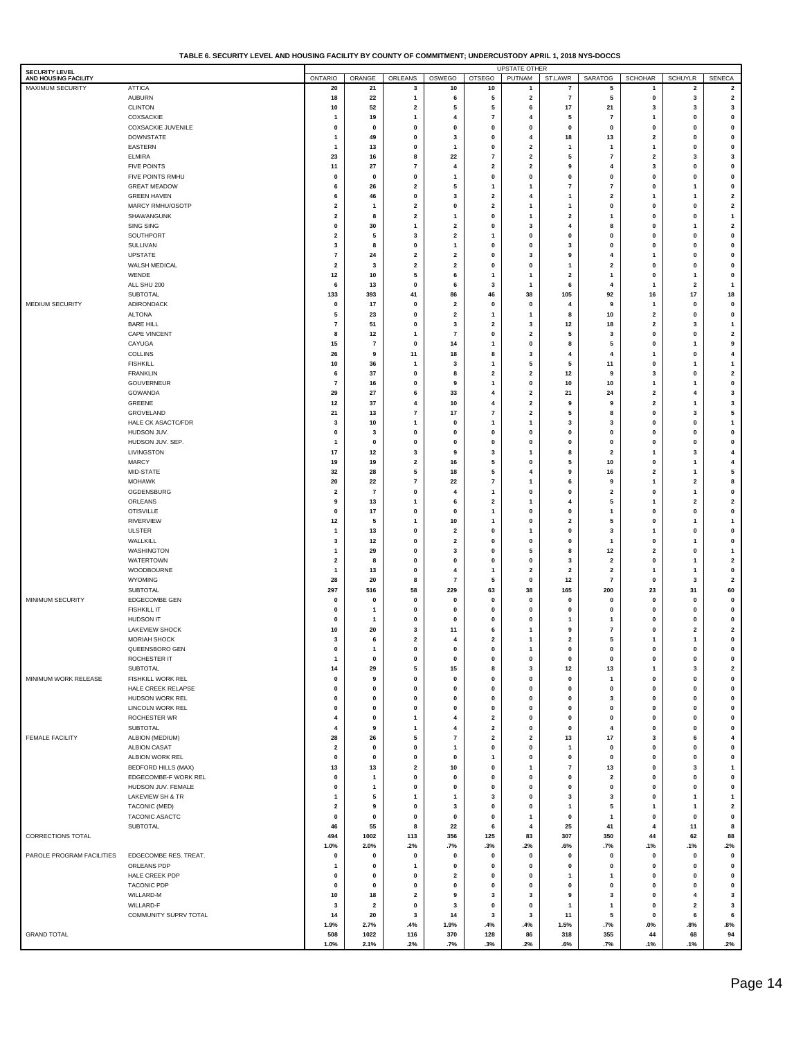| TABLE 6. SECURITY LEVEL AND HOUSING FACILITY BY COUNTY OF COMMITMENT: UNDERCUSTODY APRIL 1. 2018 NYS-DOCCS |  |  |
|------------------------------------------------------------------------------------------------------------|--|--|
|                                                                                                            |  |  |

| <b>SECURITY LEVEL</b>                    | <b>UPSTATE OTHER</b><br><b>ONTARIO</b><br>ORANGE<br>ORLEANS<br>OSWEGO<br><b>OTSEGO</b><br>PUTNAM<br>SARATOG<br><b>SCHOHAR</b><br><b>SENECA</b> |                              |                               |                              |                         |                              |              |                         |                                     |                             |                                |                         |
|------------------------------------------|------------------------------------------------------------------------------------------------------------------------------------------------|------------------------------|-------------------------------|------------------------------|-------------------------|------------------------------|--------------|-------------------------|-------------------------------------|-----------------------------|--------------------------------|-------------------------|
| AND HOUSING FACILITY<br>MAXIMUM SECURITY | <b>ATTICA</b>                                                                                                                                  | 20                           | 21                            | 3                            | 10                      | 10                           | 1            | ST.LAWR<br>7            | 5                                   | 1                           | <b>SCHUYLR</b><br>$\mathbf{2}$ | $\mathbf{2}$            |
|                                          | <b>AUBURN</b>                                                                                                                                  | 18                           | $\bf 22$                      | -1                           | 6                       | 5                            | $\mathbf{2}$ | $\overline{7}$          | 5                                   | $\pmb{0}$                   | 3                              | $\mathbf 2$             |
|                                          | <b>CLINTON</b>                                                                                                                                 | 10                           | 52                            | $\overline{\mathbf{2}}$      | ${\bf 5}$               | 5                            | 6            | $17\,$                  | 21                                  | 3                           | 3                              | $\mathbf 3$             |
|                                          | COXSACKIE                                                                                                                                      | -1                           | 19                            | $\mathbf{1}$                 | 4                       | $\overline{7}$               | 4            | 5                       | $\scriptstyle{7}$                   | 1                           | $\mathbf 0$                    | $\pmb{0}$               |
|                                          | COXSACKIE JUVENILE                                                                                                                             | $\mathbf 0$                  | 0                             | $\mathbf 0$                  | $\mathbf 0$             | $\mathbf 0$                  | 0            | 0                       | $\pmb{0}$                           | $\mathbf 0$                 | $\mathbf 0$                    | $\pmb{0}$               |
|                                          | <b>DOWNSTATE</b>                                                                                                                               | $\mathbf{1}$                 | 49                            | 0                            | 3                       | 0                            | 4            | 18                      | 13                                  | $\overline{\mathbf{2}}$     | 0                              | 0                       |
|                                          | EASTERN                                                                                                                                        | $\mathbf{1}$                 | 13                            | 0                            | 1                       | 0                            | 2            | 1                       | 1                                   | 1                           | $\mathbf 0$                    | 0                       |
|                                          | <b>ELMIRA</b>                                                                                                                                  | 23                           | 16                            | 8                            | 22<br>4                 | $\overline{\mathbf{r}}$      | 2            | 5                       | $\scriptstyle{7}$<br>$\overline{4}$ | $\overline{\mathbf{2}}$     | 3<br>$\mathbf 0$               | 3                       |
|                                          | <b>FIVE POINTS</b><br>FIVE POINTS RMHU                                                                                                         | 11<br>0                      | 27<br>0                       | 7<br>0                       | 1                       | $\overline{\mathbf{2}}$<br>0 | 2<br>0       | 9<br>0                  | $\pmb{0}$                           | 3<br>0                      | 0                              | 0<br>0                  |
|                                          | <b>GREAT MEADOW</b>                                                                                                                            | 6                            | 26                            | $\overline{\mathbf{2}}$      | 5                       | 1                            | 1            | $\overline{7}$          | $\scriptstyle{7}$                   | 0                           | $\mathbf{1}$                   | 0                       |
|                                          | <b>GREEN HAVEN</b>                                                                                                                             | 6                            | 46                            | 0                            | 3                       | $\overline{\mathbf{2}}$      | 4            | 1                       | $\mathbf{2}$                        | 1                           | 1                              | $\mathbf 2$             |
|                                          | MARCY RMHU/OSOTP                                                                                                                               | 2                            | $\mathbf{1}$                  | $\overline{\mathbf{2}}$      | 0                       | $\overline{\mathbf{2}}$      | 1            | 1                       | $\pmb{0}$                           | 0                           | 0                              | $\mathbf 2$             |
|                                          | SHAWANGUNK                                                                                                                                     | $\overline{\mathbf{2}}$      | 8                             | $\overline{\mathbf{2}}$      | 1                       | 0                            | 1            | 2                       | $\mathbf{1}$                        | 0                           | 0                              | $\mathbf{1}$            |
|                                          | <b>SING SING</b>                                                                                                                               | 0                            | 30                            | 1                            | $\overline{\mathbf{2}}$ | 0                            | 3            | 4                       | 8                                   | 0                           | $\mathbf{1}$                   | $\overline{\mathbf{2}}$ |
|                                          | SOUTHPORT                                                                                                                                      | 2                            | 5                             | 3                            | $\overline{\mathbf{2}}$ | 1                            | 0            | 0                       | $\pmb{0}$                           | 0                           | 0                              | 0                       |
|                                          | SULLIVAN<br><b>UPSTATE</b>                                                                                                                     | 3<br>$\overline{7}$          | 8                             | 0<br>$\overline{\mathbf{2}}$ | 1<br>$\mathbf{2}$       | 0                            | 0<br>3       | 3                       | $\pmb{0}$                           | 0<br>1                      | $\mathbf 0$<br>0               | 0<br>0                  |
|                                          | WALSH MEDICAL                                                                                                                                  | $\overline{\mathbf{2}}$      | 24<br>3                       | $\overline{\mathbf{2}}$      | $\overline{\mathbf{2}}$ | 0<br>0                       | 0            | 9<br>1                  | 4<br>$\mathbf{2}$                   | 0                           | 0                              | 0                       |
|                                          | WENDE                                                                                                                                          | $12$                         | 10                            | 5                            | 6                       | 1                            | 1            | 2                       | 1                                   | 0                           | 1                              | 0                       |
|                                          | ALL SHU 200                                                                                                                                    | 6                            | 13                            | 0                            | 6                       | 3                            | 1            | 6                       | $\overline{4}$                      | 1                           | $\overline{\mathbf{2}}$        | $\mathbf{1}$            |
|                                          | SUBTOTAL                                                                                                                                       | 133                          | 393                           | 41                           | 86                      | 46                           | 38           | 105                     | 92                                  | 16                          | 17                             | 18                      |
| MEDIUM SECURITY                          | ADIRONDACK                                                                                                                                     | 0                            | 17                            | 0                            | $\overline{\mathbf{2}}$ | 0                            | 0            | 4                       | 9                                   | $\mathbf{1}$                | 0                              | 0                       |
|                                          | <b>ALTONA</b>                                                                                                                                  | 5                            | 23                            | 0                            | $\overline{\mathbf{2}}$ | 1                            | 1            | 8                       | 10                                  | $\overline{\mathbf{2}}$     | 0                              | 0                       |
|                                          | <b>BARE HILL</b>                                                                                                                               | $\overline{\phantom{a}}$     | 51                            | 0                            | 3                       | $\overline{\mathbf{2}}$      | 3            | 12                      | 18                                  | $\overline{\mathbf{2}}$     | 3                              | $\mathbf{1}$            |
|                                          | <b>CAPE VINCENT</b><br>CAYUGA                                                                                                                  | 8                            | $12$                          | 1                            | $\boldsymbol{7}$        | 0<br>1                       | 2<br>0       | 5<br>8                  | 3<br>5                              | 0<br>0                      | 0<br>1                         | $\mathbf{2}$<br>9       |
|                                          | <b>COLLINS</b>                                                                                                                                 | 15<br>26                     | 7<br>9                        | 0<br>11                      | 14<br>18                | 8                            | 3            | 4                       | 4                                   | 1                           | 0                              | 4                       |
|                                          | <b>FISHKILL</b>                                                                                                                                | 10                           | 36                            | $\mathbf{1}$                 | 3                       | 1                            | 5            | 5                       | 11                                  | 0                           | 1                              | $\mathbf{1}$            |
|                                          | <b>FRANKLIN</b>                                                                                                                                | 6                            | 37                            | 0                            | 8                       | $\overline{\mathbf{2}}$      | 2            | 12                      | 9                                   | 3                           | $\pmb{0}$                      | $\mathbf 2$             |
|                                          | GOUVERNEUR                                                                                                                                     | $\overline{7}$               | 16                            | 0                            | 9                       | 1                            | 0            | 10                      | 10                                  | 1                           | $\mathbf{1}$                   | 0                       |
|                                          | <b>GOWANDA</b>                                                                                                                                 | 29                           | 27                            | 6                            | 33                      | 4                            | 2            | 21                      | 24                                  | 2                           | 4                              | 3                       |
|                                          | GREENE                                                                                                                                         | $12$                         | 37                            | 4                            | 10                      | 4                            | 2            | 9                       | 9                                   | $\overline{\mathbf{2}}$     | 1                              | $\mathbf 3$             |
|                                          | GROVELAND                                                                                                                                      | 21                           | 13                            | $\overline{\mathbf{r}}$      | 17                      | $\overline{\mathbf{r}}$      | 2            | 5                       | 8                                   | 0                           | 3                              | 5                       |
|                                          | HALE CK ASACTC/FDR<br>HUDSON JUV.                                                                                                              | 3<br>0                       | 10<br>3                       | $\mathbf{1}$<br>0            | 0<br>0                  | 1<br>0                       | 1<br>0       | 3<br>0                  | 3<br>$\pmb{0}$                      | 0<br>0                      | 0<br>0                         | $\mathbf{1}$<br>0       |
|                                          | HUDSON JUV. SEP.                                                                                                                               | $\mathbf{1}$                 | 0                             | 0                            | 0                       | 0                            | 0            | 0                       | $\pmb{0}$                           | 0                           | $\mathbf 0$                    | 0                       |
|                                          | LIVINGSTON                                                                                                                                     | 17                           | 12                            | 3                            | 9                       | 3                            | 1            | 8                       | $\mathbf{2}$                        | 1                           | 3                              | 4                       |
|                                          | <b>MARCY</b>                                                                                                                                   | 19                           | 19                            | $\overline{\mathbf{2}}$      | 16                      | 5                            | 0            | 5                       | 10                                  | 0                           | $\mathbf{1}$                   | 4                       |
|                                          | MID-STATE                                                                                                                                      | 32                           | 28                            | 5                            | 18                      | 5                            | 4            | 9                       | 16                                  | $\overline{\mathbf{2}}$     | 1                              | 5                       |
|                                          | <b>MOHAWK</b>                                                                                                                                  | 20                           | 22                            | $\overline{\phantom{a}}$     | 22                      | 7                            | 1            | 6                       | 9                                   | 1                           | $\overline{\mathbf{2}}$        | 8                       |
|                                          | OGDENSBURG                                                                                                                                     | $\overline{\mathbf{2}}$      | $\overline{\phantom{a}}$      | 0                            | 4                       | 1                            | 0            | 0                       | $\mathbf{2}$                        | 0                           | $\mathbf{1}$                   | 0                       |
|                                          | ORLEANS                                                                                                                                        | 9                            | 13                            | $\mathbf{1}$                 | 6                       | $\overline{\mathbf{2}}$      | 1            | 4                       | 5                                   | 1                           | $\overline{\mathbf{2}}$        | $\overline{\mathbf{2}}$ |
|                                          | <b>OTISVILLE</b><br><b>RIVERVIEW</b>                                                                                                           | 0<br>12                      | 17<br>5                       | 0<br>$\mathbf{1}$            | 0<br>10                 | 1<br>1                       | 0<br>0       | 0<br>2                  | 1<br>5                              | 0<br>0                      | 0<br>1                         | 0<br>$\mathbf{1}$       |
|                                          | <b>ULSTER</b>                                                                                                                                  | $\mathbf{1}$                 | 13                            | 0                            | $\overline{\mathbf{2}}$ | 0                            | 1            | 0                       | 3                                   | 1                           | $\pmb{0}$                      | 0                       |
|                                          | WALLKILL                                                                                                                                       | 3                            | $12$                          | 0                            | $\overline{\mathbf{2}}$ | 0                            | 0            | 0                       | 1                                   | 0                           | $\mathbf{1}$                   | 0                       |
|                                          | WASHINGTON                                                                                                                                     | $\mathbf{1}$                 | 29                            | 0                            | 3                       | 0                            | 5            | 8                       | 12                                  | $\overline{\mathbf{2}}$     | 0                              | $\mathbf{1}$            |
|                                          | WATERTOWN                                                                                                                                      | 2                            | 8                             | 0                            | 0                       | 0                            | 0            | 3                       | $\mathbf{2}$                        | $\mathbf 0$                 | 1                              | $\mathbf{2}$            |
|                                          | WOODBOURNE                                                                                                                                     | $\mathbf{1}$                 | 13                            | 0                            | 4                       | 1                            | $\mathbf{2}$ | $\overline{\mathbf{2}}$ | $\mathbf{2}$                        | 1                           | $\mathbf{1}$                   | 0                       |
|                                          | WYOMING                                                                                                                                        | 28                           | 20                            | 8                            | $\overline{7}$          | 5                            | 0            | 12                      | $\scriptstyle\rm 7$                 | $\mathbf 0$                 | 3                              | $\overline{\mathbf{2}}$ |
| MINIMUM SECURITY                         | SUBTOTAL<br>EDGECOMBE GEN                                                                                                                      | 297<br>$\mathbf{0}$          | 516<br>0                      | 58<br>0                      | 229<br>0                | 63<br>0                      | 38<br>0      | 165<br>0                | 200<br>0                            | 23<br>$\mathbf 0$           | 31<br>0                        | 60<br>0                 |
|                                          | <b>FISHKILL IT</b>                                                                                                                             | $\mathbf{0}$                 | 1                             | 0                            | 0                       | 0                            | 0            | 0                       | 0                                   | 0                           | 0                              | 0                       |
|                                          | <b>HUDSON IT</b>                                                                                                                               | $\mathbf{0}$                 | $\mathbf{1}$                  | 0                            | $\mathbf 0$             | 0                            | 0            | 1                       | 1                                   | 0                           | $\mathbf 0$                    | 0                       |
|                                          | <b>LAKEVIEW SHOCK</b>                                                                                                                          | 10                           | 20                            | 3                            | 11                      | 6                            | 1            | 9                       | $\scriptstyle\rm 7$                 | 0                           | $\overline{\mathbf{2}}$        | $\mathbf{2}$            |
|                                          | MORIAH SHOCK                                                                                                                                   | 3                            | 6                             | $\overline{\mathbf{2}}$      | 4                       | $\overline{\mathbf{2}}$      | 1            | 2                       | 5                                   | 1                           | 1                              | $\pmb{0}$               |
|                                          | QUEENSBORO GEN                                                                                                                                 |                              |                               |                              |                         |                              |              |                         |                                     |                             |                                |                         |
|                                          | ROCHESTER IT                                                                                                                                   | $\mathbf{1}$                 | $\pmb{0}$                     | $\pmb{0}$                    | $\pmb{0}$               | $\pmb{0}$                    | 0            | 0                       | 0                                   | $\pmb{0}$                   | $\pmb{0}$                      | $\pmb{0}$               |
| MINIMUM WORK RELEASE                     | SUBTOTAL<br>FISHKILL WORK REL                                                                                                                  | 14<br>0                      | 29<br>9                       | 5<br>0                       | 15<br>0                 | 8<br>0                       | 3<br>0       | 12<br>0                 | 13<br>1                             | 1<br>0                      | 3<br>$\pmb{0}$                 | $\mathbf 2$<br>0        |
|                                          | HALE CREEK RELAPSE                                                                                                                             | 0                            | 0                             | $\pmb{0}$                    | 0                       | $\pmb{0}$                    | 0            | 0                       | 0                                   | 0                           | $\pmb{0}$                      | 0                       |
|                                          | HUDSON WORK REL                                                                                                                                | 0                            | 0                             | 0                            | 0                       | 0                            | 0            | 0                       | $\mathbf{3}$                        | 0                           | $\mathbf 0$                    | 0                       |
|                                          | <b>LINCOLN WORK REL</b>                                                                                                                        | 0                            | 0                             | 0                            | 0                       | $\pmb{0}$                    | 0            | 0                       | $\pmb{0}$                           | 0                           | 0                              | 0                       |
|                                          | ROCHESTER WR                                                                                                                                   | 4                            | 0                             | 1                            | $\overline{\mathbf{4}}$ | $\overline{\mathbf{2}}$      | 0            | 0                       | 0                                   | 0                           | $\mathbf 0$                    | 0                       |
|                                          | <b>SUBTOTAL</b>                                                                                                                                | 4                            | 9                             | 1                            | 4                       | $\overline{\mathbf{2}}$      | 0            | 0                       | 4                                   | 0                           | $\pmb{0}$                      | 0                       |
| <b>FEMALE FACILITY</b>                   | ALBION (MEDIUM)                                                                                                                                | 28                           | 26                            | 5                            | $\boldsymbol{7}$        | $\overline{\mathbf{2}}$      | 2            | 13                      | 17                                  | 3<br>0                      | 6<br>0                         | 4                       |
|                                          | <b>ALBION CASAT</b><br>ALBION WORK REL                                                                                                         | $\overline{\mathbf{2}}$<br>0 | 0<br>0                        | $\pmb{0}$<br>0               | 1<br>0                  | $\pmb{0}$<br>1               | 0<br>0       | 1<br>0                  | $\pmb{0}$<br>0                      | 0                           | $\mathbf 0$                    | 0<br>0                  |
|                                          | <b>BEDFORD HILLS (MAX)</b>                                                                                                                     | 13                           | 13                            | $\overline{\mathbf{2}}$      | 10                      | $\pmb{0}$                    | 1            | $\bf 7$                 | 13                                  | 0                           | 3                              | $\mathbf{1}$            |
|                                          | EDGECOMBE-F WORK REL                                                                                                                           | 0                            | $\mathbf{1}$                  | $\pmb{0}$                    | 0                       | 0                            | 0            | 0                       | $\mathbf{2}$                        | 0                           | 0                              | 0                       |
|                                          | HUDSON JUV. FEMALE                                                                                                                             | 0                            | 1                             | 0                            | 0                       | $\pmb{0}$                    | 0            | 0                       | 0                                   | 0                           | 0                              | 0                       |
|                                          | LAKEVIEW SH & TR                                                                                                                               | $\mathbf{1}$                 | 5                             | 1                            | 1                       | 3                            | 0            | 3                       | 3                                   | 0                           | $\mathbf{1}$                   | 1                       |
|                                          | TACONIC (MED)                                                                                                                                  | $\overline{\mathbf{2}}$      | 9                             | $\pmb{0}$                    | $\mathbf{3}$            | $\pmb{0}$                    | 0            | 1                       | 5                                   | 1                           | $\mathbf{1}$                   | $\mathbf{2}$            |
|                                          | TACONIC ASACTC                                                                                                                                 | $\mathbf 0$                  | 0                             | 0                            | $\pmb{0}$               | $\pmb{0}$                    | 1            | 0                       | $\mathbf{1}$                        | $\mathbf{0}$                | $\mathbf 0$                    | 0                       |
| CORRECTIONS TOTAL                        | SUBTOTAL                                                                                                                                       | 46<br>494                    | 55<br>1002                    | 8<br>113                     | 22<br>356               | 6<br>125                     | 4<br>83      | 25<br>307               | 41<br>350                           | 4<br>44                     | 11<br>62                       | 8<br>88                 |
|                                          |                                                                                                                                                | 1.0%                         | 2.0%                          | .2%                          | .7%                     | .3%                          | .2%          | .6%                     | .7%                                 | .1%                         | .1%                            | .2%                     |
| PAROLE PROGRAM FACILITIES                | EDGECOMBE RES. TREAT.                                                                                                                          | $\mathbf 0$                  | 0                             | 0                            | 0                       | 0                            | 0            | 0                       | 0                                   | $\mathbf 0$                 | $\mathbf 0$                    | 0                       |
|                                          | ORLEANS PDP                                                                                                                                    | -1                           | 0                             | 1                            | 0                       | 0                            | 0            | 0                       | $\pmb{0}$                           | 0                           | 0                              | 0                       |
|                                          | HALE CREEK PDP                                                                                                                                 | $\mathbf{0}$                 | 0                             | 0                            | $\overline{\mathbf{2}}$ | 0                            | 0            | 1                       | 1                                   | 0                           | $\mathbf 0$                    | 0                       |
|                                          | <b>TACONIC PDP</b>                                                                                                                             | $\pmb{0}$                    | $\mathbf 0$                   | $\pmb{0}$                    | 0                       | $\pmb{0}$                    | 0            | 0                       | $\pmb{0}$                           | $\mathbf{0}$                | 0                              | 0                       |
|                                          | WILLARD-M                                                                                                                                      | 10                           | 18                            | $\overline{\mathbf{2}}$      | 9                       | 3                            | 3            | 9                       | 3                                   | 0                           | $\overline{4}$                 | 3                       |
|                                          | WILLARD-F<br>COMMUNITY SUPRV TOTAL                                                                                                             | 3<br>14                      | $\overline{\mathbf{2}}$<br>20 | $\pmb{0}$<br>3               | 3<br>14                 | $\pmb{0}$<br>3               | 0<br>3       | 1<br>11                 | $\mathbf{1}$<br>5                   | $\mathbf{0}$<br>$\mathbf 0$ | $\overline{\mathbf{2}}$<br>6   | 3<br>6                  |
|                                          |                                                                                                                                                | 1.9%                         | 2.7%                          | .4%                          | 1.9%                    | .4%                          | .4%          | 1.5%                    | .7%                                 | .0%                         | .8%                            | .8%                     |
| <b>GRAND TOTAL</b>                       |                                                                                                                                                | 508                          | 1022                          | 116                          | 370                     | 128                          | 86           | 318                     | 355                                 | 44                          | 68                             | 94                      |
|                                          |                                                                                                                                                | 1.0%                         | 2.1%                          | .2%                          | .7%                     | .3%                          | .2%          | .6%                     | .7%                                 | .1%                         | .1%                            | 2%                      |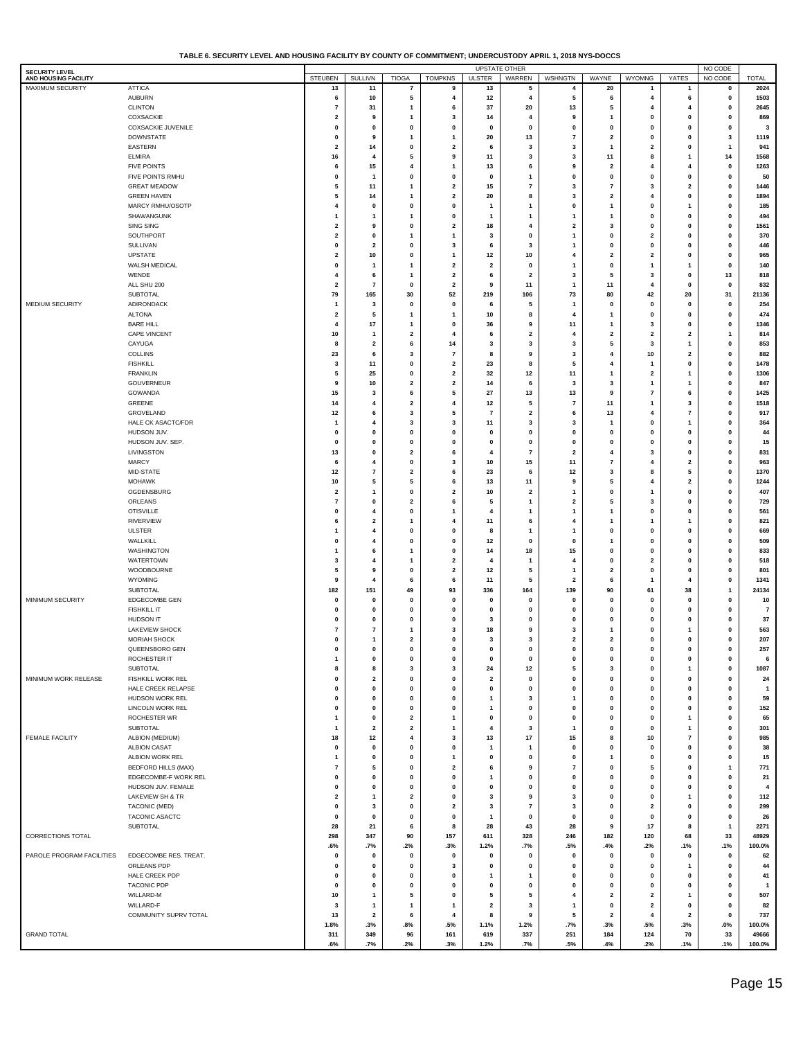| TABLE 6. SECURITY LEVEL AND HOUSING FACILITY BY COUNTY OF COMMITMENT: UNDERCUSTODY APRIL 1. 2018 NYS-DOCCS |  |  |  |
|------------------------------------------------------------------------------------------------------------|--|--|--|
|                                                                                                            |  |  |  |

|                                               |                                        |                           |                         |                         |                         |                              | <b>UPSTATE OTHER</b>     |                           |                                  |                             |                              | NO CODE                |                 |
|-----------------------------------------------|----------------------------------------|---------------------------|-------------------------|-------------------------|-------------------------|------------------------------|--------------------------|---------------------------|----------------------------------|-----------------------------|------------------------------|------------------------|-----------------|
| <b>SECURITY LEVEL</b><br>AND HOUSING FACILITY |                                        | <b>STEUBEN</b>            | <b>SULLIVN</b>          | <b>TIOGA</b>            | <b>TOMPKNS</b>          | <b>ULSTER</b>                | WARREN                   | WSHNGTN                   | WAYNE                            | <b>WYOMNG</b>               | YATES                        | NO CODE                | <b>TOTAL</b>    |
| MAXIMUM SECURITY                              | <b>ATTICA</b>                          | 13                        | 11                      | 7                       | 9                       | 13                           | 5                        | 4                         | 20                               |                             | 1                            | 0                      | 2024            |
|                                               | <b>AUBURN</b>                          | 6                         | 10                      | 5                       | 4                       | 12                           | 4                        | 5                         | 6                                | 4                           | 6                            | $\pmb{0}$              | 1503            |
|                                               | <b>CLINTON</b>                         | $\overline{7}$            | 31                      | 1                       | 6                       | 37                           | 20                       | 13                        | 5                                | $\overline{4}$              |                              | $\mathbf 0$            | 2645            |
|                                               | COXSACKIE                              | $\overline{2}$            | 9                       | 1                       | 3                       | 14                           | 4                        | 9                         | -1                               | $\mathbf{0}$                | 0                            | $\mathbf 0$            | 869             |
|                                               | <b>COXSACKIE JUVENILE</b>              | $\mathbf 0$               | 0                       | 0                       | 0                       | $\mathbf 0$                  | $\pmb{0}$                | 0                         | 0                                | $\pmb{0}$                   | $\mathbf 0$                  | 0                      | 3               |
|                                               | <b>DOWNSTATE</b>                       | $\pmb{0}$                 | 9                       | $\mathbf{1}$            | 1                       | 20                           | 13                       | $\overline{7}$            | $\overline{\mathbf{2}}$          | $\pmb{0}$                   | $\mathbf 0$                  | 3                      | 1119            |
|                                               | <b>EASTERN</b>                         | $\overline{\mathbf{2}}$   | 14                      | 0                       | $\mathbf{2}$            | 6                            | 3                        | 3                         | $\mathbf{1}$                     | $\overline{\mathbf{2}}$     | $\mathbf 0$                  | $\mathbf{1}$           | 941             |
|                                               | <b>ELMIRA</b>                          | 16                        | $\overline{4}$          | 5                       | 9                       | 11                           | 3                        | 3                         | 11                               | 8                           | -1                           | 14                     | 1568            |
|                                               | <b>FIVE POINTS</b>                     | 6                         | 15                      | 4                       | 1                       | 13                           | 6                        | 9                         | $\overline{\mathbf{2}}$          | $\overline{4}$              | 4                            | $\pmb{0}$              | 1263            |
|                                               | FIVE POINTS RMHU                       | $\pmb{0}$                 | -1                      | 0                       | $\mathbf 0$             | $\mathbf 0$                  | $\mathbf{1}$             | $\pmb{0}$                 | $\pmb{0}$                        | $\pmb{0}$                   | $\mathbf 0$                  | $\pmb{0}$              | 50              |
|                                               | <b>GREAT MEADOW</b>                    | 5<br>5                    | 11                      | 1                       | $\mathbf{2}$            | 15                           | $\overline{7}$           | 3                         | $\overline{7}$                   | 3                           | $\overline{\mathbf{2}}$      | $\pmb{0}$              | 1446            |
|                                               | <b>GREEN HAVEN</b><br>MARCY RMHU/OSOTP | 4                         | 14<br>$\pmb{0}$         | 1<br>0                  | 2<br>$\mathbf 0$        | 20<br>-1                     | 8<br>$\overline{1}$      | 3<br>$\pmb{0}$            | $\overline{2}$<br>$\overline{1}$ | $\overline{4}$<br>$\pmb{0}$ | $\mathbf 0$<br>-1            | $\pmb{0}$<br>$\pmb{0}$ | 1894<br>185     |
|                                               | SHAWANGUNK                             | -1                        | -1                      | $\mathbf{1}$            | $\mathbf 0$             | -1                           | $\mathbf{1}$             | $\mathbf{1}$              | 1                                | $\pmb{0}$                   | $\mathbf 0$                  | $\pmb{0}$              | 494             |
|                                               | SING SING                              | $\overline{\mathbf{2}}$   | 9                       | 0                       | $\mathbf{2}$            | 18                           | $\overline{4}$           | $\overline{\mathbf{2}}$   | 3                                | $\pmb{0}$                   | $\Omega$                     | $\pmb{0}$              | 1561            |
|                                               | SOUTHPORT                              | $\overline{\mathbf{2}}$   | $\mathbf 0$             | 1                       | 1                       | 3                            | $\pmb{0}$                | $\mathbf{1}$              | 0                                | $\overline{\mathbf{2}}$     | $\Omega$                     | $\mathbf 0$            | 370             |
|                                               | SULLIVAN                               | $\pmb{0}$                 | $\overline{\mathbf{2}}$ | 0                       | 3                       | 6                            | 3                        | $\mathbf{1}$              | $\pmb{0}$                        | $\pmb{0}$                   | $\mathbf 0$                  | $\mathbf 0$            | 446             |
|                                               | <b>UPSTATE</b>                         | $\overline{\mathbf{2}}$   | 10                      | 0                       | 1                       | 12                           | 10                       | $\overline{4}$            | $\overline{2}$                   | $\overline{2}$              | $\mathbf 0$                  | $\pmb{0}$              | 965             |
|                                               | WALSH MEDICAL                          | $\mathbf 0$               | -1                      | 1                       | $\mathbf{2}$            | $\overline{\mathbf{2}}$      | $\pmb{0}$                | $\mathbf{1}$              | $\pmb{0}$                        | $\mathbf{1}$                |                              | $\pmb{0}$              | 140             |
|                                               | WENDE                                  | 4                         | 6                       | 1                       | 2                       | 6                            | $\overline{\mathbf{2}}$  | 3                         | 5                                | 3                           | $\mathbf 0$                  | 13                     | 818             |
|                                               | ALL SHU 200                            | $\overline{\mathbf{2}}$   | $\overline{7}$          | 0                       | $\mathbf{2}$            | 9                            | 11                       | $\mathbf{1}$              | 11                               | $\overline{4}$              | $\mathbf 0$                  | $\pmb{0}$              | 832             |
|                                               | SUBTOTAL                               | 79                        | 165                     | 30                      | 52                      | 219                          | 106                      | 73                        | 80                               | 42                          | 20                           | 31                     | 21136           |
| <b>MEDIUM SECURITY</b>                        | ADIRONDACK                             | -1                        | 3                       | 0                       | $\mathbf 0$             | 6                            | 5                        | $\mathbf{1}$              | $\pmb{0}$                        | $\pmb{0}$                   | $\mathbf{0}$                 | $\pmb{0}$              | 254             |
|                                               | <b>ALTONA</b>                          | $\overline{2}$            | 5                       | 1                       | 1                       | 10                           | 8                        | 4                         | -1                               | $\mathbf 0$                 | $\Omega$                     | $\mathbf 0$            | 474             |
|                                               | <b>BARE HILL</b>                       | $\overline{4}$            | 17                      | $\mathbf{1}$            | $\mathbf 0$             | 36                           | 9                        | 11                        | $\mathbf{1}$                     | 3                           | $\mathbf 0$                  | $\mathbf 0$            | 1346            |
|                                               | <b>CAPE VINCENT</b>                    | 10                        | -1                      | $\mathbf{2}$            | $\overline{4}$          | 6                            | $\overline{\mathbf{2}}$  | $\overline{4}$            | $\overline{\mathbf{2}}$          | $\overline{\mathbf{2}}$     | $\overline{2}$               | 1                      | 814             |
|                                               | CAYUGA                                 | 8                         | $\overline{\mathbf{2}}$ | 6                       | 14                      | 3                            | 3                        | 3                         | 5                                | 3                           | $\mathbf{1}$                 | $\pmb{0}$              | 853             |
|                                               | <b>COLLINS</b>                         | 23                        | 6                       | 3                       | $\overline{7}$          | 8                            | 9                        | 3                         | $\overline{4}$                   | 10                          | $\overline{2}$               | $\mathbf 0$            | 882             |
|                                               | <b>FISHKILL</b>                        | 3                         | 11                      | 0                       | $\mathbf{2}$            | 23                           | 8                        | 5                         | $\overline{4}$                   | $\overline{1}$              | $\pmb{0}$                    | $\pmb{0}$              | 1478            |
|                                               | <b>FRANKLIN</b>                        | 5                         | 25                      | 0                       | $\mathbf{2}$            | 32                           | 12                       | 11                        | 1                                | $\overline{2}$              | $\mathbf{1}$                 | $\pmb{0}$              | 1306            |
|                                               | GOUVERNEUR                             | 9                         | 10                      | $\mathbf{2}$            | $\mathbf{2}$            | 14                           | 6                        | 3                         | 3                                | $\mathbf{1}$                | -1                           | $\pmb{0}$              | 847             |
|                                               | GOWANDA                                | 15                        | 3                       | 6                       | 5                       | 27                           | 13                       | 13                        | 9                                | $\overline{7}$              | 6                            | $\pmb{0}$              | 1425            |
|                                               | GREENE                                 | 14                        | $\overline{4}$          | $\mathbf{2}$            | $\overline{4}$          | 12                           | 5                        | $\overline{7}$            | 11                               | $\overline{1}$              | 3                            | $\pmb{0}$              | 1518            |
|                                               | GROVELAND                              | 12                        | 6                       | 3                       | 5                       | $\overline{7}$               | $\overline{2}$           | 6                         | 13                               | $\overline{4}$              | $\overline{7}$               | $\pmb{0}$              | 917             |
|                                               | <b>HALE CK ASACTC/FDR</b>              | -1                        | $\overline{4}$          | 3                       | 3                       | 11                           | 3                        | 3                         | 1                                | $\pmb{0}$                   | -1                           | $\mathbf 0$            | 364             |
|                                               | HUDSON JUV.                            | $\mathbf{0}$              | $\mathbf 0$             | 0                       | $\mathbf{0}$            | $\mathbf 0$                  | $\pmb{0}$                | $\pmb{0}$                 | $\mathbf{0}$                     | $\mathbf 0$                 | $\Omega$                     | $\mathbf 0$            | 44              |
|                                               | HUDSON JUV. SEP.                       | $\pmb{0}$                 | $\pmb{0}$               | 0                       | $\bf{0}$                | $\mathbf 0$                  | $\pmb{0}$                | $\pmb{0}$                 | $\pmb{0}$                        | $\pmb{0}$                   | $\mathbf 0$                  | $\pmb{0}$              | 15              |
|                                               | LIVINGSTON                             | 13                        | $\pmb{0}$               | $\mathbf{2}$            | 6                       | $\overline{4}$               | $\overline{7}$           | $\overline{\mathbf{2}}$   | 4                                | 3                           | $\mathbf 0$                  | $\pmb{0}$              | 831             |
|                                               | <b>MARCY</b>                           | 6                         | $\overline{4}$          | 0                       | 3                       | 10                           | 15                       | 11                        | $\overline{7}$                   | $\overline{4}$              | $\overline{2}$               | $\pmb{0}$              | 963             |
|                                               | MID-STATE<br><b>MOHAWK</b>             | 12<br>10                  | $\overline{7}$<br>5     | $\mathbf{2}$<br>5       | 6<br>6                  | 23<br>13                     | 6<br>11                  | 12<br>9                   | 3<br>5                           | 8<br>$\overline{4}$         | 5<br>$\overline{\mathbf{2}}$ | $\pmb{0}$<br>$\pmb{0}$ | 1370<br>1244    |
|                                               | OGDENSBURG                             | $\overline{2}$            | -1                      | 0                       | 2                       | 10                           | $\overline{\mathbf{2}}$  | $\mathbf{1}$              | $\pmb{0}$                        | 1                           | $\mathbf 0$                  | $\pmb{0}$              | 407             |
|                                               | ORLEANS                                | $\overline{7}$            | $\pmb{0}$               | $\overline{\mathbf{2}}$ | 6                       | 5                            | $\overline{1}$           | $\overline{\mathbf{2}}$   | 5                                | 3                           | $\Omega$                     | $\mathbf 0$            | 729             |
|                                               | <b>OTISVILLE</b>                       | $\mathbf{0}$              | $\overline{4}$          | 0                       | 1                       | $\overline{4}$               | -1                       | $\mathbf{1}$              | 1                                | $\pmb{0}$                   | $\mathbf{0}$                 | $\mathbf 0$            | 561             |
|                                               | <b>RIVERVIEW</b>                       | 6                         | $\overline{\mathbf{2}}$ | 1                       | $\overline{4}$          | 11                           | 6                        | $\overline{4}$            | 1                                | $\overline{1}$              | -1                           | $\mathbf 0$            | 821             |
|                                               | <b>ULSTER</b>                          | -1                        | $\overline{4}$          | 0                       | $\mathbf 0$             | 8                            | -1                       | $\mathbf{1}$              | $\pmb{0}$                        | $\pmb{0}$                   | $\mathbf 0$                  | $\pmb{0}$              | 669             |
|                                               | WALLKILL                               | $\mathbf{0}$              | $\overline{4}$          | 0                       | $\mathbf 0$             | 12                           | $\pmb{0}$                | $\pmb{0}$                 | 1                                | $\pmb{0}$                   | $\Omega$                     | $\mathbf 0$            | 509             |
|                                               | <b>WASHINGTON</b>                      | -1                        | 6                       | 1                       | $\mathbf 0$             | 14                           | 18                       | 15                        | 0                                | $\pmb{0}$                   | $\Omega$                     | $\mathbf 0$            | 833             |
|                                               | WATERTOWN                              | 3                         | 4                       | $\mathbf{1}$            | $\mathbf{2}$            | 4                            | $\overline{1}$           | $\overline{4}$            | $\pmb{0}$                        | $\overline{\mathbf{2}}$     | $\mathbf 0$                  | $\mathbf 0$            | 518             |
|                                               | WOODBOURNE                             | 5                         | 9                       | 0                       | $\mathbf{2}$            | 12                           | 5                        | $\mathbf{1}$              | $\overline{\mathbf{2}}$          | $\pmb{0}$                   | $\Omega$                     | $\pmb{0}$              | 801             |
|                                               | <b>WYOMING</b>                         | 9                         | $\overline{4}$          | 6                       | 6                       | 11                           | 5                        | $\overline{\mathbf{2}}$   | 6                                | $\mathbf{1}$                |                              | $\pmb{0}$              | 1341            |
|                                               | <b>SUBTOTAL</b>                        | 182                       | 151                     | 49                      | 93                      | 336                          | 164                      | 139                       | 90                               | 61                          | 38                           | $\mathbf{1}$           | 24134           |
| MINIMUM SECURITY                              | EDGECOMBE GEN                          | $\pmb{0}$                 | $\pmb{0}$               | 0                       | $\mathbf 0$             | $\mathbf 0$                  | $\pmb{0}$                | $\pmb{0}$                 | 0                                | $\pmb{0}$                   | $\mathbf{0}$                 | $\pmb{0}$              | 10              |
|                                               | <b>FISHKILL IT</b>                     | $\mathbf 0$               | $\mathbf 0$             | 0                       | $\mathbf{0}$            | $\mathbf 0$                  | $\mathbf 0$              | $\pmb{0}$                 | $\mathbf{0}$                     | $\mathbf{0}$                | $\Omega$                     | $\mathbf 0$            | $\overline{7}$  |
|                                               | HUDSON IT                              | $\mathbf 0$               | $\mathbf 0$             | $\mathbf{0}$            | $\mathbf 0$             | 3                            | $\pmb{0}$                | $\pmb{0}$                 | 0                                | $\pmb{0}$                   | $\Omega$                     | $\mathbf 0$            | 37              |
|                                               | <b>LAKEVIEW SHOCK</b>                  | 7                         | 7                       | 1                       | 3                       | 18                           | 9                        | 3                         | -1                               | 0                           |                              | $\mathbf 0$            | 563             |
|                                               | <b>MORIAH SHOCK</b>                    | $\mathbf 0$               | $\mathbf{1}$            | $\overline{\mathbf{2}}$ | $\mathbf 0$             | 3                            | 3                        | $\overline{\mathbf{2}}$   | $\overline{\mathbf{2}}$          | 0                           | $\mathbf{0}$                 | $\mathbf 0$            | 207             |
|                                               | QUEENSBORO GEN                         | o                         |                         |                         | u                       | u                            |                          | U                         | 0                                |                             |                              |                        | 257             |
|                                               | ROCHESTER IT                           | $\mathbf{1}$              | $\pmb{0}$               | 0                       | 0                       | $\mathbf 0$                  | $\mathbf 0$              | $\pmb{0}$                 | $\pmb{0}$                        | $\pmb{0}$                   | $\pmb{0}$                    | $\pmb{0}$              | 6               |
|                                               | <b>SUBTOTAL</b>                        | 8                         | 8                       | 3                       | 3                       | ${\bf 24}$                   | 12                       | 5                         | 3                                | $\pmb{0}$                   | 1                            | $\pmb{0}$              | 1087            |
| MINIMUM WORK RELEASE                          | FISHKILL WORK REL                      | $\pmb{0}$                 | $\overline{\mathbf{2}}$ | 0                       | 0                       | $\overline{\mathbf{2}}$      | $\mathbf 0$              | $\pmb{0}$                 | $\pmb{0}$                        | $\pmb{0}$                   | $\pmb{0}$                    | $\pmb{0}$              | 24              |
|                                               | HALE CREEK RELAPSE<br>HUDSON WORK REL  | $\mathbf{0}$              | $\pmb{0}$               | 0                       | 0                       | $\pmb{0}$                    | $\mathbf 0$              | $\pmb{0}$                 | $\pmb{0}$                        | $\pmb{0}$                   | $\pmb{0}$<br>$\mathbf{0}$    | $\pmb{0}$              | $\mathbf{1}$    |
|                                               | <b>LINCOLN WORK REL</b>                | $\pmb{0}$<br>$\mathbf{0}$ | $\pmb{0}$<br>$\pmb{0}$  | 0<br>0                  | 0<br>0                  | $\mathbf{1}$<br>$\mathbf{1}$ | 3<br>$\mathbf 0$         | $\mathbf{1}$<br>$\pmb{0}$ | $\pmb{0}$<br>$\pmb{0}$           | $\pmb{0}$<br>$\pmb{0}$      | $\mathbf{0}$                 | $\pmb{0}$<br>$\pmb{0}$ | 59<br>152       |
|                                               | ROCHESTER WR                           | $\mathbf{1}$              | $\pmb{0}$               | $\mathbf{2}$            | $\mathbf{1}$            | $\pmb{0}$                    | $\mathbf 0$              | $\pmb{0}$                 | $\pmb{0}$                        | $\pmb{0}$                   | $\mathbf{1}$                 | $\pmb{0}$              | 65              |
|                                               | SUBTOTAL                               | $\mathbf{1}$              | $\overline{\mathbf{2}}$ | $\mathbf{2}$            | $\mathbf{1}$            | 4                            | 3                        | $\mathbf{1}$              | $\pmb{0}$                        | $\pmb{0}$                   | $\mathbf{1}$                 | $\pmb{0}$              | 301             |
| FEMALE FACILITY                               | ALBION (MEDIUM)                        | 18                        | 12                      | 4                       | 3                       | 13                           | 17                       | 15                        | 8                                | $10$                        | $\overline{7}$               | $\pmb{0}$              | 985             |
|                                               | <b>ALBION CASAT</b>                    | $\pmb{0}$                 | $\pmb{0}$               | 0                       | 0                       | -1                           | $\mathbf{1}$             | $\pmb{0}$                 | $\pmb{0}$                        | $\pmb{0}$                   | $\mathbf{0}$                 | $\pmb{0}$              | 38              |
|                                               | ALBION WORK REL                        | $\mathbf{1}$              | $\pmb{0}$               | 0                       | $\mathbf{1}$            | 0                            | $\mathbf 0$              | $\pmb{0}$                 | $\mathbf{1}$                     | $\pmb{0}$                   | $\mathbf{0}$                 | $\pmb{0}$              | 15              |
|                                               | <b>BEDFORD HILLS (MAX)</b>             | $\overline{7}$            | 5                       | 0                       | $\mathbf{2}$            | 6                            | 9                        | $\overline{7}$            | $\pmb{0}$                        | 5                           | $\pmb{0}$                    | $\mathbf{1}$           | 771             |
|                                               | EDGECOMBE-F WORK REL                   | $\pmb{0}$                 | $\pmb{0}$               | 0                       | 0                       | $\mathbf{1}$                 | $\mathbf 0$              | $\pmb{0}$                 | $\pmb{0}$                        | $\pmb{0}$                   | $\mathbf{0}$                 | $\pmb{0}$              | 21              |
|                                               | HUDSON JUV. FEMALE                     | $\pmb{0}$                 | 0                       | 0                       | 0                       | $\pmb{0}$                    | $\mathbf 0$              | $\pmb{0}$                 | $\pmb{0}$                        | $\pmb{0}$                   | $\mathbf 0$                  | $\pmb{0}$              | 4               |
|                                               | LAKEVIEW SH & TR                       | $\overline{\mathbf{2}}$   | $\mathbf{1}$            | $\mathbf{2}$            | 0                       | 3                            | 9                        | $\mathbf{3}$              | $\pmb{0}$                        | $\pmb{0}$                   | $\mathbf{1}$                 | $\pmb{0}$              | 112             |
|                                               | <b>TACONIC (MED)</b>                   | $\pmb{0}$                 | 3                       | 0                       | $\overline{\mathbf{2}}$ | 3                            | $\overline{\phantom{a}}$ | $\mathbf{3}$              | $\pmb{0}$                        | $\overline{2}$              | $\pmb{0}$                    | $\pmb{0}$              | 299             |
|                                               | <b>TACONIC ASACTC</b>                  | $\pmb{0}$                 | $\pmb{0}$               | 0                       | $\pmb{0}$               | $\overline{1}$               | $\mathbf 0$              | $\pmb{0}$                 | $\pmb{0}$                        | $\pmb{0}$                   | $\pmb{0}$                    | $\pmb{0}$              | 26              |
|                                               | SUBTOTAL                               | 28                        | 21                      | 6                       | 8                       | 28                           | 43                       | 28                        | 9                                | 17                          | 8                            | $\mathbf{1}$           | 2271            |
| CORRECTIONS TOTAL                             |                                        | 298                       | 347                     | 90                      | 157                     | 611                          | 328                      | 246                       | 182                              | 120                         | 68                           | 33                     | 48929           |
|                                               |                                        | .6%                       | .7%                     | .2%                     | .3%                     | 1.2%                         | .7%                      | .5%                       | .4%                              | .2%                         | .1%                          | .1%                    | 100.0%          |
| PAROLE PROGRAM FACILITIES                     | EDGECOMBE RES. TREAT.                  | $\pmb{0}$                 | $\pmb{0}$               | 0                       | $\mathbf 0$             | $\mathbf 0$                  | $\pmb{0}$                | 0                         | $\pmb{0}$                        | $\pmb{0}$                   | $\pmb{0}$                    | $\pmb{0}$              | 62              |
|                                               | ORLEANS PDP                            | $\pmb{0}$                 | $\pmb{0}$               | 0                       | 3                       | $\mathbf 0$                  | $\mathbf 0$              | $\pmb{0}$                 | $\pmb{0}$                        | $\pmb{0}$                   | $\mathbf{1}$                 | $\pmb{0}$              | 44              |
|                                               | HALE CREEK PDP                         | $\pmb{0}$                 | $\pmb{0}$               | 0                       | 0                       | $\overline{1}$               | $\mathbf{1}$             | $\mathbf 0$               | $\pmb{0}$                        | $\pmb{0}$                   | $\pmb{0}$                    | $\pmb{0}$              | 41              |
|                                               | <b>TACONIC PDP</b>                     | $\mathbf 0$               | $\mathbf 0$             | 0                       | 0                       | $\pmb{0}$                    | 0                        | $\pmb{0}$                 | $\pmb{0}$                        | $\mathbf 0$                 | $\pmb{0}$                    | $\pmb{0}$              | $\overline{1}$  |
|                                               | WILLARD-M                              | 10                        | $\mathbf{1}$            | 5                       | 0                       | 5                            | 5                        | 4                         | $\overline{\mathbf{2}}$          | $\mathbf{2}$                | $\mathbf{1}$                 | $\pmb{0}$              | 507             |
|                                               | WILLARD-F                              | 3                         | -1                      | $\mathbf{1}$            | 1                       | $\overline{\mathbf{2}}$      | 3                        | 1                         | $\pmb{0}$                        | $\overline{\mathbf{2}}$     | $\pmb{0}$                    | $\mathbf 0$            | 82              |
|                                               | COMMUNITY SUPRV TOTAL                  | 13                        | $\mathbf{2}$            | 6                       | 4                       | 8                            | $\boldsymbol{9}$         | 5                         | $\mathbf{2}$                     | 4                           | $\overline{\mathbf{2}}$      | $\pmb{0}$              | 737             |
| <b>GRAND TOTAL</b>                            |                                        | 1.8%                      | .3%<br>349              | .8%                     | .5%<br>161              | 1.1%                         | 1.2%                     | .7%<br>251                | .3%<br>184                       | .5%<br>124                  | .3%<br>70                    | .0%<br>33              | 100.0%<br>49666 |
|                                               |                                        | 311<br>.6%                | .7%                     | 96<br>.2%               | .3%                     | 619<br>1.2%                  | 337<br>.7%               | .5%                       | .4%                              | .2%                         | .1%                          | .1%                    | 100.0%          |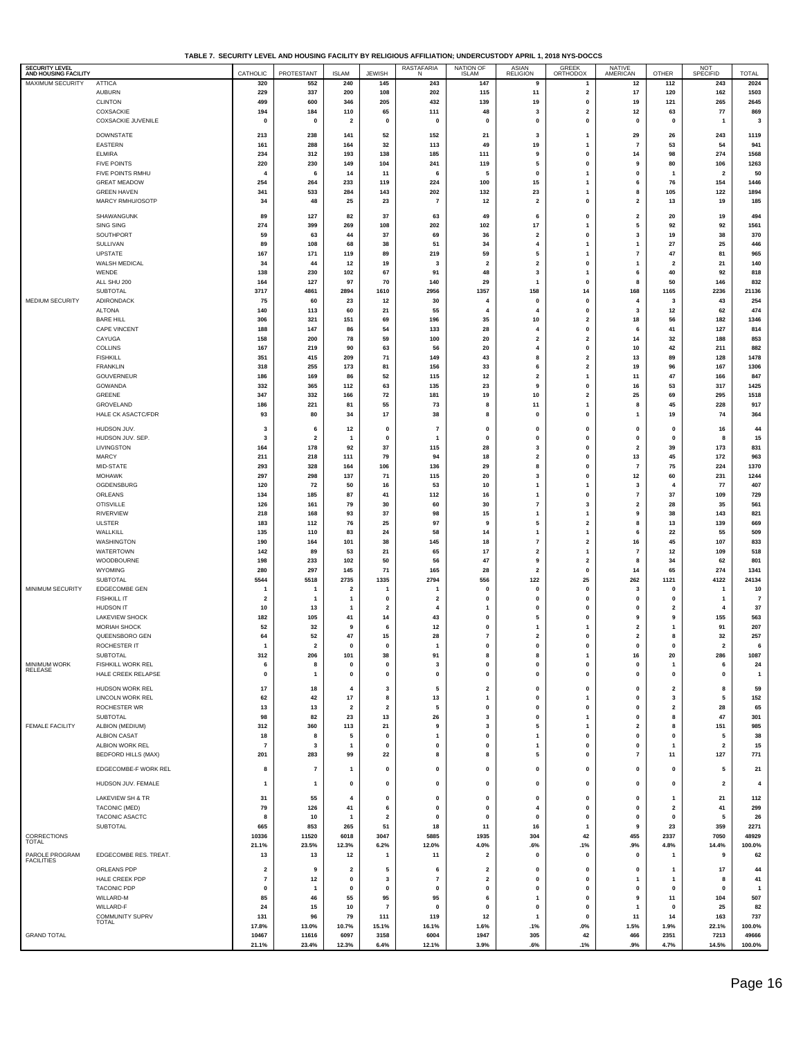**TABLE 7. SECURITY LEVEL AND HOUSING FACILITY BY RELIGIOUS AFFILIATION; UNDERCUSTODY APRIL 1, 2018 NYS-DOCCS**

| <b>SECURITY LEVEL</b><br>AND HOUSING FACILITY |                                               | CATHOLIC                       | PROTESTANT                     | <b>ISLAM</b>                    | <b>JEWISH</b>                 | RASTAFARIA                     | NATION OF                            | <b>ASIAN</b><br><b>RELIGION</b> | GREEK<br>ORTHODOX                                  | <b>NATIVE</b><br>AMERICAN     | OTHER                          | NOT<br>SPECIFID                | <b>TOTAL</b>         |
|-----------------------------------------------|-----------------------------------------------|--------------------------------|--------------------------------|---------------------------------|-------------------------------|--------------------------------|--------------------------------------|---------------------------------|----------------------------------------------------|-------------------------------|--------------------------------|--------------------------------|----------------------|
| MAXIMUM SECURITY                              | <b>ATTICA</b>                                 | 320                            | 552                            | 240                             | 145                           | 243                            | 147                                  | 9                               | $\mathbf{1}$                                       | 12                            | 112                            | 243                            | 2024                 |
|                                               | <b>AUBURN</b>                                 | 229                            | 337                            | 200                             | 108                           | 202                            | 115                                  | 11                              | $\overline{\mathbf{2}}$                            | 17                            | 120                            | 162                            | 1503                 |
|                                               | <b>CLINTON</b><br>COXSACKIE                   | 499<br>194                     | 600<br>184                     | 346<br>110                      | 205<br>65                     | 432<br>111                     | 139<br>48                            | 19<br>3                         | 0<br>$\overline{\mathbf{2}}$                       | 19<br>12                      | 121<br>63                      | 265<br>${\bf 77}$              | 2645<br>869          |
|                                               | COXSACKIE JUVENILE                            | $\mathbf 0$                    | $\pmb{0}$                      | $\overline{2}$                  | $\mathbf 0$                   | $\mathbf 0$                    | $\pmb{0}$                            | $\mathbf 0$                     | $\pmb{0}$                                          | $\mathbf 0$                   | $\mathbf{0}$                   | -1                             | 3                    |
|                                               | <b>DOWNSTATE</b>                              | 213                            | 238                            | 141                             | 52                            | 152                            | 21                                   | 3                               | $\mathbf{1}$                                       | 29                            | 26                             | 243                            | 1119                 |
|                                               | EASTERN                                       | 161                            | 288                            | 164                             | 32                            | 113                            | 49                                   | 19                              | $\mathbf{1}$                                       | 7                             | 53                             | 54                             | 941                  |
|                                               | <b>ELMIRA</b>                                 | 234                            | 312                            | 193                             | 138                           | 185                            | 111                                  | 9<br>5                          | $\pmb{0}$                                          | 14<br>9                       | 98                             | 274                            | 1568                 |
|                                               | <b>FIVE POINTS</b><br>FIVE POINTS RMHU        | 220<br>$\boldsymbol{\Lambda}$  | 230<br>6                       | 149<br>14                       | 104<br>11                     | 241<br>6                       | 119<br>5                             | $\mathbf 0$                     | 0<br>$\mathbf{1}$                                  | 0                             | 80<br>$\mathbf{1}$             | 106<br>$\overline{\mathbf{2}}$ | 1263<br>50           |
|                                               | <b>GREAT MEADOW</b>                           | 254                            | 264                            | 233                             | 119                           | 224                            | 100                                  | 15                              | $\mathbf{1}$                                       | 6                             | 76                             | 154                            | 1446                 |
|                                               | <b>GREEN HAVEN</b><br>MARCY RMHU/OSOTP        | 341<br>34                      | 533<br>48                      | 284<br>25                       | 143<br>23                     | 202<br>$\overline{7}$          | 132<br>12                            | 23<br>$\overline{\mathbf{2}}$   | $\mathbf{1}$<br>$\pmb{0}$                          | 8<br>$\overline{\mathbf{2}}$  | 105<br>13                      | 122<br>19                      | 1894<br>185          |
|                                               |                                               |                                |                                |                                 |                               |                                |                                      |                                 |                                                    |                               |                                |                                |                      |
|                                               | SHAWANGUNK<br>SING SING                       | 89<br>274                      | 127<br>399                     | 82<br>269                       | 37<br>108                     | 63<br>202                      | 49<br>102                            | 6<br>17                         | 0<br>$\mathbf{1}$                                  | $\overline{\mathbf{2}}$<br>5  | 20<br>92                       | 19<br>92                       | 494<br>1561          |
|                                               | SOUTHPORT                                     | 59                             | 63                             | 44                              | 37                            | 69                             | 36                                   | $\overline{2}$                  | $\pmb{0}$                                          | 3                             | 19                             | 38                             | 370                  |
|                                               | SULLIVAN                                      | 89                             | 108                            | 68                              | 38                            | 51                             | 34                                   | $\overline{4}$                  | $\mathbf{1}$                                       | 1                             | 27                             | 25                             | 446                  |
|                                               | <b>UPSTATE</b><br>WALSH MEDICAL               | 167<br>34                      | 171<br>44                      | 119<br>12                       | 89<br>19                      | 219<br>-3                      | 59<br>$\overline{\mathbf{2}}$        | 5<br>$\overline{\mathbf{2}}$    | $\mathbf{1}$<br>$\mathbf 0$                        | $\overline{7}$<br>1           | 47<br>$\overline{2}$           | 81<br>21                       | 965<br>140           |
|                                               | WENDE                                         | 138                            | 230                            | 102                             | 67                            | 91                             | 48                                   | 3                               | $\mathbf{1}$                                       | 6                             | 40                             | 92                             | 818                  |
|                                               | ALL SHU 200<br>SUBTOTAL                       | 164<br>3717                    | 127<br>4861                    | 97<br>2894                      | 70<br>1610                    | 140<br>2956                    | 29<br>1357                           | -1<br>158                       | $\pmb{0}$<br>14                                    | 8<br>168                      | 50<br>1165                     | 146<br>2236                    | 832<br>21136         |
| MEDIUM SECURITY                               | <b>ADIRONDACK</b>                             | 75                             | 60                             | 23                              | 12                            | 30                             | 4                                    | $\mathbf 0$                     | 0                                                  | 4                             | 3                              | 43                             | 254                  |
|                                               | <b>ALTONA</b>                                 | 140                            | 113                            | 60                              | 21                            | 55                             | $\overline{4}$                       | $\overline{4}$                  | 0                                                  | 3                             | 12                             | 62                             | 474                  |
|                                               | <b>BARE HILL</b><br>CAPE VINCENT              | 306<br>188                     | 321<br>147                     | 151<br>86                       | 69<br>54                      | 196<br>133                     | 35<br>28                             | 10<br>$\overline{4}$            | $\overline{\mathbf{2}}$<br>$\pmb{0}$               | 18<br>6                       | 56<br>41                       | 182<br>127                     | 1346<br>814          |
|                                               | CAYUGA                                        | 158                            | 200                            | 78                              | 59                            | 100                            | 20                                   | $\overline{2}$                  | $\overline{\mathbf{2}}$                            | 14                            | 32                             | 188                            | 853                  |
|                                               | COLLINS                                       | 167                            | 219                            | 90                              | 63                            | 56                             | 20                                   | 4                               | 0                                                  | 10                            | 42                             | 211                            | 882                  |
|                                               | <b>FISHKILL</b><br><b>FRANKLIN</b>            | 351<br>318                     | 415<br>255                     | 209<br>173                      | 71<br>81                      | 149<br>156                     | 43<br>33                             | 8<br>6                          | $\overline{\mathbf{2}}$<br>$\overline{\mathbf{2}}$ | 13<br>19                      | 89<br>96                       | 128<br>167                     | 1478<br>1306         |
|                                               | GOUVERNEUR                                    | 186                            | 169                            | 86                              | 52                            | 115                            | 12                                   | $\overline{\mathbf{2}}$         | $\mathbf{1}$                                       | 11                            | 47                             | 166                            | 847                  |
|                                               | GOWANDA                                       | 332                            | 365                            | 112                             | 63                            | 135                            | 23                                   | 9                               | $\pmb{0}$                                          | 16                            | 53                             | 317                            | 1425                 |
|                                               | <b>GREENE</b><br>GROVELAND                    | 347<br>186                     | 332<br>221                     | 166<br>81                       | 72<br>55                      | 181<br>73                      | 19<br>8                              | 10<br>11                        | $\overline{\mathbf{2}}$<br>$\mathbf{1}$            | 25<br>8                       | 69<br>45                       | 295<br>228                     | 1518<br>917          |
|                                               | HALE CK ASACTC/FDR                            | 93                             | 80                             | 34                              | 17                            | 38                             | 8                                    | $\mathbf 0$                     | $\pmb{0}$                                          | $\mathbf{1}$                  | 19                             | 74                             | 364                  |
|                                               | HUDSON JUV.                                   | 3                              | 6                              | 12                              | $\mathbf 0$                   | $\overline{7}$                 | 0                                    | 0                               | 0                                                  | 0                             | $\mathbf{0}$                   | 16                             | 44                   |
|                                               | HUDSON JUV. SEP.                              | 3                              | $\overline{\mathbf{2}}$        | $\mathbf{1}$                    | $\mathbf{0}$                  | $\mathbf{1}$                   | $\mathbf{0}$                         | $\mathbf 0$                     | $\mathbf 0$                                        | $\mathbf 0$                   | $\mathbf{0}$                   | 8                              | 15                   |
|                                               | LIVINGSTON<br>MARCY                           | 164<br>211                     | 178<br>218                     | 92<br>111                       | 37<br>79                      | 115<br>94                      | 28<br>18                             | 3<br>$\overline{\mathbf{2}}$    | $\mathbf 0$<br>$\pmb{0}$                           | $\overline{\mathbf{2}}$<br>13 | 39<br>45                       | 173<br>172                     | 831<br>963           |
|                                               | MID-STATE                                     | 293                            | 328                            | 164                             | 106                           | 136                            | 29                                   | 8                               | 0                                                  | $\overline{7}$                | 75                             | 224                            | 1370                 |
|                                               | <b>MOHAWK</b><br>OGDENSBURG                   | 297<br>120                     | 298<br>72                      | 137<br>50                       | 71<br>16                      | 115<br>53                      | 20<br>10                             | 3<br>$\mathbf{1}$               | 0<br>$\mathbf{1}$                                  | 12<br>3                       | 60<br>$\overline{\bf{4}}$      | 231<br>77                      | 1244<br>407          |
|                                               | ORLEANS                                       | 134                            | 185                            | 87                              | 41                            | 112                            | 16                                   | $\mathbf{1}$                    | $\pmb{0}$                                          | $\overline{7}$                | 37                             | 109                            | 729                  |
|                                               | <b>OTISVILLE</b>                              | 126                            | 161                            | 79                              | 30                            | 60                             | 30                                   | $\overline{7}$                  | 3                                                  | $\overline{\mathbf{2}}$       | 28                             | 35                             | 561                  |
|                                               | <b>RIVERVIEW</b><br><b>ULSTER</b>             | 218<br>183                     | 168<br>112                     | 93<br>76                        | 37<br>25                      | 98<br>97                       | 15<br>9                              | $\mathbf{1}$<br>5               | $\mathbf{1}$<br>$\overline{\mathbf{2}}$            | 9<br>8                        | 38<br>13                       | 143<br>139                     | 821<br>669           |
|                                               | WALLKILL                                      | 135                            | 110                            | 83                              | 24                            | 58                             | 14                                   | $\mathbf{1}$                    | $\mathbf{1}$                                       | 6                             | 22                             | 55                             | 509                  |
|                                               | WASHINGTON                                    | 190                            | 164                            | 101                             | 38                            | 145                            | 18                                   | $\overline{7}$                  | $\overline{\mathbf{2}}$                            | 16                            | 45                             | 107                            | 833                  |
|                                               | WATERTOWN<br>WOODBOURNE                       | 142<br>198                     | 89<br>233                      | 53<br>102                       | 21<br>50                      | 65<br>56                       | 17<br>47                             | $\overline{2}$<br>9             | $\mathbf{1}$<br>$\overline{\mathbf{2}}$            | $\overline{7}$<br>8           | 12<br>34                       | 109<br>62                      | 518<br>801           |
|                                               | WYOMING                                       | 280                            | 297                            | 145                             | 71                            | 165                            | 28                                   | $\overline{\mathbf{2}}$         | 0                                                  | 14                            | 65                             | 274                            | 1341                 |
| MINIMUM SECURITY                              | SUBTOTAL<br><b>EDGECOMBE GEN</b>              | 5544                           | 5518                           | 2735<br>$\overline{\mathbf{2}}$ | 1335                          | 2794                           | 556<br>$\pmb{0}$                     | 122<br>$\mathbf 0$              | 25<br>$\mathbf 0$                                  | 262<br>3                      | 1121<br>$\mathbf{0}$           | 4122                           | 24134                |
|                                               | <b>FISHKILL IT</b>                            | -1<br>$\overline{2}$           | $\mathbf{1}$<br>$\overline{1}$ | $\mathbf{1}$                    | $\mathbf{1}$<br>$\mathbf 0$   | -1<br>$\overline{\mathbf{2}}$  | $\mathbf 0$                          | $\mathbf 0$                     | 0                                                  | 0                             | $\mathbf{0}$                   | -1<br>$\mathbf{1}$             | 10<br>$\overline{7}$ |
|                                               | <b>HUDSON IT</b>                              | 10                             | 13                             | $\mathbf{1}$                    | $\overline{\mathbf{2}}$       | $\overline{4}$                 | $\mathbf{1}$                         | $\mathbf 0$                     | 0                                                  | 0                             | $\overline{\mathbf{2}}$        | $\overline{4}$                 | 37                   |
|                                               | <b>LAKEVIEW SHOCK</b><br>MORIAH SHOCK         | 182<br>52                      | 105<br>32                      | 41<br>9                         | 14<br>6                       | 43<br>12                       | 0<br>$\mathbf{0}$                    | 5<br>$\mathbf{1}$               | 0<br>$\mathbf{1}$                                  | 9<br>$\overline{\mathbf{2}}$  | 9<br>$\mathbf{1}$              | 155<br>91                      | 563<br>207           |
|                                               | QUEENSBORO GEN                                | 64                             | 52                             | 47                              | 15                            | 28                             | $\overline{7}$                       | $\overline{\mathbf{2}}$         | $\mathbf{0}$                                       | $\overline{2}$                | 8                              | 32                             | 257                  |
|                                               | ROCHESTER IT                                  |                                | $\overline{\mathbf{2}}$        |                                 | 0                             |                                | 0                                    | 0                               |                                                    | $\mathbf 0$                   |                                | $\overline{\mathbf{2}}$        | 6                    |
| <b>MINIMUM WORK</b>                           | SUBTOTAL<br><b>FISHKILL WORK REL</b>          | 312<br>6                       | 206<br>8                       | 101<br>$\mathbf{0}$             | 38<br>$\mathbf 0$             | 91<br>3                        | 8<br>$\pmb{0}$                       | 8<br>0                          | 1<br>0                                             | 16<br>0                       | 20<br>$\mathbf{1}$             | 286<br>6                       | 1087<br>24           |
| RELEASE                                       | HALE CREEK RELAPSE                            | $\mathbf 0$                    | $\mathbf{1}$                   | $\mathbf 0$                     | 0                             | 0                              | $\mathbf{0}$                         | $\mathbf{0}$                    | 0                                                  | 0                             | $\mathbf{0}$                   | $\mathbf 0$                    | $\mathbf{1}$         |
|                                               | <b>HUDSON WORK REL</b>                        | 17                             | 18                             | $\overline{4}$                  | 3                             | 5                              | $\overline{\mathbf{2}}$              | 0                               | 0                                                  | 0                             | $\overline{\mathbf{2}}$        | 8                              | 59                   |
|                                               | LINCOLN WORK REL                              | 62                             | 42                             | $17\,$                          | 8                             | 13                             | $\mathbf{1}$                         | 0                               | $\mathbf{1}$                                       | $\mathbf 0$                   | 3                              | 5                              | 152                  |
|                                               | ROCHESTER WR<br>SUBTOTAL                      | 13<br>98                       | 13<br>82                       | $\overline{\mathbf{2}}$<br>23   | $\overline{\mathbf{2}}$<br>13 | 5<br>26                        | $\mathbf{0}$<br>3                    | 0<br>$\pmb{0}$                  | 0<br>$\overline{1}$                                | 0<br>$\pmb{0}$                | $\overline{\mathbf{2}}$<br>8   | 28<br>47                       | 65<br>301            |
| FEMALE FACILITY                               | ALBION (MEDIUM)                               | 312                            | 360                            | 113                             | 21                            | 9                              | 3                                    | 5                               | $\mathbf{1}$                                       | $\overline{\mathbf{2}}$       | 8                              | 151                            | 985                  |
|                                               | <b>ALBION CASAT</b>                           | 18<br>7                        | 8                              | 5<br>$\mathbf{1}$               | $\mathbf 0$<br>$\mathbf{0}$   | $\mathbf{1}$<br>$\mathbf 0$    | 0<br>$\mathbf{0}$                    | $\mathbf{1}$<br>$\mathbf{1}$    | 0<br>$\mathbf 0$                                   | 0                             | $\mathbf 0$<br>$\overline{1}$  | 5                              | 38<br>15             |
|                                               | ALBION WORK REL<br><b>BEDFORD HILLS (MAX)</b> | 201                            | 3<br>283                       | 99                              | 22                            | 8                              | 8                                    | 5                               | 0                                                  | 0<br>$\overline{7}$           | 11                             | $\overline{\mathbf{2}}$<br>127 | 771                  |
|                                               | EDGECOMBE-F WORK REL                          | 8                              | 7                              | $\mathbf{1}$                    | 0                             | 0                              | 0                                    | 0                               | 0                                                  | 0                             | 0                              | 5                              | 21                   |
|                                               | HUDSON JUV. FEMALE                            | -1                             | -1                             | $\pmb{0}$                       | $\mathbf{0}$                  | $\mathbf{0}$                   | $\pmb{0}$                            | $\pmb{0}$                       | $\pmb{0}$                                          | $\mathbf{0}$                  | $\pmb{0}$                      | $\overline{\mathbf{2}}$        | $\overline{4}$       |
|                                               |                                               |                                |                                |                                 |                               |                                |                                      |                                 |                                                    |                               |                                |                                |                      |
|                                               | LAKEVIEW SH & TR<br><b>TACONIC (MED)</b>      | 31<br>79                       | 55<br>126                      | $\overline{4}$<br>41            | $\mathbf 0$<br>6              | $\mathbf 0$<br>$\mathbf{0}$    | $\mathbf 0$<br>$\pmb{0}$             | $\mathbf 0$<br>$\overline{4}$   | 0<br>$\mathbf 0$                                   | $\mathbf 0$<br>$\mathbf 0$    | $\mathbf{1}$<br>$\overline{2}$ | 21<br>41                       | 112<br>299           |
|                                               | TACONIC ASACTC                                | 8                              | 10                             | $\mathbf{1}$                    | $\overline{2}$                | $\mathbf{0}$                   | $\mathbf{0}$                         | $\mathbf 0$                     | $\mathbf 0$                                        | $\mathbf 0$                   | $\pmb{0}$                      | 5                              | 26                   |
| CORRECTIONS                                   | SUBTOTAL                                      | 665<br>10336                   | 853<br>11520                   | 265<br>6018                     | 51<br>3047                    | 18<br>5885                     | 11<br>1935                           | 16<br>304                       | $\mathbf{1}$<br>42                                 | 9<br>455                      | 23<br>2337                     | 359<br>7050                    | 2271<br>48929        |
| <b>TOTAL</b>                                  |                                               | 21.1%                          | 23.5%                          | 12.3%                           | 6.2%                          | 12.0%                          | 4.0%                                 | .6%                             | .1%                                                | .9%                           | 4.8%                           | 14.4%                          | 100.0%               |
| PAROLE PROGRAM<br><b>FACILITIES</b>           | EDGECOMBE RES. TREAT.                         | 13                             | 13                             | 12                              | $\mathbf{1}$                  | 11                             | $\overline{\mathbf{2}}$              | $\mathbf 0$                     | $\mathbf 0$                                        | $\pmb{0}$                     | $\mathbf{1}$                   | 9                              | 62                   |
|                                               | ORLEANS PDP                                   | $\overline{\mathbf{2}}$        | 9                              | $\overline{\mathbf{2}}$         | 5                             | 6                              | $\overline{\mathbf{2}}$              | $\mathbf 0$                     | 0                                                  | 0                             |                                | 17                             | 44                   |
|                                               | HALE CREEK PDP<br><b>TACONIC PDP</b>          | $\overline{7}$<br>$\mathbf{0}$ | 12<br>-1                       | $\mathbf{0}$<br>$\mathbf{0}$    | 3<br>$\mathbf{0}$             | $\overline{7}$<br>$\mathbf{0}$ | $\overline{\mathbf{2}}$<br>$\pmb{0}$ | $\mathbf 0$<br>$\mathbf 0$      | $\mathbf 0$<br>$\mathbf 0$                         | 1<br>$\mathbf 0$              | $\mathbf{1}$<br>$\mathbf{0}$   | 8<br>$\mathbf{0}$              | 41<br>-1             |
|                                               | WILLARD-M                                     | 85                             | 46                             | 55                              | 95                            | 95                             | 6                                    | $\mathbf{1}$                    | 0                                                  | 9                             | 11                             | 104                            | 507                  |
|                                               | WILLARD-F                                     | 24                             | 15                             | 10                              | $\overline{7}$                | $\mathbf{0}$                   | $\mathbf 0$                          | $\mathbf 0$                     | 0                                                  | -1                            | $\mathbf{0}$                   | 25                             | 82                   |
|                                               | <b>COMMUNITY SUPRV</b><br>TOTAL               | 131<br>17.8%                   | 96<br>13.0%                    | 79<br>10.7%                     | 111<br>15.1%                  | 119<br>16.1%                   | 12<br>1.6%                           | $\mathbf{1}$<br>.1%             | 0<br>.0%                                           | 11<br>1.5%                    | 14<br>1.9%                     | 163<br>22.1%                   | 737<br>100.0%        |
| <b>GRAND TOTAL</b>                            |                                               | 10467                          | 11616                          | 6097                            | 3158                          | 6004                           | 1947                                 | 305                             | 42                                                 | 466                           | 2351                           | 7213                           | 49666                |
|                                               |                                               | 21.1%                          | 23.4%                          | 12.3%                           | 6.4%                          | 12.1%                          | 3.9%                                 | .6%                             | .1%                                                | .9%                           | 4.7%                           | 14.5%                          | 100.0%               |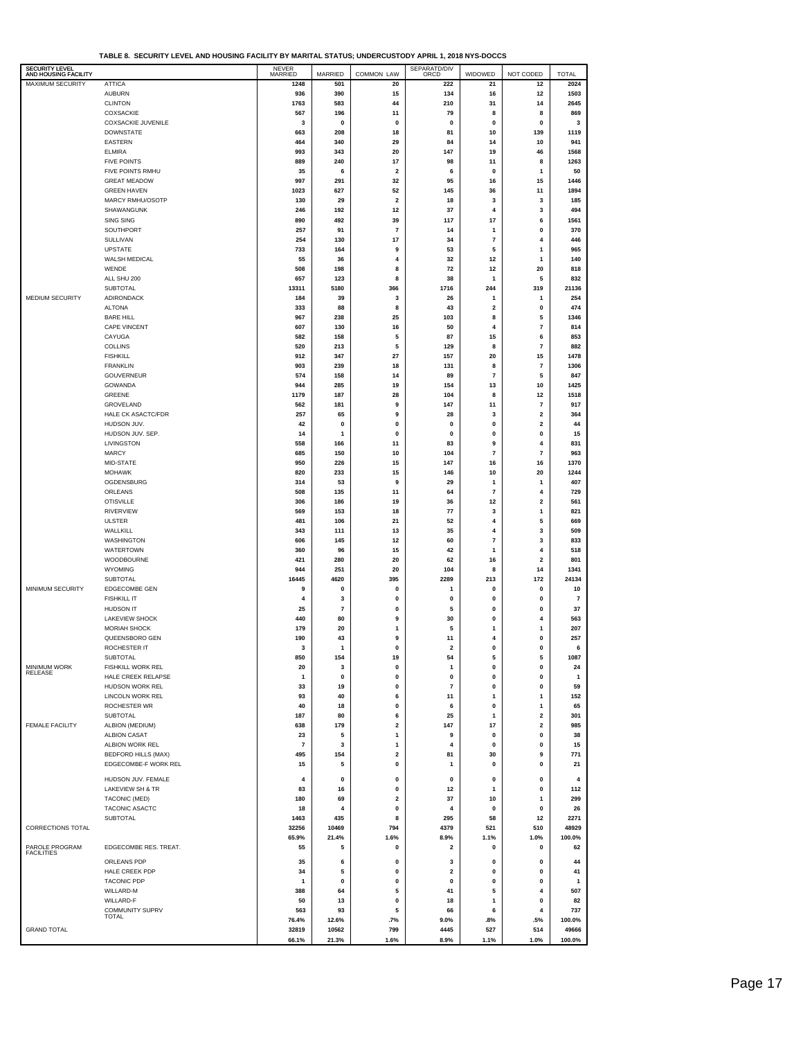| SECURITY LEVEL          |                                                   |                  |                |                         |                         |                         |                              |                |
|-------------------------|---------------------------------------------------|------------------|----------------|-------------------------|-------------------------|-------------------------|------------------------------|----------------|
| AND HOUSING FACILITY    |                                                   | NEVER<br>MARRIED | <b>MARRIED</b> | COMMON LAW              | SEPARATD/DIV<br>ORCD    | WIDOWED                 | NOT CODED                    | <b>TOTAL</b>   |
| MAXIMUM SECURITY        | <b>ATTICA</b>                                     | 1248             | 501            | 20                      | 222                     | 21                      | 12                           | 2024           |
|                         | <b>AUBURN</b>                                     | 936              | 390            | 15                      | 134                     | 16                      | 12                           | 1503           |
|                         | <b>CLINTON</b>                                    | 1763             | 583            | 44                      | 210                     | 31                      | 14                           | 2645           |
|                         | COXSACKIE<br><b>COXSACKIE JUVENILE</b>            | 567<br>3         | 196<br>0       | 11<br>0                 | 79<br>0                 | 8<br>0                  | 8<br>0                       | 869<br>3       |
|                         | <b>DOWNSTATE</b>                                  | 663              | 208            | 18                      | 81                      | 10                      | 139                          | 1119           |
|                         | <b>EASTERN</b>                                    | 464              | 340            | 29                      | 84                      | 14                      | 10                           | 941            |
|                         | <b>ELMIRA</b>                                     | 993              | 343            | 20                      | 147                     | 19                      | 46                           | 1568           |
|                         | <b>FIVE POINTS</b>                                | 889              | 240            | 17                      | 98                      | 11                      | 8                            | 1263           |
|                         | FIVE POINTS RMHU                                  | 35               | 6              | $\overline{\mathbf{2}}$ | 6                       | 0                       | $\mathbf{1}$                 | 50             |
|                         | <b>GREAT MEADOW</b>                               | 997              | 291            | 32                      | 95                      | 16                      | 15                           | 1446           |
|                         | <b>GREEN HAVEN</b>                                | 1023             | 627            | 52                      | 145                     | 36                      | 11                           | 1894           |
|                         | MARCY RMHU/OSOTP                                  | 130              | 29             | $\overline{\mathbf{2}}$ | 18                      | 3                       | $\mathbf 3$                  | 185            |
|                         | SHAWANGUNK                                        | 246              | 192            | 12                      | 37                      | 4                       | 3                            | 494            |
|                         | SING SING                                         | 890              | 492            | 39                      | 117                     | 17                      | 6                            | 1561           |
|                         | SOUTHPORT                                         | 257              | 91             | $\overline{7}$          | 14                      | 1                       | 0                            | 370            |
|                         | SULLIVAN                                          | 254              | 130            | 17                      | 34                      | 7                       | 4                            | 446            |
|                         | <b>UPSTATE</b>                                    | 733              | 164            | 9                       | 53                      | 5                       | 1                            | 965            |
|                         | WALSH MEDICAL                                     | 55               | 36             | $\overline{4}$          | 32                      | 12                      | 1                            | 140            |
|                         | WENDE                                             | 508              | 198            | 8                       | 72                      | 12                      | 20                           | 818            |
|                         | ALL SHU 200                                       | 657              | 123            | 8                       | 38                      | 1                       | 5                            | 832            |
|                         | SUBTOTAL                                          | 13311            | 5180           | 366                     | 1716                    | 244                     | 319                          | 21136          |
| MEDIUM SECURITY         | ADIRONDACK                                        | 184              | 39             | 3                       | 26                      | 1                       | 1                            | 254            |
|                         | <b>ALTONA</b><br><b>BARE HILL</b>                 | 333              | 88             | 8                       | 43                      | 2                       | $\pmb{0}$                    | 474            |
|                         | <b>CAPE VINCENT</b>                               | 967<br>607       | 238<br>130     | 25<br>16                | 103<br>50               | 8<br>4                  | 5<br>$\overline{\mathbf{r}}$ | 1346<br>814    |
|                         | CAYUGA                                            | 582              | 158            | 5                       | 87                      | 15                      | 6                            | 853            |
|                         | <b>COLLINS</b>                                    | 520              | 213            | 5                       | 129                     | 8                       | $\overline{7}$               | 882            |
|                         | <b>FISHKILL</b>                                   | 912              | 347            | 27                      | 157                     | 20                      | 15                           | 1478           |
|                         | <b>FRANKLIN</b>                                   | 903              | 239            | 18                      | 131                     | 8                       | $\overline{7}$               | 1306           |
|                         | GOUVERNEUR                                        | 574              | 158            | 14                      | 89                      | 7                       | 5                            | 847            |
|                         | GOWANDA                                           | 944              | 285            | 19                      | 154                     | 13                      | 10                           | 1425           |
|                         | GREENE                                            | 1179             | 187            | 28                      | 104                     | 8                       | 12                           | 1518           |
|                         | GROVELAND                                         | 562              | 181            | 9                       | 147                     | 11                      | $\overline{7}$               | 917            |
|                         | HALE CK ASACTC/FDR                                | 257              | 65             | 9                       | 28                      | 3                       | 2                            | 364            |
|                         | HUDSON JUV.                                       | 42               | 0              | 0                       | 0                       | 0                       | 2                            | 44             |
|                         | HUDSON JUV. SEP.                                  | 14               | 1              | $\mathbf 0$             | $\pmb{0}$               | 0                       | 0                            | 15             |
|                         | LIVINGSTON                                        | 558              | 166            | 11                      | 83                      | 9                       | 4                            | 831            |
|                         | <b>MARCY</b>                                      | 685              | 150            | 10                      | 104                     | $\overline{\mathbf{r}}$ | $\overline{7}$               | 963            |
|                         | MID-STATE                                         | 950              | 226            | 15                      | 147                     | 16                      | 16                           | 1370           |
|                         | <b>MOHAWK</b>                                     | 820              | 233            | 15                      | 146                     | 10                      | 20                           | 1244           |
|                         | OGDENSBURG                                        | 314              | 53             | 9                       | 29                      | 1                       | 1                            | 407            |
|                         | ORLEANS                                           | 508              | 135            | 11                      | 64                      | $\overline{\mathbf{r}}$ | 4                            | 729            |
|                         | <b>OTISVILLE</b>                                  | 306              | 186            | 19                      | 36                      | 12                      | $\mathbf{2}$                 | 561            |
|                         | <b>RIVERVIEW</b>                                  | 569              | 153            | 18                      | 77                      | 3                       | 1                            | 821            |
|                         | <b>ULSTER</b>                                     | 481              | 106            | 21                      | 52                      | 4<br>4                  | 5                            | 669            |
|                         | WALLKILL<br>WASHINGTON                            | 343<br>606       | 111<br>145     | 13<br>12                | 35<br>60                | 7                       | 3<br>3                       | 509<br>833     |
|                         | <b>WATERTOWN</b>                                  | 360              | 96             | 15                      | 42                      | 1                       | 4                            | 518            |
|                         | WOODBOURNE                                        | 421              | 280            | 20                      | 62                      | 16                      | 2                            | 801            |
|                         | <b>WYOMING</b>                                    | 944              | 251            | 20                      | 104                     | 8                       | 14                           | 1341           |
|                         | <b>SUBTOTAL</b>                                   | 16445            | 4620           | 395                     | 2289                    | 213                     | 172                          | 24134          |
| <b>MINIMUM SECURITY</b> | EDGECOMBE GEN                                     | 9                | 0              | 0                       | $\mathbf{1}$            | 0                       | $\pmb{0}$                    | 10             |
|                         | <b>FISHKILL IT</b>                                | 4                | 3              | 0                       | $\pmb{0}$               | 0                       | $\pmb{0}$                    | $\overline{7}$ |
|                         | <b>HUDSON IT</b>                                  | 25               | $\overline{7}$ | $\mathbf 0$             | 5                       | $\mathbf 0$             | $\mathbf 0$                  | 37             |
|                         | <b>LAKEVIEW SHOCK</b>                             | 440              | 80             | 9                       | 30                      | 0                       | 4                            | 563            |
|                         | <b>MORIAH SHOCK</b>                               | 179              | 20             | $\mathbf{1}$            | 5                       | 1                       | 1                            | 207            |
|                         | QUEENSBORO GEN                                    | 190              | 43             | 9                       | 11                      | 4                       | 0                            | 257            |
|                         | ROCHESTER IT                                      | з                |                | υ                       | 2                       |                         | U                            |                |
|                         | <b>SUBTOTAL</b>                                   | 850              | 154            | 19                      | 54                      | 5                       | 5                            | 1087           |
| MINIMUM WORK<br>RELEASE | FISHKILL WORK REL                                 | 20               | 3              | 0                       | 1                       | 0                       | 0                            | 24             |
|                         | HALE CREEK RELAPSE                                | 1                | 0              | 0                       | 0                       | 0                       | 0                            | $\mathbf{1}$   |
|                         | HUDSON WORK REL                                   | 33               | 19             | 0                       | $\overline{7}$          | 0                       | 0                            | 59             |
|                         | <b>LINCOLN WORK REL</b><br>ROCHESTER WR           | 93               | 40             | 6                       | 11                      | 1                       | 1<br>1                       | 152<br>65      |
|                         | <b>SUBTOTAL</b>                                   | 40<br>187        | 18<br>80       | 0<br>6                  | 6<br>25                 | 0<br>1                  | 2                            | 301            |
| <b>FEMALE FACILITY</b>  | ALBION (MEDIUM)                                   | 638              | 179            | $\overline{\mathbf{2}}$ | 147                     | 17                      | 2                            | 985            |
|                         | <b>ALBION CASAT</b>                               | 23               | 5              | $\mathbf{1}$            | 9                       | 0                       | 0                            | 38             |
|                         | ALBION WORK REL                                   | $\overline{7}$   | 3              | 1                       | $\overline{\mathbf{4}}$ | 0                       | 0                            | 15             |
|                         | <b>BEDFORD HILLS (MAX)</b>                        | 495              | 154            | $\overline{\mathbf{2}}$ | 81                      | 30                      | 9                            | 771            |
|                         | EDGECOMBE-F WORK REL                              | 15               | 5              | $\pmb{0}$               | 1                       | 0                       | 0                            | 21             |
|                         |                                                   |                  |                |                         |                         |                         |                              |                |
|                         | HUDSON JUV. FEMALE<br><b>LAKEVIEW SH &amp; TR</b> | 4<br>83          | 0<br>16        | 0<br>0                  | $\pmb{0}$<br>12         | 0<br>1                  | 0<br>0                       | 4<br>112       |
|                         | TACONIC (MED)                                     | 180              | 69             | $\mathbf 2$             | 37                      | 10                      | 1                            | 299            |
|                         | TACONIC ASACTC                                    | 18               | 4              | 0                       | 4                       | 0                       | 0                            | 26             |
|                         | SUBTOTAL                                          | 1463             | 435            | 8                       | 295                     | 58                      | 12                           | 2271           |
| CORRECTIONS TOTAL       |                                                   | 32256            | 10469          | 794                     | 4379                    | 521                     | 510                          | 48929          |
|                         |                                                   | 65.9%            | 21.4%          | 1.6%                    | 8.9%                    | 1.1%                    | 1.0%                         | 100.0%         |
| PAROLE PROGRAM          | EDGECOMBE RES. TREAT.                             | 55               | 5              | $\pmb{0}$               | $\overline{\mathbf{2}}$ | 0                       | $\pmb{0}$                    | 62             |
| <b>FACILITIES</b>       |                                                   |                  |                |                         |                         |                         |                              |                |
|                         | ORLEANS PDP                                       | 35               | 6              | $\pmb{0}$               | 3                       | 0                       | $\pmb{0}$                    | 44             |
|                         | <b>HALE CREEK PDP</b>                             | 34               | 5              | 0                       | $\overline{\mathbf{2}}$ | 0                       | 0                            | 41             |
|                         | <b>TACONIC PDP</b>                                | 1                | 0              | 0                       | $\pmb{0}$               | 0                       | 0                            | $\mathbf{1}$   |
|                         | WILLARD-M<br>WILLARD-F                            | 388<br>50        | 64<br>13       | 5<br>0                  | 41<br>18                | 5<br>1                  | 4<br>0                       | 507<br>82      |
|                         | <b>COMMUNITY SUPRV</b>                            | 563              | 93             | 5                       | 66                      | 6                       | 4                            | 737            |
|                         | <b>TOTAL</b>                                      | 76.4%            | 12.6%          | .7%                     | 9.0%                    | .8%                     | .5%                          | 100.0%         |
| <b>GRAND TOTAL</b>      |                                                   | 32819            | 10562          | 799                     | 4445                    | 527                     | 514                          | 49666          |
|                         |                                                   | 66.1%            | 21.3%          | 1.6%                    | 8.9%                    | 1.1%                    | 1.0%                         | 100.0%         |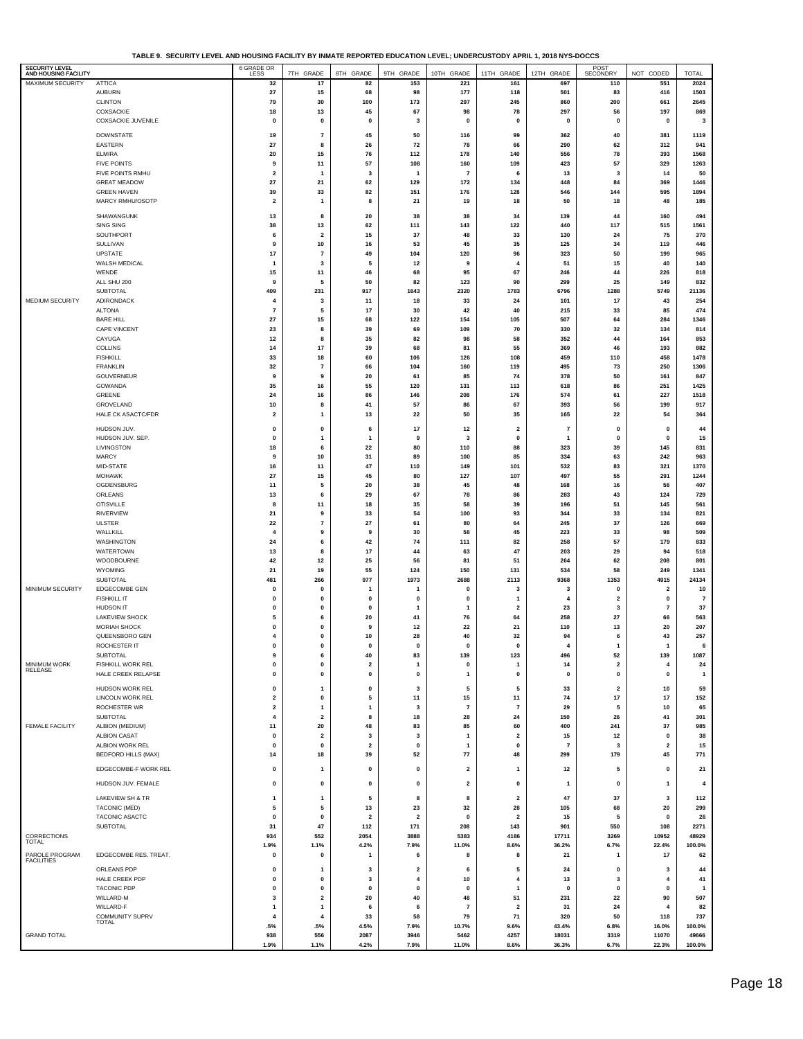**TABLE 9. SECURITY LEVEL AND HOUSING FACILITY BY INMATE REPORTED EDUCATION LEVEL; UNDERCUSTODY APRIL 1, 2018 NYS-DOCCS**

| SECURITY LEVEL<br>AND HOUSING FACILITY |                                          | 6 GRADE OR                    |                                |                         |                                           |                         |                                |                         | POST<br>SECONDRY        |                     |                      |
|----------------------------------------|------------------------------------------|-------------------------------|--------------------------------|-------------------------|-------------------------------------------|-------------------------|--------------------------------|-------------------------|-------------------------|---------------------|----------------------|
| MAXIMUM SECURITY                       | <b>ATTICA</b>                            | 32                            | 7TH GRADE<br>17                | 8TH GRADE<br>82         | 9TH GRADE<br>153                          | 10TH GRADE<br>221       | 11TH GRADE                     | 12TH GRADE<br>697       | 110                     | NOT CODED<br>551    | <b>TOTAL</b><br>2024 |
|                                        | <b>AUBURN</b>                            | 27                            | 15                             | 68                      | 98                                        | 177                     | 161<br>118                     | 501                     | 83                      | 416                 | 1503                 |
|                                        | <b>CLINTON</b>                           | 79                            | 30                             | 100                     | 173                                       | 297                     | 245                            | 860                     | 200                     | 661                 | 2645                 |
|                                        | COXSACKIE                                | 18                            | 13                             | 45                      | 67                                        | 98                      | 78                             | 297                     | 56                      | 197                 | 869                  |
|                                        | COXSACKIE JUVENILE                       | $\mathbf 0$                   | $\pmb{0}$                      | $\mathbf 0$             | 3                                         | $\pmb{0}$               | $\pmb{0}$                      | $\pmb{0}$               | $\pmb{0}$               | $\pmb{0}$           | 3                    |
|                                        |                                          |                               |                                |                         |                                           |                         |                                |                         |                         |                     |                      |
|                                        | <b>DOWNSTATE</b><br>EASTERN              | 19<br>27                      | 7<br>8                         | 45<br>26                | 50<br>72                                  | 116<br>78               | 99<br>66                       | 362<br>290              | 40<br>62                | 381<br>312          | 1119<br>941          |
|                                        | <b>ELMIRA</b>                            | 20                            | 15                             | 76                      | 112                                       | 178                     | 140                            | 556                     | 78                      | 393                 | 1568                 |
|                                        | <b>FIVE POINTS</b>                       | 9                             | 11                             | 57                      | 108                                       | 160                     | 109                            | 423                     | 57                      | 329                 | 1263                 |
|                                        | FIVE POINTS RMHU                         | $\overline{\mathbf{2}}$       | $\overline{1}$                 | 3                       | -1                                        | $\overline{7}$          | 6                              | 13                      | 3                       | 14                  | 50                   |
|                                        | <b>GREAT MEADOW</b>                      | 27                            | 21                             | 62                      | 129                                       | 172                     | 134                            | 448                     | 84                      | 369                 | 1446                 |
|                                        | <b>GREEN HAVEN</b>                       | 39                            | 33                             | 82                      | 151                                       | 176                     | 128                            | 546                     | 144                     | 595                 | 1894                 |
|                                        | MARCY RMHU/OSOTP                         | $\overline{\mathbf{2}}$       | $\mathbf{1}$                   | 8                       | 21                                        | 19                      | 18                             | 50                      | 18                      | 48                  | 185                  |
|                                        | SHAWANGUNK                               | 13                            | 8                              | 20                      | 38                                        | 38                      | 34                             | 139                     | 44                      | 160                 | 494                  |
|                                        | SING SING                                | 38                            | 13                             | 62                      | 111                                       | 143                     | 122                            | 440                     | 117                     | 515                 | 1561                 |
|                                        | SOUTHPORT                                | 6                             | $\overline{\mathbf{2}}$        | 15                      | 37                                        | 48                      | 33                             | 130                     | 24                      | 75                  | 370                  |
|                                        | SULLIVAN                                 | 9                             | 10                             | 16                      | 53                                        | 45                      | 35                             | 125                     | 34                      | 119                 | 446                  |
|                                        | <b>UPSTATE</b>                           | 17                            | 7                              | 49                      | 104                                       | 120                     | 96                             | 323                     | 50                      | 199                 | 965                  |
|                                        | WALSH MEDICAL                            | $\mathbf{1}$                  | 3                              | 5                       | $12\,$                                    | 9                       | 4                              | 51                      | 15                      | 40                  | 140                  |
|                                        | WENDE                                    | 15                            | 11                             | 46                      | 68                                        | 95                      | 67                             | 246                     | 44                      | 226                 | 818                  |
|                                        | ALL SHU 200                              | 9                             | 5                              | 50                      | 82                                        | 123                     | 90                             | 299                     | 25                      | 149                 | 832                  |
| MEDIUM SECURITY                        | SUBTOTAL<br>ADIRONDACK                   | 409<br>$\overline{4}$         | 231<br>3                       | 917<br>11               | 1643<br>18                                | 2320<br>33              | 1783<br>24                     | 6796<br>101             | 1288<br>17              | 5749<br>43          | 21136<br>254         |
|                                        | <b>ALTONA</b>                            | $\overline{7}$                | 5                              | 17                      | 30                                        | 42                      | 40                             | 215                     | 33                      | 85                  | 474                  |
|                                        | <b>BARE HILL</b>                         | 27                            | 15                             | 68                      | 122                                       | 154                     | 105                            | 507                     | 64                      | 284                 | 1346                 |
|                                        | <b>CAPE VINCENT</b>                      | 23                            | 8                              | 39                      | 69                                        | 109                     | 70                             | 330                     | 32                      | 134                 | 814                  |
|                                        | CAYUGA                                   | 12                            | 8                              | 35                      | 82                                        | 98                      | 58                             | 352                     | 44                      | 164                 | 853                  |
|                                        | COLLINS                                  | 14                            | 17                             | 39                      | 68                                        | 81                      | 55                             | 369                     | 46                      | 193                 | 882                  |
|                                        | <b>FISHKILL</b>                          | 33                            | 18                             | 60                      | 106                                       | 126                     | 108                            | 459                     | 110                     | 458                 | 1478                 |
|                                        | <b>FRANKLIN</b>                          | 32                            | $\overline{7}$                 | 66                      | 104                                       | 160                     | 119                            | 495                     | 73                      | 250                 | 1306                 |
|                                        | GOUVERNEUR                               | 9                             | 9                              | 20                      | 61                                        | 85                      | 74                             | 378                     | 50                      | 161                 | 847                  |
|                                        | GOWANDA<br>GREENE                        | 35<br>24                      | 16<br>16                       | 55<br>86                | 120<br>146                                | 131<br>208              | 113<br>176                     | 618<br>574              | 86<br>61                | 251<br>227          | 1425<br>1518         |
|                                        | GROVELAND                                | 10                            | 8                              | 41                      | 57                                        | 86                      | 67                             | 393                     | 56                      | 199                 | 917                  |
|                                        | HALE CK ASACTC/FDR                       | $\overline{2}$                | $\mathbf{1}$                   | 13                      | 22                                        | 50                      | 35                             | 165                     | 22                      | 54                  | 364                  |
|                                        |                                          |                               |                                |                         |                                           |                         |                                |                         |                         |                     |                      |
|                                        | HUDSON JUV.<br>HUDSON JUV. SEP.          | 0                             | 0                              | 6                       | 17                                        | 12                      | $\overline{\mathbf{2}}$        | $\overline{7}$          | 0                       | 0                   | 44                   |
|                                        | LIVINGSTON                               | $\mathbf{0}$<br>18            | $\mathbf{1}$<br>6              | $\mathbf{1}$<br>22      | 9<br>80                                   | 3<br>110                | $\pmb{0}$<br>88                | -1<br>323               | $\pmb{0}$<br>39         | $\mathbf 0$<br>145  | 15<br>831            |
|                                        | <b>MARCY</b>                             | 9                             | 10                             | 31                      | 89                                        | 100                     | 85                             | 334                     | 63                      | 242                 | 963                  |
|                                        | MID-STATE                                | 16                            | 11                             | 47                      | 110                                       | 149                     | 101                            | 532                     | 83                      | 321                 | 1370                 |
|                                        | <b>MOHAWK</b>                            | 27                            | 15                             | 45                      | 80                                        | 127                     | 107                            | 497                     | 55                      | 291                 | 1244                 |
|                                        | OGDENSBURG                               | 11                            | 5                              | 20                      | 38                                        | 45                      | 48                             | 168                     | 16                      | 56                  | 407                  |
|                                        | ORLEANS                                  | 13                            | 6                              | 29                      | 67                                        | 78                      | 86                             | 283                     | 43                      | 124                 | 729                  |
|                                        | <b>OTISVILLE</b>                         | 8                             | 11                             | 18                      | 35                                        | 58                      | 39                             | 196                     | 51                      | 145                 | 561                  |
|                                        | <b>RIVERVIEW</b>                         | 21                            | 9                              | 33                      | 54                                        | 100                     | 93                             | 344                     | 33                      | 134                 | 821                  |
|                                        | ULSTER                                   | 22                            | 7                              | 27                      | 61                                        | 80                      | 64                             | 245                     | 37                      | 126                 | 669                  |
|                                        | WALLKILL<br>WASHINGTON                   | $\overline{\mathbf{4}}$<br>24 | 9<br>6                         | 9<br>42                 | 30<br>74                                  | 58<br>111               | 45<br>82                       | 223<br>258              | 33<br>57                | 98<br>179           | 509<br>833           |
|                                        | <b>WATERTOWN</b>                         | 13                            | 8                              | 17                      | 44                                        | 63                      | 47                             | 203                     | 29                      | 94                  | 518                  |
|                                        | WOODBOURNE                               | 42                            | 12                             | 25                      | 56                                        | 81                      | 51                             | 264                     | 62                      | 208                 | 801                  |
|                                        | <b>WYOMING</b>                           | 21                            | 19                             | 55                      | 124                                       | 150                     | 131                            | 534                     | 58                      | 249                 | 1341                 |
|                                        | SUBTOTAL                                 | 481                           | 266                            | 977                     | 1973                                      | 2688                    | 2113                           | 9368                    | 1353                    | 4915                | 24134                |
| MINIMUM SECURITY                       | <b>EDGECOMBE GEN</b>                     | $\mathbf 0$                   | $\mathbf{0}$                   | 1                       |                                           | 0                       | 3                              | $\overline{\mathbf{3}}$ | $\pmb{0}$               | 2                   | 10                   |
|                                        | <b>FISHKILL IT</b>                       | $\mathbf 0$                   | 0                              | 0                       | $\mathbf 0$                               | 0                       | 1                              | 4                       | $\overline{\mathbf{2}}$ | 0                   | $\overline{7}$       |
|                                        | <b>HUDSON IT</b>                         | $\mathbf{0}$                  | 0                              | 0                       | $\mathbf{1}$                              | $\mathbf{1}$            | $\overline{\mathbf{2}}$        | 23                      | 3                       | 7                   | 37                   |
|                                        | <b>LAKEVIEW SHOCK</b>                    | 5                             | 6                              | 20                      | 41                                        | 76                      | 64                             | 258                     | 27                      | 66                  | 563                  |
|                                        | MORIAH SHOCK                             | $\mathbf 0$<br>$\overline{4}$ | $\mathbf{0}$                   | 9                       | 12                                        | 22                      | ${\bf 21}$                     | 110                     | 13                      | 20                  | 207                  |
|                                        | QUEENSBORO GEN<br>ROCHESTER IT           | $\mathbf{0}$                  | $\pmb{0}$<br>$\mathbf{0}$      | 10<br>$\mathbf{0}$      | 28<br>$\mathbf{0}$                        | 40<br>0                 | 32<br>$\mathbf{0}$             | 94<br>$\overline{4}$    | 6<br>1                  | 43<br>1             | 257<br>6             |
|                                        | <b>SUBTOTAL</b>                          | 9                             | 6                              | 40                      | 83                                        | 139                     | 123                            | 496                     | 52                      | 139                 | 1087                 |
|                                        | FISHKILL WORK REL                        | $\pmb{0}$                     | 0                              | $\overline{\mathbf{2}}$ | $\mathbf{1}$                              | 0                       | $\mathbf{1}$                   | 14                      | $\overline{\mathbf{2}}$ | 4                   | 24                   |
| MINIMUM WORK<br>RELEASE                | HALE CREEK RELAPSE                       | $\mathbf 0$                   | $\pmb{0}$                      | 0                       | $\mathbf{0}$                              | 1                       | 0                              | $\mathbf 0$             | $\mathbf{0}$            | $\mathbf 0$         | $\mathbf{1}$         |
|                                        | HUDSON WORK REL                          | 0                             | $\mathbf{1}$                   | 0                       | 3                                         | 5                       | 5                              | 33                      | $\overline{\mathbf{2}}$ | 10                  | 59                   |
|                                        | <b>LINCOLN WORK REL</b>                  | $\overline{\mathbf{2}}$       | $\mathbf 0$                    | 5                       | 11                                        | 15                      | 11                             | 74                      | 17                      | 17                  | 152                  |
|                                        | ROCHESTER WR                             | $\overline{\mathbf{2}}$       | $\overline{1}$                 | 1                       | 3                                         | $\overline{7}$          | $\overline{7}$                 | 29                      | 5                       | 10                  | 65                   |
|                                        | <b>SUBTOTAL</b>                          | $\overline{\mathbf{4}}$       | $\overline{\mathbf{2}}$        | 8                       | 18                                        | 28                      | 24                             | 150                     | 26                      | 41                  | 301                  |
| <b>FEMALE FACILITY</b>                 | ALBION (MEDIUM)                          | 11                            | 20                             | 48                      | 83                                        | 85                      | 60                             | 400                     | 241                     | 37                  | 985                  |
|                                        | <b>ALBION CASAT</b>                      | 0                             | $\overline{\mathbf{2}}$        | 3                       | 3                                         | 1                       | 2                              | 15                      | 12                      | 0                   | 38                   |
|                                        | ALBION WORK REL                          | $\mathbf{0}$                  | $\pmb{0}$                      | $\overline{\mathbf{2}}$ | $\mathbf{0}$                              | 1                       | $\mathbf 0$                    | $\overline{7}$          | -3                      | $\mathbf{2}$        | 15                   |
|                                        | <b>BEDFORD HILLS (MAX)</b>               | 14                            | 18                             | 39                      | 52                                        | 77                      | 48                             | 299                     | 179                     | 45                  | 771                  |
|                                        | EDGECOMBE-F WORK REL                     | 0                             | $\overline{1}$                 | 0                       | $\mathbf{0}$                              | 2                       | 1                              | 12                      | 5                       | 0                   | 21                   |
|                                        | HUDSON JUV. FEMALE                       | $\mathbf 0$                   | $\pmb{0}$                      | $\pmb{0}$               | $\pmb{0}$                                 | $\overline{\mathbf{2}}$ | $\pmb{0}$                      | -1                      | $\pmb{0}$               | 1                   | 4                    |
|                                        |                                          |                               |                                |                         |                                           |                         |                                |                         |                         |                     |                      |
|                                        | LAKEVIEW SH & TR                         | -1                            | $\mathbf{1}$                   | 5                       | 8                                         | 8                       | $\overline{\mathbf{2}}$        | 47                      | 37                      | 3                   | 112                  |
|                                        | <b>TACONIC (MED)</b>                     | 5                             | 5                              | 13                      | 23                                        | 32                      | 28                             | 105                     | 68                      | 20                  | 299                  |
|                                        | <b>TACONIC ASACTC</b><br><b>SUBTOTAL</b> | $\mathbf 0$<br>31             | $\pmb{0}$<br>47                | $\overline{2}$<br>112   | $\overline{\mathbf{2}}$<br>171            | 0<br>208                | $\overline{\mathbf{2}}$<br>143 | 15<br>901               | 5<br>550                | $\pmb{0}$<br>108    | 26<br>2271           |
| CORRECTIONS                            |                                          | 934                           | 552                            | 2054                    | 3888                                      | 5383                    | 4186                           | 17711                   | 3269                    | 10952               | 48929                |
| <b>TOTAL</b>                           |                                          | 1.9%                          | 1.1%                           | 4.2%                    | 7.9%                                      | 11.0%                   | 8.6%                           | 36.2%                   | 6.7%                    | 22.4%               | 100.0%               |
| PAROLE PROGRAM                         | EDGECOMBE RES. TREAT.                    | $\mathbf 0$                   | $\pmb{0}$                      | -1                      | 6                                         | 8                       | 8                              | 21                      | $\mathbf{1}$            | 17                  | 62                   |
| <b>FACILITIES</b>                      |                                          |                               |                                |                         |                                           |                         |                                |                         |                         |                     |                      |
|                                        | ORLEANS PDP<br>HALE CREEK PDP            | 0<br>$\mathbf{0}$             | $\overline{1}$<br>$\mathbf{0}$ | 3<br>3                  | $\overline{\mathbf{2}}$<br>$\overline{4}$ | 6<br>10                 | 5<br>$\overline{4}$            | 24<br>13                | 0<br>3                  | 3<br>$\overline{4}$ | 44<br>41             |
|                                        | <b>TACONIC PDP</b>                       | $\mathbf 0$                   | $\pmb{0}$                      | $\pmb{0}$               | $\pmb{0}$                                 | $\mathbf 0$             | $\mathbf{1}$                   | $\pmb{0}$               | $\pmb{0}$               | 0                   | $\mathbf{1}$         |
|                                        | WILLARD-M                                | 3                             | $\overline{\mathbf{2}}$        | 20                      | 40                                        | 48                      | 51                             | 231                     | 22                      | 90                  | 507                  |
|                                        | WILLARD-F                                | $\overline{1}$                | $\mathbf{1}$                   | 6                       | 6                                         | 7                       | $\overline{\mathbf{2}}$        | 31                      | 24                      | 4                   | 82                   |
|                                        | <b>COMMUNITY SUPRV</b><br><b>TOTAL</b>   | $\overline{4}$                | $\overline{4}$                 | 33                      | 58                                        | 79                      | 71                             | 320                     | 50                      | 118                 | 737                  |
|                                        |                                          | .5%                           | .5%                            | 4.5%                    | 7.9%                                      | 10.7%                   | 9.6%                           | 43.4%                   | 6.8%                    | 16.0%               | 100.0%               |
| <b>GRAND TOTAL</b>                     |                                          | 938<br>1.9%                   | 556<br>1.1%                    | 2087<br>4.2%            | 3946<br>7.9%                              | 5462<br>11.0%           | 4257<br>8.6%                   | 18031<br>36.3%          | 3319<br>6.7%            | 11070<br>22.3%      | 49666<br>100.0%      |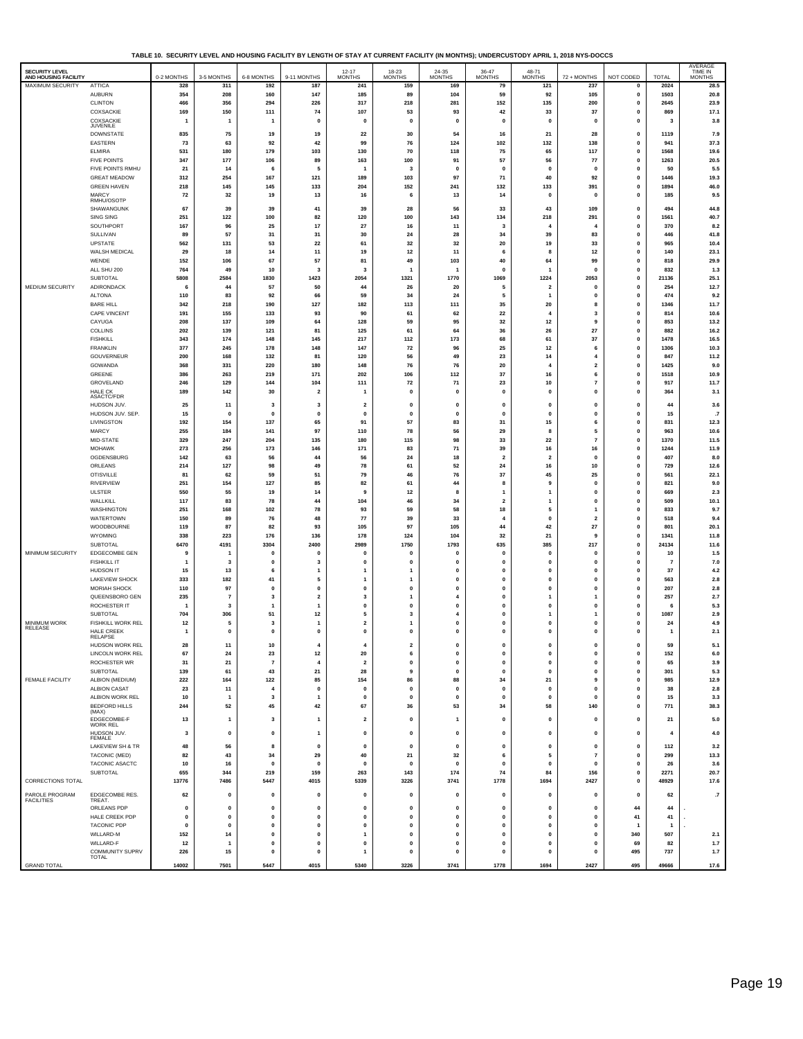**TABLE 10. SECURITY LEVEL AND HOUSING FACILITY BY LENGTH OF STAY AT CURRENT FACILITY (IN MONTHS); UNDERCUSTODY APRIL 1, 2018 NYS-DOCCS**

| <b>SECURITY LEVEL</b> |                       |                |                         |                         |                         | $12 - 17$               | 18-23          | 24-35          | $36-47$ MONTHS          | 48-71                   |                         |              |                | AVERAGE<br>TIME IN |
|-----------------------|-----------------------|----------------|-------------------------|-------------------------|-------------------------|-------------------------|----------------|----------------|-------------------------|-------------------------|-------------------------|--------------|----------------|--------------------|
| AND HOUSING FACILITY  |                       | 0-2 MONTHS     | 3-5 MONTHS              | 6-8 MONTHS              | 9-11 MONTHS             | <b>MONTHS</b>           | <b>MONTHS</b>  | <b>MONTHS</b>  |                         | <b>MONTHS</b>           | 72 + MONTHS             | NOT CODED    | TOTAL          | <b>MONTHS</b>      |
| MAXIMUM SECURITY      | <b>ATTICA</b>         | 328            | 311                     | 192                     | 187                     | 241                     | 159            | 169            | 79                      | 121                     | 237                     | 0            | 2024           | 28.5               |
|                       | <b>AUBURN</b>         | 354            | 208                     | 160                     | 147                     | 185                     | 89             | 104            | 59                      | 92                      | 105                     | $\mathbf 0$  | 1503           | 20.8               |
|                       | <b>CLINTON</b>        | 466            | 356                     | 294                     | 226                     | 317                     | 218            | 281            | 152                     | 135                     | 200                     | $\pmb{0}$    | 2645           | 23.9               |
|                       | COXSACKIE             | 169            | 150                     | 111                     | 74                      | 107                     | 53             | 93             | 42                      | 33                      | 37                      | $\mathbf 0$  | 869            | 17.1               |
|                       | COXSACKIE             | $\overline{1}$ | $\overline{1}$          | -1                      | $\Omega$                | $\mathbf{0}$            | $\mathbf{0}$   | $\mathbf{0}$   | $\Omega$                | $\Omega$                | $\mathbf 0$             | $\mathbf 0$  | 3              | 3.8                |
|                       | JUVENILE              |                |                         |                         |                         |                         |                |                |                         |                         |                         |              |                |                    |
|                       | DOWNSTATE             | 835            | 75                      | 19                      | 19                      | 22                      | 30             | 54             | 16                      | 21                      | 28                      | $\pmb{0}$    | 1119           | 7.9                |
|                       | EASTERN               | 73             | 63                      | 92                      | 42                      | 99                      | 76             | 124            | 102                     | 132                     | 138                     | $\pmb{0}$    | 941            | 37.3               |
|                       | ELMIRA                | 531            | 180                     | 179                     | 103                     | 130                     | 70             | 118            | 75                      | 65                      | 117                     | $\mathbf 0$  | 1568           | 19.6               |
|                       |                       |                |                         |                         |                         |                         |                |                |                         |                         |                         | $\pmb{0}$    |                |                    |
|                       | <b>FIVE POINTS</b>    | 347            | 177                     | 106                     | 89                      | 163                     | 100            | 91             | 57                      | 56                      | 77                      |              | 1263           | 20.5               |
|                       | FIVE POINTS RMHU      | 21             | 14                      | 6                       | 5                       | -1                      | 3              | $\mathbf{0}$   | $\mathbf{0}$            | $\mathbf 0$             | $\mathbf{0}$            | $\mathbf 0$  | 50             | 5.5                |
|                       | <b>GREAT MEADOW</b>   | 312            | 254                     | 167                     | 121                     | 189                     | 103            | 97             | 71                      | 40                      | 92                      | 0            | 1446           | 19.3               |
|                       | <b>GREEN HAVEN</b>    | 218            | 145                     | 145                     | 133                     | 204                     | 152            | 241            | 132                     | 133                     | 391                     | 0            | 1894           | 46.0               |
|                       | MARCY                 | 72             | 32                      | 19                      | 13                      | 16                      | 6              | 13             | 14                      | $\mathbf{0}$            | $\mathbf 0$             | 0            | 185            | 9.5                |
|                       | RMHU/OSOTP            |                |                         |                         |                         |                         |                |                |                         |                         |                         |              |                |                    |
|                       | SHAWANGUNK            | 67             | 39                      | 39                      | 41                      | 39                      | 28             | 56             | 33                      | 43                      | 109                     | $\mathbf 0$  | 494            | 44.8               |
|                       | SING SING             | 251            | 122                     | 100                     | 82                      | 120                     | 100            | 143            | 134                     | 218                     | 291                     | 0            | 1561           | 40.7               |
|                       | SOUTHPORT             | 167            | 96                      | 25                      | 17                      | 27                      | 16             | 11             | 3                       | $\overline{4}$          | 4                       | $\mathbf 0$  | 370            | 8.2                |
|                       | SULLIVAN              | 89             | 57                      | 31                      | 31                      | 30                      | 24             | 28             | 34                      | 39                      | 83                      | 0            | 446            | 41.8               |
|                       | <b>UPSTATE</b>        | 562            | 131                     | 53                      | 22                      | 61                      | 32             | 32             | 20                      | 19                      | 33                      | $\pmb{0}$    | 965            | 10.4               |
|                       |                       |                |                         |                         |                         |                         |                |                |                         |                         |                         |              |                |                    |
|                       | WALSH MEDICAL         | 29             | 18                      | 14                      | $11$                    | 19                      | 12             | 11             | 6                       | 8                       | 12                      | 0            | 140            | 23.1               |
|                       | WENDE                 | 152            | 106                     | 67                      | 57                      | 81                      | 49             | 103            | 40                      | 64                      | 99                      | $\pmb{0}$    | 818            | 29.9               |
|                       | ALL SHU 200           | 764            | 49                      | 10                      | 3                       | 3                       | 1              | -1             | $\mathbf{0}$            | -1                      | $\mathbf 0$             | $\mathbf 0$  | 832            | 1.3                |
|                       | SUBTOTAL              | 5808           | 2584                    | 1830                    | 1423                    | 2054                    | 1321           | 1770           | 1069                    | 1224                    | 2053                    | $\pmb{0}$    | 21136          | 25.1               |
| MEDIUM SECURITY       | ADIRONDACK            | 6              | 44                      | 57                      | 50                      | 44                      | 26             | 20             | 5                       | $\overline{2}$          | $\mathbf 0$             | $\mathbf 0$  | 254            | 12.7               |
|                       | ALTONA                | 110            | 83                      | 92                      | 66                      | 59                      | 34             | 24             | 5                       | $\mathbf{1}$            | 0                       | 0            | 474            | 9.2                |
|                       |                       |                |                         |                         |                         |                         |                |                |                         |                         |                         |              |                |                    |
|                       | <b>BARE HILL</b>      | 342            | 218                     | 190                     | 127                     | 182                     | 113            | 111            | 35                      | 20                      | 8                       | 0            | 1346           | 11.7               |
|                       | CAPE VINCENT          | 191            | 155                     | 133                     | 93                      | 90                      | 61             | 62             | 22                      | $\overline{\mathbf{4}}$ | 3                       | 0            | 814            | 10.6               |
|                       | CAYUGA                | 208            | 137                     | 109                     | 64                      | 128                     | 59             | 95             | 32                      | 12                      | 9                       | $\pmb{0}$    | 853            | 13.2               |
|                       | COLLINS               | 202            | 139                     | 121                     | 81                      | 125                     | 61             | 64             | 36                      | 26                      | 27                      | $\mathbf 0$  | 882            | 16.2               |
|                       | <b>FISHKILL</b>       | 343            | 174                     | 148                     | 145                     | 217                     | 112            | 173            | 68                      | 61                      | 37                      | $\pmb{0}$    | 1478           | 16.5               |
|                       | <b>FRANKLIN</b>       | 377            | 245                     | 178                     | 148                     | 147                     | 72             | 96             | 25                      | $12$                    | 6                       | $\mathbf 0$  | 1306           | 10.3               |
|                       | GOUVERNEUR            | 200            | 168                     | 132                     | 81                      | 120                     | 56             | 49             | 23                      | 14                      | 4                       | 0            | 847            | $11.2$             |
|                       |                       |                |                         |                         |                         |                         |                |                |                         |                         |                         |              |                |                    |
|                       | GOWANDA               | 368            | 331                     | 220                     | 180                     | 148                     | 76             | 76             | 20                      | $\overline{4}$          | $\overline{\mathbf{2}}$ | 0            | 1425           | 9.0                |
|                       | GREENE                | 386            | 263                     | 219                     | 171                     | 202                     | 106            | 112            | 37                      | 16                      | 6                       | 0            | 1518           | 10.9               |
|                       | GROVELAND             | 246            | 129                     | 144                     | 104                     | 111                     | 72             | 71             | 23                      | 10                      | $\overline{7}$          | 0            | 917            | 11.7               |
|                       | <b>HALE CK</b>        | 189            | 142                     | 30                      | $\overline{2}$          | $\mathbf{1}$            | $\mathbf{0}$   | $\mathbf{0}$   | $\mathbf{0}$            | $\mathbf 0$             | $\mathbf{0}$            | $\mathbf 0$  | 364            | $3.1$              |
|                       | ASACTC/FDR            |                |                         |                         |                         |                         |                |                |                         |                         |                         |              |                |                    |
|                       | HUDSON JUV.           | 25             | 11                      | 3                       | 3                       | $\overline{\mathbf{2}}$ | $\mathbf{0}$   | $\mathbf{0}$   | $\mathbf{0}$            | $\mathbf{0}$            | $\mathbf{0}$            | $\mathbf 0$  | 44             | 3.6                |
|                       | HUDSON JUV. SEP.      | 15             | $\mathbf 0$             | $\mathbf{0}$            | $\mathbf{0}$            | $\mathbf{0}$            | $\mathbf{0}$   | $\mathbf{0}$   | $\mathbf 0$             | $\mathbf{0}$            | 0                       | $\mathbf 0$  | 15             | .7                 |
|                       | LIVINGSTON            | 192            | 154                     | 137                     | 65                      | 91                      | 57             | 83             | 31                      | 15                      | 6                       | 0            | 831            | 12.3               |
|                       | MARCY                 | 255            | 184                     | 141                     | 97                      | 110                     | 78             | 56             | 29                      | 8                       | 5                       | 0            | 963            | 10.6               |
|                       | MID-STATE             | 329            | 247                     | 204                     | 135                     | 180                     | 115            | 98             | 33                      | 22                      | $\overline{7}$          | $\pmb{0}$    | 1370           | 11.5               |
|                       |                       |                |                         |                         |                         |                         |                |                |                         |                         |                         |              |                |                    |
|                       | <b>MOHAWK</b>         | 273            | 256                     | 173                     | 146                     | 171                     | 83             | 71             | 39                      | 16                      | 16                      | $\mathbf{0}$ | 1244           | 11.9               |
|                       | OGDENSBURG            | 142            | 63                      | 56                      | 44                      | 56                      | 24             | 18             | $\overline{\mathbf{2}}$ | $\overline{\mathbf{2}}$ | 0                       | $\pmb{0}$    | 407            | 8.0                |
|                       | ORLEANS               | 214            | 127                     | 98                      | 49                      | 78                      | 61             | 52             | 24                      | 16                      | 10                      | $\mathbf 0$  | 729            | 12.6               |
|                       | <b>OTISVILLE</b>      | 81             | 62                      | 59                      | 51                      | 79                      | 46             | 76             | 37                      | 45                      | 25                      | 0            | 561            | 22.1               |
|                       | RIVERVIEW             | 251            | 154                     | 127                     | 85                      | 82                      | 61             | 44             | 8                       | 9                       | 0                       | 0            | 821            | 9.0                |
|                       | <b>ULSTER</b>         | 550            | 55                      | 19                      | 14                      | 9                       | $12$           | 8              | $\mathbf{1}$            | $\mathbf{1}$            | 0                       | 0            | 669            | 2.3                |
|                       |                       |                |                         |                         |                         |                         |                |                |                         |                         |                         |              |                |                    |
|                       | WALLKILL              | 117            | 83                      | 78                      | 44                      | 104                     | 46             | 34             | $\overline{\mathbf{2}}$ | $\overline{1}$          | $\pmb{0}$               | 0            | 509            | 10.1               |
|                       | WASHINGTON            | 251            | 168                     | 102                     | 78                      | 93                      | 59             | 58             | 18                      | 5                       | $\mathbf{1}$            | $\mathbf 0$  | 833            | 9.7                |
|                       | WATERTOWN             | 150            | 89                      | 76                      | 48                      | 77                      | 39             | 33             | $\boldsymbol{4}$        | $\mathbf{0}$            | $\overline{\mathbf{2}}$ | $\pmb{0}$    | 518            | 9.4                |
|                       | WOODBOURNE            | 119            | 87                      | 82                      | 93                      | 105                     | 97             | 105            | 44                      | 42                      | 27                      | $\mathbf{0}$ | 801            | 20.1               |
|                       | WYOMING               | 338            | 223                     | 176                     | 136                     | 178                     | 124            | 104            | 32                      | 21                      | 9                       | 0            | 1341           | 11.8               |
|                       | SUBTOTAL              | 6470           | 4191                    | 3304                    | 2400                    | 2989                    | 1750           | 1793           | 635                     | 385                     | 217                     | $\pmb{0}$    | 24134          | 11.6               |
| MINIMUM SECURITY      |                       | 9              | -1                      | $\mathbf 0$             | $\mathbf 0$             | $\mathbf 0$             | $\mathbf 0$    | $\mathbf{0}$   | $\Omega$                | $\Omega$                | $\mathbf 0$             | 0            | 10             |                    |
|                       | EDGECOMBE GEN         |                |                         |                         |                         |                         |                |                | $\mathbf{0}$            | $\mathbf{0}$            |                         |              |                | $1.5$              |
|                       | <b>FISHKILL IT</b>    | $\mathbf{1}$   | 3                       | $\mathbf 0$             | 3                       | $\pmb{0}$               | $\pmb{0}$      | $\pmb{0}$      |                         |                         | $\pmb{0}$               | 0            | $\overline{7}$ | 7.0                |
|                       | HUDSON IT             | 15             | 13                      | 6                       | $\mathbf{1}$            | $\mathbf{1}$            | 1              | $\mathbf 0$    | $\mathbf{0}$            | $\mathbf{0}$            | $\mathbf{0}$            | $\mathbf 0$  | 37             | $4.2\,$            |
|                       | <b>LAKEVIEW SHOCK</b> | 333            | 182                     | 41                      | 5                       | $\mathbf{1}$            | 1              | $\pmb{0}$      | 0                       | $\pmb{0}$               | $\pmb{0}$               | 0            | 563            | $2.8\,$            |
|                       | MORIAH SHOCK          | 110            | 97                      | $\mathbf{0}$            | $\mathbf{0}$            | $\mathbf{0}$            | $\mathbf{0}$   | $\mathbf 0$    | $\mathbf{0}$            | $\mathbf 0$             | $\mathbf{0}$            | $\mathbf 0$  | 207            | 2.8                |
|                       | QUEENSBORO GEN        | 235            | $\overline{7}$          | 3                       | $\overline{\mathbf{2}}$ | 3                       | $\mathbf{1}$   | $\overline{4}$ | $\Omega$                | $\mathbf{1}$            | $\mathbf{1}$            | 0            | 257            | $2.7\,$            |
|                       | ROCHESTER IT          | 1              | $\overline{\mathbf{3}}$ | $\mathbf{1}$            | $\overline{1}$          | $\mathbf 0$             | $\pmb{0}$      | $\mathbf{0}$   | $\mathbf{0}$            | $\mathbf 0$             | 0                       | $\pmb{0}$    | 6              | 5.3                |
|                       | SUBTOTAL              | 704            | 306                     | 51                      | 12                      | 5                       | 3              | 4              | $\mathbf{0}$            | $\mathbf{1}$            | 1                       | 0            | 1087           | 2.9                |
| <b>MINIMUM WORK</b>   | FISHKILL WORK REL     | 12             | 5                       | 3                       | $\overline{1}$          | $\overline{\mathbf{2}}$ | $\overline{1}$ | $\pmb{0}$      | $\mathbf{0}$            | $\mathbf{0}$            | 0                       | 0            | 24             | 4.9                |
| <b>RELEASE</b>        | HALE CREEK            |                | $\mathbf{0}$            | $\mathbf{0}$            | $\mathbf{0}$            | $\mathbf 0$             | $\mathbf{0}$   | $\mathbf{0}$   | $\mathbf{0}$            | $\mathbf 0$             | $\mathbf{0}$            | $\mathbf 0$  |                |                    |
|                       | RELAPSE               | $\overline{1}$ |                         |                         |                         |                         |                |                |                         |                         |                         |              | $\mathbf{1}$   | 2.1                |
|                       | HUDSON WORK REI       | 28             | 11                      | 10                      |                         |                         |                |                |                         |                         |                         | $\Omega$     | 59             | 5.1                |
|                       | LINCOLN WORK REL      | 67             | 24                      | 23                      | 12                      | 20                      | 6              | $\mathbf 0$    | 0                       | $\mathbf 0$             | 0                       | 0            | 152            | $6.0\,$            |
|                       | ROCHESTER WR          | 31             | ${\bf 21}$              | $\scriptstyle\rm 7$     | $\overline{\mathbf{4}}$ | $\overline{\mathbf{2}}$ | $\pmb{0}$      | $\pmb{0}$      | $\pmb{0}$               | $\pmb{0}$               | $\pmb{0}$               | $\pmb{0}$    | 65             | 3.9                |
|                       |                       |                |                         |                         |                         |                         |                |                |                         |                         |                         |              |                |                    |
|                       | SUBTOTAL              | 139            | 61                      | 43                      | 21                      | 28                      | 9              | $\mathbf{0}$   | $\Omega$                | $\mathbf 0$             | $\mathbf{0}$            | 0            | 301            | 5.3                |
| FEMALE FACILITY       | ALBION (MEDIUM)       | 222            | 164                     | 122                     | 85                      | 154                     | 86             | 88             | 34                      | 21                      | 9                       | $\pmb{0}$    | 985            | 12.9               |
|                       | ALBION CASAT          | 23             | 11                      | $\overline{4}$          | $\mathbf{0}$            | $\mathbf{0}$            | $\mathbf{0}$   | $\mathbf 0$    | $\mathbf{0}$            | $\pmb{\mathsf{o}}$      | $\mathbf{0}$            | $\mathbf 0$  | 38             | $2.8\,$            |
|                       | ALBION WORK REL       | 10             | $\overline{1}$          | 3                       | $\mathbf{1}$            | $\pmb{0}$               | 0              | $\pmb{0}$      | $\pmb{0}$               | $\pmb{0}$               | $\pmb{0}$               | 0            | 15             | 3.3                |
|                       | <b>BEDFORD HILLS</b>  | 244            | 52                      | 45                      | 42                      | 67                      | 36             | 53             | 34                      | 58                      | 140                     | $\mathbf{0}$ | 771            | 38.3               |
|                       | (MAX)                 |                |                         |                         |                         |                         |                |                |                         |                         |                         |              |                |                    |
|                       | EDGECOMBE-F           | 13             | $\mathbf{1}$            | $\overline{\mathbf{3}}$ | $\overline{1}$          | $\overline{\mathbf{2}}$ | $\pmb{0}$      | $\mathbf{1}$   | $\mathbf{0}$            | $\mathbf{0}$            | 0                       | $\pmb{0}$    | 21             | 5.0                |
|                       | <b>WORK REL</b>       |                |                         |                         |                         |                         |                |                |                         |                         |                         |              |                |                    |
|                       | HUDSON JUV.<br>FEMALE | 3              | $\pmb{0}$               | $\mathbf 0$             | $\overline{1}$          | $\pmb{0}$               | 0              | $\pmb{0}$      | $\pmb{0}$               | $\pmb{0}$               | $\pmb{0}$               | $\pmb{0}$    | 4              | $4.0\,$            |
|                       |                       |                |                         |                         |                         | $\mathbf{0}$            |                |                |                         |                         |                         |              |                |                    |
|                       | LAKEVIEW SH & TR      | 48             | 56                      | 8                       | $\pmb{0}$               |                         | $\pmb{0}$      | $\pmb{0}$      | $\pmb{0}$               | $\mathbf 0$             | $\pmb{0}$               | $\pmb{0}$    | 112            | 3.2                |
|                       | TACONIC (MED)         | 82             | 43                      | 34                      | 29                      | 40                      | ${\bf 21}$     | 32             | 6                       | 5                       | $\overline{7}$          | $\pmb{0}$    | 299            | 13.3               |
|                       | TACONIC ASACTC        | 10             | 16                      | $\mathbf{0}$            | $\mathbf{0}$            | $\mathbf 0$             | $\mathbf{0}$   | $\mathbf{0}$   | $\Omega$                | $\mathbf{0}$            | $\mathbf{0}$            | 0            | 26             | 3.6                |
|                       | SUBTOTAL              | 655            | 344                     | 219                     | 159                     | 263                     | 143            | 174            | 74                      | 84                      | 156                     | $\pmb{0}$    | 2271           | 20.7               |
| CORRECTIONS TOTAL     |                       | 13776          | 7486                    | 5447                    | 4015                    | 5339                    | 3226           | 3741           | 1778                    | 1694                    | 2427                    | $\mathbf 0$  | 48929          | 17.6               |
|                       |                       |                |                         |                         |                         |                         |                |                |                         |                         |                         |              |                |                    |
| PAROLE PROGRAM        | EDGECOMBE RES.        | 62             | $\mathbf{0}$            | $\mathbf{0}$            | $\mathbf{0}$            | $\mathbf{0}$            | $\mathbf 0$    | $\pmb{0}$      | $\mathbf{0}$            | $\mathbf 0$             | $\mathbf{0}$            | $\mathbf{0}$ | 62             | $_{\cdot 7}$       |
| <b>FACILITIES</b>     | TREAT.                |                |                         |                         |                         |                         |                |                |                         |                         |                         |              |                |                    |
|                       | ORLEANS PDP           | $\pmb{0}$      | $\mathbf{0}$            | $\mathbf 0$             | $\pmb{0}$               | $\mathbf 0$             | $\pmb{0}$      | $\pmb{0}$      | $\mathbf{0}$            | $\mathbf 0$             | 0                       | 44           | 44             |                    |
|                       | HALE CREEK PDP        | $\mathbf{0}$   | $\mathbf{0}$            | $\mathbf{0}$            | $\mathbf{0}$            | $\mathbf{0}$            | $\mathbf{0}$   | $\mathbf{0}$   | $\Omega$                | $\mathbf{0}$            | $\mathbf{0}$            | 41           | 41             |                    |
|                       | <b>TACONIC PDP</b>    | $\pmb{0}$      | $\mathbf{0}$            | $\mathbf{0}$            | $\mathbf{0}$            | $\mathbf{0}$            | 0              | $\pmb{0}$      | $\mathbf{0}$            | $\mathbf 0$             | 0                       |              | $\overline{1}$ |                    |
|                       | WILLARD-M             | 152            | 14                      | $\mathbf{0}$            | $\mathbf{0}$            | $\mathbf{1}$            | $\mathbf{0}$   | $\mathbf 0$    | $\mathbf{0}$            | $\mathbf{0}$            | $\mathbf{0}$            | 340          | 507            | 2.1                |
|                       | WILLARD-F             | $12$           | $\mathbf{1}$            | $\mathbf 0$             | 0                       | $\mathbf 0$             | 0              | $\pmb{0}$      | $\pmb{0}$               | $\pmb{0}$               | $\pmb{0}$               | 69           | 82             | $1.7$              |
|                       | COMMUNITY SUPRV       | 226            | 15                      | $\mathbf 0$             | $\mathbf{0}$            | $\overline{1}$          | $\mathbf{0}$   | $\mathbf 0$    | $\mathbf{0}$            | $\mathbf 0$             | $\mathbf{0}$            | 495          | 737            | 1.7                |
|                       | <b>TOTAL</b>          |                |                         |                         |                         |                         |                |                |                         |                         |                         |              |                |                    |
| <b>GRAND TOTAL</b>    |                       | 14002          | 7501                    | 5447                    | 4015                    | 5340                    | 3226           | 3741           | 1778                    | 1694                    | 2427                    | 495          | 49666          | 17.6               |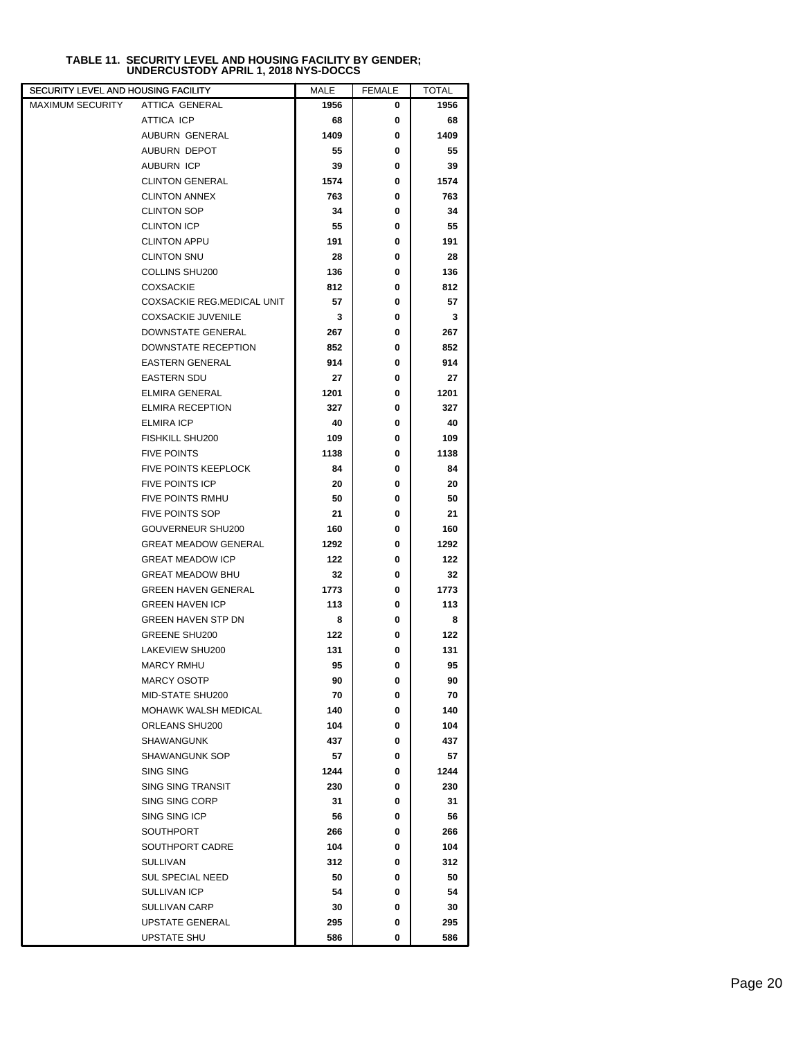|  | <b>TABLE 11. SECURITY LEVEL AND HOUSING FACILITY BY GENDER:</b> |  |
|--|-----------------------------------------------------------------|--|
|  | UNDERCUSTODY APRIL 1, 2018 NYS-DOCCS                            |  |

| SECURITY LEVEL AND HOUSING FACILITY |                             | MALE | <b>FEMALE</b> | <b>TOTAL</b> |
|-------------------------------------|-----------------------------|------|---------------|--------------|
| <b>MAXIMUM SECURITY</b>             | ATTICA GENERAL              | 1956 | 0             | 1956         |
|                                     | ATTICA ICP                  | 68   | 0             | 68           |
|                                     | AUBURN GENERAL              | 1409 | 0             | 1409         |
|                                     | <b>AUBURN DEPOT</b>         | 55   | 0             | 55           |
|                                     | AUBURN ICP                  | 39   | 0             | 39           |
|                                     | <b>CLINTON GENERAL</b>      | 1574 | 0             | 1574         |
|                                     | <b>CLINTON ANNEX</b>        | 763  | 0             | 763          |
|                                     | <b>CLINTON SOP</b>          | 34   | 0             | 34           |
|                                     | <b>CLINTON ICP</b>          | 55   | 0             | 55           |
|                                     | <b>CLINTON APPU</b>         | 191  | 0             | 191          |
|                                     | <b>CLINTON SNU</b>          | 28   | 0             | 28           |
|                                     | COLLINS SHU200              | 136  | 0             | 136          |
|                                     | <b>COXSACKIE</b>            | 812  | 0             | 812          |
|                                     | COXSACKIE REG.MEDICAL UNIT  | 57   | 0             | 57           |
|                                     | <b>COXSACKIE JUVENILE</b>   | 3    | 0             | 3            |
|                                     | DOWNSTATE GENERAL           | 267  | 0             | 267          |
|                                     | DOWNSTATE RECEPTION         | 852  | 0             | 852          |
|                                     | <b>EASTERN GENERAL</b>      | 914  | 0             | 914          |
|                                     | <b>EASTERN SDU</b>          | 27   | 0             | 27           |
|                                     | <b>ELMIRA GENERAL</b>       | 1201 | 0             | 1201         |
|                                     | <b>ELMIRA RECEPTION</b>     | 327  | 0             | 327          |
|                                     | <b>ELMIRA ICP</b>           | 40   | 0             | 40           |
|                                     | FISHKILL SHU200             | 109  | 0             | 109          |
|                                     | <b>FIVE POINTS</b>          | 1138 | 0             | 1138         |
|                                     | FIVE POINTS KEEPLOCK        | 84   | 0             | 84           |
|                                     | <b>FIVE POINTS ICP</b>      | 20   | 0             | 20           |
|                                     | <b>FIVE POINTS RMHU</b>     | 50   | 0             | 50           |
|                                     | <b>FIVE POINTS SOP</b>      | 21   | 0             | 21           |
|                                     | GOUVERNEUR SHU200           | 160  | 0             | 160          |
|                                     | <b>GREAT MEADOW GENERAL</b> | 1292 | 0             | 1292         |
|                                     | <b>GREAT MEADOW ICP</b>     | 122  | 0             | 122          |
|                                     | <b>GREAT MEADOW BHU</b>     | 32   | 0             | 32           |
|                                     | <b>GREEN HAVEN GENERAL</b>  | 1773 | 0             | 1773         |
|                                     | <b>GREEN HAVEN ICP</b>      | 113  | 0             | 113          |
|                                     | <b>GREEN HAVEN STP DN</b>   | 8    | 0             | 8            |
|                                     | GREENE SHU200               | 122  | 0             | 122          |
|                                     | LAKEVIEW SHU200             | 131  | 0             | 131          |
|                                     | <b>MARCY RMHU</b>           | 95   | 0             | 95           |
|                                     | <b>MARCY OSOTP</b>          | 90   | 0             | 90           |
|                                     | MID-STATE SHU200            | 70   | 0             | 70           |
|                                     | MOHAWK WALSH MEDICAL        | 140  | 0             | 140          |
|                                     | ORLEANS SHU200              | 104  | 0             | 104          |
|                                     | SHAWANGUNK                  | 437  | 0             | 437          |
|                                     | <b>SHAWANGUNK SOP</b>       | 57   | 0             | 57           |
|                                     | <b>SING SING</b>            | 1244 | 0             | 1244         |
|                                     | <b>SING SING TRANSIT</b>    | 230  | 0             | 230          |
|                                     | SING SING CORP              | 31   | 0             | 31           |
|                                     | SING SING ICP               | 56   | 0             | 56           |
|                                     | <b>SOUTHPORT</b>            | 266  | 0             | 266          |
|                                     | SOUTHPORT CADRE             | 104  | 0             | 104          |
|                                     | SULLIVAN                    | 312  | 0             | 312          |
|                                     | <b>SUL SPECIAL NEED</b>     | 50   | 0             | 50           |
|                                     | <b>SULLIVAN ICP</b>         | 54   | 0             | 54           |
|                                     | SULLIVAN CARP               | 30   | 0             | 30           |
|                                     | UPSTATE GENERAL             | 295  | 0             | 295          |
|                                     | UPSTATE SHU                 | 586  | 0             | 586          |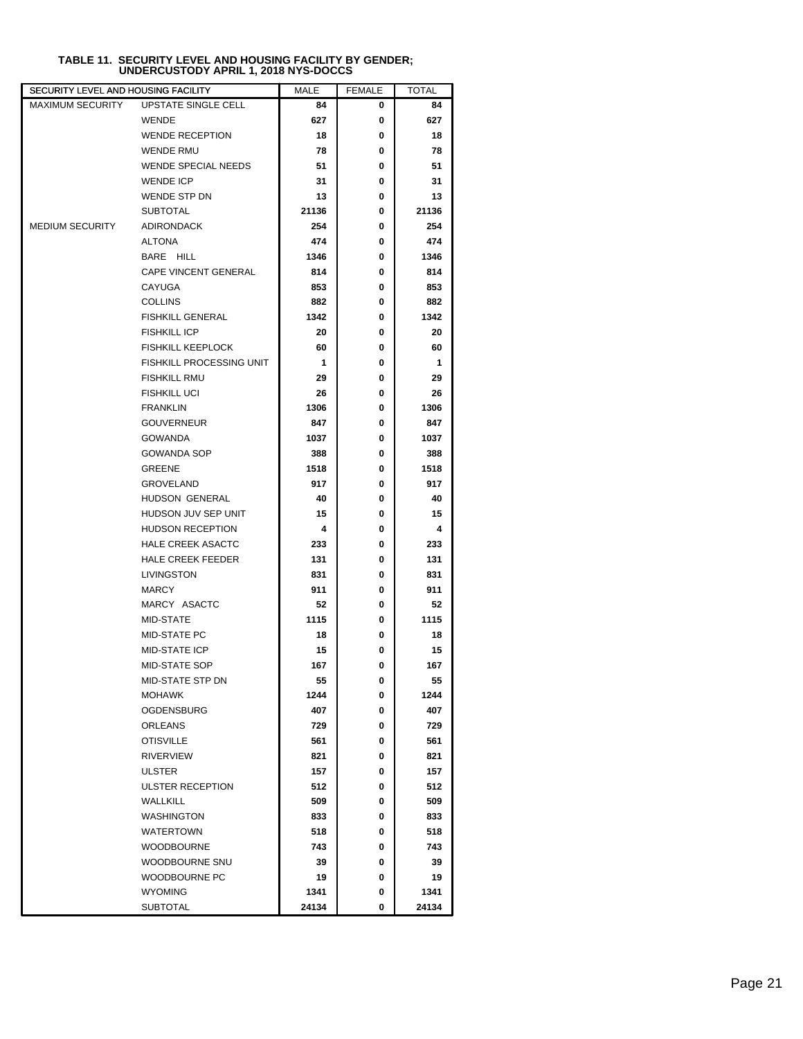| SECURITY LEVEL AND HOUSING FACILITY |                                 | MALE  | <b>FEMALE</b> | TOTAL |
|-------------------------------------|---------------------------------|-------|---------------|-------|
| <b>MAXIMUM SECURITY</b>             | <b>UPSTATE SINGLE CELL</b>      | 84    | 0             | 84    |
|                                     | <b>WENDE</b>                    | 627   | 0             | 627   |
|                                     | <b>WENDE RECEPTION</b>          | 18    | 0             | 18    |
|                                     | <b>WENDE RMU</b>                | 78    | 0             | 78    |
|                                     | <b>WENDE SPECIAL NEEDS</b>      | 51    | 0             | 51    |
|                                     | <b>WENDE ICP</b>                | 31    | 0             | 31    |
|                                     | WENDE STP DN                    | 13    | 0             | 13    |
|                                     | <b>SUBTOTAL</b>                 | 21136 | 0             | 21136 |
| <b>MEDIUM SECURITY</b>              | <b>ADIRONDACK</b>               | 254   | 0             | 254   |
|                                     | ALTONA                          | 474   | 0             | 474   |
|                                     | BARE HILL                       | 1346  | 0             | 1346  |
|                                     | CAPE VINCENT GENERAL            | 814   | 0             | 814   |
|                                     | CAYUGA                          | 853   | 0             | 853   |
|                                     | <b>COLLINS</b>                  | 882   | 0             | 882   |
|                                     | <b>FISHKILL GENERAL</b>         | 1342  | 0             | 1342  |
|                                     | <b>FISHKILL ICP</b>             | 20    | 0             | 20    |
|                                     | <b>FISHKILL KEEPLOCK</b>        | 60    | 0             | 60    |
|                                     | <b>FISHKILL PROCESSING UNIT</b> | 1     | 0             | 1     |
|                                     | <b>FISHKILL RMU</b>             | 29    | 0             | 29    |
|                                     | <b>FISHKILL UCI</b>             | 26    | 0             | 26    |
|                                     | <b>FRANKLIN</b>                 | 1306  | 0             | 1306  |
|                                     | <b>GOUVERNEUR</b>               | 847   | 0             | 847   |
|                                     | <b>GOWANDA</b>                  | 1037  | 0             | 1037  |
|                                     | <b>GOWANDA SOP</b>              | 388   | 0             | 388   |
|                                     | GREENE                          | 1518  | 0             | 1518  |
|                                     | <b>GROVELAND</b>                | 917   | 0             | 917   |
|                                     | HUDSON GENERAL                  | 40    | 0             | 40    |
|                                     | HUDSON JUV SEP UNIT             | 15    | 0             | 15    |
|                                     | <b>HUDSON RECEPTION</b>         | 4     | 0             | 4     |
|                                     | <b>HALE CREEK ASACTC</b>        | 233   | 0             | 233   |
|                                     | <b>HALE CREEK FEEDER</b>        | 131   | 0             | 131   |
|                                     | LIVINGSTON                      | 831   | 0             | 831   |
|                                     | <b>MARCY</b>                    | 911   | 0             | 911   |
|                                     | MARCY ASACTC                    | 52    | 0             | 52    |
|                                     | MID-STATE                       | 1115  | 0             | 1115  |
|                                     | <b>MID-STATE PC</b>             | 18    | 0             | 18    |
|                                     | <b>MID-STATE ICP</b>            | 15    | 0             | 15    |
|                                     | MID-STATE SOP                   | 167   | 0             | 167   |
|                                     | MID-STATE STP DN                | 55    | 0             | 55    |
|                                     | MOHAWK                          | 1244  | 0             | 1244  |
|                                     | OGDENSBURG                      | 407   | 0             | 407   |
|                                     | <b>ORLEANS</b>                  | 729   | 0             | 729   |
|                                     | <b>OTISVILLE</b>                | 561   | 0             | 561   |
|                                     | <b>RIVERVIEW</b>                | 821   | 0             | 821   |
|                                     | ULSTER                          | 157   | 0             | 157   |
|                                     | <b>ULSTER RECEPTION</b>         | 512   | 0             | 512   |
|                                     | <b>WALLKILL</b>                 | 509   | 0             | 509   |
|                                     | <b>WASHINGTON</b>               | 833   | 0             | 833   |
|                                     | <b>WATERTOWN</b>                | 518   | 0             | 518   |
|                                     | <b>WOODBOURNE</b>               | 743   | 0             | 743   |
|                                     | WOODBOURNE SNU                  | 39    | 0             | 39    |
|                                     | WOODBOURNE PC                   | 19    | 0             | 19    |
|                                     | <b>WYOMING</b>                  | 1341  | 0             | 1341  |
|                                     | <b>SUBTOTAL</b>                 | 24134 | 0             | 24134 |

## **TABLE 11. SECURITY LEVEL AND HOUSING FACILITY BY GENDER; UNDERCUSTODY APRIL 1, 2018 NYS-DOCCS**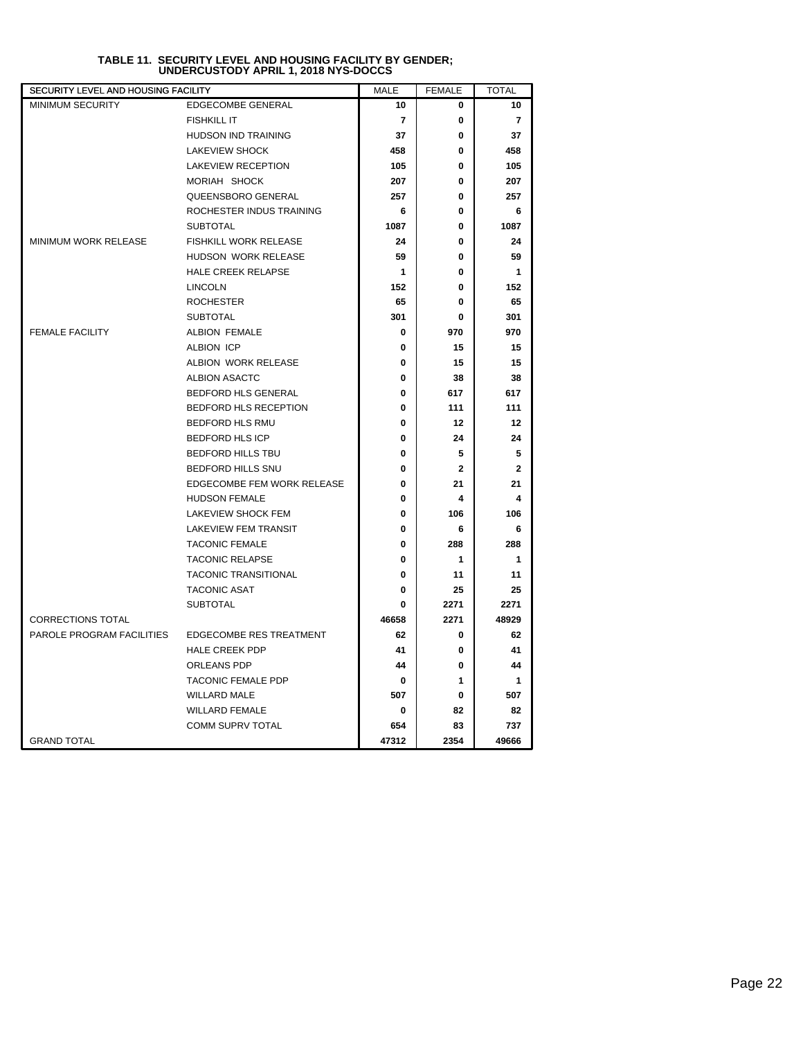| SECURITY LEVEL AND HOUSING FACILITY |                                | <b>MALE</b> | <b>FEMALE</b> | <b>TOTAL</b>   |
|-------------------------------------|--------------------------------|-------------|---------------|----------------|
| <b>MINIMUM SECURITY</b>             | <b>EDGECOMBE GENERAL</b>       | 10          | 0             | 10             |
|                                     | <b>FISHKILL IT</b>             | 7           | 0             | $\overline{7}$ |
|                                     | <b>HUDSON IND TRAINING</b>     | 37          | 0             | 37             |
|                                     | <b>LAKEVIEW SHOCK</b>          | 458         | $\bf{0}$      | 458            |
|                                     | <b>LAKEVIEW RECEPTION</b>      | 105         | 0             | 105            |
|                                     | MORIAH SHOCK                   | 207         | 0             | 207            |
|                                     | QUEENSBORO GENERAL             | 257         | 0             | 257            |
|                                     | ROCHESTER INDUS TRAINING       | 6           | 0             | 6              |
|                                     | <b>SUBTOTAL</b>                | 1087        | $\bf{0}$      | 1087           |
| <b>MINIMUM WORK RELEASE</b>         | FISHKILL WORK RELEASE          | 24          | 0             | 24             |
|                                     | HUDSON WORK RELEASE            | 59          | 0             | 59             |
|                                     | HALE CREEK RELAPSE             | 1           | $\bf{0}$      | 1              |
|                                     | <b>LINCOLN</b>                 | 152         | $\bf{0}$      | 152            |
|                                     | <b>ROCHESTER</b>               | 65          | 0             | 65             |
|                                     | <b>SUBTOTAL</b>                | 301         | 0             | 301            |
| <b>FEMALE FACILITY</b>              | <b>ALBION FEMALE</b>           | 0           | 970           | 970            |
|                                     | <b>ALBION ICP</b>              | 0           | 15            | 15             |
|                                     | ALBION WORK RELEASE            | 0           | 15            | 15             |
|                                     | <b>ALBION ASACTC</b>           | 0           | 38            | 38             |
|                                     | BEDFORD HLS GENERAL            | 0           | 617           | 617            |
|                                     | BEDFORD HLS RECEPTION          | 0           | 111           | 111            |
|                                     | <b>BEDFORD HLS RMU</b>         | 0           | 12            | 12             |
|                                     | <b>BEDFORD HLS ICP</b>         | 0           | 24            | 24             |
|                                     | <b>BEDFORD HILLS TBU</b>       | 0           | 5             | 5              |
|                                     | BEDFORD HILLS SNU              | 0           | $\mathbf{2}$  | $\mathbf{2}$   |
|                                     | EDGECOMBE FEM WORK RELEASE     | 0           | 21            | 21             |
|                                     | <b>HUDSON FEMALE</b>           | 0           | 4             | 4              |
|                                     | LAKEVIEW SHOCK FEM             | 0           | 106           | 106            |
|                                     | <b>LAKEVIEW FEM TRANSIT</b>    | 0           | 6             | 6              |
|                                     | <b>TACONIC FEMALE</b>          | 0           | 288           | 288            |
|                                     | <b>TACONIC RELAPSE</b>         | 0           | 1             | $\mathbf 1$    |
|                                     | <b>TACONIC TRANSITIONAL</b>    | 0           | 11            | 11             |
|                                     | <b>TACONIC ASAT</b>            | 0           | 25            | 25             |
|                                     | <b>SUBTOTAL</b>                | 0           | 2271          | 2271           |
| <b>CORRECTIONS TOTAL</b>            |                                | 46658       | 2271          | 48929          |
| PAROLE PROGRAM FACILITIES           | <b>EDGECOMBE RES TREATMENT</b> | 62          | 0             | 62             |
|                                     | <b>HALE CREEK PDP</b>          | 41          | 0             | 41             |
|                                     | ORLEANS PDP                    | 44          | $\bf{0}$      | 44             |
|                                     | <b>TACONIC FEMALE PDP</b>      | 0           | 1             | $\mathbf{1}$   |
|                                     | <b>WILLARD MALE</b>            | 507         | 0             | 507            |
|                                     | <b>WILLARD FEMALE</b>          | 0           | 82            | 82             |
|                                     | COMM SUPRV TOTAL               | 654         | 83            | 737            |
| <b>GRAND TOTAL</b>                  |                                | 47312       | 2354          | 49666          |

## **TABLE 11. SECURITY LEVEL AND HOUSING FACILITY BY GENDER; UNDERCUSTODY APRIL 1, 2018 NYS-DOCCS**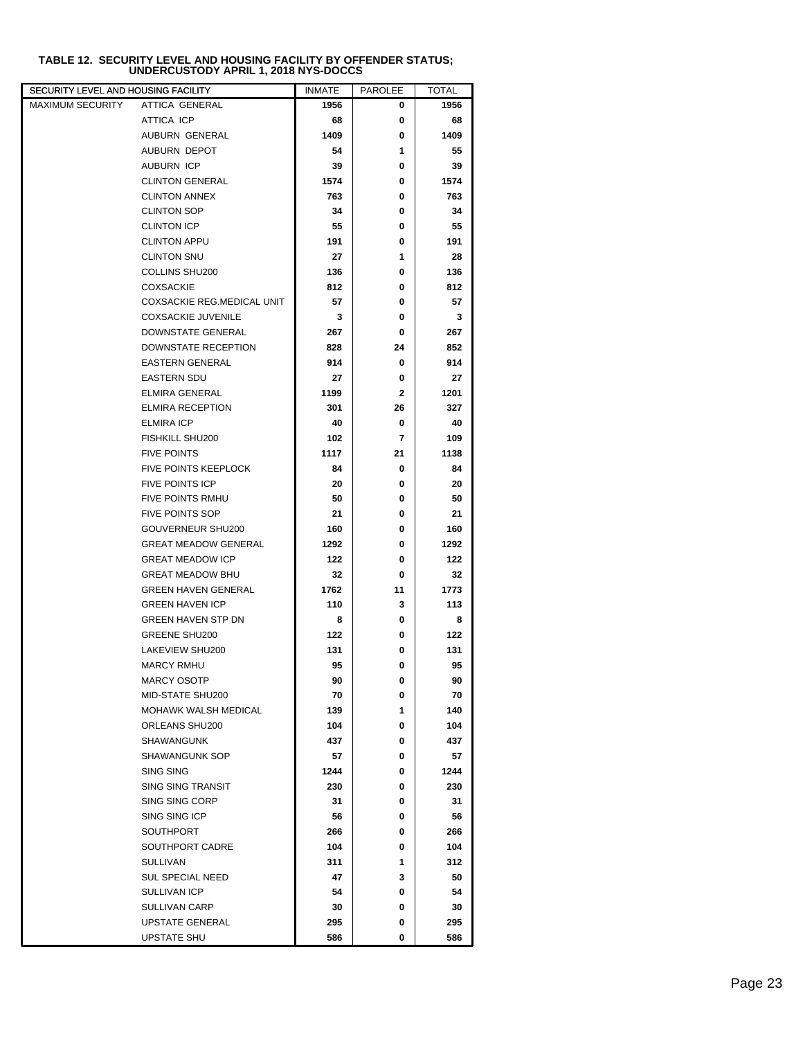| TABLE 12.  SECURITY LEVEL AND HOUSING FACILITY BY OFFENDER STATUS; |
|--------------------------------------------------------------------|
| UNDERCUSTODY APRIL 1, 2018 NYS-DOCCS                               |

| SECURITY LEVEL AND HOUSING FACILITY |                             | <b>INMATE</b> | <b>PAROLEE</b> | <b>TOTAL</b> |
|-------------------------------------|-----------------------------|---------------|----------------|--------------|
| MAXIMUM SECURITY                    | ATTICA GENERAL              | 1956          | 0              | 1956         |
|                                     | ATTICA ICP                  | 68            | 0              | 68           |
|                                     | AUBURN GENERAL              | 1409          | 0              | 1409         |
|                                     | AUBURN DEPOT                | 54            | 1              | 55           |
|                                     | <b>AUBURN ICP</b>           | 39            | 0              | 39           |
|                                     | <b>CLINTON GENERAL</b>      | 1574          | 0              | 1574         |
|                                     | <b>CLINTON ANNEX</b>        | 763           | 0              | 763          |
|                                     | <b>CLINTON SOP</b>          | 34            | 0              | 34           |
|                                     | <b>CLINTON ICP</b>          | 55            | 0              | 55           |
|                                     | <b>CLINTON APPU</b>         | 191           | 0              | 191          |
|                                     | <b>CLINTON SNU</b>          | 27            | 1              | 28           |
|                                     | COLLINS SHU200              | 136           | 0              | 136          |
|                                     | <b>COXSACKIE</b>            | 812           | 0              | 812          |
|                                     | COXSACKIE REG.MEDICAL UNIT  | 57            | 0              | 57           |
|                                     | <b>COXSACKIE JUVENILE</b>   | 3             | 0              | 3            |
|                                     | DOWNSTATE GENERAL           | 267           | 0              | 267          |
|                                     | <b>DOWNSTATE RECEPTION</b>  | 828           | 24             | 852          |
|                                     | <b>EASTERN GENERAL</b>      | 914           | 0              | 914          |
|                                     | <b>EASTERN SDU</b>          | 27            | 0              | 27           |
|                                     | <b>ELMIRA GENERAL</b>       | 1199          | $\mathbf{2}$   | 1201         |
|                                     | <b>ELMIRA RECEPTION</b>     | 301           | 26             | 327          |
|                                     | <b>ELMIRA ICP</b>           | 40            | 0              | 40           |
|                                     | FISHKILL SHU200             | 102           | 7              | 109          |
|                                     | <b>FIVE POINTS</b>          | 1117          | 21             | 1138         |
|                                     | <b>FIVE POINTS KEEPLOCK</b> | 84            | 0              | 84           |
|                                     | <b>FIVE POINTS ICP</b>      | 20            | 0              | 20           |
|                                     | FIVE POINTS RMHU            | 50            | 0              | 50           |
|                                     | <b>FIVE POINTS SOP</b>      | 21            | 0              | 21           |
|                                     | GOUVERNEUR SHU200           | 160           | 0              | 160          |
|                                     | <b>GREAT MEADOW GENERAL</b> | 1292          | 0              | 1292         |
|                                     | <b>GREAT MEADOW ICP</b>     | 122           | 0              | 122          |
|                                     | <b>GREAT MEADOW BHU</b>     | 32            | 0              | 32           |
|                                     | <b>GREEN HAVEN GENERAL</b>  | 1762          | 11             | 1773         |
|                                     | <b>GREEN HAVEN ICP</b>      | 110           | 3              | 113          |
|                                     | GREEN HAVEN STP DN          | 8             | 0              | 8            |
|                                     | <b>GREENE SHU200</b>        | 122           | 0              | 122          |
|                                     | LAKEVIEW SHU200             | 131           | 0              | 131          |
|                                     | <b>MARCY RMHU</b>           | 95            | 0              | 95           |
|                                     | <b>MARCY OSOTP</b>          | 90            | 0              | 90           |
|                                     | MID-STATE SHU200            | 70            | 0              | 70           |
|                                     | <b>MOHAWK WALSH MEDICAL</b> | 139           | 1              | 140          |
|                                     | ORLEANS SHU200              | 104           | 0              | 104          |
|                                     | SHAWANGUNK                  | 437           | 0              | 437          |
|                                     | SHAWANGUNK SOP              | 57            | 0              | 57           |
|                                     | SING SING                   | 1244          | 0              | 1244         |
|                                     | <b>SING SING TRANSIT</b>    | 230           | 0              | 230          |
|                                     | SING SING CORP              | 31            | 0              | 31           |
|                                     | SING SING ICP               | 56            | 0              | 56           |
|                                     | SOUTHPORT                   | 266           | 0              | 266          |
|                                     | SOUTHPORT CADRE             | 104           | 0              | 104          |
|                                     | <b>SULLIVAN</b>             | 311           | 1              | 312          |
|                                     | <b>SUL SPECIAL NEED</b>     | 47            | 3              | 50           |
|                                     | SULLIVAN ICP                | 54            | 0              | 54           |
|                                     | <b>SULLIVAN CARP</b>        | 30            | 0              | 30           |
|                                     | <b>UPSTATE GENERAL</b>      | 295           | 0              | 295          |
|                                     | UPSTATE SHU                 | 586           | 0              | 586          |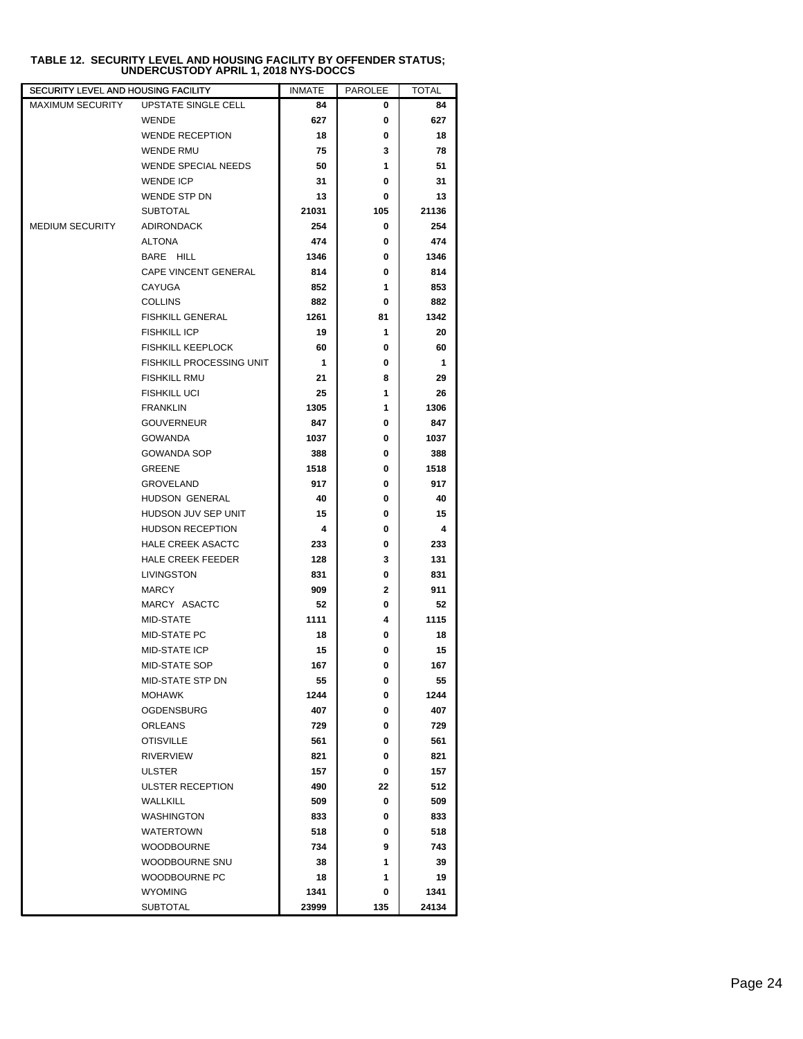| UPSTATE SINGLE CELL<br><b>MAXIMUM SECURITY</b><br>84<br>0 |          |
|-----------------------------------------------------------|----------|
|                                                           | 84       |
| <b>WENDE</b><br>627<br>0                                  | 627      |
| <b>WENDE RECEPTION</b><br>18<br>0                         | 18       |
| 3<br><b>WENDE RMU</b><br>75                               | 78       |
| <b>WENDE SPECIAL NEEDS</b><br>50<br>1                     | 51       |
| <b>WENDE ICP</b><br>31<br>0                               | 31       |
| WENDE STP DN<br>13<br>0                                   | 13       |
| <b>SUBTOTAL</b><br>21031<br>105<br>21136                  |          |
| <b>MEDIUM SECURITY</b><br><b>ADIRONDACK</b><br>254<br>0   | 254      |
| ALTONA<br>474<br>0                                        | 474      |
| BARE HILL<br>1346<br>0<br>1346                            |          |
| CAPE VINCENT GENERAL<br>814<br>0                          | 814      |
| 1<br>CAYUGA<br>852                                        | 853      |
| <b>COLLINS</b><br>882<br>0                                | 882      |
| <b>FISHKILL GENERAL</b><br>1261<br>81<br>1342             |          |
| 1<br><b>FISHKILL ICP</b><br>19                            | 20       |
| <b>FISHKILL KEEPLOCK</b><br>60<br>0                       | 60       |
| FISHKILL PROCESSING UNIT<br>1<br>0                        | 1        |
| <b>FISHKILL RMU</b><br>8<br>21                            | 29       |
| <b>FISHKILL UCI</b><br>25<br>1                            | 26       |
| <b>FRANKLIN</b><br>1305<br>1<br>1306                      |          |
| <b>GOUVERNEUR</b><br>847<br>0                             | 847      |
| <b>GOWANDA</b><br>1037<br>1037<br>0                       |          |
| GOWANDA SOP<br>388<br>0                                   | 388      |
| GREENE<br>1518<br>0<br>1518                               |          |
| <b>GROVELAND</b><br>917<br>0                              | 917      |
| HUDSON GENERAL<br>40<br>0                                 | 40       |
| HUDSON JUV SEP UNIT<br>15<br>0                            | 15       |
| <b>HUDSON RECEPTION</b><br>4<br>0                         | 4        |
| <b>HALE CREEK ASACTC</b><br>233<br>0                      | 233      |
| <b>HALE CREEK FEEDER</b><br>128<br>3                      | 131      |
| LIVINGSTON<br>831<br>0                                    | 831      |
| <b>MARCY</b><br>909<br>$\mathbf{2}$                       | 911      |
| MARCY ASACTC<br>52<br>0                                   | 52       |
| MID-STATE<br>1111<br>4<br>1115                            |          |
| MID-STATE PC<br>18<br>0                                   | 18       |
| <b>MID-STATE ICP</b><br>15<br>0                           | 15       |
| <b>MID-STATE SOP</b><br>167<br>0                          | 167      |
| MID-STATE STP DN<br>55<br>0                               | 55       |
| <b>MOHAWK</b><br>1244<br>1244<br>0                        |          |
| <b>OGDENSBURG</b><br>407<br>0                             | 407      |
| ORLEANS<br>0<br>729                                       | 729      |
| <b>OTISVILLE</b><br>0<br>561                              | 561      |
| <b>RIVERVIEW</b><br>821<br>0                              | 821      |
| 157<br>0<br>ULSTER                                        | 157      |
| <b>ULSTER RECEPTION</b><br>490<br>22                      | 512      |
| <b>WALLKILL</b><br>509<br>0                               | 509      |
| <b>WASHINGTON</b><br>833<br>0                             | 833      |
| WATERTOWN<br>518<br>0                                     | 518      |
| <b>WOODBOURNE</b><br>734<br>9<br>1                        | 743      |
| WOODBOURNE SNU<br>38<br>WOODBOURNE PC<br>1<br>18          | 39<br>19 |
| <b>WYOMING</b><br>1341<br>1341<br>0                       |          |
| <b>SUBTOTAL</b><br>23999<br>135<br>24134                  |          |

## **TABLE 12. SECURITY LEVEL AND HOUSING FACILITY BY OFFENDER STATUS; UNDERCUSTODY APRIL 1, 2018 NYS-DOCCS**